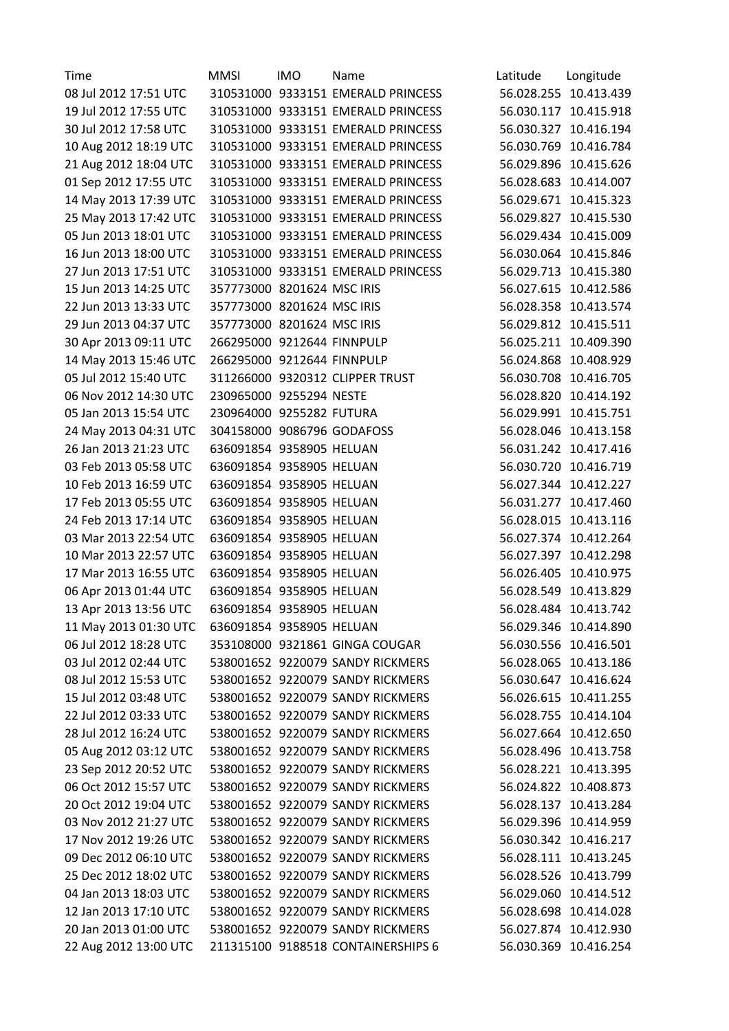| Time                  | <b>MMSI</b>                | <b>IMO</b> | Name                               | Latitude | Longitude             |
|-----------------------|----------------------------|------------|------------------------------------|----------|-----------------------|
| 08 Jul 2012 17:51 UTC |                            |            | 310531000 9333151 EMERALD PRINCESS |          | 56.028.255 10.413.439 |
| 19 Jul 2012 17:55 UTC |                            |            | 310531000 9333151 EMERALD PRINCESS |          | 56.030.117 10.415.918 |
| 30 Jul 2012 17:58 UTC |                            |            | 310531000 9333151 EMERALD PRINCESS |          | 56.030.327 10.416.194 |
| 10 Aug 2012 18:19 UTC |                            |            | 310531000 9333151 EMERALD PRINCESS |          | 56.030.769 10.416.784 |
| 21 Aug 2012 18:04 UTC |                            |            | 310531000 9333151 EMERALD PRINCESS |          | 56.029.896 10.415.626 |
| 01 Sep 2012 17:55 UTC |                            |            | 310531000 9333151 EMERALD PRINCESS |          | 56.028.683 10.414.007 |
| 14 May 2013 17:39 UTC |                            |            | 310531000 9333151 EMERALD PRINCESS |          | 56.029.671 10.415.323 |
| 25 May 2013 17:42 UTC |                            |            | 310531000 9333151 EMERALD PRINCESS |          | 56.029.827 10.415.530 |
| 05 Jun 2013 18:01 UTC |                            |            | 310531000 9333151 EMERALD PRINCESS |          | 56.029.434 10.415.009 |
| 16 Jun 2013 18:00 UTC |                            |            | 310531000 9333151 EMERALD PRINCESS |          | 56.030.064 10.415.846 |
| 27 Jun 2013 17:51 UTC |                            |            | 310531000 9333151 EMERALD PRINCESS |          | 56.029.713 10.415.380 |
| 15 Jun 2013 14:25 UTC | 357773000 8201624 MSC IRIS |            |                                    |          | 56.027.615 10.412.586 |
| 22 Jun 2013 13:33 UTC | 357773000 8201624 MSC IRIS |            |                                    |          | 56.028.358 10.413.574 |
| 29 Jun 2013 04:37 UTC | 357773000 8201624 MSC IRIS |            |                                    |          | 56.029.812 10.415.511 |
| 30 Apr 2013 09:11 UTC | 266295000 9212644 FINNPULP |            |                                    |          | 56.025.211 10.409.390 |
| 14 May 2013 15:46 UTC | 266295000 9212644 FINNPULP |            |                                    |          | 56.024.868 10.408.929 |
| 05 Jul 2012 15:40 UTC |                            |            | 311266000 9320312 CLIPPER TRUST    |          | 56.030.708 10.416.705 |
| 06 Nov 2012 14:30 UTC | 230965000 9255294 NESTE    |            |                                    |          | 56.028.820 10.414.192 |
| 05 Jan 2013 15:54 UTC | 230964000 9255282 FUTURA   |            |                                    |          | 56.029.991 10.415.751 |
| 24 May 2013 04:31 UTC |                            |            | 304158000 9086796 GODAFOSS         |          | 56.028.046 10.413.158 |
| 26 Jan 2013 21:23 UTC | 636091854 9358905 HELUAN   |            |                                    |          | 56.031.242 10.417.416 |
| 03 Feb 2013 05:58 UTC | 636091854 9358905 HELUAN   |            |                                    |          | 56.030.720 10.416.719 |
| 10 Feb 2013 16:59 UTC | 636091854 9358905 HELUAN   |            |                                    |          | 56.027.344 10.412.227 |
| 17 Feb 2013 05:55 UTC | 636091854 9358905 HELUAN   |            |                                    |          | 56.031.277 10.417.460 |
| 24 Feb 2013 17:14 UTC | 636091854 9358905 HELUAN   |            |                                    |          | 56.028.015 10.413.116 |
| 03 Mar 2013 22:54 UTC | 636091854 9358905 HELUAN   |            |                                    |          | 56.027.374 10.412.264 |
| 10 Mar 2013 22:57 UTC | 636091854 9358905 HELUAN   |            |                                    |          | 56.027.397 10.412.298 |
| 17 Mar 2013 16:55 UTC | 636091854 9358905 HELUAN   |            |                                    |          | 56.026.405 10.410.975 |
| 06 Apr 2013 01:44 UTC | 636091854 9358905 HELUAN   |            |                                    |          | 56.028.549 10.413.829 |
| 13 Apr 2013 13:56 UTC | 636091854 9358905 HELUAN   |            |                                    |          | 56.028.484 10.413.742 |
| 11 May 2013 01:30 UTC | 636091854 9358905 HELUAN   |            |                                    |          | 56.029.346 10.414.890 |
| 06 Jul 2012 18:28 UTC |                            |            | 353108000 9321861 GINGA COUGAR     |          | 56.030.556 10.416.501 |
| 03 Jul 2012 02:44 UTC |                            |            | 538001652 9220079 SANDY RICKMERS   |          | 56.028.065 10.413.186 |
| 08 Jul 2012 15:53 UTC |                            |            | 538001652 9220079 SANDY RICKMERS   |          | 56.030.647 10.416.624 |
| 15 Jul 2012 03:48 UTC |                            |            | 538001652 9220079 SANDY RICKMERS   |          | 56.026.615 10.411.255 |
| 22 Jul 2012 03:33 UTC |                            |            | 538001652 9220079 SANDY RICKMERS   |          | 56.028.755 10.414.104 |
| 28 Jul 2012 16:24 UTC |                            |            | 538001652 9220079 SANDY RICKMERS   |          | 56.027.664 10.412.650 |
| 05 Aug 2012 03:12 UTC |                            |            | 538001652 9220079 SANDY RICKMERS   |          | 56.028.496 10.413.758 |
| 23 Sep 2012 20:52 UTC |                            |            | 538001652 9220079 SANDY RICKMERS   |          | 56.028.221 10.413.395 |
| 06 Oct 2012 15:57 UTC |                            |            | 538001652 9220079 SANDY RICKMERS   |          | 56.024.822 10.408.873 |
| 20 Oct 2012 19:04 UTC |                            |            | 538001652 9220079 SANDY RICKMERS   |          | 56.028.137 10.413.284 |
| 03 Nov 2012 21:27 UTC |                            |            | 538001652 9220079 SANDY RICKMERS   |          | 56.029.396 10.414.959 |
| 17 Nov 2012 19:26 UTC |                            |            | 538001652 9220079 SANDY RICKMERS   |          | 56.030.342 10.416.217 |
| 09 Dec 2012 06:10 UTC |                            |            | 538001652 9220079 SANDY RICKMERS   |          | 56.028.111 10.413.245 |
| 25 Dec 2012 18:02 UTC |                            |            | 538001652 9220079 SANDY RICKMERS   |          | 56.028.526 10.413.799 |
| 04 Jan 2013 18:03 UTC |                            |            | 538001652 9220079 SANDY RICKMERS   |          | 56.029.060 10.414.512 |
| 12 Jan 2013 17:10 UTC |                            |            | 538001652 9220079 SANDY RICKMERS   |          | 56.028.698 10.414.028 |
|                       |                            |            |                                    |          |                       |
| 20 Jan 2013 01:00 UTC |                            |            | 538001652 9220079 SANDY RICKMERS   |          | 56.027.874 10.412.930 |
| 22 Aug 2012 13:00 UTC |                            |            | 211315100 9188518 CONTAINERSHIPS 6 |          | 56.030.369 10.416.254 |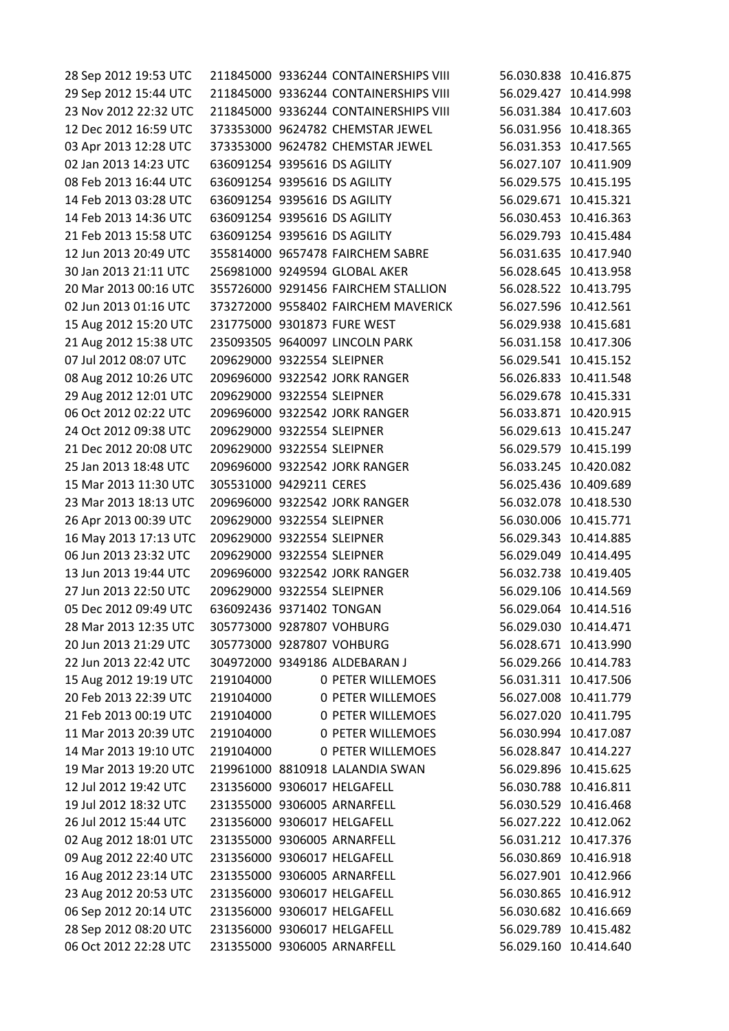28 Sep 2012 19:53 UTC 211845000 9336244 CONTAINERSHIPS VIII 56.030.838 10.416.875 29 Sep 2012 15:44 UTC 211845000 9336244 CONTAINERSHIPS VIII 56.029.427 10.414.998 23 Nov 2012 22:32 UTC 211845000 9336244 CONTAINERSHIPS VIII 56.031.384 10.417.603 12 Dec 2012 16:59 UTC 373353000 9624782 CHEMSTAR JEWEL 56.031.956 10.418.365 03 Apr 2013 12:28 UTC 373353000 9624782 CHEMSTAR JEWEL 56.031.353 10.417.565 02 Jan 2013 14:23 UTC 636091254 9395616 DS AGILITY 56.027.107 10.411.909 08 Feb 2013 16:44 UTC 636091254 9395616 DS AGILITY 56.029.575 10.415.195 14 Feb 2013 03:28 UTC 636091254 9395616 DS AGILITY 56.029.671 10.415.321 14 Feb 2013 14:36 UTC 636091254 9395616 DS AGILITY 56.030.453 10.416.363 21 Feb 2013 15:58 UTC 636091254 9395616 DS AGILITY 56.029.793 10.415.484 12 Jun 2013 20:49 UTC 355814000 9657478 FAIRCHEM SABRE 56.031.635 10.417.940 30 Jan 2013 21:11 UTC 256981000 9249594 GLOBAL AKER 56.028.645 10.413.958 20 Mar 2013 00:16 UTC 355726000 9291456 FAIRCHEM STALLION 56.028.522 10.413.795 02 Jun 2013 01:16 UTC 373272000 9558402 FAIRCHEM MAVERICK 56.027.596 10.412.561 15 Aug 2012 15:20 UTC 231775000 9301873 FURE WEST 56.029.938 10.415.681 21 Aug 2012 15:38 UTC 235093505 9640097 LINCOLN PARK 56.031.158 10.417.306 07 Jul 2012 08:07 UTC 209629000 9322554 SLEIPNER 56.029.541 10.415.152 08 Aug 2012 10:26 UTC 209696000 9322542 JORK RANGER 56.026.833 10.411.548 29 Aug 2012 12:01 UTC 209629000 9322554 SLEIPNER 56.029.678 10.415.331 06 Oct 2012 02:22 UTC 209696000 9322542 JORK RANGER 56.033.871 10.420.915 24 Oct 2012 09:38 UTC 209629000 9322554 SLEIPNER 56.029.613 10.415.247 21 Dec 2012 20:08 UTC 209629000 9322554 SLEIPNER 56.029.579 10.415.199 25 Jan 2013 18:48 UTC 209696000 9322542 JORK RANGER 56.033.245 10.420.082 15 Mar 2013 11:30 UTC 305531000 9429211 CERES 56.025.436 10.409.689 23 Mar 2013 18:13 UTC 209696000 9322542 JORK RANGER 56.032.078 10.418.530 26 Apr 2013 00:39 UTC 209629000 9322554 SLEIPNER 56.030.006 10.415.771 16 May 2013 17:13 UTC 209629000 9322554 SLEIPNER 56.029.343 10.414.885 06 Jun 2013 23:32 UTC 209629000 9322554 SLEIPNER 56.029.049 10.414.495 13 Jun 2013 19:44 UTC 209696000 9322542 JORK RANGER 56.032.738 10.419.405 27 Jun 2013 22:50 UTC 209629000 9322554 SLEIPNER 56.029.106 10.414.569 05 Dec 2012 09:49 UTC 636092436 9371402 TONGAN 56.029.064 10.414.516 28 Mar 2013 12:35 UTC 305773000 9287807 VOHBURG 56.029.030 10.414.471 20 Jun 2013 21:29 UTC 305773000 9287807 VOHBURG 56.028.671 10.413.990 22 Jun 2013 22:42 UTC 304972000 9349186 ALDEBARAN J 56.029.266 10.414.783 15 Aug 2012 19:19 UTC 219104000 0 PETER WILLEMOES 56.031.311 10.417.506 20 Feb 2013 22:39 UTC 219104000 0 PETER WILLEMOES 56.027.008 10.411.779 21 Feb 2013 00:19 UTC 219104000 0 PETER WILLEMOES 56.027.020 10.411.795 11 Mar 2013 20:39 UTC 219104000 0 PETER WILLEMOES 56.030.994 10.417.087 14 Mar 2013 19:10 UTC 219104000 0 PETER WILLEMOES 56.028.847 10.414.227 19 Mar 2013 19:20 UTC 219961000 8810918 LALANDIA SWAN 56.029.896 10.415.625 12 Jul 2012 19:42 UTC 231356000 9306017 HELGAFELL 56.030.788 10.416.811 19 Jul 2012 18:32 UTC 231355000 9306005 ARNARFELL 56.030.529 10.416.468 26 Jul 2012 15:44 UTC 231356000 9306017 HELGAFELL 56.027.222 10.412.062 02 Aug 2012 18:01 UTC 231355000 9306005 ARNARFELL 56.031.212 10.417.376 09 Aug 2012 22:40 UTC 231356000 9306017 HELGAFELL 56.030.869 10.416.918 16 Aug 2012 23:14 UTC 231355000 9306005 ARNARFELL 56.027.901 10.412.966 23 Aug 2012 20:53 UTC 231356000 9306017 HELGAFELL 56.030.865 10.416.912 06 Sep 2012 20:14 UTC 231356000 9306017 HELGAFELL 56.030.682 10.416.669 28 Sep 2012 08:20 UTC 231356000 9306017 HELGAFELL 56.029.789 10.415.482 06 Oct 2012 22:28 UTC 231355000 9306005 ARNARFELL 56.029.160 10.414.640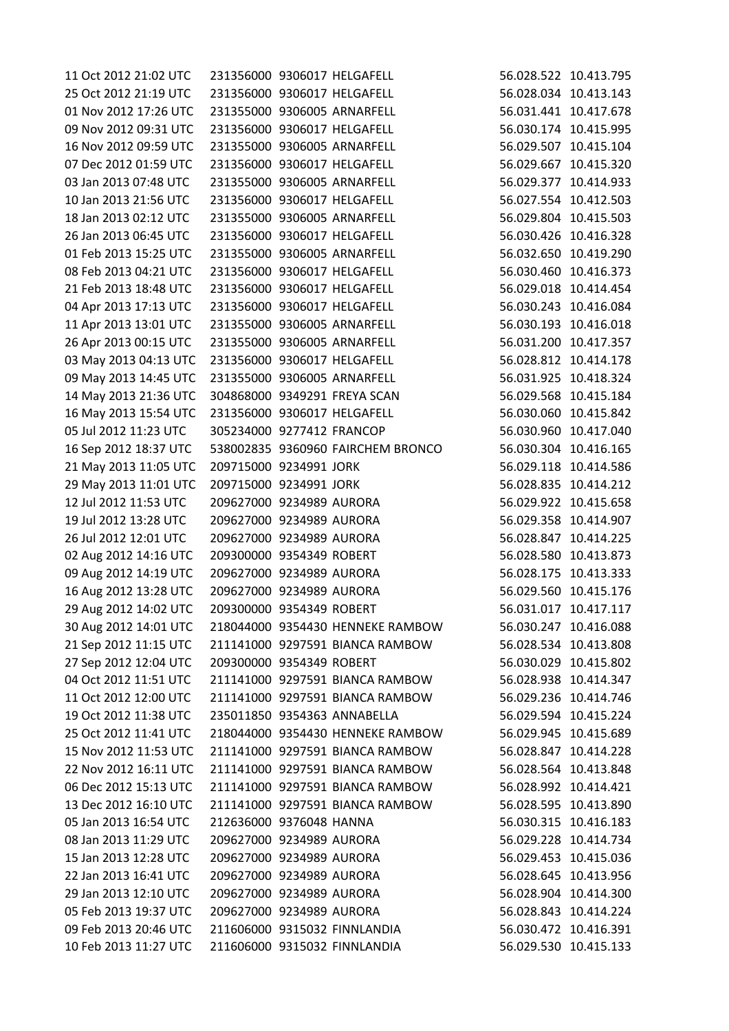| 11 Oct 2012 21:02 UTC |                           | 231356000 9306017 HELGAFELL       | 56.028.522 10.413.795 |
|-----------------------|---------------------------|-----------------------------------|-----------------------|
| 25 Oct 2012 21:19 UTC |                           | 231356000 9306017 HELGAFELL       | 56.028.034 10.413.143 |
| 01 Nov 2012 17:26 UTC |                           | 231355000 9306005 ARNARFELL       | 56.031.441 10.417.678 |
| 09 Nov 2012 09:31 UTC |                           | 231356000 9306017 HELGAFELL       | 56.030.174 10.415.995 |
| 16 Nov 2012 09:59 UTC |                           | 231355000 9306005 ARNARFELL       | 56.029.507 10.415.104 |
| 07 Dec 2012 01:59 UTC |                           | 231356000 9306017 HELGAFELL       | 56.029.667 10.415.320 |
| 03 Jan 2013 07:48 UTC |                           | 231355000 9306005 ARNARFELL       | 56.029.377 10.414.933 |
| 10 Jan 2013 21:56 UTC |                           | 231356000 9306017 HELGAFELL       | 56.027.554 10.412.503 |
| 18 Jan 2013 02:12 UTC |                           | 231355000 9306005 ARNARFELL       | 56.029.804 10.415.503 |
| 26 Jan 2013 06:45 UTC |                           | 231356000 9306017 HELGAFELL       | 56.030.426 10.416.328 |
| 01 Feb 2013 15:25 UTC |                           | 231355000 9306005 ARNARFELL       | 56.032.650 10.419.290 |
| 08 Feb 2013 04:21 UTC |                           | 231356000 9306017 HELGAFELL       | 56.030.460 10.416.373 |
| 21 Feb 2013 18:48 UTC |                           | 231356000 9306017 HELGAFELL       | 56.029.018 10.414.454 |
| 04 Apr 2013 17:13 UTC |                           | 231356000 9306017 HELGAFELL       | 56.030.243 10.416.084 |
| 11 Apr 2013 13:01 UTC |                           | 231355000 9306005 ARNARFELL       | 56.030.193 10.416.018 |
| 26 Apr 2013 00:15 UTC |                           | 231355000 9306005 ARNARFELL       | 56.031.200 10.417.357 |
| 03 May 2013 04:13 UTC |                           | 231356000 9306017 HELGAFELL       | 56.028.812 10.414.178 |
| 09 May 2013 14:45 UTC |                           | 231355000 9306005 ARNARFELL       | 56.031.925 10.418.324 |
| 14 May 2013 21:36 UTC |                           | 304868000 9349291 FREYA SCAN      | 56.029.568 10.415.184 |
| 16 May 2013 15:54 UTC |                           | 231356000 9306017 HELGAFELL       | 56.030.060 10.415.842 |
| 05 Jul 2012 11:23 UTC | 305234000 9277412 FRANCOP |                                   | 56.030.960 10.417.040 |
| 16 Sep 2012 18:37 UTC |                           | 538002835 9360960 FAIRCHEM BRONCO | 56.030.304 10.416.165 |
| 21 May 2013 11:05 UTC | 209715000 9234991 JORK    |                                   | 56.029.118 10.414.586 |
| 29 May 2013 11:01 UTC | 209715000 9234991 JORK    |                                   | 56.028.835 10.414.212 |
| 12 Jul 2012 11:53 UTC | 209627000 9234989 AURORA  |                                   | 56.029.922 10.415.658 |
| 19 Jul 2012 13:28 UTC | 209627000 9234989 AURORA  |                                   | 56.029.358 10.414.907 |
| 26 Jul 2012 12:01 UTC | 209627000 9234989 AURORA  |                                   | 56.028.847 10.414.225 |
| 02 Aug 2012 14:16 UTC | 209300000 9354349 ROBERT  |                                   | 56.028.580 10.413.873 |
| 09 Aug 2012 14:19 UTC | 209627000 9234989 AURORA  |                                   | 56.028.175 10.413.333 |
| 16 Aug 2012 13:28 UTC | 209627000 9234989 AURORA  |                                   | 56.029.560 10.415.176 |
| 29 Aug 2012 14:02 UTC | 209300000 9354349 ROBERT  |                                   | 56.031.017 10.417.117 |
| 30 Aug 2012 14:01 UTC |                           | 218044000 9354430 HENNEKE RAMBOW  | 56.030.247 10.416.088 |
| 21 Sep 2012 11:15 UTC |                           | 211141000 9297591 BIANCA RAMBOW   | 56.028.534 10.413.808 |
| 27 Sep 2012 12:04 UTC | 209300000 9354349 ROBERT  |                                   | 56.030.029 10.415.802 |
| 04 Oct 2012 11:51 UTC |                           | 211141000 9297591 BIANCA RAMBOW   | 56.028.938 10.414.347 |
| 11 Oct 2012 12:00 UTC |                           | 211141000 9297591 BIANCA RAMBOW   | 56.029.236 10.414.746 |
| 19 Oct 2012 11:38 UTC |                           | 235011850 9354363 ANNABELLA       | 56.029.594 10.415.224 |
| 25 Oct 2012 11:41 UTC |                           | 218044000 9354430 HENNEKE RAMBOW  | 56.029.945 10.415.689 |
| 15 Nov 2012 11:53 UTC |                           | 211141000 9297591 BIANCA RAMBOW   | 56.028.847 10.414.228 |
| 22 Nov 2012 16:11 UTC |                           | 211141000 9297591 BIANCA RAMBOW   | 56.028.564 10.413.848 |
| 06 Dec 2012 15:13 UTC |                           | 211141000 9297591 BIANCA RAMBOW   | 56.028.992 10.414.421 |
| 13 Dec 2012 16:10 UTC |                           | 211141000 9297591 BIANCA RAMBOW   | 56.028.595 10.413.890 |
| 05 Jan 2013 16:54 UTC | 212636000 9376048 HANNA   |                                   | 56.030.315 10.416.183 |
| 08 Jan 2013 11:29 UTC | 209627000 9234989 AURORA  |                                   | 56.029.228 10.414.734 |
| 15 Jan 2013 12:28 UTC | 209627000 9234989 AURORA  |                                   | 56.029.453 10.415.036 |
| 22 Jan 2013 16:41 UTC | 209627000 9234989 AURORA  |                                   | 56.028.645 10.413.956 |
| 29 Jan 2013 12:10 UTC | 209627000 9234989 AURORA  |                                   | 56.028.904 10.414.300 |
| 05 Feb 2013 19:37 UTC | 209627000 9234989 AURORA  |                                   | 56.028.843 10.414.224 |
| 09 Feb 2013 20:46 UTC |                           | 211606000 9315032 FINNLANDIA      | 56.030.472 10.416.391 |
| 10 Feb 2013 11:27 UTC |                           | 211606000 9315032 FINNLANDIA      | 56.029.530 10.415.133 |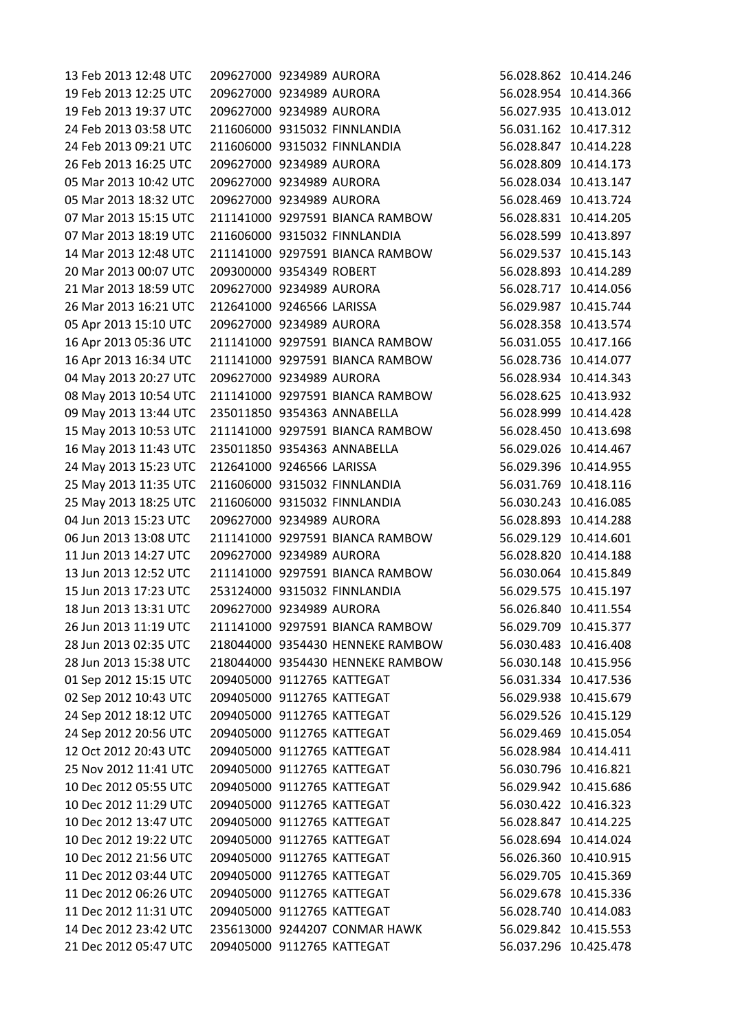| 13 Feb 2013 12:48 UTC | 209627000 9234989 AURORA   |                                  | 56.028.862 10.414.246 |
|-----------------------|----------------------------|----------------------------------|-----------------------|
| 19 Feb 2013 12:25 UTC | 209627000 9234989 AURORA   |                                  | 56.028.954 10.414.366 |
| 19 Feb 2013 19:37 UTC | 209627000 9234989 AURORA   |                                  | 56.027.935 10.413.012 |
| 24 Feb 2013 03:58 UTC |                            | 211606000 9315032 FINNLANDIA     | 56.031.162 10.417.312 |
| 24 Feb 2013 09:21 UTC |                            | 211606000 9315032 FINNLANDIA     | 56.028.847 10.414.228 |
| 26 Feb 2013 16:25 UTC | 209627000 9234989 AURORA   |                                  | 56.028.809 10.414.173 |
| 05 Mar 2013 10:42 UTC | 209627000 9234989 AURORA   |                                  | 56.028.034 10.413.147 |
| 05 Mar 2013 18:32 UTC | 209627000 9234989 AURORA   |                                  | 56.028.469 10.413.724 |
| 07 Mar 2013 15:15 UTC |                            | 211141000 9297591 BIANCA RAMBOW  | 56.028.831 10.414.205 |
| 07 Mar 2013 18:19 UTC |                            | 211606000 9315032 FINNLANDIA     | 56.028.599 10.413.897 |
| 14 Mar 2013 12:48 UTC |                            | 211141000 9297591 BIANCA RAMBOW  | 56.029.537 10.415.143 |
| 20 Mar 2013 00:07 UTC | 209300000 9354349 ROBERT   |                                  | 56.028.893 10.414.289 |
| 21 Mar 2013 18:59 UTC | 209627000 9234989 AURORA   |                                  | 56.028.717 10.414.056 |
| 26 Mar 2013 16:21 UTC | 212641000 9246566 LARISSA  |                                  | 56.029.987 10.415.744 |
| 05 Apr 2013 15:10 UTC | 209627000 9234989 AURORA   |                                  | 56.028.358 10.413.574 |
| 16 Apr 2013 05:36 UTC |                            | 211141000 9297591 BIANCA RAMBOW  | 56.031.055 10.417.166 |
| 16 Apr 2013 16:34 UTC |                            | 211141000 9297591 BIANCA RAMBOW  | 56.028.736 10.414.077 |
| 04 May 2013 20:27 UTC | 209627000 9234989 AURORA   |                                  | 56.028.934 10.414.343 |
| 08 May 2013 10:54 UTC |                            | 211141000 9297591 BIANCA RAMBOW  | 56.028.625 10.413.932 |
| 09 May 2013 13:44 UTC |                            | 235011850 9354363 ANNABELLA      | 56.028.999 10.414.428 |
| 15 May 2013 10:53 UTC |                            | 211141000 9297591 BIANCA RAMBOW  | 56.028.450 10.413.698 |
| 16 May 2013 11:43 UTC |                            | 235011850 9354363 ANNABELLA      | 56.029.026 10.414.467 |
| 24 May 2013 15:23 UTC | 212641000 9246566 LARISSA  |                                  | 56.029.396 10.414.955 |
| 25 May 2013 11:35 UTC |                            | 211606000 9315032 FINNLANDIA     | 56.031.769 10.418.116 |
| 25 May 2013 18:25 UTC |                            | 211606000 9315032 FINNLANDIA     | 56.030.243 10.416.085 |
| 04 Jun 2013 15:23 UTC | 209627000 9234989 AURORA   |                                  | 56.028.893 10.414.288 |
| 06 Jun 2013 13:08 UTC |                            | 211141000 9297591 BIANCA RAMBOW  | 56.029.129 10.414.601 |
| 11 Jun 2013 14:27 UTC | 209627000 9234989 AURORA   |                                  | 56.028.820 10.414.188 |
| 13 Jun 2013 12:52 UTC |                            | 211141000 9297591 BIANCA RAMBOW  | 56.030.064 10.415.849 |
| 15 Jun 2013 17:23 UTC |                            | 253124000 9315032 FINNLANDIA     | 56.029.575 10.415.197 |
| 18 Jun 2013 13:31 UTC | 209627000 9234989 AURORA   |                                  | 56.026.840 10.411.554 |
| 26 Jun 2013 11:19 UTC |                            | 211141000 9297591 BIANCA RAMBOW  | 56.029.709 10.415.377 |
| 28 Jun 2013 02:35 UTC |                            | 218044000 9354430 HENNEKE RAMBOW | 56.030.483 10.416.408 |
| 28 Jun 2013 15:38 UTC |                            | 218044000 9354430 HENNEKE RAMBOW | 56.030.148 10.415.956 |
| 01 Sep 2012 15:15 UTC | 209405000 9112765 KATTEGAT |                                  | 56.031.334 10.417.536 |
| 02 Sep 2012 10:43 UTC | 209405000 9112765 KATTEGAT |                                  | 56.029.938 10.415.679 |
| 24 Sep 2012 18:12 UTC | 209405000 9112765 KATTEGAT |                                  | 56.029.526 10.415.129 |
| 24 Sep 2012 20:56 UTC | 209405000 9112765 KATTEGAT |                                  | 56.029.469 10.415.054 |
| 12 Oct 2012 20:43 UTC | 209405000 9112765 KATTEGAT |                                  | 56.028.984 10.414.411 |
| 25 Nov 2012 11:41 UTC | 209405000 9112765 KATTEGAT |                                  | 56.030.796 10.416.821 |
| 10 Dec 2012 05:55 UTC | 209405000 9112765 KATTEGAT |                                  | 56.029.942 10.415.686 |
| 10 Dec 2012 11:29 UTC | 209405000 9112765 KATTEGAT |                                  | 56.030.422 10.416.323 |
| 10 Dec 2012 13:47 UTC | 209405000 9112765 KATTEGAT |                                  | 56.028.847 10.414.225 |
| 10 Dec 2012 19:22 UTC | 209405000 9112765 KATTEGAT |                                  | 56.028.694 10.414.024 |
| 10 Dec 2012 21:56 UTC | 209405000 9112765 KATTEGAT |                                  | 56.026.360 10.410.915 |
| 11 Dec 2012 03:44 UTC | 209405000 9112765 KATTEGAT |                                  | 56.029.705 10.415.369 |
| 11 Dec 2012 06:26 UTC | 209405000 9112765 KATTEGAT |                                  | 56.029.678 10.415.336 |
| 11 Dec 2012 11:31 UTC | 209405000 9112765 KATTEGAT |                                  | 56.028.740 10.414.083 |
| 14 Dec 2012 23:42 UTC |                            | 235613000 9244207 CONMAR HAWK    | 56.029.842 10.415.553 |
| 21 Dec 2012 05:47 UTC | 209405000 9112765 KATTEGAT |                                  | 56.037.296 10.425.478 |
|                       |                            |                                  |                       |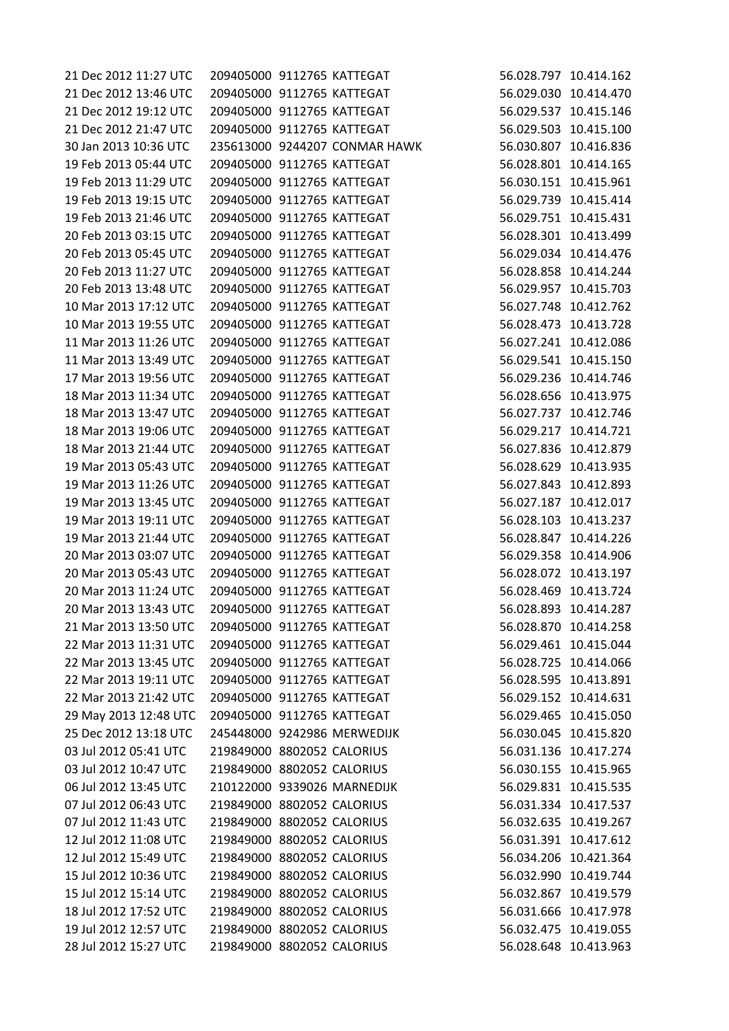| 21 Dec 2012 13:46 UTC<br>209405000 9112765 KATTEGAT<br>21 Dec 2012 19:12 UTC<br>209405000 9112765 KATTEGAT<br>21 Dec 2012 21:47 UTC<br>209405000 9112765 KATTEGAT<br>30 Jan 2013 10:36 UTC<br>235613000 9244207 CONMAR HAWK |                       |
|-----------------------------------------------------------------------------------------------------------------------------------------------------------------------------------------------------------------------------|-----------------------|
|                                                                                                                                                                                                                             | 56.029.030 10.414.470 |
|                                                                                                                                                                                                                             | 56.029.537 10.415.146 |
|                                                                                                                                                                                                                             | 56.029.503 10.415.100 |
|                                                                                                                                                                                                                             | 56.030.807 10.416.836 |
| 19 Feb 2013 05:44 UTC<br>209405000 9112765 KATTEGAT                                                                                                                                                                         | 56.028.801 10.414.165 |
| 19 Feb 2013 11:29 UTC<br>209405000 9112765 KATTEGAT                                                                                                                                                                         | 56.030.151 10.415.961 |
| 19 Feb 2013 19:15 UTC<br>209405000 9112765 KATTEGAT                                                                                                                                                                         | 56.029.739 10.415.414 |
| 19 Feb 2013 21:46 UTC<br>209405000 9112765 KATTEGAT                                                                                                                                                                         | 56.029.751 10.415.431 |
| 20 Feb 2013 03:15 UTC<br>209405000 9112765 KATTEGAT                                                                                                                                                                         | 56.028.301 10.413.499 |
| 20 Feb 2013 05:45 UTC<br>209405000 9112765 KATTEGAT                                                                                                                                                                         | 56.029.034 10.414.476 |
| 20 Feb 2013 11:27 UTC<br>209405000 9112765 KATTEGAT                                                                                                                                                                         | 56.028.858 10.414.244 |
| 20 Feb 2013 13:48 UTC<br>209405000 9112765 KATTEGAT                                                                                                                                                                         | 56.029.957 10.415.703 |
| 10 Mar 2013 17:12 UTC<br>209405000 9112765 KATTEGAT                                                                                                                                                                         | 56.027.748 10.412.762 |
| 10 Mar 2013 19:55 UTC<br>209405000 9112765 KATTEGAT                                                                                                                                                                         | 56.028.473 10.413.728 |
| 11 Mar 2013 11:26 UTC<br>209405000 9112765 KATTEGAT                                                                                                                                                                         | 56.027.241 10.412.086 |
| 11 Mar 2013 13:49 UTC<br>209405000 9112765 KATTEGAT                                                                                                                                                                         | 56.029.541 10.415.150 |
| 17 Mar 2013 19:56 UTC<br>209405000 9112765 KATTEGAT                                                                                                                                                                         | 56.029.236 10.414.746 |
| 209405000 9112765 KATTEGAT<br>18 Mar 2013 11:34 UTC                                                                                                                                                                         | 56.028.656 10.413.975 |
| 18 Mar 2013 13:47 UTC<br>209405000 9112765 KATTEGAT                                                                                                                                                                         | 56.027.737 10.412.746 |
| 18 Mar 2013 19:06 UTC<br>209405000 9112765 KATTEGAT                                                                                                                                                                         | 56.029.217 10.414.721 |
| 18 Mar 2013 21:44 UTC<br>209405000 9112765 KATTEGAT                                                                                                                                                                         | 56.027.836 10.412.879 |
| 19 Mar 2013 05:43 UTC<br>209405000 9112765 KATTEGAT                                                                                                                                                                         | 56.028.629 10.413.935 |
| 19 Mar 2013 11:26 UTC<br>209405000 9112765 KATTEGAT                                                                                                                                                                         | 56.027.843 10.412.893 |
| 19 Mar 2013 13:45 UTC<br>209405000 9112765 KATTEGAT                                                                                                                                                                         | 56.027.187 10.412.017 |
| 19 Mar 2013 19:11 UTC<br>209405000 9112765 KATTEGAT                                                                                                                                                                         | 56.028.103 10.413.237 |
| 19 Mar 2013 21:44 UTC<br>209405000 9112765 KATTEGAT                                                                                                                                                                         | 56.028.847 10.414.226 |
| 20 Mar 2013 03:07 UTC<br>209405000 9112765 KATTEGAT                                                                                                                                                                         | 56.029.358 10.414.906 |
| 20 Mar 2013 05:43 UTC<br>209405000 9112765 KATTEGAT                                                                                                                                                                         | 56.028.072 10.413.197 |
| 20 Mar 2013 11:24 UTC<br>209405000 9112765 KATTEGAT                                                                                                                                                                         | 56.028.469 10.413.724 |
| 20 Mar 2013 13:43 UTC<br>209405000 9112765 KATTEGAT                                                                                                                                                                         | 56.028.893 10.414.287 |
| 21 Mar 2013 13:50 UTC<br>209405000 9112765 KATTEGAT                                                                                                                                                                         | 56.028.870 10.414.258 |
| 22 Mar 2013 11:31 UTC<br>209405000 9112765 KATTEGAT                                                                                                                                                                         | 56.029.461 10.415.044 |
| 209405000 9112765 KATTEGAT<br>22 Mar 2013 13:45 UTC                                                                                                                                                                         | 56.028.725 10.414.066 |
| 22 Mar 2013 19:11 UTC<br>209405000 9112765 KATTEGAT                                                                                                                                                                         | 56.028.595 10.413.891 |
| 22 Mar 2013 21:42 UTC<br>209405000 9112765 KATTEGAT                                                                                                                                                                         | 56.029.152 10.414.631 |
|                                                                                                                                                                                                                             | 56.029.465 10.415.050 |
| 29 May 2013 12:48 UTC<br>209405000 9112765 KATTEGAT                                                                                                                                                                         |                       |
| 25 Dec 2012 13:18 UTC<br>245448000 9242986 MERWEDIJK                                                                                                                                                                        | 56.030.045 10.415.820 |
| 03 Jul 2012 05:41 UTC<br>219849000 8802052 CALORIUS                                                                                                                                                                         | 56.031.136 10.417.274 |
| 219849000 8802052 CALORIUS<br>03 Jul 2012 10:47 UTC                                                                                                                                                                         | 56.030.155 10.415.965 |
| 06 Jul 2012 13:45 UTC<br>210122000 9339026 MARNEDIJK                                                                                                                                                                        | 56.029.831 10.415.535 |
| 07 Jul 2012 06:43 UTC<br>219849000 8802052 CALORIUS                                                                                                                                                                         | 56.031.334 10.417.537 |
| 07 Jul 2012 11:43 UTC<br>219849000 8802052 CALORIUS                                                                                                                                                                         | 56.032.635 10.419.267 |
| 219849000 8802052 CALORIUS<br>12 Jul 2012 11:08 UTC                                                                                                                                                                         | 56.031.391 10.417.612 |
| 12 Jul 2012 15:49 UTC<br>219849000 8802052 CALORIUS                                                                                                                                                                         | 56.034.206 10.421.364 |
| 219849000 8802052 CALORIUS<br>15 Jul 2012 10:36 UTC                                                                                                                                                                         | 56.032.990 10.419.744 |
| 15 Jul 2012 15:14 UTC<br>219849000 8802052 CALORIUS                                                                                                                                                                         | 56.032.867 10.419.579 |
| 219849000 8802052 CALORIUS<br>18 Jul 2012 17:52 UTC                                                                                                                                                                         | 56.031.666 10.417.978 |
| 219849000 8802052 CALORIUS<br>19 Jul 2012 12:57 UTC                                                                                                                                                                         | 56.032.475 10.419.055 |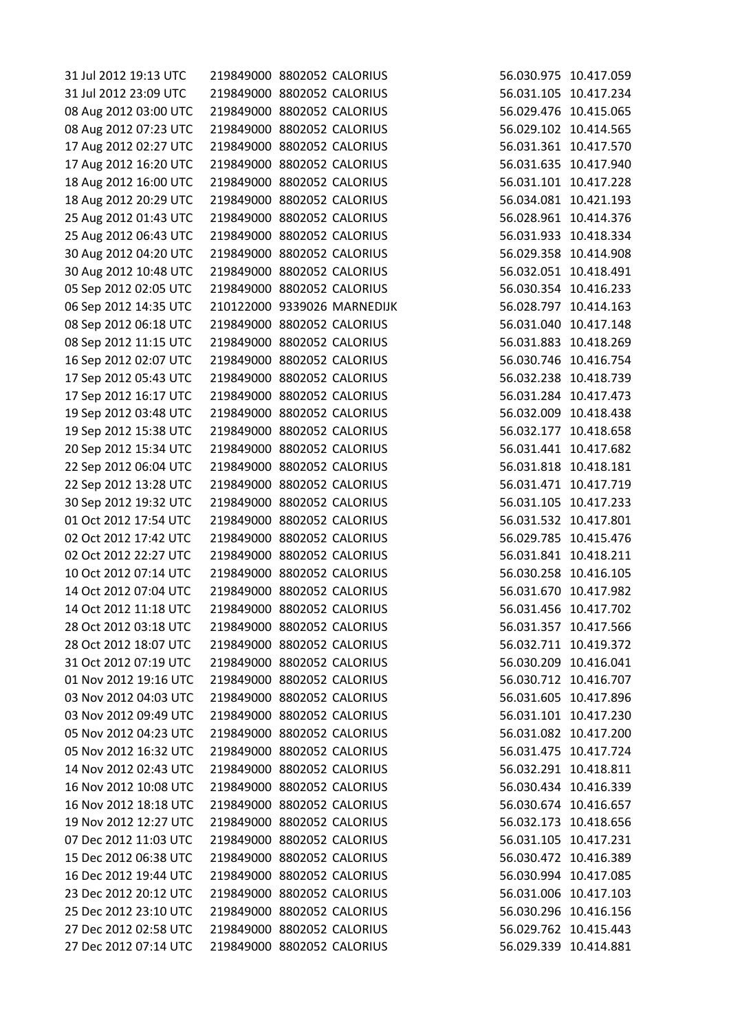| 31 Jul 2012 19:13 UTC | 219849000 8802052 CALORIUS |                             |                       | 56.030.975 10.417.059 |
|-----------------------|----------------------------|-----------------------------|-----------------------|-----------------------|
| 31 Jul 2012 23:09 UTC | 219849000 8802052 CALORIUS |                             |                       | 56.031.105 10.417.234 |
| 08 Aug 2012 03:00 UTC | 219849000 8802052 CALORIUS |                             |                       | 56.029.476 10.415.065 |
| 08 Aug 2012 07:23 UTC | 219849000 8802052 CALORIUS |                             |                       | 56.029.102 10.414.565 |
| 17 Aug 2012 02:27 UTC | 219849000 8802052 CALORIUS |                             |                       | 56.031.361 10.417.570 |
| 17 Aug 2012 16:20 UTC | 219849000 8802052 CALORIUS |                             |                       | 56.031.635 10.417.940 |
| 18 Aug 2012 16:00 UTC | 219849000 8802052 CALORIUS |                             |                       | 56.031.101 10.417.228 |
| 18 Aug 2012 20:29 UTC | 219849000 8802052 CALORIUS |                             |                       | 56.034.081 10.421.193 |
| 25 Aug 2012 01:43 UTC | 219849000 8802052 CALORIUS |                             | 56.028.961 10.414.376 |                       |
| 25 Aug 2012 06:43 UTC | 219849000 8802052 CALORIUS |                             |                       | 56.031.933 10.418.334 |
| 30 Aug 2012 04:20 UTC | 219849000 8802052 CALORIUS |                             |                       | 56.029.358 10.414.908 |
| 30 Aug 2012 10:48 UTC | 219849000 8802052 CALORIUS |                             |                       | 56.032.051 10.418.491 |
| 05 Sep 2012 02:05 UTC | 219849000 8802052 CALORIUS |                             |                       | 56.030.354 10.416.233 |
| 06 Sep 2012 14:35 UTC |                            | 210122000 9339026 MARNEDIJK | 56.028.797 10.414.163 |                       |
| 08 Sep 2012 06:18 UTC | 219849000 8802052 CALORIUS |                             |                       | 56.031.040 10.417.148 |
| 08 Sep 2012 11:15 UTC | 219849000 8802052 CALORIUS |                             |                       | 56.031.883 10.418.269 |
| 16 Sep 2012 02:07 UTC | 219849000 8802052 CALORIUS |                             |                       | 56.030.746 10.416.754 |
| 17 Sep 2012 05:43 UTC | 219849000 8802052 CALORIUS |                             |                       | 56.032.238 10.418.739 |
| 17 Sep 2012 16:17 UTC | 219849000 8802052 CALORIUS |                             | 56.031.284 10.417.473 |                       |
| 19 Sep 2012 03:48 UTC | 219849000 8802052 CALORIUS |                             |                       | 56.032.009 10.418.438 |
| 19 Sep 2012 15:38 UTC | 219849000 8802052 CALORIUS |                             |                       | 56.032.177 10.418.658 |
| 20 Sep 2012 15:34 UTC | 219849000 8802052 CALORIUS |                             |                       | 56.031.441 10.417.682 |
| 22 Sep 2012 06:04 UTC | 219849000 8802052 CALORIUS |                             | 56.031.818 10.418.181 |                       |
| 22 Sep 2012 13:28 UTC | 219849000 8802052 CALORIUS |                             |                       | 56.031.471 10.417.719 |
| 30 Sep 2012 19:32 UTC | 219849000 8802052 CALORIUS |                             |                       | 56.031.105 10.417.233 |
| 01 Oct 2012 17:54 UTC | 219849000 8802052 CALORIUS |                             |                       | 56.031.532 10.417.801 |
| 02 Oct 2012 17:42 UTC | 219849000 8802052 CALORIUS |                             |                       | 56.029.785 10.415.476 |
| 02 Oct 2012 22:27 UTC | 219849000 8802052 CALORIUS |                             |                       | 56.031.841 10.418.211 |
| 10 Oct 2012 07:14 UTC | 219849000 8802052 CALORIUS |                             |                       | 56.030.258 10.416.105 |
| 14 Oct 2012 07:04 UTC | 219849000 8802052 CALORIUS |                             |                       | 56.031.670 10.417.982 |
| 14 Oct 2012 11:18 UTC | 219849000 8802052 CALORIUS |                             |                       | 56.031.456 10.417.702 |
| 28 Oct 2012 03:18 UTC | 219849000 8802052 CALORIUS |                             |                       | 56.031.357 10.417.566 |
| 28 Oct 2012 18:07 UTC | 219849000 8802052 CALORIUS |                             |                       | 56.032.711 10.419.372 |
| 31 Oct 2012 07:19 UTC | 219849000 8802052 CALORIUS |                             |                       | 56.030.209 10.416.041 |
| 01 Nov 2012 19:16 UTC | 219849000 8802052 CALORIUS |                             |                       | 56.030.712 10.416.707 |
| 03 Nov 2012 04:03 UTC | 219849000 8802052 CALORIUS |                             |                       | 56.031.605 10.417.896 |
| 03 Nov 2012 09:49 UTC | 219849000 8802052 CALORIUS |                             |                       | 56.031.101 10.417.230 |
| 05 Nov 2012 04:23 UTC | 219849000 8802052 CALORIUS |                             |                       | 56.031.082 10.417.200 |
| 05 Nov 2012 16:32 UTC | 219849000 8802052 CALORIUS |                             |                       | 56.031.475 10.417.724 |
| 14 Nov 2012 02:43 UTC | 219849000 8802052 CALORIUS |                             |                       | 56.032.291 10.418.811 |
| 16 Nov 2012 10:08 UTC | 219849000 8802052 CALORIUS |                             |                       | 56.030.434 10.416.339 |
| 16 Nov 2012 18:18 UTC | 219849000 8802052 CALORIUS |                             |                       | 56.030.674 10.416.657 |
| 19 Nov 2012 12:27 UTC | 219849000 8802052 CALORIUS |                             |                       | 56.032.173 10.418.656 |
| 07 Dec 2012 11:03 UTC | 219849000 8802052 CALORIUS |                             |                       | 56.031.105 10.417.231 |
| 15 Dec 2012 06:38 UTC | 219849000 8802052 CALORIUS |                             |                       | 56.030.472 10.416.389 |
| 16 Dec 2012 19:44 UTC | 219849000 8802052 CALORIUS |                             |                       | 56.030.994 10.417.085 |
| 23 Dec 2012 20:12 UTC | 219849000 8802052 CALORIUS |                             |                       | 56.031.006 10.417.103 |
| 25 Dec 2012 23:10 UTC | 219849000 8802052 CALORIUS |                             |                       | 56.030.296 10.416.156 |
| 27 Dec 2012 02:58 UTC |                            |                             |                       |                       |
|                       | 219849000 8802052 CALORIUS |                             |                       | 56.029.762 10.415.443 |
| 27 Dec 2012 07:14 UTC | 219849000 8802052 CALORIUS |                             |                       | 56.029.339 10.414.881 |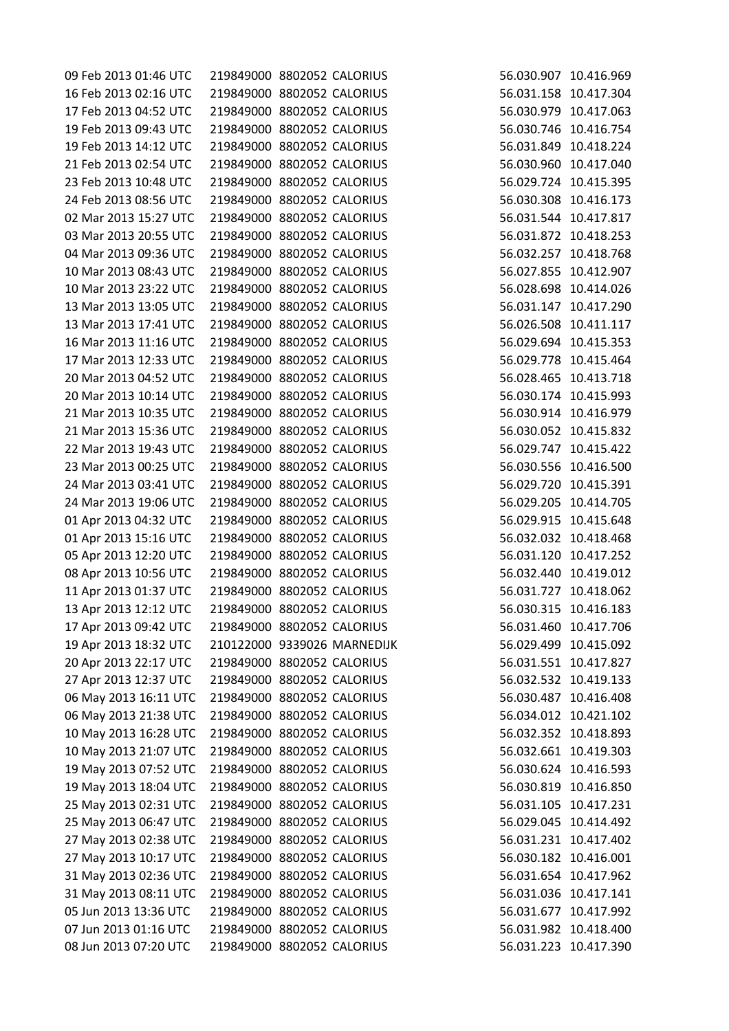| 09 Feb 2013 01:46 UTC | 219849000 8802052 CALORIUS |                             | 56.030.907 10.416.969 |
|-----------------------|----------------------------|-----------------------------|-----------------------|
| 16 Feb 2013 02:16 UTC | 219849000 8802052 CALORIUS |                             | 56.031.158 10.417.304 |
| 17 Feb 2013 04:52 UTC | 219849000 8802052 CALORIUS |                             | 56.030.979 10.417.063 |
| 19 Feb 2013 09:43 UTC | 219849000 8802052 CALORIUS |                             | 56.030.746 10.416.754 |
| 19 Feb 2013 14:12 UTC | 219849000 8802052 CALORIUS |                             | 56.031.849 10.418.224 |
| 21 Feb 2013 02:54 UTC | 219849000 8802052 CALORIUS |                             | 56.030.960 10.417.040 |
| 23 Feb 2013 10:48 UTC | 219849000 8802052 CALORIUS |                             | 56.029.724 10.415.395 |
| 24 Feb 2013 08:56 UTC | 219849000 8802052 CALORIUS |                             | 56.030.308 10.416.173 |
| 02 Mar 2013 15:27 UTC | 219849000 8802052 CALORIUS |                             | 56.031.544 10.417.817 |
| 03 Mar 2013 20:55 UTC | 219849000 8802052 CALORIUS |                             | 56.031.872 10.418.253 |
| 04 Mar 2013 09:36 UTC | 219849000 8802052 CALORIUS |                             | 56.032.257 10.418.768 |
| 10 Mar 2013 08:43 UTC | 219849000 8802052 CALORIUS |                             | 56.027.855 10.412.907 |
| 10 Mar 2013 23:22 UTC | 219849000 8802052 CALORIUS |                             | 56.028.698 10.414.026 |
| 13 Mar 2013 13:05 UTC | 219849000 8802052 CALORIUS |                             | 56.031.147 10.417.290 |
| 13 Mar 2013 17:41 UTC | 219849000 8802052 CALORIUS |                             | 56.026.508 10.411.117 |
| 16 Mar 2013 11:16 UTC | 219849000 8802052 CALORIUS |                             | 56.029.694 10.415.353 |
| 17 Mar 2013 12:33 UTC | 219849000 8802052 CALORIUS |                             | 56.029.778 10.415.464 |
| 20 Mar 2013 04:52 UTC | 219849000 8802052 CALORIUS |                             | 56.028.465 10.413.718 |
| 20 Mar 2013 10:14 UTC | 219849000 8802052 CALORIUS |                             | 56.030.174 10.415.993 |
| 21 Mar 2013 10:35 UTC | 219849000 8802052 CALORIUS |                             | 56.030.914 10.416.979 |
| 21 Mar 2013 15:36 UTC | 219849000 8802052 CALORIUS |                             | 56.030.052 10.415.832 |
| 22 Mar 2013 19:43 UTC | 219849000 8802052 CALORIUS |                             | 56.029.747 10.415.422 |
| 23 Mar 2013 00:25 UTC | 219849000 8802052 CALORIUS |                             | 56.030.556 10.416.500 |
| 24 Mar 2013 03:41 UTC | 219849000 8802052 CALORIUS |                             | 56.029.720 10.415.391 |
| 24 Mar 2013 19:06 UTC | 219849000 8802052 CALORIUS |                             | 56.029.205 10.414.705 |
| 01 Apr 2013 04:32 UTC | 219849000 8802052 CALORIUS |                             | 56.029.915 10.415.648 |
| 01 Apr 2013 15:16 UTC | 219849000 8802052 CALORIUS |                             | 56.032.032 10.418.468 |
| 05 Apr 2013 12:20 UTC | 219849000 8802052 CALORIUS |                             | 56.031.120 10.417.252 |
| 08 Apr 2013 10:56 UTC | 219849000 8802052 CALORIUS |                             | 56.032.440 10.419.012 |
| 11 Apr 2013 01:37 UTC | 219849000 8802052 CALORIUS |                             | 56.031.727 10.418.062 |
| 13 Apr 2013 12:12 UTC | 219849000 8802052 CALORIUS |                             | 56.030.315 10.416.183 |
| 17 Apr 2013 09:42 UTC | 219849000 8802052 CALORIUS |                             | 56.031.460 10.417.706 |
| 19 Apr 2013 18:32 UTC |                            | 210122000 9339026 MARNEDIJK | 56.029.499 10.415.092 |
| 20 Apr 2013 22:17 UTC | 219849000 8802052 CALORIUS |                             | 56.031.551 10.417.827 |
| 27 Apr 2013 12:37 UTC | 219849000 8802052 CALORIUS |                             | 56.032.532 10.419.133 |
| 06 May 2013 16:11 UTC | 219849000 8802052 CALORIUS |                             | 56.030.487 10.416.408 |
| 06 May 2013 21:38 UTC | 219849000 8802052 CALORIUS |                             | 56.034.012 10.421.102 |
| 10 May 2013 16:28 UTC | 219849000 8802052 CALORIUS |                             | 56.032.352 10.418.893 |
| 10 May 2013 21:07 UTC | 219849000 8802052 CALORIUS |                             | 56.032.661 10.419.303 |
| 19 May 2013 07:52 UTC | 219849000 8802052 CALORIUS |                             | 56.030.624 10.416.593 |
| 19 May 2013 18:04 UTC | 219849000 8802052 CALORIUS |                             | 56.030.819 10.416.850 |
| 25 May 2013 02:31 UTC | 219849000 8802052 CALORIUS |                             | 56.031.105 10.417.231 |
| 25 May 2013 06:47 UTC | 219849000 8802052 CALORIUS |                             | 56.029.045 10.414.492 |
|                       | 219849000 8802052 CALORIUS |                             |                       |
| 27 May 2013 02:38 UTC |                            |                             | 56.031.231 10.417.402 |
| 27 May 2013 10:17 UTC | 219849000 8802052 CALORIUS |                             | 56.030.182 10.416.001 |
| 31 May 2013 02:36 UTC | 219849000 8802052 CALORIUS |                             | 56.031.654 10.417.962 |
| 31 May 2013 08:11 UTC | 219849000 8802052 CALORIUS |                             | 56.031.036 10.417.141 |
| 05 Jun 2013 13:36 UTC | 219849000 8802052 CALORIUS |                             | 56.031.677 10.417.992 |
| 07 Jun 2013 01:16 UTC | 219849000 8802052 CALORIUS |                             | 56.031.982 10.418.400 |
| 08 Jun 2013 07:20 UTC | 219849000 8802052 CALORIUS |                             | 56.031.223 10.417.390 |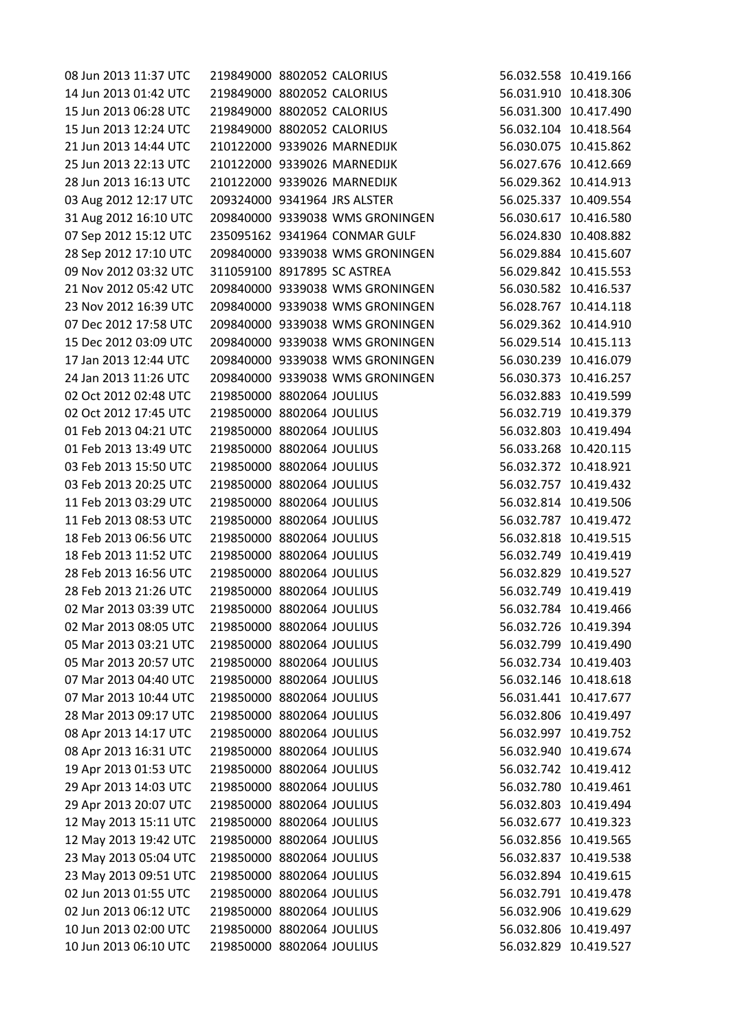| 08 Jun 2013 11:37 UTC | 219849000 8802052 CALORIUS   |                                 |                       | 56.032.558 10.419.166 |
|-----------------------|------------------------------|---------------------------------|-----------------------|-----------------------|
| 14 Jun 2013 01:42 UTC | 219849000 8802052 CALORIUS   |                                 | 56.031.910 10.418.306 |                       |
| 15 Jun 2013 06:28 UTC | 219849000 8802052 CALORIUS   |                                 | 56.031.300 10.417.490 |                       |
| 15 Jun 2013 12:24 UTC | 219849000 8802052 CALORIUS   |                                 | 56.032.104 10.418.564 |                       |
| 21 Jun 2013 14:44 UTC |                              | 210122000 9339026 MARNEDIJK     | 56.030.075 10.415.862 |                       |
| 25 Jun 2013 22:13 UTC |                              | 210122000 9339026 MARNEDIJK     | 56.027.676 10.412.669 |                       |
| 28 Jun 2013 16:13 UTC |                              | 210122000 9339026 MARNEDIJK     | 56.029.362 10.414.913 |                       |
| 03 Aug 2012 12:17 UTC | 209324000 9341964 JRS ALSTER |                                 | 56.025.337 10.409.554 |                       |
| 31 Aug 2012 16:10 UTC |                              | 209840000 9339038 WMS GRONINGEN | 56.030.617 10.416.580 |                       |
| 07 Sep 2012 15:12 UTC |                              | 235095162 9341964 CONMAR GULF   | 56.024.830 10.408.882 |                       |
| 28 Sep 2012 17:10 UTC |                              | 209840000 9339038 WMS GRONINGEN | 56.029.884 10.415.607 |                       |
| 09 Nov 2012 03:32 UTC | 311059100 8917895 SC ASTREA  |                                 | 56.029.842 10.415.553 |                       |
| 21 Nov 2012 05:42 UTC |                              | 209840000 9339038 WMS GRONINGEN | 56.030.582 10.416.537 |                       |
| 23 Nov 2012 16:39 UTC |                              | 209840000 9339038 WMS GRONINGEN | 56.028.767 10.414.118 |                       |
| 07 Dec 2012 17:58 UTC |                              | 209840000 9339038 WMS GRONINGEN | 56.029.362 10.414.910 |                       |
| 15 Dec 2012 03:09 UTC |                              | 209840000 9339038 WMS GRONINGEN | 56.029.514 10.415.113 |                       |
| 17 Jan 2013 12:44 UTC |                              | 209840000 9339038 WMS GRONINGEN | 56.030.239 10.416.079 |                       |
| 24 Jan 2013 11:26 UTC |                              | 209840000 9339038 WMS GRONINGEN | 56.030.373 10.416.257 |                       |
| 02 Oct 2012 02:48 UTC | 219850000 8802064 JOULIUS    |                                 | 56.032.883 10.419.599 |                       |
| 02 Oct 2012 17:45 UTC |                              |                                 | 56.032.719 10.419.379 |                       |
|                       | 219850000 8802064 JOULIUS    |                                 |                       |                       |
| 01 Feb 2013 04:21 UTC | 219850000 8802064 JOULIUS    |                                 | 56.032.803 10.419.494 |                       |
| 01 Feb 2013 13:49 UTC | 219850000 8802064 JOULIUS    |                                 | 56.033.268 10.420.115 |                       |
| 03 Feb 2013 15:50 UTC | 219850000 8802064 JOULIUS    |                                 | 56.032.372 10.418.921 |                       |
| 03 Feb 2013 20:25 UTC | 219850000 8802064 JOULIUS    |                                 | 56.032.757 10.419.432 |                       |
| 11 Feb 2013 03:29 UTC | 219850000 8802064 JOULIUS    |                                 | 56.032.814 10.419.506 |                       |
| 11 Feb 2013 08:53 UTC | 219850000 8802064 JOULIUS    |                                 | 56.032.787 10.419.472 |                       |
| 18 Feb 2013 06:56 UTC | 219850000 8802064 JOULIUS    |                                 | 56.032.818 10.419.515 |                       |
| 18 Feb 2013 11:52 UTC | 219850000 8802064 JOULIUS    |                                 | 56.032.749 10.419.419 |                       |
| 28 Feb 2013 16:56 UTC | 219850000 8802064 JOULIUS    |                                 | 56.032.829 10.419.527 |                       |
| 28 Feb 2013 21:26 UTC | 219850000 8802064 JOULIUS    |                                 | 56.032.749 10.419.419 |                       |
| 02 Mar 2013 03:39 UTC | 219850000 8802064 JOULIUS    |                                 | 56.032.784 10.419.466 |                       |
| 02 Mar 2013 08:05 UTC | 219850000 8802064 JOULIUS    |                                 | 56.032.726 10.419.394 |                       |
| 05 Mar 2013 03:21 UTC | 219850000 8802064 JOULIUS    |                                 | 56.032.799 10.419.490 |                       |
| 05 Mar 2013 20:57 UTC | 219850000 8802064 JOULIUS    |                                 | 56.032.734 10.419.403 |                       |
| 07 Mar 2013 04:40 UTC | 219850000 8802064 JOULIUS    |                                 | 56.032.146 10.418.618 |                       |
| 07 Mar 2013 10:44 UTC | 219850000 8802064 JOULIUS    |                                 | 56.031.441 10.417.677 |                       |
| 28 Mar 2013 09:17 UTC | 219850000 8802064 JOULIUS    |                                 | 56.032.806 10.419.497 |                       |
| 08 Apr 2013 14:17 UTC | 219850000 8802064 JOULIUS    |                                 | 56.032.997 10.419.752 |                       |
| 08 Apr 2013 16:31 UTC | 219850000 8802064 JOULIUS    |                                 | 56.032.940 10.419.674 |                       |
| 19 Apr 2013 01:53 UTC | 219850000 8802064 JOULIUS    |                                 | 56.032.742 10.419.412 |                       |
| 29 Apr 2013 14:03 UTC | 219850000 8802064 JOULIUS    |                                 | 56.032.780 10.419.461 |                       |
| 29 Apr 2013 20:07 UTC | 219850000 8802064 JOULIUS    |                                 | 56.032.803 10.419.494 |                       |
| 12 May 2013 15:11 UTC | 219850000 8802064 JOULIUS    |                                 | 56.032.677 10.419.323 |                       |
| 12 May 2013 19:42 UTC | 219850000 8802064 JOULIUS    |                                 | 56.032.856 10.419.565 |                       |
| 23 May 2013 05:04 UTC | 219850000 8802064 JOULIUS    |                                 | 56.032.837 10.419.538 |                       |
| 23 May 2013 09:51 UTC | 219850000 8802064 JOULIUS    |                                 | 56.032.894 10.419.615 |                       |
| 02 Jun 2013 01:55 UTC | 219850000 8802064 JOULIUS    |                                 | 56.032.791 10.419.478 |                       |
| 02 Jun 2013 06:12 UTC | 219850000 8802064 JOULIUS    |                                 | 56.032.906 10.419.629 |                       |
| 10 Jun 2013 02:00 UTC | 219850000 8802064 JOULIUS    |                                 | 56.032.806 10.419.497 |                       |
| 10 Jun 2013 06:10 UTC | 219850000 8802064 JOULIUS    |                                 | 56.032.829 10.419.527 |                       |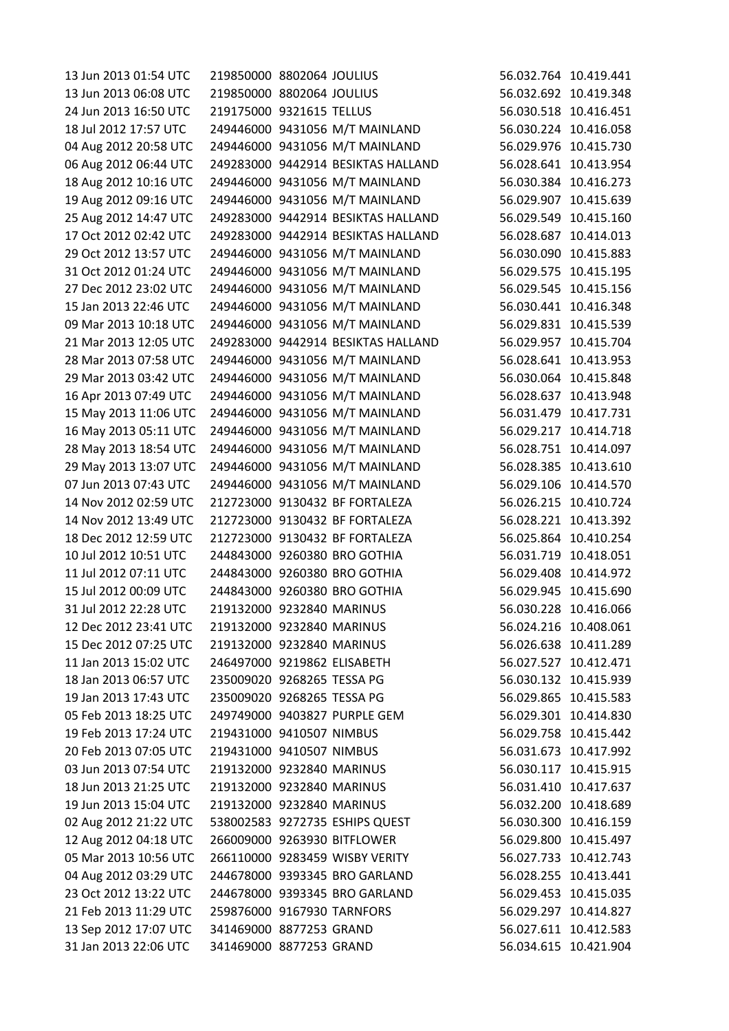| 13 Jun 2013 01:54 UTC | 219850000 8802064 JOULIUS   |                                    |                       | 56.032.764 10.419.441 |
|-----------------------|-----------------------------|------------------------------------|-----------------------|-----------------------|
| 13 Jun 2013 06:08 UTC | 219850000 8802064 JOULIUS   |                                    |                       | 56.032.692 10.419.348 |
| 24 Jun 2013 16:50 UTC | 219175000 9321615 TELLUS    |                                    |                       | 56.030.518 10.416.451 |
| 18 Jul 2012 17:57 UTC |                             | 249446000 9431056 M/T MAINLAND     |                       | 56.030.224 10.416.058 |
| 04 Aug 2012 20:58 UTC |                             | 249446000 9431056 M/T MAINLAND     |                       | 56.029.976 10.415.730 |
| 06 Aug 2012 06:44 UTC |                             | 249283000 9442914 BESIKTAS HALLAND |                       | 56.028.641 10.413.954 |
| 18 Aug 2012 10:16 UTC |                             | 249446000 9431056 M/T MAINLAND     | 56.030.384 10.416.273 |                       |
| 19 Aug 2012 09:16 UTC |                             | 249446000 9431056 M/T MAINLAND     |                       | 56.029.907 10.415.639 |
| 25 Aug 2012 14:47 UTC |                             | 249283000 9442914 BESIKTAS HALLAND |                       | 56.029.549 10.415.160 |
| 17 Oct 2012 02:42 UTC |                             | 249283000 9442914 BESIKTAS HALLAND | 56.028.687 10.414.013 |                       |
| 29 Oct 2012 13:57 UTC |                             | 249446000 9431056 M/T MAINLAND     |                       | 56.030.090 10.415.883 |
| 31 Oct 2012 01:24 UTC |                             | 249446000 9431056 M/T MAINLAND     | 56.029.575 10.415.195 |                       |
| 27 Dec 2012 23:02 UTC |                             | 249446000 9431056 M/T MAINLAND     |                       | 56.029.545 10.415.156 |
| 15 Jan 2013 22:46 UTC |                             | 249446000 9431056 M/T MAINLAND     |                       | 56.030.441 10.416.348 |
| 09 Mar 2013 10:18 UTC |                             | 249446000 9431056 M/T MAINLAND     |                       | 56.029.831 10.415.539 |
| 21 Mar 2013 12:05 UTC |                             | 249283000 9442914 BESIKTAS HALLAND | 56.029.957 10.415.704 |                       |
| 28 Mar 2013 07:58 UTC |                             | 249446000 9431056 M/T MAINLAND     | 56.028.641 10.413.953 |                       |
| 29 Mar 2013 03:42 UTC |                             | 249446000 9431056 M/T MAINLAND     |                       | 56.030.064 10.415.848 |
| 16 Apr 2013 07:49 UTC |                             | 249446000 9431056 M/T MAINLAND     |                       | 56.028.637 10.413.948 |
| 15 May 2013 11:06 UTC |                             | 249446000 9431056 M/T MAINLAND     |                       | 56.031.479 10.417.731 |
| 16 May 2013 05:11 UTC |                             | 249446000 9431056 M/T MAINLAND     |                       | 56.029.217 10.414.718 |
| 28 May 2013 18:54 UTC |                             | 249446000 9431056 M/T MAINLAND     |                       | 56.028.751 10.414.097 |
| 29 May 2013 13:07 UTC |                             | 249446000 9431056 M/T MAINLAND     | 56.028.385 10.413.610 |                       |
| 07 Jun 2013 07:43 UTC |                             | 249446000 9431056 M/T MAINLAND     | 56.029.106 10.414.570 |                       |
| 14 Nov 2012 02:59 UTC |                             | 212723000 9130432 BF FORTALEZA     |                       | 56.026.215 10.410.724 |
| 14 Nov 2012 13:49 UTC |                             | 212723000 9130432 BF FORTALEZA     |                       | 56.028.221 10.413.392 |
| 18 Dec 2012 12:59 UTC |                             | 212723000 9130432 BF FORTALEZA     |                       | 56.025.864 10.410.254 |
| 10 Jul 2012 10:51 UTC |                             | 244843000 9260380 BRO GOTHIA       |                       | 56.031.719 10.418.051 |
| 11 Jul 2012 07:11 UTC |                             | 244843000 9260380 BRO GOTHIA       | 56.029.408 10.414.972 |                       |
| 15 Jul 2012 00:09 UTC |                             | 244843000 9260380 BRO GOTHIA       |                       | 56.029.945 10.415.690 |
| 31 Jul 2012 22:28 UTC | 219132000 9232840 MARINUS   |                                    |                       | 56.030.228 10.416.066 |
| 12 Dec 2012 23:41 UTC | 219132000 9232840 MARINUS   |                                    |                       | 56.024.216 10.408.061 |
| 15 Dec 2012 07:25 UTC | 219132000 9232840 MARINUS   |                                    |                       | 56.026.638 10.411.289 |
| 11 Jan 2013 15:02 UTC | 246497000 9219862 ELISABETH |                                    | 56.027.527 10.412.471 |                       |
| 18 Jan 2013 06:57 UTC | 235009020 9268265 TESSA PG  |                                    |                       | 56.030.132 10.415.939 |
| 19 Jan 2013 17:43 UTC | 235009020 9268265 TESSA PG  |                                    | 56.029.865 10.415.583 |                       |
| 05 Feb 2013 18:25 UTC |                             |                                    |                       |                       |
|                       |                             | 249749000 9403827 PURPLE GEM       |                       | 56.029.301 10.414.830 |
| 19 Feb 2013 17:24 UTC | 219431000 9410507 NIMBUS    |                                    |                       | 56.029.758 10.415.442 |
| 20 Feb 2013 07:05 UTC | 219431000 9410507 NIMBUS    |                                    |                       | 56.031.673 10.417.992 |
| 03 Jun 2013 07:54 UTC | 219132000 9232840 MARINUS   |                                    |                       | 56.030.117 10.415.915 |
| 18 Jun 2013 21:25 UTC | 219132000 9232840 MARINUS   |                                    |                       | 56.031.410 10.417.637 |
| 19 Jun 2013 15:04 UTC | 219132000 9232840 MARINUS   |                                    | 56.032.200 10.418.689 |                       |
| 02 Aug 2012 21:22 UTC |                             | 538002583 9272735 ESHIPS QUEST     | 56.030.300 10.416.159 |                       |
| 12 Aug 2012 04:18 UTC |                             | 266009000 9263930 BITFLOWER        |                       | 56.029.800 10.415.497 |
| 05 Mar 2013 10:56 UTC |                             | 266110000 9283459 WISBY VERITY     | 56.027.733 10.412.743 |                       |
| 04 Aug 2012 03:29 UTC |                             | 244678000 9393345 BRO GARLAND      |                       | 56.028.255 10.413.441 |
| 23 Oct 2012 13:22 UTC |                             | 244678000 9393345 BRO GARLAND      |                       | 56.029.453 10.415.035 |
| 21 Feb 2013 11:29 UTC | 259876000 9167930 TARNFORS  |                                    |                       | 56.029.297 10.414.827 |
| 13 Sep 2012 17:07 UTC | 341469000 8877253 GRAND     |                                    |                       | 56.027.611 10.412.583 |
| 31 Jan 2013 22:06 UTC | 341469000 8877253 GRAND     |                                    |                       | 56.034.615 10.421.904 |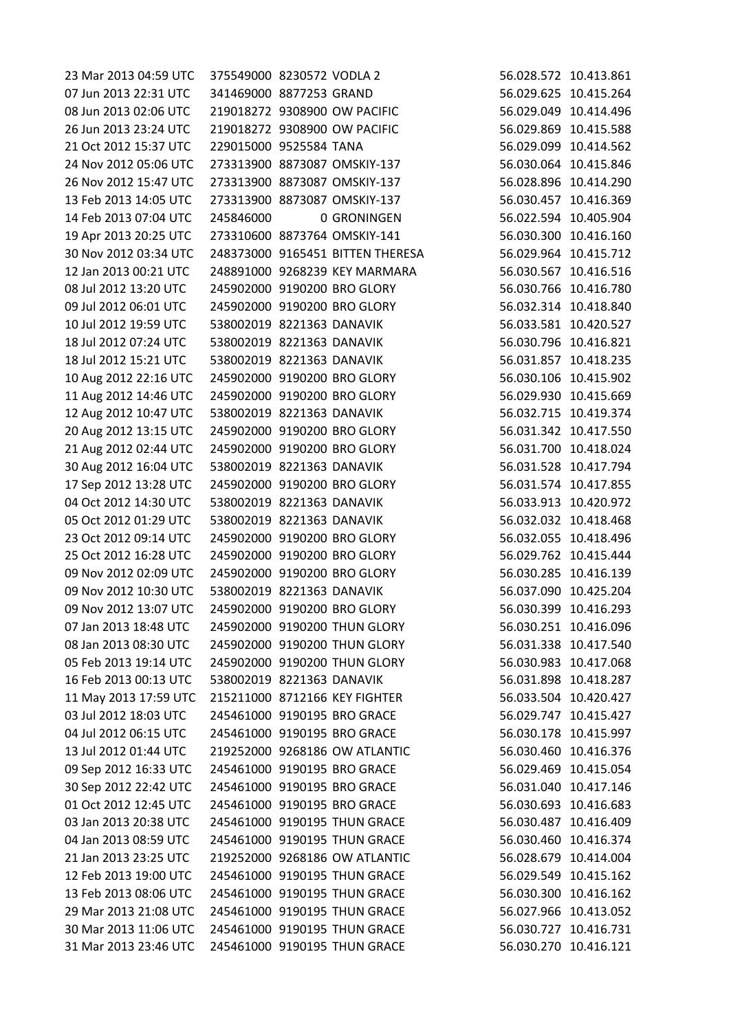| 23 Mar 2013 04:59 UTC | 375549000 8230572 VODLA 2 |                                  | 56.028.572 10.413.861 |
|-----------------------|---------------------------|----------------------------------|-----------------------|
| 07 Jun 2013 22:31 UTC | 341469000 8877253 GRAND   |                                  | 56.029.625 10.415.264 |
| 08 Jun 2013 02:06 UTC |                           | 219018272 9308900 OW PACIFIC     | 56.029.049 10.414.496 |
| 26 Jun 2013 23:24 UTC |                           | 219018272 9308900 OW PACIFIC     | 56.029.869 10.415.588 |
| 21 Oct 2012 15:37 UTC | 229015000 9525584 TANA    |                                  | 56.029.099 10.414.562 |
| 24 Nov 2012 05:06 UTC |                           | 273313900 8873087 OMSKIY-137     | 56.030.064 10.415.846 |
| 26 Nov 2012 15:47 UTC |                           | 273313900 8873087 OMSKIY-137     | 56.028.896 10.414.290 |
| 13 Feb 2013 14:05 UTC |                           | 273313900 8873087 OMSKIY-137     | 56.030.457 10.416.369 |
| 14 Feb 2013 07:04 UTC | 245846000                 | 0 GRONINGEN                      | 56.022.594 10.405.904 |
| 19 Apr 2013 20:25 UTC |                           | 273310600 8873764 OMSKIY-141     | 56.030.300 10.416.160 |
| 30 Nov 2012 03:34 UTC |                           | 248373000 9165451 BITTEN THERESA | 56.029.964 10.415.712 |
| 12 Jan 2013 00:21 UTC |                           | 248891000 9268239 KEY MARMARA    | 56.030.567 10.416.516 |
| 08 Jul 2012 13:20 UTC |                           | 245902000 9190200 BRO GLORY      | 56.030.766 10.416.780 |
| 09 Jul 2012 06:01 UTC |                           | 245902000 9190200 BRO GLORY      | 56.032.314 10.418.840 |
| 10 Jul 2012 19:59 UTC | 538002019 8221363 DANAVIK |                                  | 56.033.581 10.420.527 |
| 18 Jul 2012 07:24 UTC | 538002019 8221363 DANAVIK |                                  | 56.030.796 10.416.821 |
| 18 Jul 2012 15:21 UTC | 538002019 8221363 DANAVIK |                                  | 56.031.857 10.418.235 |
| 10 Aug 2012 22:16 UTC |                           | 245902000 9190200 BRO GLORY      | 56.030.106 10.415.902 |
| 11 Aug 2012 14:46 UTC |                           | 245902000 9190200 BRO GLORY      | 56.029.930 10.415.669 |
| 12 Aug 2012 10:47 UTC | 538002019 8221363 DANAVIK |                                  | 56.032.715 10.419.374 |
| 20 Aug 2012 13:15 UTC |                           | 245902000 9190200 BRO GLORY      | 56.031.342 10.417.550 |
| 21 Aug 2012 02:44 UTC |                           | 245902000 9190200 BRO GLORY      | 56.031.700 10.418.024 |
| 30 Aug 2012 16:04 UTC | 538002019 8221363 DANAVIK |                                  | 56.031.528 10.417.794 |
| 17 Sep 2012 13:28 UTC |                           | 245902000 9190200 BRO GLORY      | 56.031.574 10.417.855 |
| 04 Oct 2012 14:30 UTC | 538002019 8221363 DANAVIK |                                  | 56.033.913 10.420.972 |
| 05 Oct 2012 01:29 UTC | 538002019 8221363 DANAVIK |                                  | 56.032.032 10.418.468 |
| 23 Oct 2012 09:14 UTC |                           | 245902000 9190200 BRO GLORY      | 56.032.055 10.418.496 |
| 25 Oct 2012 16:28 UTC |                           | 245902000 9190200 BRO GLORY      | 56.029.762 10.415.444 |
| 09 Nov 2012 02:09 UTC |                           | 245902000 9190200 BRO GLORY      | 56.030.285 10.416.139 |
| 09 Nov 2012 10:30 UTC | 538002019 8221363 DANAVIK |                                  | 56.037.090 10.425.204 |
| 09 Nov 2012 13:07 UTC |                           | 245902000 9190200 BRO GLORY      | 56.030.399 10.416.293 |
| 07 Jan 2013 18:48 UTC |                           | 245902000 9190200 THUN GLORY     | 56.030.251 10.416.096 |
| 08 Jan 2013 08:30 UTC |                           | 245902000 9190200 THUN GLORY     | 56.031.338 10.417.540 |
| 05 Feb 2013 19:14 UTC |                           | 245902000 9190200 THUN GLORY     | 56.030.983 10.417.068 |
| 16 Feb 2013 00:13 UTC | 538002019 8221363 DANAVIK |                                  | 56.031.898 10.418.287 |
| 11 May 2013 17:59 UTC |                           | 215211000 8712166 KEY FIGHTER    | 56.033.504 10.420.427 |
| 03 Jul 2012 18:03 UTC |                           | 245461000 9190195 BRO GRACE      | 56.029.747 10.415.427 |
| 04 Jul 2012 06:15 UTC |                           | 245461000 9190195 BRO GRACE      | 56.030.178 10.415.997 |
| 13 Jul 2012 01:44 UTC |                           | 219252000 9268186 OW ATLANTIC    | 56.030.460 10.416.376 |
| 09 Sep 2012 16:33 UTC |                           | 245461000 9190195 BRO GRACE      | 56.029.469 10.415.054 |
| 30 Sep 2012 22:42 UTC |                           | 245461000 9190195 BRO GRACE      | 56.031.040 10.417.146 |
| 01 Oct 2012 12:45 UTC |                           | 245461000 9190195 BRO GRACE      | 56.030.693 10.416.683 |
| 03 Jan 2013 20:38 UTC |                           | 245461000 9190195 THUN GRACE     | 56.030.487 10.416.409 |
| 04 Jan 2013 08:59 UTC |                           | 245461000 9190195 THUN GRACE     | 56.030.460 10.416.374 |
| 21 Jan 2013 23:25 UTC |                           | 219252000 9268186 OW ATLANTIC    | 56.028.679 10.414.004 |
| 12 Feb 2013 19:00 UTC |                           | 245461000 9190195 THUN GRACE     | 56.029.549 10.415.162 |
| 13 Feb 2013 08:06 UTC |                           | 245461000 9190195 THUN GRACE     | 56.030.300 10.416.162 |
| 29 Mar 2013 21:08 UTC |                           | 245461000 9190195 THUN GRACE     | 56.027.966 10.413.052 |
| 30 Mar 2013 11:06 UTC |                           | 245461000 9190195 THUN GRACE     | 56.030.727 10.416.731 |
| 31 Mar 2013 23:46 UTC |                           | 245461000 9190195 THUN GRACE     | 56.030.270 10.416.121 |
|                       |                           |                                  |                       |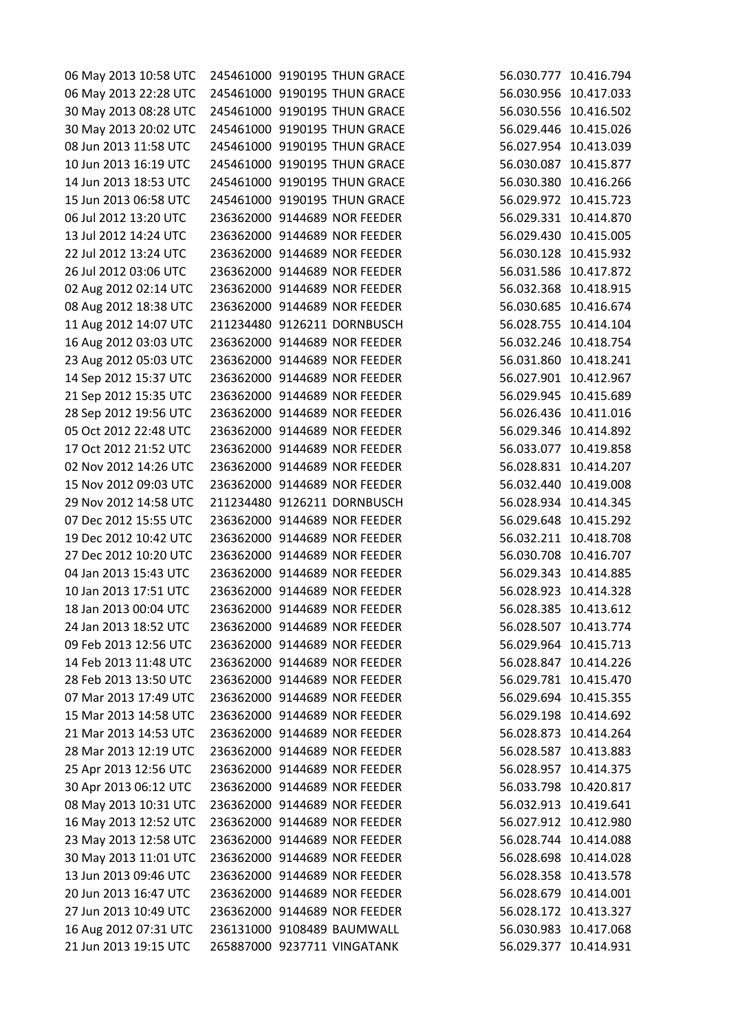| 06 May 2013 10:58 UTC |  | 245461000 9190195 THUN GRACE | 56.030.777 10.416.794 |
|-----------------------|--|------------------------------|-----------------------|
| 06 May 2013 22:28 UTC |  | 245461000 9190195 THUN GRACE | 56.030.956 10.417.033 |
| 30 May 2013 08:28 UTC |  | 245461000 9190195 THUN GRACE | 56.030.556 10.416.502 |
| 30 May 2013 20:02 UTC |  | 245461000 9190195 THUN GRACE | 56.029.446 10.415.026 |
| 08 Jun 2013 11:58 UTC |  | 245461000 9190195 THUN GRACE | 56.027.954 10.413.039 |
| 10 Jun 2013 16:19 UTC |  | 245461000 9190195 THUN GRACE | 56.030.087 10.415.877 |
| 14 Jun 2013 18:53 UTC |  | 245461000 9190195 THUN GRACE | 56.030.380 10.416.266 |
| 15 Jun 2013 06:58 UTC |  | 245461000 9190195 THUN GRACE | 56.029.972 10.415.723 |
| 06 Jul 2012 13:20 UTC |  | 236362000 9144689 NOR FEEDER | 56.029.331 10.414.870 |
| 13 Jul 2012 14:24 UTC |  | 236362000 9144689 NOR FEEDER | 56.029.430 10.415.005 |
| 22 Jul 2012 13:24 UTC |  | 236362000 9144689 NOR FEEDER | 56.030.128 10.415.932 |
| 26 Jul 2012 03:06 UTC |  | 236362000 9144689 NOR FEEDER | 56.031.586 10.417.872 |
| 02 Aug 2012 02:14 UTC |  | 236362000 9144689 NOR FEEDER | 56.032.368 10.418.915 |
| 08 Aug 2012 18:38 UTC |  | 236362000 9144689 NOR FEEDER | 56.030.685 10.416.674 |
| 11 Aug 2012 14:07 UTC |  | 211234480 9126211 DORNBUSCH  | 56.028.755 10.414.104 |
| 16 Aug 2012 03:03 UTC |  | 236362000 9144689 NOR FEEDER | 56.032.246 10.418.754 |
| 23 Aug 2012 05:03 UTC |  | 236362000 9144689 NOR FEEDER | 56.031.860 10.418.241 |
| 14 Sep 2012 15:37 UTC |  | 236362000 9144689 NOR FEEDER | 56.027.901 10.412.967 |
| 21 Sep 2012 15:35 UTC |  | 236362000 9144689 NOR FEEDER | 56.029.945 10.415.689 |
| 28 Sep 2012 19:56 UTC |  | 236362000 9144689 NOR FEEDER | 56.026.436 10.411.016 |
| 05 Oct 2012 22:48 UTC |  | 236362000 9144689 NOR FEEDER | 56.029.346 10.414.892 |
| 17 Oct 2012 21:52 UTC |  | 236362000 9144689 NOR FEEDER | 56.033.077 10.419.858 |
| 02 Nov 2012 14:26 UTC |  | 236362000 9144689 NOR FEEDER | 56.028.831 10.414.207 |
| 15 Nov 2012 09:03 UTC |  | 236362000 9144689 NOR FEEDER | 56.032.440 10.419.008 |
| 29 Nov 2012 14:58 UTC |  | 211234480 9126211 DORNBUSCH  | 56.028.934 10.414.345 |
| 07 Dec 2012 15:55 UTC |  | 236362000 9144689 NOR FEEDER | 56.029.648 10.415.292 |
| 19 Dec 2012 10:42 UTC |  | 236362000 9144689 NOR FEEDER | 56.032.211 10.418.708 |
| 27 Dec 2012 10:20 UTC |  | 236362000 9144689 NOR FEEDER | 56.030.708 10.416.707 |
| 04 Jan 2013 15:43 UTC |  | 236362000 9144689 NOR FEEDER | 56.029.343 10.414.885 |
| 10 Jan 2013 17:51 UTC |  | 236362000 9144689 NOR FEEDER | 56.028.923 10.414.328 |
| 18 Jan 2013 00:04 UTC |  | 236362000 9144689 NOR FEEDER | 56.028.385 10.413.612 |
| 24 Jan 2013 18:52 UTC |  | 236362000 9144689 NOR FEEDER | 56.028.507 10.413.774 |
| 09 Feb 2013 12:56 UTC |  | 236362000 9144689 NOR FEEDER | 56.029.964 10.415.713 |
| 14 Feb 2013 11:48 UTC |  | 236362000 9144689 NOR FEEDER | 56.028.847 10.414.226 |
| 28 Feb 2013 13:50 UTC |  | 236362000 9144689 NOR FEEDER | 56.029.781 10.415.470 |
| 07 Mar 2013 17:49 UTC |  | 236362000 9144689 NOR FEEDER | 56.029.694 10.415.355 |
| 15 Mar 2013 14:58 UTC |  | 236362000 9144689 NOR FEEDER | 56.029.198 10.414.692 |
| 21 Mar 2013 14:53 UTC |  | 236362000 9144689 NOR FEEDER | 56.028.873 10.414.264 |
| 28 Mar 2013 12:19 UTC |  | 236362000 9144689 NOR FEEDER | 56.028.587 10.413.883 |
| 25 Apr 2013 12:56 UTC |  | 236362000 9144689 NOR FEEDER | 56.028.957 10.414.375 |
| 30 Apr 2013 06:12 UTC |  | 236362000 9144689 NOR FEEDER | 56.033.798 10.420.817 |
| 08 May 2013 10:31 UTC |  | 236362000 9144689 NOR FEEDER | 56.032.913 10.419.641 |
| 16 May 2013 12:52 UTC |  | 236362000 9144689 NOR FEEDER | 56.027.912 10.412.980 |
| 23 May 2013 12:58 UTC |  | 236362000 9144689 NOR FEEDER | 56.028.744 10.414.088 |
| 30 May 2013 11:01 UTC |  | 236362000 9144689 NOR FEEDER | 56.028.698 10.414.028 |
| 13 Jun 2013 09:46 UTC |  | 236362000 9144689 NOR FEEDER | 56.028.358 10.413.578 |
| 20 Jun 2013 16:47 UTC |  | 236362000 9144689 NOR FEEDER | 56.028.679 10.414.001 |
| 27 Jun 2013 10:49 UTC |  | 236362000 9144689 NOR FEEDER | 56.028.172 10.413.327 |
| 16 Aug 2012 07:31 UTC |  | 236131000 9108489 BAUMWALL   | 56.030.983 10.417.068 |
| 21 Jun 2013 19:15 UTC |  | 265887000 9237711 VINGATANK  | 56.029.377 10.414.931 |
|                       |  |                              |                       |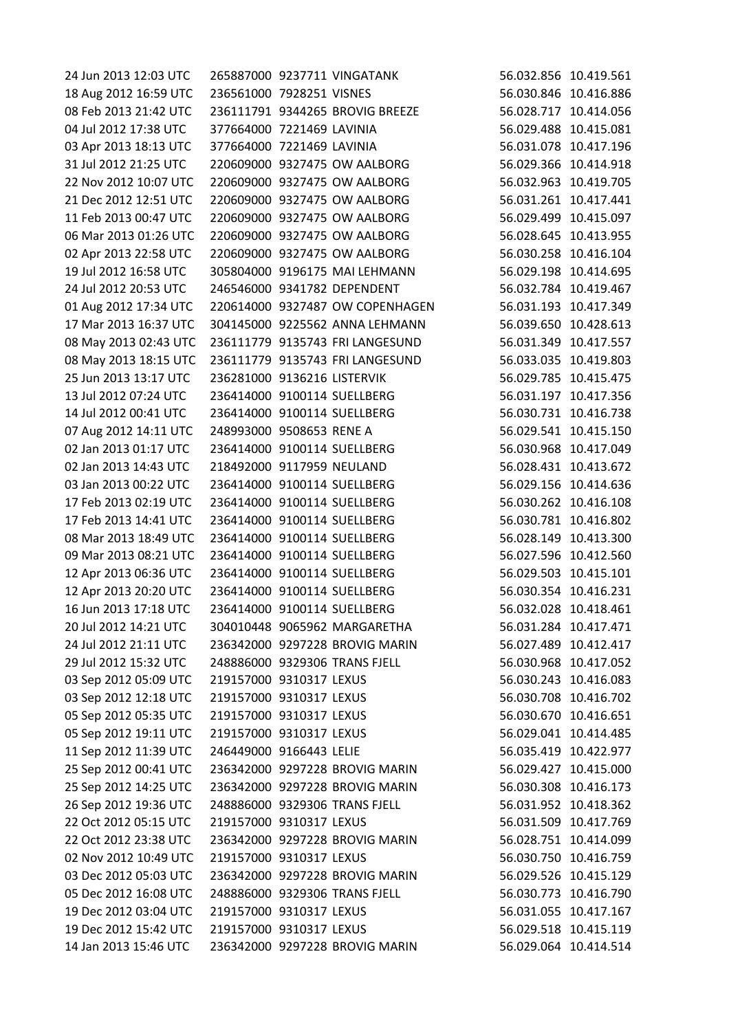| 24 Jun 2013 12:03 UTC |                             | 265887000 9237711 VINGATANK     | 56.032.856 10.419.561 |            |
|-----------------------|-----------------------------|---------------------------------|-----------------------|------------|
| 18 Aug 2012 16:59 UTC | 236561000 7928251 VISNES    |                                 | 56.030.846 10.416.886 |            |
| 08 Feb 2013 21:42 UTC |                             | 236111791 9344265 BROVIG BREEZE | 56.028.717 10.414.056 |            |
| 04 Jul 2012 17:38 UTC | 377664000 7221469 LAVINIA   |                                 | 56.029.488 10.415.081 |            |
| 03 Apr 2013 18:13 UTC | 377664000 7221469 LAVINIA   |                                 | 56.031.078 10.417.196 |            |
| 31 Jul 2012 21:25 UTC |                             | 220609000 9327475 OW AALBORG    | 56.029.366 10.414.918 |            |
| 22 Nov 2012 10:07 UTC |                             | 220609000 9327475 OW AALBORG    | 56.032.963 10.419.705 |            |
| 21 Dec 2012 12:51 UTC |                             | 220609000 9327475 OW AALBORG    | 56.031.261 10.417.441 |            |
| 11 Feb 2013 00:47 UTC |                             | 220609000 9327475 OW AALBORG    | 56.029.499 10.415.097 |            |
| 06 Mar 2013 01:26 UTC |                             | 220609000 9327475 OW AALBORG    | 56.028.645 10.413.955 |            |
| 02 Apr 2013 22:58 UTC |                             | 220609000 9327475 OW AALBORG    | 56.030.258 10.416.104 |            |
| 19 Jul 2012 16:58 UTC |                             | 305804000 9196175 MAI LEHMANN   | 56.029.198 10.414.695 |            |
| 24 Jul 2012 20:53 UTC |                             | 246546000 9341782 DEPENDENT     | 56.032.784            | 10.419.467 |
| 01 Aug 2012 17:34 UTC |                             | 220614000 9327487 OW COPENHAGEN | 56.031.193 10.417.349 |            |
| 17 Mar 2013 16:37 UTC |                             | 304145000 9225562 ANNA LEHMANN  | 56.039.650 10.428.613 |            |
| 08 May 2013 02:43 UTC |                             | 236111779 9135743 FRI LANGESUND | 56.031.349 10.417.557 |            |
| 08 May 2013 18:15 UTC |                             | 236111779 9135743 FRI LANGESUND | 56.033.035 10.419.803 |            |
| 25 Jun 2013 13:17 UTC | 236281000 9136216 LISTERVIK |                                 | 56.029.785            | 10.415.475 |
| 13 Jul 2012 07:24 UTC |                             | 236414000 9100114 SUELLBERG     | 56.031.197 10.417.356 |            |
| 14 Jul 2012 00:41 UTC |                             | 236414000 9100114 SUELLBERG     | 56.030.731 10.416.738 |            |
| 07 Aug 2012 14:11 UTC | 248993000 9508653 RENE A    |                                 | 56.029.541 10.415.150 |            |
| 02 Jan 2013 01:17 UTC |                             | 236414000 9100114 SUELLBERG     | 56.030.968 10.417.049 |            |
| 02 Jan 2013 14:43 UTC | 218492000 9117959 NEULAND   |                                 | 56.028.431 10.413.672 |            |
| 03 Jan 2013 00:22 UTC |                             | 236414000 9100114 SUELLBERG     | 56.029.156 10.414.636 |            |
| 17 Feb 2013 02:19 UTC |                             | 236414000 9100114 SUELLBERG     | 56.030.262 10.416.108 |            |
| 17 Feb 2013 14:41 UTC |                             | 236414000 9100114 SUELLBERG     | 56.030.781 10.416.802 |            |
| 08 Mar 2013 18:49 UTC | 236414000 9100114 SUELLBERG |                                 | 56.028.149 10.413.300 |            |
| 09 Mar 2013 08:21 UTC |                             | 236414000 9100114 SUELLBERG     | 56.027.596 10.412.560 |            |
| 12 Apr 2013 06:36 UTC |                             | 236414000 9100114 SUELLBERG     | 56.029.503 10.415.101 |            |
| 12 Apr 2013 20:20 UTC |                             | 236414000 9100114 SUELLBERG     | 56.030.354 10.416.231 |            |
| 16 Jun 2013 17:18 UTC |                             | 236414000 9100114 SUELLBERG     | 56.032.028 10.418.461 |            |
| 20 Jul 2012 14:21 UTC |                             | 304010448 9065962 MARGARETHA    | 56.031.284 10.417.471 |            |
| 24 Jul 2012 21:11 UTC |                             | 236342000 9297228 BROVIG MARIN  | 56.027.489 10.412.417 |            |
| 29 Jul 2012 15:32 UTC |                             | 248886000 9329306 TRANS FJELL   | 56.030.968 10.417.052 |            |
| 03 Sep 2012 05:09 UTC | 219157000 9310317 LEXUS     |                                 | 56.030.243 10.416.083 |            |
| 03 Sep 2012 12:18 UTC | 219157000 9310317 LEXUS     |                                 | 56.030.708 10.416.702 |            |
| 05 Sep 2012 05:35 UTC | 219157000 9310317 LEXUS     |                                 | 56.030.670 10.416.651 |            |
| 05 Sep 2012 19:11 UTC | 219157000 9310317 LEXUS     |                                 | 56.029.041 10.414.485 |            |
| 11 Sep 2012 11:39 UTC | 246449000 9166443 LELIE     |                                 | 56.035.419 10.422.977 |            |
| 25 Sep 2012 00:41 UTC |                             | 236342000 9297228 BROVIG MARIN  | 56.029.427 10.415.000 |            |
| 25 Sep 2012 14:25 UTC |                             | 236342000 9297228 BROVIG MARIN  | 56.030.308 10.416.173 |            |
| 26 Sep 2012 19:36 UTC |                             | 248886000 9329306 TRANS FJELL   | 56.031.952 10.418.362 |            |
| 22 Oct 2012 05:15 UTC | 219157000 9310317 LEXUS     |                                 | 56.031.509 10.417.769 |            |
| 22 Oct 2012 23:38 UTC |                             | 236342000 9297228 BROVIG MARIN  | 56.028.751 10.414.099 |            |
| 02 Nov 2012 10:49 UTC | 219157000 9310317 LEXUS     |                                 | 56.030.750 10.416.759 |            |
| 03 Dec 2012 05:03 UTC |                             | 236342000 9297228 BROVIG MARIN  | 56.029.526 10.415.129 |            |
| 05 Dec 2012 16:08 UTC |                             | 248886000 9329306 TRANS FJELL   | 56.030.773 10.416.790 |            |
| 19 Dec 2012 03:04 UTC | 219157000 9310317 LEXUS     |                                 | 56.031.055 10.417.167 |            |
| 19 Dec 2012 15:42 UTC | 219157000 9310317 LEXUS     |                                 | 56.029.518 10.415.119 |            |
| 14 Jan 2013 15:46 UTC |                             | 236342000 9297228 BROVIG MARIN  | 56.029.064 10.414.514 |            |
|                       |                             |                                 |                       |            |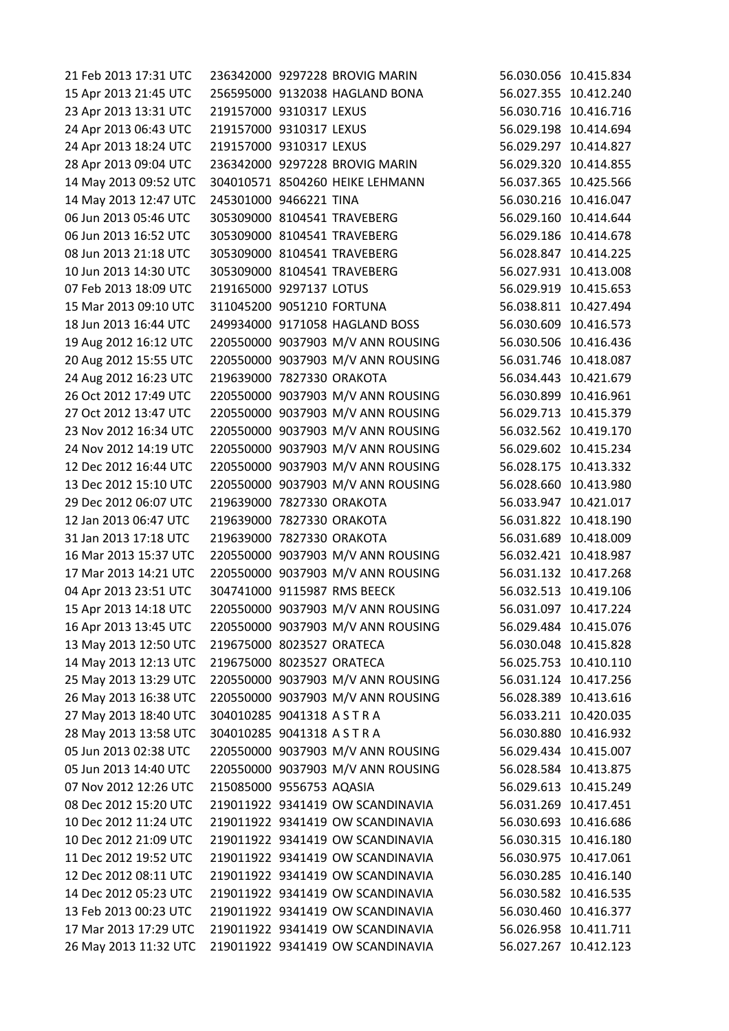21 Feb 2013 17:31 UTC 236342000 9297228 BROVIG MARIN 56.030.056 10.415.834 15 Apr 2013 21:45 UTC 256595000 9132038 HAGLAND BONA 56.027.355 10.412.240 23 Apr 2013 13:31 UTC 219157000 9310317 LEXUS 56.030.716 10.416.716 24 Apr 2013 06:43 UTC 219157000 9310317 LEXUS 56.029.198 10.414.694 24 Apr 2013 18:24 UTC 219157000 9310317 LEXUS 56.029.297 10.414.827 28 Apr 2013 09:04 UTC 236342000 9297228 BROVIG MARIN 56.029.320 10.414.855 14 May 2013 09:52 UTC 304010571 8504260 HEIKE LEHMANN 56.037.365 10.425.566 14 May 2013 12:47 UTC 245301000 9466221 TINA 56.030.216 10.416.047 06 Jun 2013 05:46 UTC 305309000 8104541 TRAVEBERG 56.029.160 10.414.644 06 Jun 2013 16:52 UTC 305309000 8104541 TRAVEBERG 56.029.186 10.414.678 08 Jun 2013 21:18 UTC 305309000 8104541 TRAVEBERG 56.028.847 10.414.225 10 Jun 2013 14:30 UTC 305309000 8104541 TRAVEBERG 56.027.931 10.413.008 07 Feb 2013 18:09 UTC 219165000 9297137 LOTUS 56.029.919 10.415.653 15 Mar 2013 09:10 UTC 311045200 9051210 FORTUNA 56.038.811 10.427.494 18 Jun 2013 16:44 UTC 249934000 9171058 HAGLAND BOSS 56.030.609 10.416.573 19 Aug 2012 16:12 UTC 220550000 9037903 M/V ANN ROUSING 56.030.506 10.416.436 20 Aug 2012 15:55 UTC 220550000 9037903 M/V ANN ROUSING 56.031.746 10.418.087 24 Aug 2012 16:23 UTC 219639000 7827330 ORAKOTA 56.034.443 10.421.679 26 Oct 2012 17:49 UTC 220550000 9037903 M/V ANN ROUSING 56.030.899 10.416.961 27 Oct 2012 13:47 UTC 220550000 9037903 M/V ANN ROUSING 56.029.713 10.415.379 23 Nov 2012 16:34 UTC 220550000 9037903 M/V ANN ROUSING 56.032.562 10.419.170 24 Nov 2012 14:19 UTC 220550000 9037903 M/V ANN ROUSING 56.029.602 10.415.234 12 Dec 2012 16:44 UTC 220550000 9037903 M/V ANN ROUSING 56.028.175 10.413.332 13 Dec 2012 15:10 UTC 220550000 9037903 M/V ANN ROUSING 56.028.660 10.413.980 29 Dec 2012 06:07 UTC 219639000 7827330 ORAKOTA 56.033.947 10.421.017 12 Jan 2013 06:47 UTC 219639000 7827330 ORAKOTA 56.031.822 10.418.190 31 Jan 2013 17:18 UTC 219639000 7827330 ORAKOTA 56.031.689 10.418.009 16 Mar 2013 15:37 UTC 220550000 9037903 M/V ANN ROUSING 56.032.421 10.418.987 17 Mar 2013 14:21 UTC 220550000 9037903 M/V ANN ROUSING 56.031.132 10.417.268 04 Apr 2013 23:51 UTC 304741000 9115987 RMS BEECK 56.032.513 10.419.106 15 Apr 2013 14:18 UTC 220550000 9037903 M/V ANN ROUSING 56.031.097 10.417.224 16 Apr 2013 13:45 UTC 220550000 9037903 M/V ANN ROUSING 56.029.484 10.415.076 13 May 2013 12:50 UTC 219675000 8023527 ORATECA 56.030.048 10.415.828 14 May 2013 12:13 UTC 219675000 8023527 ORATECA 56.025.753 10.410.110 25 May 2013 13:29 UTC 220550000 9037903 M/V ANN ROUSING 56.031.124 10.417.256 26 May 2013 16:38 UTC 220550000 9037903 M/V ANN ROUSING 56.028.389 10.413.616 27 May 2013 18:40 UTC 304010285 9041318 A S T R A 56.033.211 10.420.035 28 May 2013 13:58 UTC 304010285 9041318 A S T R A 56.030.880 10.416.932 05 Jun 2013 02:38 UTC 220550000 9037903 M/V ANN ROUSING 56.029.434 10.415.007 05 Jun 2013 14:40 UTC 220550000 9037903 M/V ANN ROUSING 56.028.584 10.413.875 07 Nov 2012 12:26 UTC 215085000 9556753 AQASIA 56.029.613 10.415.249 08 Dec 2012 15:20 UTC 219011922 9341419 OW SCANDINAVIA 56.031.269 10.417.451 10 Dec 2012 11:24 UTC 219011922 9341419 OW SCANDINAVIA 56.030.693 10.416.686 10 Dec 2012 21:09 UTC 219011922 9341419 OW SCANDINAVIA 56.030.315 10.416.180 11 Dec 2012 19:52 UTC 219011922 9341419 OW SCANDINAVIA 56.030.975 10.417.061 12 Dec 2012 08:11 UTC 219011922 9341419 OW SCANDINAVIA 56.030.285 10.416.140 14 Dec 2012 05:23 UTC 219011922 9341419 OW SCANDINAVIA 56.030.582 10.416.535 13 Feb 2013 00:23 UTC 219011922 9341419 OW SCANDINAVIA 56.030.460 10.416.377 17 Mar 2013 17:29 UTC 219011922 9341419 OW SCANDINAVIA 56.026.958 10.411.711 26 May 2013 11:32 UTC 219011922 9341419 OW SCANDINAVIA 56.027.267 10.412.123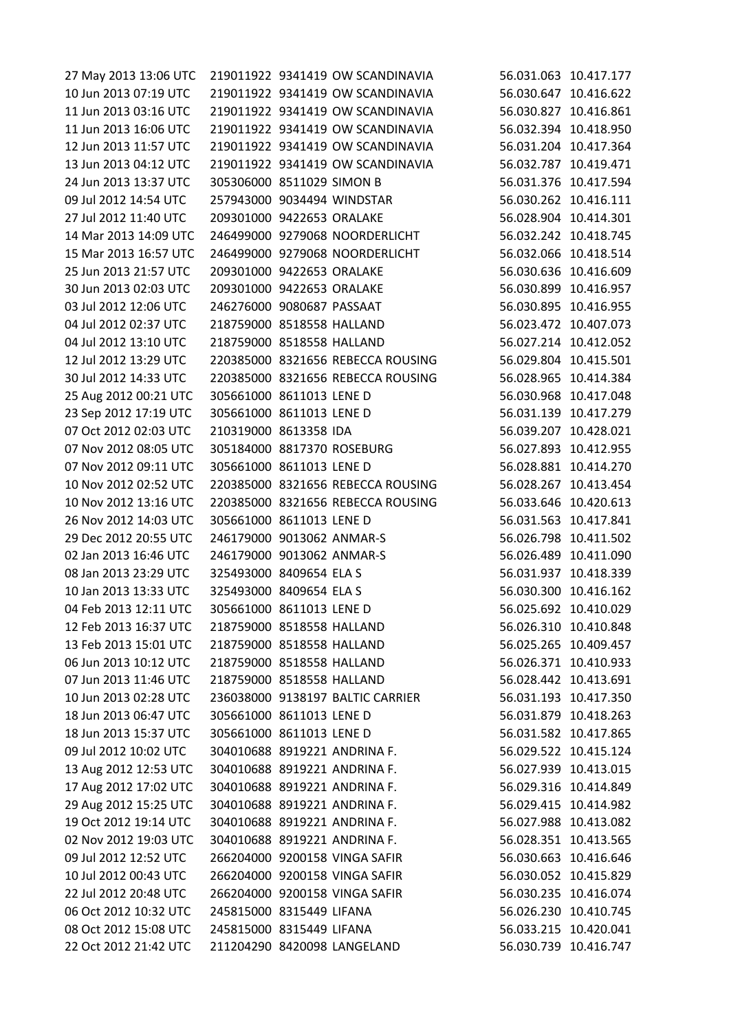27 May 2013 13:06 UTC 219011922 9341419 OW SCANDINAVIA 56.031.063 10.417.177 10 Jun 2013 07:19 UTC 219011922 9341419 OW SCANDINAVIA 56.030.647 10.416.622 11 Jun 2013 03:16 UTC 219011922 9341419 OW SCANDINAVIA 56.030.827 10.416.861 11 Jun 2013 16:06 UTC 219011922 9341419 OW SCANDINAVIA 56.032.394 10.418.950 12 Jun 2013 11:57 UTC 219011922 9341419 OW SCANDINAVIA 56.031.204 10.417.364 13 Jun 2013 04:12 UTC 219011922 9341419 OW SCANDINAVIA 56.032.787 10.419.471 24 Jun 2013 13:37 UTC 305306000 8511029 SIMON B 56.031.376 10.417.594 09 Jul 2012 14:54 UTC 257943000 9034494 WINDSTAR 56.030.262 10.416.111 27 Jul 2012 11:40 UTC 209301000 9422653 ORALAKE 56.028.904 10.414.301 14 Mar 2013 14:09 UTC 246499000 9279068 NOORDERLICHT 56.032.242 10.418.745 15 Mar 2013 16:57 UTC 246499000 9279068 NOORDERLICHT 56.032.066 10.418.514 25 Jun 2013 21:57 UTC 209301000 9422653 ORALAKE 56.030.636 10.416.609 30 Jun 2013 02:03 UTC 209301000 9422653 ORALAKE 56.030.899 10.416.957 03 Jul 2012 12:06 UTC 246276000 9080687 PASSAAT 56.030.895 10.416.955 04 Jul 2012 02:37 UTC 218759000 8518558 HALLAND 56.023.472 10.407.073 04 Jul 2012 13:10 UTC 218759000 8518558 HALLAND 56.027.214 10.412.052 12 Jul 2012 13:29 UTC 220385000 8321656 REBECCA ROUSING 56.029.804 10.415.501 30 Jul 2012 14:33 UTC 220385000 8321656 REBECCA ROUSING 56.028.965 10.414.384 25 Aug 2012 00:21 UTC 305661000 8611013 LENE D 56.030.968 10.417.048 23 Sep 2012 17:19 UTC 305661000 8611013 LENE D 56.031.139 10.417.279 07 Oct 2012 02:03 UTC 210319000 8613358 IDA 56.039.207 10.428.021 07 Nov 2012 08:05 UTC 305184000 8817370 ROSEBURG 56.027.893 10.412.955 07 Nov 2012 09:11 UTC 305661000 8611013 LENE D 56.028.881 10.414.270 10 Nov 2012 02:52 UTC 220385000 8321656 REBECCA ROUSING 56.028.267 10.413.454 10 Nov 2012 13:16 UTC 220385000 8321656 REBECCA ROUSING 56.033.646 10.420.613 26 Nov 2012 14:03 UTC 305661000 8611013 LENE D 56.031.563 10.417.841 29 Dec 2012 20:55 UTC 246179000 9013062 ANMAR-S 56.026.798 10.411.502 02 Jan 2013 16:46 UTC 246179000 9013062 ANMAR-S 56.026.489 10.411.090 08 Jan 2013 23:29 UTC 325493000 8409654 FLA S 56.031.937 10.418.339 10 Jan 2013 13:33 UTC 325493000 8409654 ELA S 56.030.300 10.416.162 04 Feb 2013 12:11 UTC 305661000 8611013 LENE D 56.025.692 10.410.029 12 Feb 2013 16:37 UTC 218759000 8518558 HALLAND 56.026.310 10.410.848 13 Feb 2013 15:01 UTC 218759000 8518558 HALLAND 56.025.265 10.409.457 06 Jun 2013 10:12 UTC 218759000 8518558 HALLAND 56.026.371 10.410.933 07 Jun 2013 11:46 UTC 218759000 8518558 HALLAND 56.028.442 10.413.691 10 Jun 2013 02:28 UTC 236038000 9138197 BALTIC CARRIER 56.031.193 10.417.350 18 Jun 2013 06:47 UTC 305661000 8611013 LENE D 56.031.879 10.418.263 18 Jun 2013 15:37 UTC 305661000 8611013 LENE D 56.031.582 10.417.865 09 Jul 2012 10:02 UTC 304010688 8919221 ANDRINA F. 56.029.522 10.415.124 13 Aug 2012 12:53 UTC 304010688 8919221 ANDRINA F. 56.027.939 10.413.015 17 Aug 2012 17:02 UTC 304010688 8919221 ANDRINA F. 56.029.316 10.414.849 29 Aug 2012 15:25 UTC 304010688 8919221 ANDRINA F. 56.029.415 10.414.982 19 Oct 2012 19:14 UTC 304010688 8919221 ANDRINA F. 56.027.988 10.413.082 02 Nov 2012 19:03 UTC 304010688 8919221 ANDRINA F. 56.028.351 10.413.565 09 Jul 2012 12:52 UTC 266204000 9200158 VINGA SAFIR 56.030.663 10.416.646 10 Jul 2012 00:43 UTC 266204000 9200158 VINGA SAFIR 56.030.052 10.415.829 22 Jul 2012 20:48 UTC 266204000 9200158 VINGA SAFIR 56.030.235 10.416.074 06 Oct 2012 10:32 UTC 245815000 8315449 LIFANA 56.026.230 10.410.745 08 Oct 2012 15:08 UTC 245815000 8315449 LIFANA 56.033.215 10.420.041 22 Oct 2012 21:42 UTC 211204290 8420098 LANGELAND 56.030.739 10.416.747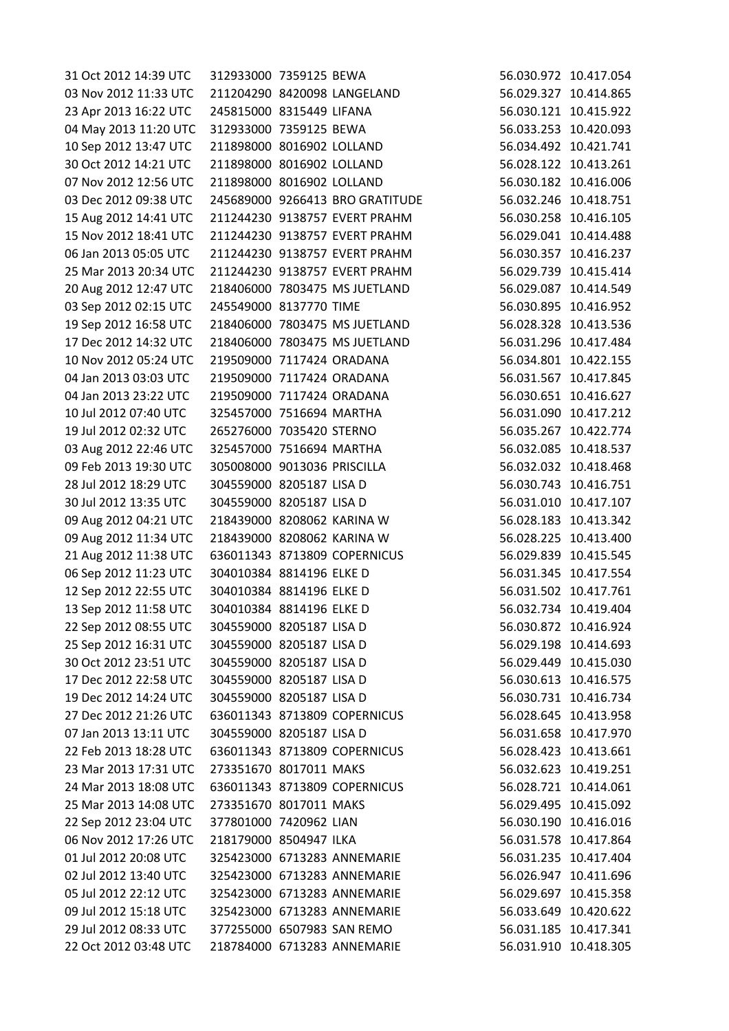| 31 Oct 2012 14:39 UTC | 312933000 7359125 BEWA      |                                 | 56.030.972 10.417.054 |
|-----------------------|-----------------------------|---------------------------------|-----------------------|
| 03 Nov 2012 11:33 UTC |                             | 211204290 8420098 LANGELAND     | 56.029.327 10.414.865 |
| 23 Apr 2013 16:22 UTC | 245815000 8315449 LIFANA    |                                 | 56.030.121 10.415.922 |
| 04 May 2013 11:20 UTC | 312933000 7359125 BEWA      |                                 | 56.033.253 10.420.093 |
| 10 Sep 2012 13:47 UTC | 211898000 8016902 LOLLAND   |                                 | 56.034.492 10.421.741 |
| 30 Oct 2012 14:21 UTC | 211898000 8016902 LOLLAND   |                                 | 56.028.122 10.413.261 |
| 07 Nov 2012 12:56 UTC | 211898000 8016902 LOLLAND   |                                 | 56.030.182 10.416.006 |
| 03 Dec 2012 09:38 UTC |                             | 245689000 9266413 BRO GRATITUDE | 56.032.246 10.418.751 |
| 15 Aug 2012 14:41 UTC |                             | 211244230 9138757 EVERT PRAHM   | 56.030.258 10.416.105 |
| 15 Nov 2012 18:41 UTC |                             | 211244230 9138757 EVERT PRAHM   | 56.029.041 10.414.488 |
| 06 Jan 2013 05:05 UTC |                             | 211244230 9138757 EVERT PRAHM   | 56.030.357 10.416.237 |
| 25 Mar 2013 20:34 UTC |                             | 211244230 9138757 EVERT PRAHM   | 56.029.739 10.415.414 |
| 20 Aug 2012 12:47 UTC |                             | 218406000 7803475 MS JUETLAND   | 56.029.087 10.414.549 |
| 03 Sep 2012 02:15 UTC | 245549000 8137770 TIME      |                                 | 56.030.895 10.416.952 |
| 19 Sep 2012 16:58 UTC |                             | 218406000 7803475 MS JUETLAND   | 56.028.328 10.413.536 |
| 17 Dec 2012 14:32 UTC |                             | 218406000 7803475 MS JUETLAND   | 56.031.296 10.417.484 |
| 10 Nov 2012 05:24 UTC | 219509000 7117424 ORADANA   |                                 | 56.034.801 10.422.155 |
| 04 Jan 2013 03:03 UTC | 219509000 7117424 ORADANA   |                                 | 56.031.567 10.417.845 |
| 04 Jan 2013 23:22 UTC | 219509000 7117424 ORADANA   |                                 | 56.030.651 10.416.627 |
| 10 Jul 2012 07:40 UTC | 325457000 7516694 MARTHA    |                                 | 56.031.090 10.417.212 |
| 19 Jul 2012 02:32 UTC | 265276000 7035420 STERNO    |                                 | 56.035.267 10.422.774 |
| 03 Aug 2012 22:46 UTC | 325457000 7516694 MARTHA    |                                 | 56.032.085 10.418.537 |
| 09 Feb 2013 19:30 UTC | 305008000 9013036 PRISCILLA |                                 | 56.032.032 10.418.468 |
| 28 Jul 2012 18:29 UTC | 304559000 8205187 LISA D    |                                 | 56.030.743 10.416.751 |
|                       | 304559000 8205187 LISA D    |                                 |                       |
| 30 Jul 2012 13:35 UTC |                             |                                 | 56.031.010 10.417.107 |
| 09 Aug 2012 04:21 UTC | 218439000 8208062 KARINA W  |                                 | 56.028.183 10.413.342 |
| 09 Aug 2012 11:34 UTC | 218439000 8208062 KARINA W  |                                 | 56.028.225 10.413.400 |
| 21 Aug 2012 11:38 UTC |                             | 636011343 8713809 COPERNICUS    | 56.029.839 10.415.545 |
| 06 Sep 2012 11:23 UTC | 304010384 8814196 ELKE D    |                                 | 56.031.345 10.417.554 |
| 12 Sep 2012 22:55 UTC | 304010384 8814196 ELKE D    |                                 | 56.031.502 10.417.761 |
| 13 Sep 2012 11:58 UTC | 304010384 8814196 ELKE D    |                                 | 56.032.734 10.419.404 |
| 22 Sep 2012 08:55 UTC | 304559000 8205187 LISA D    |                                 | 56.030.872 10.416.924 |
| 25 Sep 2012 16:31 UTC | 304559000 8205187 LISA D    |                                 | 56.029.198 10.414.693 |
| 30 Oct 2012 23:51 UTC | 304559000 8205187 LISA D    |                                 | 56.029.449 10.415.030 |
| 17 Dec 2012 22:58 UTC | 304559000 8205187 LISA D    |                                 | 56.030.613 10.416.575 |
| 19 Dec 2012 14:24 UTC | 304559000 8205187 LISA D    |                                 | 56.030.731 10.416.734 |
| 27 Dec 2012 21:26 UTC |                             | 636011343 8713809 COPERNICUS    | 56.028.645 10.413.958 |
| 07 Jan 2013 13:11 UTC | 304559000 8205187 LISA D    |                                 | 56.031.658 10.417.970 |
| 22 Feb 2013 18:28 UTC |                             | 636011343 8713809 COPERNICUS    | 56.028.423 10.413.661 |
| 23 Mar 2013 17:31 UTC | 273351670 8017011 MAKS      |                                 | 56.032.623 10.419.251 |
| 24 Mar 2013 18:08 UTC |                             | 636011343 8713809 COPERNICUS    | 56.028.721 10.414.061 |
| 25 Mar 2013 14:08 UTC | 273351670 8017011 MAKS      |                                 | 56.029.495 10.415.092 |
| 22 Sep 2012 23:04 UTC | 377801000 7420962 LIAN      |                                 | 56.030.190 10.416.016 |
| 06 Nov 2012 17:26 UTC | 218179000 8504947 ILKA      |                                 | 56.031.578 10.417.864 |
| 01 Jul 2012 20:08 UTC |                             | 325423000 6713283 ANNEMARIE     | 56.031.235 10.417.404 |
| 02 Jul 2012 13:40 UTC |                             | 325423000 6713283 ANNEMARIE     | 56.026.947 10.411.696 |
| 05 Jul 2012 22:12 UTC |                             | 325423000 6713283 ANNEMARIE     | 56.029.697 10.415.358 |
| 09 Jul 2012 15:18 UTC |                             | 325423000 6713283 ANNEMARIE     | 56.033.649 10.420.622 |
| 29 Jul 2012 08:33 UTC | 377255000 6507983 SAN REMO  |                                 | 56.031.185 10.417.341 |
| 22 Oct 2012 03:48 UTC |                             | 218784000 6713283 ANNEMARIE     | 56.031.910 10.418.305 |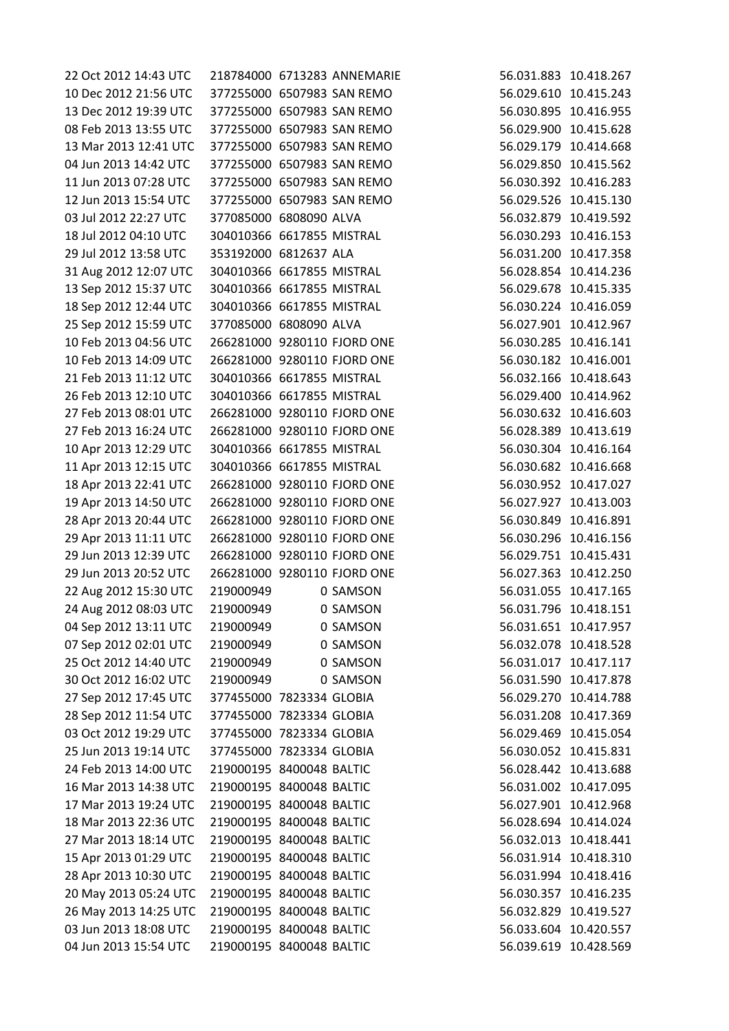| 22 Oct 2012 14:43 UTC |                             | 218784000 6713283 ANNEMARIE | 56.031.883 10.418.267 |
|-----------------------|-----------------------------|-----------------------------|-----------------------|
| 10 Dec 2012 21:56 UTC | 377255000 6507983 SAN REMO  |                             | 56.029.610 10.415.243 |
| 13 Dec 2012 19:39 UTC | 377255000 6507983 SAN REMO  |                             | 56.030.895 10.416.955 |
| 08 Feb 2013 13:55 UTC | 377255000 6507983 SAN REMO  |                             | 56.029.900 10.415.628 |
| 13 Mar 2013 12:41 UTC | 377255000 6507983 SAN REMO  |                             | 56.029.179 10.414.668 |
| 04 Jun 2013 14:42 UTC | 377255000 6507983 SAN REMO  |                             | 56.029.850 10.415.562 |
| 11 Jun 2013 07:28 UTC | 377255000 6507983 SAN REMO  |                             | 56.030.392 10.416.283 |
| 12 Jun 2013 15:54 UTC | 377255000 6507983 SAN REMO  |                             | 56.029.526 10.415.130 |
| 03 Jul 2012 22:27 UTC | 377085000 6808090 ALVA      |                             | 56.032.879 10.419.592 |
| 18 Jul 2012 04:10 UTC | 304010366 6617855 MISTRAL   |                             | 56.030.293 10.416.153 |
| 29 Jul 2012 13:58 UTC | 353192000 6812637 ALA       |                             | 56.031.200 10.417.358 |
| 31 Aug 2012 12:07 UTC | 304010366 6617855 MISTRAL   |                             | 56.028.854 10.414.236 |
| 13 Sep 2012 15:37 UTC | 304010366 6617855 MISTRAL   |                             | 56.029.678 10.415.335 |
| 18 Sep 2012 12:44 UTC | 304010366 6617855 MISTRAL   |                             | 56.030.224 10.416.059 |
| 25 Sep 2012 15:59 UTC | 377085000 6808090 ALVA      |                             | 56.027.901 10.412.967 |
| 10 Feb 2013 04:56 UTC |                             | 266281000 9280110 FJORD ONE | 56.030.285 10.416.141 |
| 10 Feb 2013 14:09 UTC |                             | 266281000 9280110 FJORD ONE | 56.030.182 10.416.001 |
| 21 Feb 2013 11:12 UTC | 304010366 6617855 MISTRAL   |                             | 56.032.166 10.418.643 |
| 26 Feb 2013 12:10 UTC | 304010366 6617855 MISTRAL   |                             | 56.029.400 10.414.962 |
| 27 Feb 2013 08:01 UTC | 266281000 9280110 FJORD ONE |                             | 56.030.632 10.416.603 |
| 27 Feb 2013 16:24 UTC |                             | 266281000 9280110 FJORD ONE | 56.028.389 10.413.619 |
| 10 Apr 2013 12:29 UTC | 304010366 6617855 MISTRAL   |                             | 56.030.304 10.416.164 |
| 11 Apr 2013 12:15 UTC | 304010366 6617855 MISTRAL   |                             | 56.030.682 10.416.668 |
| 18 Apr 2013 22:41 UTC | 266281000 9280110 FJORD ONE |                             | 56.030.952 10.417.027 |
| 19 Apr 2013 14:50 UTC |                             | 266281000 9280110 FJORD ONE | 56.027.927 10.413.003 |
| 28 Apr 2013 20:44 UTC | 266281000 9280110 FJORD ONE |                             | 56.030.849 10.416.891 |
| 29 Apr 2013 11:11 UTC | 266281000 9280110 FJORD ONE |                             | 56.030.296 10.416.156 |
| 29 Jun 2013 12:39 UTC | 266281000 9280110 FJORD ONE |                             | 56.029.751 10.415.431 |
| 29 Jun 2013 20:52 UTC | 266281000 9280110 FJORD ONE |                             | 56.027.363 10.412.250 |
| 22 Aug 2012 15:30 UTC | 219000949                   | 0 SAMSON                    | 56.031.055 10.417.165 |
| 24 Aug 2012 08:03 UTC | 219000949                   | 0 SAMSON                    | 56.031.796 10.418.151 |
| 04 Sep 2012 13:11 UTC | 219000949                   | 0 SAMSON                    | 56.031.651 10.417.957 |
| 07 Sep 2012 02:01 UTC | 219000949                   | 0 SAMSON                    | 56.032.078 10.418.528 |
| 25 Oct 2012 14:40 UTC | 219000949                   | 0 SAMSON                    | 56.031.017 10.417.117 |
| 30 Oct 2012 16:02 UTC | 219000949                   | 0 SAMSON                    | 56.031.590 10.417.878 |
| 27 Sep 2012 17:45 UTC | 377455000 7823334 GLOBIA    |                             | 56.029.270 10.414.788 |
| 28 Sep 2012 11:54 UTC | 377455000 7823334 GLOBIA    |                             | 56.031.208 10.417.369 |
| 03 Oct 2012 19:29 UTC | 377455000 7823334 GLOBIA    |                             | 56.029.469 10.415.054 |
| 25 Jun 2013 19:14 UTC | 377455000 7823334 GLOBIA    |                             | 56.030.052 10.415.831 |
| 24 Feb 2013 14:00 UTC | 219000195 8400048 BALTIC    |                             | 56.028.442 10.413.688 |
| 16 Mar 2013 14:38 UTC | 219000195 8400048 BALTIC    |                             | 56.031.002 10.417.095 |
| 17 Mar 2013 19:24 UTC | 219000195 8400048 BALTIC    |                             | 56.027.901 10.412.968 |
| 18 Mar 2013 22:36 UTC | 219000195 8400048 BALTIC    |                             | 56.028.694 10.414.024 |
| 27 Mar 2013 18:14 UTC | 219000195 8400048 BALTIC    |                             | 56.032.013 10.418.441 |
| 15 Apr 2013 01:29 UTC | 219000195 8400048 BALTIC    |                             | 56.031.914 10.418.310 |
| 28 Apr 2013 10:30 UTC | 219000195 8400048 BALTIC    |                             | 56.031.994 10.418.416 |
| 20 May 2013 05:24 UTC | 219000195 8400048 BALTIC    |                             | 56.030.357 10.416.235 |
| 26 May 2013 14:25 UTC | 219000195 8400048 BALTIC    |                             | 56.032.829 10.419.527 |
| 03 Jun 2013 18:08 UTC | 219000195 8400048 BALTIC    |                             | 56.033.604 10.420.557 |
| 04 Jun 2013 15:54 UTC | 219000195 8400048 BALTIC    |                             | 56.039.619 10.428.569 |
|                       |                             |                             |                       |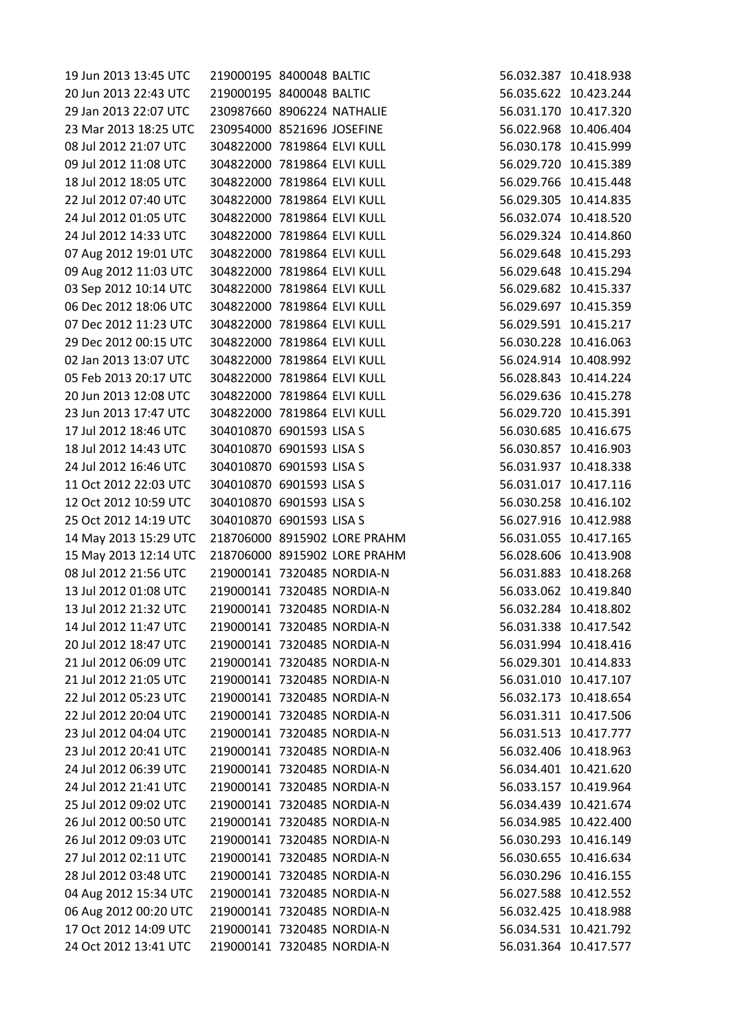| 19 Jun 2013 13:45 UTC | 219000195 8400048 BALTIC    |                              | 56.032.387 10.418.938 |
|-----------------------|-----------------------------|------------------------------|-----------------------|
| 20 Jun 2013 22:43 UTC | 219000195 8400048 BALTIC    |                              | 56.035.622 10.423.244 |
| 29 Jan 2013 22:07 UTC | 230987660 8906224 NATHALIE  |                              | 56.031.170 10.417.320 |
| 23 Mar 2013 18:25 UTC | 230954000 8521696 JOSEFINE  |                              | 56.022.968 10.406.404 |
| 08 Jul 2012 21:07 UTC | 304822000 7819864 ELVI KULL |                              | 56.030.178 10.415.999 |
| 09 Jul 2012 11:08 UTC | 304822000 7819864 ELVI KULL |                              | 56.029.720 10.415.389 |
| 18 Jul 2012 18:05 UTC | 304822000 7819864 ELVI KULL |                              | 56.029.766 10.415.448 |
| 22 Jul 2012 07:40 UTC | 304822000 7819864 ELVI KULL |                              | 56.029.305 10.414.835 |
| 24 Jul 2012 01:05 UTC | 304822000 7819864 ELVI KULL |                              | 56.032.074 10.418.520 |
| 24 Jul 2012 14:33 UTC | 304822000 7819864 ELVI KULL |                              | 56.029.324 10.414.860 |
| 07 Aug 2012 19:01 UTC | 304822000 7819864 ELVI KULL |                              | 56.029.648 10.415.293 |
| 09 Aug 2012 11:03 UTC | 304822000 7819864 ELVI KULL |                              | 56.029.648 10.415.294 |
| 03 Sep 2012 10:14 UTC | 304822000 7819864 ELVI KULL |                              | 56.029.682 10.415.337 |
| 06 Dec 2012 18:06 UTC | 304822000 7819864 ELVI KULL |                              | 56.029.697 10.415.359 |
| 07 Dec 2012 11:23 UTC | 304822000 7819864 ELVI KULL |                              | 56.029.591 10.415.217 |
| 29 Dec 2012 00:15 UTC | 304822000 7819864 ELVI KULL |                              | 56.030.228 10.416.063 |
| 02 Jan 2013 13:07 UTC | 304822000 7819864 ELVI KULL |                              | 56.024.914 10.408.992 |
| 05 Feb 2013 20:17 UTC | 304822000 7819864 ELVI KULL |                              | 56.028.843 10.414.224 |
| 20 Jun 2013 12:08 UTC | 304822000 7819864 ELVI KULL |                              | 56.029.636 10.415.278 |
| 23 Jun 2013 17:47 UTC | 304822000 7819864 ELVI KULL |                              | 56.029.720 10.415.391 |
| 17 Jul 2012 18:46 UTC | 304010870 6901593 LISA S    |                              | 56.030.685 10.416.675 |
| 18 Jul 2012 14:43 UTC | 304010870 6901593 LISA S    |                              | 56.030.857 10.416.903 |
| 24 Jul 2012 16:46 UTC | 304010870 6901593 LISA S    |                              | 56.031.937 10.418.338 |
| 11 Oct 2012 22:03 UTC | 304010870 6901593 LISA S    |                              | 56.031.017 10.417.116 |
| 12 Oct 2012 10:59 UTC | 304010870 6901593 LISA S    |                              | 56.030.258 10.416.102 |
| 25 Oct 2012 14:19 UTC | 304010870 6901593 LISA S    |                              | 56.027.916 10.412.988 |
| 14 May 2013 15:29 UTC |                             | 218706000 8915902 LORE PRAHM | 56.031.055 10.417.165 |
| 15 May 2013 12:14 UTC |                             | 218706000 8915902 LORE PRAHM | 56.028.606 10.413.908 |
| 08 Jul 2012 21:56 UTC | 219000141 7320485 NORDIA-N  |                              | 56.031.883 10.418.268 |
| 13 Jul 2012 01:08 UTC | 219000141 7320485 NORDIA-N  |                              | 56.033.062 10.419.840 |
| 13 Jul 2012 21:32 UTC | 219000141 7320485 NORDIA-N  |                              | 56.032.284 10.418.802 |
| 14 Jul 2012 11:47 UTC | 219000141 7320485 NORDIA-N  |                              | 56.031.338 10.417.542 |
| 20 Jul 2012 18:47 UTC | 219000141 7320485 NORDIA-N  |                              | 56.031.994 10.418.416 |
| 21 Jul 2012 06:09 UTC | 219000141 7320485 NORDIA-N  |                              | 56.029.301 10.414.833 |
| 21 Jul 2012 21:05 UTC | 219000141 7320485 NORDIA-N  |                              | 56.031.010 10.417.107 |
| 22 Jul 2012 05:23 UTC | 219000141 7320485 NORDIA-N  |                              | 56.032.173 10.418.654 |
| 22 Jul 2012 20:04 UTC | 219000141 7320485 NORDIA-N  |                              | 56.031.311 10.417.506 |
| 23 Jul 2012 04:04 UTC | 219000141 7320485 NORDIA-N  |                              | 56.031.513 10.417.777 |
| 23 Jul 2012 20:41 UTC | 219000141 7320485 NORDIA-N  |                              | 56.032.406 10.418.963 |
| 24 Jul 2012 06:39 UTC | 219000141 7320485 NORDIA-N  |                              | 56.034.401 10.421.620 |
| 24 Jul 2012 21:41 UTC | 219000141 7320485 NORDIA-N  |                              | 56.033.157 10.419.964 |
| 25 Jul 2012 09:02 UTC | 219000141 7320485 NORDIA-N  |                              | 56.034.439 10.421.674 |
| 26 Jul 2012 00:50 UTC | 219000141 7320485 NORDIA-N  |                              | 56.034.985 10.422.400 |
| 26 Jul 2012 09:03 UTC | 219000141 7320485 NORDIA-N  |                              | 56.030.293 10.416.149 |
| 27 Jul 2012 02:11 UTC | 219000141 7320485 NORDIA-N  |                              | 56.030.655 10.416.634 |
| 28 Jul 2012 03:48 UTC | 219000141 7320485 NORDIA-N  |                              | 56.030.296 10.416.155 |
| 04 Aug 2012 15:34 UTC | 219000141 7320485 NORDIA-N  |                              | 56.027.588 10.412.552 |
| 06 Aug 2012 00:20 UTC | 219000141 7320485 NORDIA-N  |                              | 56.032.425 10.418.988 |
| 17 Oct 2012 14:09 UTC | 219000141 7320485 NORDIA-N  |                              | 56.034.531 10.421.792 |
| 24 Oct 2012 13:41 UTC | 219000141 7320485 NORDIA-N  |                              | 56.031.364 10.417.577 |
|                       |                             |                              |                       |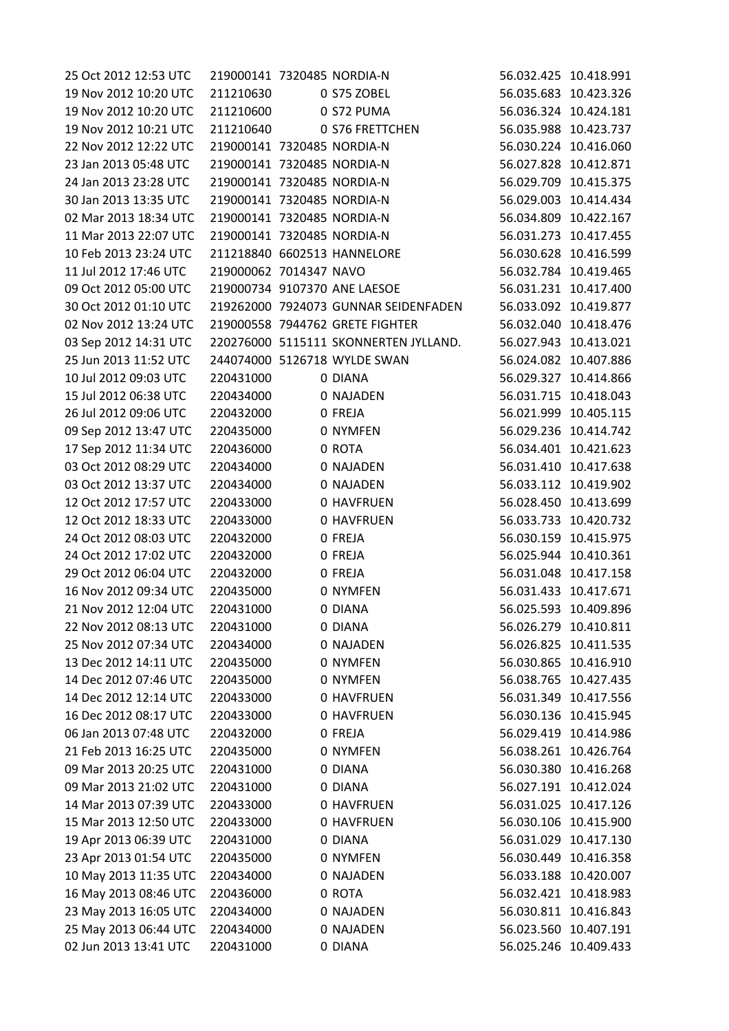| 25 Oct 2012 12:53 UTC | 219000141 7320485 NORDIA-N |                                       |            | 56.032.425 10.418.991 |
|-----------------------|----------------------------|---------------------------------------|------------|-----------------------|
| 19 Nov 2012 10:20 UTC | 211210630                  | 0 S75 ZOBEL                           |            | 56.035.683 10.423.326 |
| 19 Nov 2012 10:20 UTC | 211210600                  | 0 S72 PUMA                            |            | 56.036.324 10.424.181 |
| 19 Nov 2012 10:21 UTC | 211210640                  | 0 S76 FRETTCHEN                       |            | 56.035.988 10.423.737 |
| 22 Nov 2012 12:22 UTC | 219000141 7320485 NORDIA-N |                                       |            | 56.030.224 10.416.060 |
| 23 Jan 2013 05:48 UTC | 219000141 7320485 NORDIA-N |                                       |            | 56.027.828 10.412.871 |
| 24 Jan 2013 23:28 UTC | 219000141 7320485 NORDIA-N |                                       |            | 56.029.709 10.415.375 |
| 30 Jan 2013 13:35 UTC | 219000141 7320485 NORDIA-N |                                       |            | 56.029.003 10.414.434 |
| 02 Mar 2013 18:34 UTC | 219000141 7320485 NORDIA-N |                                       |            | 56.034.809 10.422.167 |
| 11 Mar 2013 22:07 UTC | 219000141 7320485 NORDIA-N |                                       |            | 56.031.273 10.417.455 |
| 10 Feb 2013 23:24 UTC |                            | 211218840 6602513 HANNELORE           |            | 56.030.628 10.416.599 |
| 11 Jul 2012 17:46 UTC | 219000062 7014347 NAVO     |                                       |            | 56.032.784 10.419.465 |
| 09 Oct 2012 05:00 UTC |                            | 219000734 9107370 ANE LAESOE          |            | 56.031.231 10.417.400 |
| 30 Oct 2012 01:10 UTC |                            | 219262000 7924073 GUNNAR SEIDENFADEN  |            | 56.033.092 10.419.877 |
| 02 Nov 2012 13:24 UTC |                            | 219000558 7944762 GRETE FIGHTER       |            | 56.032.040 10.418.476 |
| 03 Sep 2012 14:31 UTC |                            | 220276000 5115111 SKONNERTEN JYLLAND. |            | 56.027.943 10.413.021 |
| 25 Jun 2013 11:52 UTC |                            | 244074000 5126718 WYLDE SWAN          |            | 56.024.082 10.407.886 |
| 10 Jul 2012 09:03 UTC | 220431000                  | 0 DIANA                               |            | 56.029.327 10.414.866 |
| 15 Jul 2012 06:38 UTC | 220434000                  | 0 NAJADEN                             |            | 56.031.715 10.418.043 |
| 26 Jul 2012 09:06 UTC | 220432000                  | 0 FREJA                               |            | 56.021.999 10.405.115 |
| 09 Sep 2012 13:47 UTC | 220435000                  | 0 NYMFEN                              |            | 56.029.236 10.414.742 |
| 17 Sep 2012 11:34 UTC | 220436000                  | 0 ROTA                                |            | 56.034.401 10.421.623 |
| 03 Oct 2012 08:29 UTC | 220434000                  | 0 NAJADEN                             |            | 56.031.410 10.417.638 |
| 03 Oct 2012 13:37 UTC | 220434000                  | 0 NAJADEN                             |            | 56.033.112 10.419.902 |
| 12 Oct 2012 17:57 UTC | 220433000                  | 0 HAVFRUEN                            |            | 56.028.450 10.413.699 |
| 12 Oct 2012 18:33 UTC | 220433000                  | 0 HAVFRUEN                            |            | 56.033.733 10.420.732 |
| 24 Oct 2012 08:03 UTC | 220432000                  | 0 FREJA                               |            | 56.030.159 10.415.975 |
| 24 Oct 2012 17:02 UTC | 220432000                  | 0 FREJA                               |            | 56.025.944 10.410.361 |
| 29 Oct 2012 06:04 UTC | 220432000                  | 0 FREJA                               |            | 56.031.048 10.417.158 |
| 16 Nov 2012 09:34 UTC | 220435000                  | 0 NYMFEN                              |            | 56.031.433 10.417.671 |
| 21 Nov 2012 12:04 UTC | 220431000                  | 0 DIANA                               |            | 56.025.593 10.409.896 |
| 22 Nov 2012 08:13 UTC | 220431000                  | 0 DIANA                               |            | 56.026.279 10.410.811 |
| 25 Nov 2012 07:34 UTC | 220434000                  | 0 NAJADEN                             |            | 56.026.825 10.411.535 |
| 13 Dec 2012 14:11 UTC | 220435000                  | 0 NYMFEN                              |            | 56.030.865 10.416.910 |
| 14 Dec 2012 07:46 UTC | 220435000                  | 0 NYMFEN                              |            | 56.038.765 10.427.435 |
| 14 Dec 2012 12:14 UTC | 220433000                  | <b>0 HAVFRUEN</b>                     |            | 56.031.349 10.417.556 |
| 16 Dec 2012 08:17 UTC | 220433000                  | 0 HAVFRUEN                            |            | 56.030.136 10.415.945 |
| 06 Jan 2013 07:48 UTC | 220432000                  | 0 FREJA                               |            | 56.029.419 10.414.986 |
| 21 Feb 2013 16:25 UTC | 220435000                  | 0 NYMFEN                              |            | 56.038.261 10.426.764 |
| 09 Mar 2013 20:25 UTC | 220431000                  | 0 DIANA                               |            | 56.030.380 10.416.268 |
| 09 Mar 2013 21:02 UTC | 220431000                  | 0 DIANA                               |            | 56.027.191 10.412.024 |
| 14 Mar 2013 07:39 UTC | 220433000                  | 0 HAVFRUEN                            |            | 56.031.025 10.417.126 |
| 15 Mar 2013 12:50 UTC | 220433000                  | <b>0 HAVFRUEN</b>                     |            | 56.030.106 10.415.900 |
| 19 Apr 2013 06:39 UTC | 220431000                  | 0 DIANA                               |            | 56.031.029 10.417.130 |
| 23 Apr 2013 01:54 UTC | 220435000                  | 0 NYMFEN                              | 56.030.449 | 10.416.358            |
| 10 May 2013 11:35 UTC | 220434000                  | 0 NAJADEN                             |            | 56.033.188 10.420.007 |
| 16 May 2013 08:46 UTC | 220436000                  | 0 ROTA                                |            | 56.032.421 10.418.983 |
| 23 May 2013 16:05 UTC | 220434000                  | 0 NAJADEN                             |            | 56.030.811 10.416.843 |
| 25 May 2013 06:44 UTC | 220434000                  | 0 NAJADEN                             |            | 56.023.560 10.407.191 |
| 02 Jun 2013 13:41 UTC | 220431000                  | 0 DIANA                               |            | 56.025.246 10.409.433 |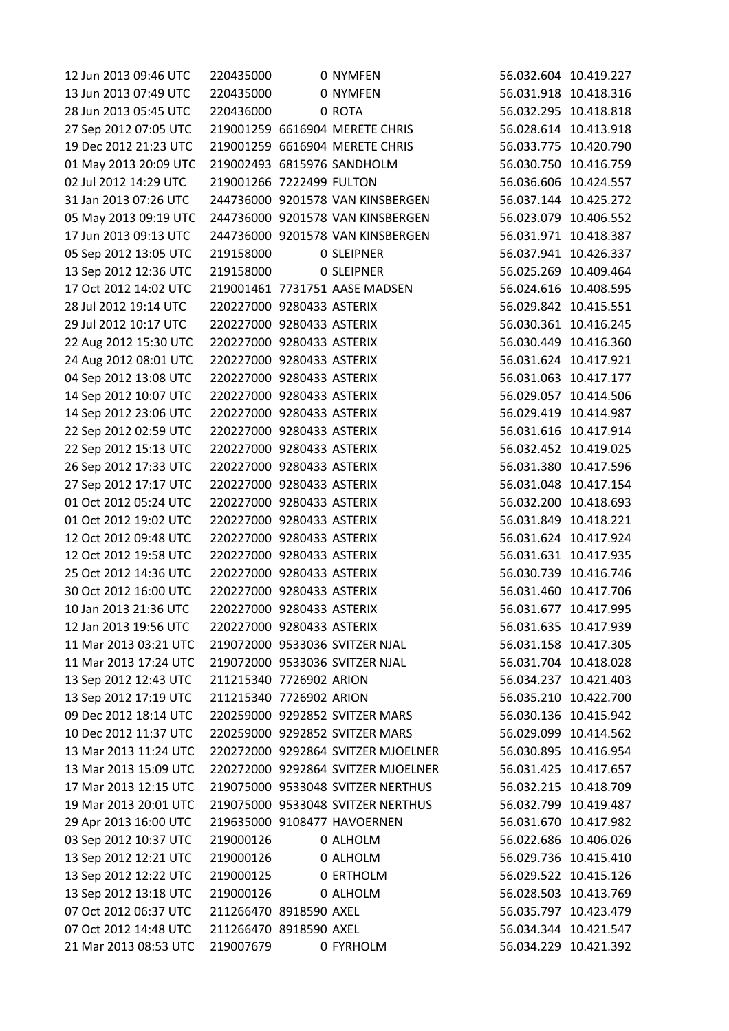| 12 Jun 2013 09:46 UTC | 220435000                 | 0 NYMFEN                           |                       | 56.032.604 10.419.227 |
|-----------------------|---------------------------|------------------------------------|-----------------------|-----------------------|
| 13 Jun 2013 07:49 UTC | 220435000                 | 0 NYMFEN                           |                       | 56.031.918 10.418.316 |
| 28 Jun 2013 05:45 UTC | 220436000                 | 0 ROTA                             |                       | 56.032.295 10.418.818 |
| 27 Sep 2012 07:05 UTC |                           | 219001259 6616904 MERETE CHRIS     |                       | 56.028.614 10.413.918 |
| 19 Dec 2012 21:23 UTC |                           | 219001259 6616904 MERETE CHRIS     |                       | 56.033.775 10.420.790 |
| 01 May 2013 20:09 UTC |                           | 219002493 6815976 SANDHOLM         |                       | 56.030.750 10.416.759 |
| 02 Jul 2012 14:29 UTC | 219001266 7222499 FULTON  |                                    |                       | 56.036.606 10.424.557 |
| 31 Jan 2013 07:26 UTC |                           | 244736000 9201578 VAN KINSBERGEN   |                       | 56.037.144 10.425.272 |
| 05 May 2013 09:19 UTC |                           | 244736000 9201578 VAN KINSBERGEN   |                       | 56.023.079 10.406.552 |
| 17 Jun 2013 09:13 UTC |                           | 244736000 9201578 VAN KINSBERGEN   |                       | 56.031.971 10.418.387 |
| 05 Sep 2012 13:05 UTC | 219158000                 | 0 SLEIPNER                         |                       | 56.037.941 10.426.337 |
| 13 Sep 2012 12:36 UTC | 219158000                 | <b>0 SLEIPNER</b>                  |                       | 56.025.269 10.409.464 |
| 17 Oct 2012 14:02 UTC |                           | 219001461 7731751 AASE MADSEN      |                       | 56.024.616 10.408.595 |
| 28 Jul 2012 19:14 UTC | 220227000 9280433 ASTERIX |                                    | 56.029.842 10.415.551 |                       |
| 29 Jul 2012 10:17 UTC | 220227000 9280433 ASTERIX |                                    |                       | 56.030.361 10.416.245 |
| 22 Aug 2012 15:30 UTC | 220227000 9280433 ASTERIX |                                    |                       | 56.030.449 10.416.360 |
| 24 Aug 2012 08:01 UTC | 220227000 9280433 ASTERIX |                                    |                       | 56.031.624 10.417.921 |
| 04 Sep 2012 13:08 UTC | 220227000 9280433 ASTERIX |                                    |                       | 56.031.063 10.417.177 |
| 14 Sep 2012 10:07 UTC | 220227000 9280433 ASTERIX |                                    |                       | 56.029.057 10.414.506 |
| 14 Sep 2012 23:06 UTC | 220227000 9280433 ASTERIX |                                    |                       | 56.029.419 10.414.987 |
| 22 Sep 2012 02:59 UTC | 220227000 9280433 ASTERIX |                                    |                       | 56.031.616 10.417.914 |
| 22 Sep 2012 15:13 UTC | 220227000 9280433 ASTERIX |                                    |                       | 56.032.452 10.419.025 |
| 26 Sep 2012 17:33 UTC | 220227000 9280433 ASTERIX |                                    |                       | 56.031.380 10.417.596 |
| 27 Sep 2012 17:17 UTC | 220227000 9280433 ASTERIX |                                    |                       | 56.031.048 10.417.154 |
| 01 Oct 2012 05:24 UTC | 220227000 9280433 ASTERIX |                                    |                       | 56.032.200 10.418.693 |
| 01 Oct 2012 19:02 UTC | 220227000 9280433 ASTERIX |                                    |                       | 56.031.849 10.418.221 |
| 12 Oct 2012 09:48 UTC | 220227000 9280433 ASTERIX |                                    |                       | 56.031.624 10.417.924 |
| 12 Oct 2012 19:58 UTC | 220227000 9280433 ASTERIX |                                    |                       | 56.031.631 10.417.935 |
| 25 Oct 2012 14:36 UTC | 220227000 9280433 ASTERIX |                                    |                       | 56.030.739 10.416.746 |
| 30 Oct 2012 16:00 UTC | 220227000 9280433 ASTERIX |                                    |                       | 56.031.460 10.417.706 |
| 10 Jan 2013 21:36 UTC | 220227000 9280433 ASTERIX |                                    |                       | 56.031.677 10.417.995 |
| 12 Jan 2013 19:56 UTC | 220227000 9280433 ASTERIX |                                    |                       | 56.031.635 10.417.939 |
| 11 Mar 2013 03:21 UTC |                           | 219072000 9533036 SVITZER NJAL     |                       | 56.031.158 10.417.305 |
| 11 Mar 2013 17:24 UTC |                           | 219072000 9533036 SVITZER NJAL     |                       | 56.031.704 10.418.028 |
| 13 Sep 2012 12:43 UTC | 211215340 7726902 ARION   |                                    |                       | 56.034.237 10.421.403 |
| 13 Sep 2012 17:19 UTC | 211215340 7726902 ARION   |                                    |                       | 56.035.210 10.422.700 |
| 09 Dec 2012 18:14 UTC |                           | 220259000 9292852 SVITZER MARS     |                       | 56.030.136 10.415.942 |
| 10 Dec 2012 11:37 UTC |                           | 220259000 9292852 SVITZER MARS     |                       | 56.029.099 10.414.562 |
| 13 Mar 2013 11:24 UTC |                           | 220272000 9292864 SVITZER MJOELNER |                       | 56.030.895 10.416.954 |
| 13 Mar 2013 15:09 UTC |                           | 220272000 9292864 SVITZER MJOELNER |                       | 56.031.425 10.417.657 |
| 17 Mar 2013 12:15 UTC |                           | 219075000 9533048 SVITZER NERTHUS  |                       | 56.032.215 10.418.709 |
| 19 Mar 2013 20:01 UTC |                           | 219075000 9533048 SVITZER NERTHUS  |                       | 56.032.799 10.419.487 |
| 29 Apr 2013 16:00 UTC |                           | 219635000 9108477 HAVOERNEN        |                       | 56.031.670 10.417.982 |
| 03 Sep 2012 10:37 UTC | 219000126                 | 0 ALHOLM                           |                       | 56.022.686 10.406.026 |
| 13 Sep 2012 12:21 UTC | 219000126                 | 0 ALHOLM                           |                       | 56.029.736 10.415.410 |
| 13 Sep 2012 12:22 UTC | 219000125                 | 0 ERTHOLM                          |                       | 56.029.522 10.415.126 |
| 13 Sep 2012 13:18 UTC | 219000126                 | 0 ALHOLM                           |                       | 56.028.503 10.413.769 |
| 07 Oct 2012 06:37 UTC | 211266470 8918590 AXEL    |                                    |                       | 56.035.797 10.423.479 |
| 07 Oct 2012 14:48 UTC | 211266470 8918590 AXEL    |                                    |                       | 56.034.344 10.421.547 |
| 21 Mar 2013 08:53 UTC | 219007679                 | 0 FYRHOLM                          |                       | 56.034.229 10.421.392 |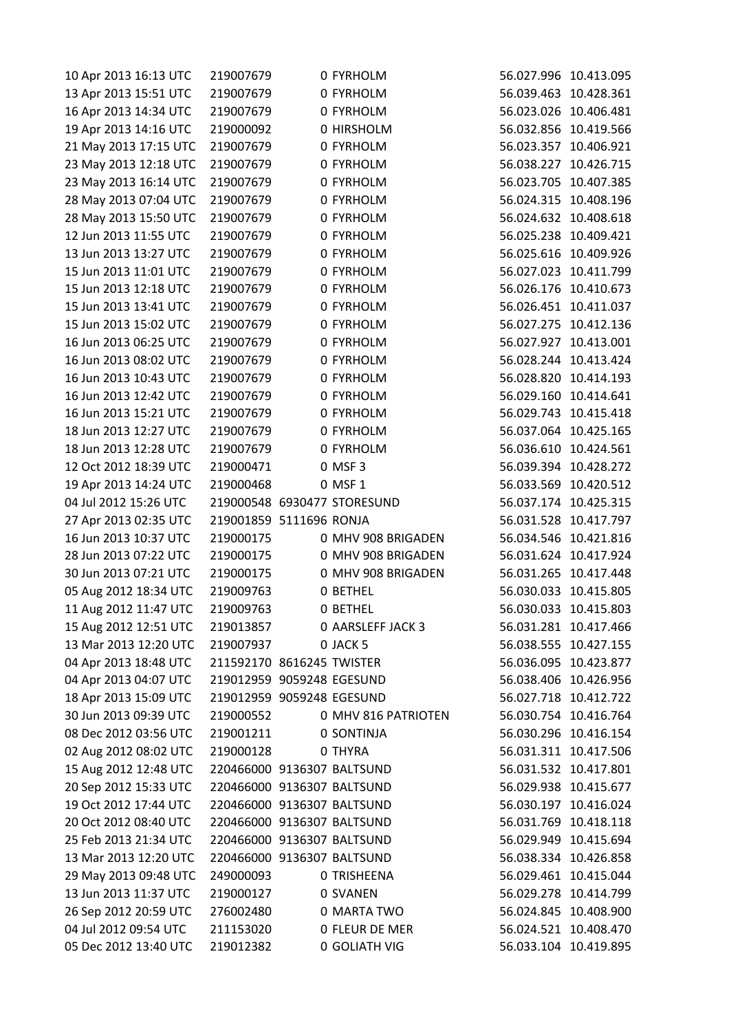| 10 Apr 2013 16:13 UTC | 219007679                  | 0 FYRHOLM                   |            | 56.027.996 10.413.095 |
|-----------------------|----------------------------|-----------------------------|------------|-----------------------|
| 13 Apr 2013 15:51 UTC | 219007679                  | 0 FYRHOLM                   |            | 56.039.463 10.428.361 |
| 16 Apr 2013 14:34 UTC | 219007679                  | 0 FYRHOLM                   |            | 56.023.026 10.406.481 |
| 19 Apr 2013 14:16 UTC | 219000092                  | 0 HIRSHOLM                  |            | 56.032.856 10.419.566 |
| 21 May 2013 17:15 UTC | 219007679                  | 0 FYRHOLM                   | 56.023.357 | 10.406.921            |
| 23 May 2013 12:18 UTC | 219007679                  | 0 FYRHOLM                   |            | 56.038.227 10.426.715 |
| 23 May 2013 16:14 UTC | 219007679                  | 0 FYRHOLM                   |            | 56.023.705 10.407.385 |
| 28 May 2013 07:04 UTC | 219007679                  | 0 FYRHOLM                   |            | 56.024.315 10.408.196 |
| 28 May 2013 15:50 UTC | 219007679                  | 0 FYRHOLM                   |            | 56.024.632 10.408.618 |
| 12 Jun 2013 11:55 UTC | 219007679                  | 0 FYRHOLM                   |            | 56.025.238 10.409.421 |
| 13 Jun 2013 13:27 UTC | 219007679                  | 0 FYRHOLM                   |            | 56.025.616 10.409.926 |
| 15 Jun 2013 11:01 UTC | 219007679                  | 0 FYRHOLM                   |            | 56.027.023 10.411.799 |
| 15 Jun 2013 12:18 UTC | 219007679                  | 0 FYRHOLM                   |            | 56.026.176 10.410.673 |
| 15 Jun 2013 13:41 UTC | 219007679                  | 0 FYRHOLM                   |            | 56.026.451 10.411.037 |
| 15 Jun 2013 15:02 UTC | 219007679                  | 0 FYRHOLM                   |            | 56.027.275 10.412.136 |
| 16 Jun 2013 06:25 UTC | 219007679                  | 0 FYRHOLM                   |            | 56.027.927 10.413.001 |
| 16 Jun 2013 08:02 UTC | 219007679                  | 0 FYRHOLM                   |            | 56.028.244 10.413.424 |
| 16 Jun 2013 10:43 UTC | 219007679                  | 0 FYRHOLM                   |            | 56.028.820 10.414.193 |
| 16 Jun 2013 12:42 UTC | 219007679                  | 0 FYRHOLM                   |            | 56.029.160 10.414.641 |
| 16 Jun 2013 15:21 UTC | 219007679                  | 0 FYRHOLM                   |            | 56.029.743 10.415.418 |
| 18 Jun 2013 12:27 UTC | 219007679                  | 0 FYRHOLM                   |            | 56.037.064 10.425.165 |
| 18 Jun 2013 12:28 UTC | 219007679                  | 0 FYRHOLM                   |            | 56.036.610 10.424.561 |
| 12 Oct 2012 18:39 UTC | 219000471                  | 0 MSF 3                     |            | 56.039.394 10.428.272 |
| 19 Apr 2013 14:24 UTC | 219000468                  | 0 MSF 1                     |            | 56.033.569 10.420.512 |
| 04 Jul 2012 15:26 UTC |                            | 219000548 6930477 STORESUND |            | 56.037.174 10.425.315 |
| 27 Apr 2013 02:35 UTC | 219001859 5111696 RONJA    |                             |            | 56.031.528 10.417.797 |
| 16 Jun 2013 10:37 UTC | 219000175                  | 0 MHV 908 BRIGADEN          |            | 56.034.546 10.421.816 |
| 28 Jun 2013 07:22 UTC | 219000175                  | 0 MHV 908 BRIGADEN          |            | 56.031.624 10.417.924 |
| 30 Jun 2013 07:21 UTC | 219000175                  | 0 MHV 908 BRIGADEN          |            | 56.031.265 10.417.448 |
| 05 Aug 2012 18:34 UTC | 219009763                  | 0 BETHEL                    |            | 56.030.033 10.415.805 |
| 11 Aug 2012 11:47 UTC | 219009763                  | <b>0 BETHEL</b>             |            | 56.030.033 10.415.803 |
| 15 Aug 2012 12:51 UTC | 219013857                  | 0 AARSLEFF JACK 3           |            | 56.031.281 10.417.466 |
| 13 Mar 2013 12:20 UTC | 219007937                  | 0 JACK 5                    |            | 56.038.555 10.427.155 |
| 04 Apr 2013 18:48 UTC | 211592170 8616245 TWISTER  |                             |            | 56.036.095 10.423.877 |
| 04 Apr 2013 04:07 UTC | 219012959 9059248 EGESUND  |                             |            | 56.038.406 10.426.956 |
| 18 Apr 2013 15:09 UTC | 219012959 9059248 EGESUND  |                             |            | 56.027.718 10.412.722 |
| 30 Jun 2013 09:39 UTC | 219000552                  | 0 MHV 816 PATRIOTEN         |            | 56.030.754 10.416.764 |
| 08 Dec 2012 03:56 UTC | 219001211                  | 0 SONTINJA                  |            | 56.030.296 10.416.154 |
| 02 Aug 2012 08:02 UTC | 219000128                  | 0 THYRA                     |            | 56.031.311 10.417.506 |
| 15 Aug 2012 12:48 UTC | 220466000 9136307 BALTSUND |                             |            | 56.031.532 10.417.801 |
| 20 Sep 2012 15:33 UTC | 220466000 9136307 BALTSUND |                             |            | 56.029.938 10.415.677 |
| 19 Oct 2012 17:44 UTC | 220466000 9136307 BALTSUND |                             |            | 56.030.197 10.416.024 |
| 20 Oct 2012 08:40 UTC | 220466000 9136307 BALTSUND |                             |            | 56.031.769 10.418.118 |
| 25 Feb 2013 21:34 UTC | 220466000 9136307 BALTSUND |                             |            | 56.029.949 10.415.694 |
| 13 Mar 2013 12:20 UTC | 220466000 9136307 BALTSUND |                             |            | 56.038.334 10.426.858 |
| 29 May 2013 09:48 UTC | 249000093                  | O TRISHEENA                 |            | 56.029.461 10.415.044 |
| 13 Jun 2013 11:37 UTC | 219000127                  | 0 SVANEN                    |            | 56.029.278 10.414.799 |
| 26 Sep 2012 20:59 UTC | 276002480                  | 0 MARTA TWO                 |            | 56.024.845 10.408.900 |
| 04 Jul 2012 09:54 UTC | 211153020                  | 0 FLEUR DE MER              |            | 56.024.521 10.408.470 |
| 05 Dec 2012 13:40 UTC | 219012382                  | 0 GOLIATH VIG               |            | 56.033.104 10.419.895 |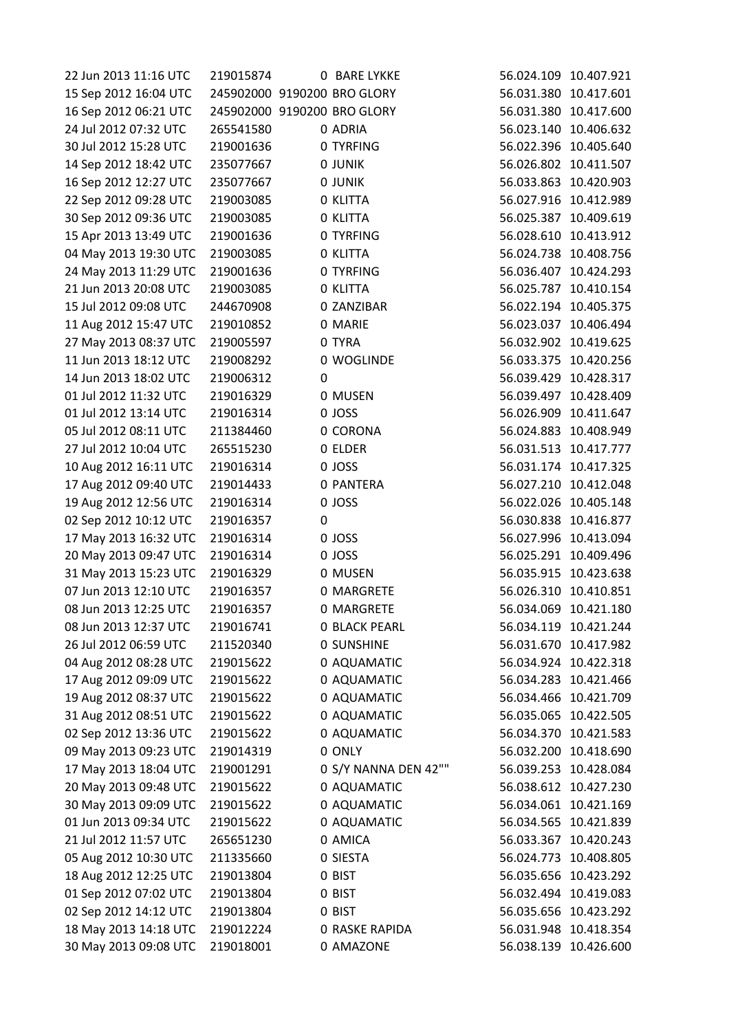| 22 Jun 2013 11:16 UTC | 219015874 |   | <b>0 BARE LYKKE</b>         |            | 56.024.109 10.407.921 |
|-----------------------|-----------|---|-----------------------------|------------|-----------------------|
| 15 Sep 2012 16:04 UTC |           |   | 245902000 9190200 BRO GLORY |            | 56.031.380 10.417.601 |
| 16 Sep 2012 06:21 UTC |           |   | 245902000 9190200 BRO GLORY |            | 56.031.380 10.417.600 |
| 24 Jul 2012 07:32 UTC | 265541580 |   | 0 ADRIA                     |            | 56.023.140 10.406.632 |
| 30 Jul 2012 15:28 UTC | 219001636 |   | 0 TYRFING                   |            | 56.022.396 10.405.640 |
| 14 Sep 2012 18:42 UTC | 235077667 |   | 0 JUNIK                     |            | 56.026.802 10.411.507 |
| 16 Sep 2012 12:27 UTC | 235077667 |   | 0 JUNIK                     |            | 56.033.863 10.420.903 |
| 22 Sep 2012 09:28 UTC | 219003085 |   | 0 KLITTA                    |            | 56.027.916 10.412.989 |
| 30 Sep 2012 09:36 UTC | 219003085 |   | 0 KLITTA                    | 56.025.387 | 10.409.619            |
| 15 Apr 2013 13:49 UTC | 219001636 |   | 0 TYRFING                   |            | 56.028.610 10.413.912 |
| 04 May 2013 19:30 UTC | 219003085 |   | 0 KLITTA                    |            | 56.024.738 10.408.756 |
| 24 May 2013 11:29 UTC | 219001636 |   | 0 TYRFING                   |            | 56.036.407 10.424.293 |
| 21 Jun 2013 20:08 UTC | 219003085 |   | 0 KLITTA                    |            | 56.025.787 10.410.154 |
| 15 Jul 2012 09:08 UTC | 244670908 |   | 0 ZANZIBAR                  | 56.022.194 | 10.405.375            |
| 11 Aug 2012 15:47 UTC | 219010852 |   | 0 MARIE                     |            | 56.023.037 10.406.494 |
| 27 May 2013 08:37 UTC | 219005597 |   | 0 TYRA                      |            | 56.032.902 10.419.625 |
| 11 Jun 2013 18:12 UTC | 219008292 |   | 0 WOGLINDE                  |            | 56.033.375 10.420.256 |
| 14 Jun 2013 18:02 UTC | 219006312 | 0 |                             | 56.039.429 | 10.428.317            |
| 01 Jul 2012 11:32 UTC | 219016329 |   | 0 MUSEN                     | 56.039.497 | 10.428.409            |
| 01 Jul 2012 13:14 UTC | 219016314 |   | 0 JOSS                      |            | 56.026.909 10.411.647 |
| 05 Jul 2012 08:11 UTC | 211384460 |   | 0 CORONA                    |            | 56.024.883 10.408.949 |
| 27 Jul 2012 10:04 UTC | 265515230 |   | 0 ELDER                     |            | 56.031.513 10.417.777 |
| 10 Aug 2012 16:11 UTC | 219016314 |   | 0 JOSS                      |            | 56.031.174 10.417.325 |
| 17 Aug 2012 09:40 UTC | 219014433 |   | 0 PANTERA                   |            | 56.027.210 10.412.048 |
| 19 Aug 2012 12:56 UTC | 219016314 |   | 0 JOSS                      |            | 56.022.026 10.405.148 |
| 02 Sep 2012 10:12 UTC | 219016357 | 0 |                             |            | 56.030.838 10.416.877 |
| 17 May 2013 16:32 UTC | 219016314 |   | 0 JOSS                      |            | 56.027.996 10.413.094 |
| 20 May 2013 09:47 UTC | 219016314 |   | 0 JOSS                      |            | 56.025.291 10.409.496 |
| 31 May 2013 15:23 UTC | 219016329 |   | 0 MUSEN                     |            | 56.035.915 10.423.638 |
| 07 Jun 2013 12:10 UTC | 219016357 |   | 0 MARGRETE                  |            | 56.026.310 10.410.851 |
| 08 Jun 2013 12:25 UTC | 219016357 |   | 0 MARGRETE                  |            | 56.034.069 10.421.180 |
| 08 Jun 2013 12:37 UTC | 219016741 |   | <b>0 BLACK PEARL</b>        |            | 56.034.119 10.421.244 |
| 26 Jul 2012 06:59 UTC | 211520340 |   | <b>0 SUNSHINE</b>           |            | 56.031.670 10.417.982 |
| 04 Aug 2012 08:28 UTC | 219015622 |   | 0 AQUAMATIC                 |            | 56.034.924 10.422.318 |
| 17 Aug 2012 09:09 UTC | 219015622 |   | 0 AQUAMATIC                 |            | 56.034.283 10.421.466 |
| 19 Aug 2012 08:37 UTC | 219015622 |   | 0 AQUAMATIC                 |            | 56.034.466 10.421.709 |
| 31 Aug 2012 08:51 UTC | 219015622 |   | 0 AQUAMATIC                 |            | 56.035.065 10.422.505 |
| 02 Sep 2012 13:36 UTC | 219015622 |   | 0 AQUAMATIC                 |            | 56.034.370 10.421.583 |
| 09 May 2013 09:23 UTC | 219014319 |   | 0 ONLY                      |            | 56.032.200 10.418.690 |
| 17 May 2013 18:04 UTC | 219001291 |   | 0 S/Y NANNA DEN 42""        | 56.039.253 | 10.428.084            |
| 20 May 2013 09:48 UTC | 219015622 |   | 0 AQUAMATIC                 |            | 56.038.612 10.427.230 |
| 30 May 2013 09:09 UTC | 219015622 |   | 0 AQUAMATIC                 |            | 56.034.061 10.421.169 |
| 01 Jun 2013 09:34 UTC | 219015622 |   | 0 AQUAMATIC                 | 56.034.565 | 10.421.839            |
| 21 Jul 2012 11:57 UTC | 265651230 |   | 0 AMICA                     | 56.033.367 | 10.420.243            |
| 05 Aug 2012 10:30 UTC | 211335660 |   | 0 SIESTA                    | 56.024.773 | 10.408.805            |
| 18 Aug 2012 12:25 UTC | 219013804 |   | 0 BIST                      |            | 56.035.656 10.423.292 |
| 01 Sep 2012 07:02 UTC | 219013804 |   | 0 BIST                      |            | 56.032.494 10.419.083 |
| 02 Sep 2012 14:12 UTC | 219013804 |   | 0 BIST                      |            | 56.035.656 10.423.292 |
| 18 May 2013 14:18 UTC | 219012224 |   | <b>0 RASKE RAPIDA</b>       |            | 56.031.948 10.418.354 |
| 30 May 2013 09:08 UTC | 219018001 |   | 0 AMAZONE                   |            | 56.038.139 10.426.600 |
|                       |           |   |                             |            |                       |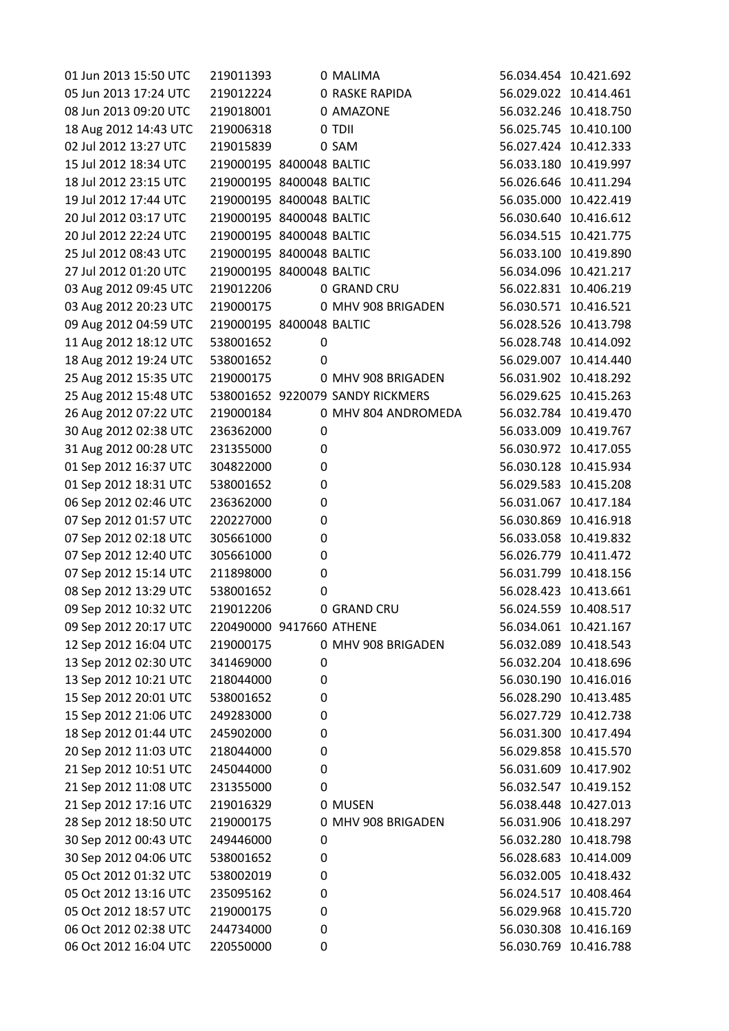| 01 Jun 2013 15:50 UTC | 219011393                |   | 0 MALIMA                         | 56.034.454 10.421.692 |            |
|-----------------------|--------------------------|---|----------------------------------|-----------------------|------------|
| 05 Jun 2013 17:24 UTC | 219012224                |   | <b>0 RASKE RAPIDA</b>            | 56.029.022 10.414.461 |            |
| 08 Jun 2013 09:20 UTC | 219018001                |   | 0 AMAZONE                        | 56.032.246 10.418.750 |            |
| 18 Aug 2012 14:43 UTC | 219006318                |   | 0 TDII                           | 56.025.745 10.410.100 |            |
| 02 Jul 2012 13:27 UTC | 219015839                |   | 0 SAM                            | 56.027.424            | 10.412.333 |
| 15 Jul 2012 18:34 UTC | 219000195 8400048 BALTIC |   |                                  | 56.033.180 10.419.997 |            |
| 18 Jul 2012 23:15 UTC | 219000195 8400048 BALTIC |   |                                  | 56.026.646 10.411.294 |            |
| 19 Jul 2012 17:44 UTC | 219000195 8400048 BALTIC |   |                                  | 56.035.000 10.422.419 |            |
| 20 Jul 2012 03:17 UTC | 219000195 8400048 BALTIC |   |                                  | 56.030.640 10.416.612 |            |
| 20 Jul 2012 22:24 UTC | 219000195 8400048 BALTIC |   |                                  | 56.034.515            | 10.421.775 |
| 25 Jul 2012 08:43 UTC | 219000195 8400048 BALTIC |   |                                  | 56.033.100 10.419.890 |            |
| 27 Jul 2012 01:20 UTC | 219000195 8400048 BALTIC |   |                                  | 56.034.096 10.421.217 |            |
| 03 Aug 2012 09:45 UTC | 219012206                |   | 0 GRAND CRU                      | 56.022.831 10.406.219 |            |
| 03 Aug 2012 20:23 UTC | 219000175                |   | 0 MHV 908 BRIGADEN               | 56.030.571            | 10.416.521 |
| 09 Aug 2012 04:59 UTC | 219000195 8400048 BALTIC |   |                                  | 56.028.526 10.413.798 |            |
| 11 Aug 2012 18:12 UTC | 538001652                | 0 |                                  | 56.028.748 10.414.092 |            |
| 18 Aug 2012 19:24 UTC | 538001652                | 0 |                                  | 56.029.007            | 10.414.440 |
| 25 Aug 2012 15:35 UTC | 219000175                |   | 0 MHV 908 BRIGADEN               | 56.031.902 10.418.292 |            |
| 25 Aug 2012 15:48 UTC |                          |   | 538001652 9220079 SANDY RICKMERS | 56.029.625            | 10.415.263 |
| 26 Aug 2012 07:22 UTC | 219000184                |   | 0 MHV 804 ANDROMEDA              | 56.032.784 10.419.470 |            |
| 30 Aug 2012 02:38 UTC | 236362000                | 0 |                                  | 56.033.009            | 10.419.767 |
| 31 Aug 2012 00:28 UTC | 231355000                | 0 |                                  | 56.030.972 10.417.055 |            |
| 01 Sep 2012 16:37 UTC | 304822000                | 0 |                                  | 56.030.128 10.415.934 |            |
| 01 Sep 2012 18:31 UTC | 538001652                | 0 |                                  | 56.029.583            | 10.415.208 |
| 06 Sep 2012 02:46 UTC | 236362000                | 0 |                                  | 56.031.067 10.417.184 |            |
| 07 Sep 2012 01:57 UTC | 220227000                | 0 |                                  | 56.030.869            | 10.416.918 |
| 07 Sep 2012 02:18 UTC | 305661000                | 0 |                                  | 56.033.058 10.419.832 |            |
| 07 Sep 2012 12:40 UTC | 305661000                | 0 |                                  | 56.026.779            | 10.411.472 |
| 07 Sep 2012 15:14 UTC | 211898000                | 0 |                                  | 56.031.799            | 10.418.156 |
| 08 Sep 2012 13:29 UTC | 538001652                | 0 |                                  | 56.028.423 10.413.661 |            |
| 09 Sep 2012 10:32 UTC | 219012206                |   | 0 GRAND CRU                      | 56.024.559 10.408.517 |            |
| 09 Sep 2012 20:17 UTC | 220490000 9417660 ATHENE |   |                                  | 56.034.061 10.421.167 |            |
| 12 Sep 2012 16:04 UTC | 219000175                |   | 0 MHV 908 BRIGADEN               | 56.032.089 10.418.543 |            |
| 13 Sep 2012 02:30 UTC | 341469000                | 0 |                                  | 56.032.204 10.418.696 |            |
| 13 Sep 2012 10:21 UTC | 218044000                | 0 |                                  | 56.030.190 10.416.016 |            |
| 15 Sep 2012 20:01 UTC | 538001652                | 0 |                                  | 56.028.290            | 10.413.485 |
| 15 Sep 2012 21:06 UTC | 249283000                | 0 |                                  | 56.027.729 10.412.738 |            |
| 18 Sep 2012 01:44 UTC | 245902000                | 0 |                                  | 56.031.300            | 10.417.494 |
| 20 Sep 2012 11:03 UTC | 218044000                | 0 |                                  | 56.029.858 10.415.570 |            |
| 21 Sep 2012 10:51 UTC | 245044000                | 0 |                                  | 56.031.609            | 10.417.902 |
| 21 Sep 2012 11:08 UTC | 231355000                | 0 |                                  | 56.032.547            | 10.419.152 |
| 21 Sep 2012 17:16 UTC | 219016329                |   | 0 MUSEN                          | 56.038.448 10.427.013 |            |
| 28 Sep 2012 18:50 UTC | 219000175                |   | 0 MHV 908 BRIGADEN               | 56.031.906            | 10.418.297 |
| 30 Sep 2012 00:43 UTC | 249446000                | 0 |                                  | 56.032.280 10.418.798 |            |
| 30 Sep 2012 04:06 UTC | 538001652                | 0 |                                  | 56.028.683            | 10.414.009 |
| 05 Oct 2012 01:32 UTC | 538002019                | 0 |                                  | 56.032.005            | 10.418.432 |
| 05 Oct 2012 13:16 UTC | 235095162                | 0 |                                  | 56.024.517            | 10.408.464 |
| 05 Oct 2012 18:57 UTC | 219000175                | 0 |                                  | 56.029.968            | 10.415.720 |
| 06 Oct 2012 02:38 UTC | 244734000                | 0 |                                  | 56.030.308 10.416.169 |            |
| 06 Oct 2012 16:04 UTC | 220550000                | 0 |                                  | 56.030.769 10.416.788 |            |
|                       |                          |   |                                  |                       |            |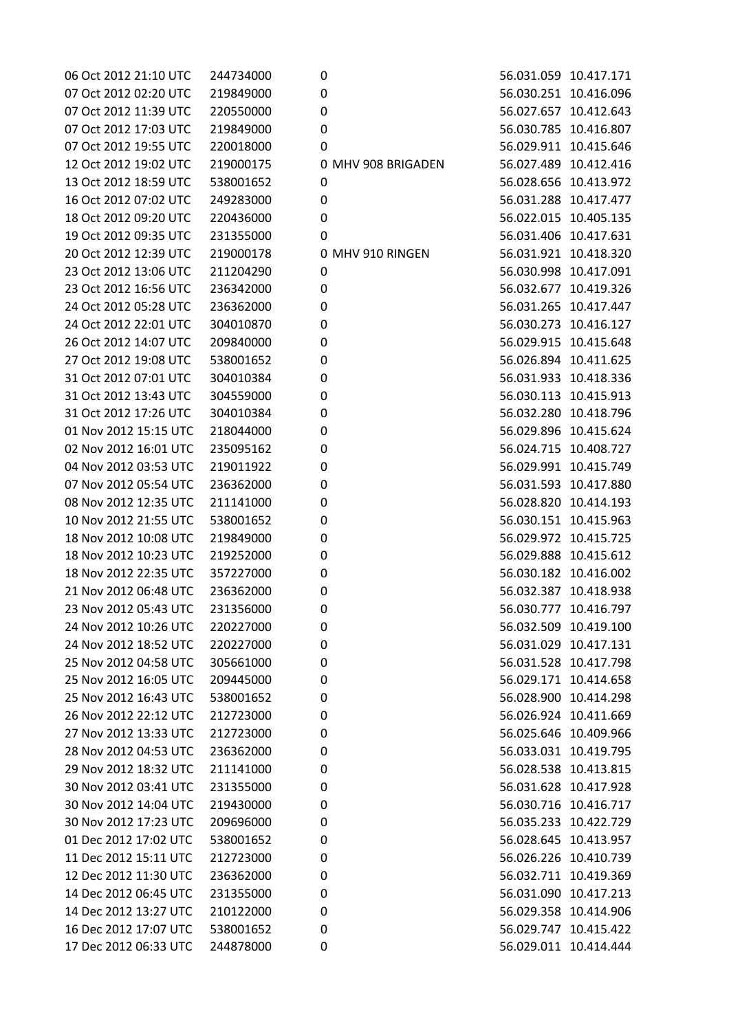| 06 Oct 2012 21:10 UTC | 244734000 | 0 |                    |            | 56.031.059 10.417.171 |
|-----------------------|-----------|---|--------------------|------------|-----------------------|
| 07 Oct 2012 02:20 UTC | 219849000 | 0 |                    |            | 56.030.251 10.416.096 |
| 07 Oct 2012 11:39 UTC | 220550000 | 0 |                    |            | 56.027.657 10.412.643 |
| 07 Oct 2012 17:03 UTC | 219849000 | 0 |                    |            | 56.030.785 10.416.807 |
| 07 Oct 2012 19:55 UTC | 220018000 | 0 |                    |            | 56.029.911 10.415.646 |
| 12 Oct 2012 19:02 UTC | 219000175 |   | 0 MHV 908 BRIGADEN |            | 56.027.489 10.412.416 |
| 13 Oct 2012 18:59 UTC | 538001652 | 0 |                    |            | 56.028.656 10.413.972 |
| 16 Oct 2012 07:02 UTC | 249283000 | 0 |                    |            | 56.031.288 10.417.477 |
| 18 Oct 2012 09:20 UTC | 220436000 | 0 |                    |            | 56.022.015 10.405.135 |
| 19 Oct 2012 09:35 UTC | 231355000 | 0 |                    |            | 56.031.406 10.417.631 |
| 20 Oct 2012 12:39 UTC | 219000178 |   | 0 MHV 910 RINGEN   |            | 56.031.921 10.418.320 |
| 23 Oct 2012 13:06 UTC | 211204290 | 0 |                    |            | 56.030.998 10.417.091 |
| 23 Oct 2012 16:56 UTC | 236342000 | 0 |                    |            | 56.032.677 10.419.326 |
| 24 Oct 2012 05:28 UTC | 236362000 | 0 |                    | 56.031.265 | 10.417.447            |
| 24 Oct 2012 22:01 UTC | 304010870 | 0 |                    |            | 56.030.273 10.416.127 |
| 26 Oct 2012 14:07 UTC | 209840000 | 0 |                    |            | 56.029.915 10.415.648 |
| 27 Oct 2012 19:08 UTC | 538001652 | 0 |                    |            | 56.026.894 10.411.625 |
| 31 Oct 2012 07:01 UTC | 304010384 | 0 |                    |            | 56.031.933 10.418.336 |
| 31 Oct 2012 13:43 UTC | 304559000 | 0 |                    | 56.030.113 | 10.415.913            |
| 31 Oct 2012 17:26 UTC | 304010384 | 0 |                    |            | 56.032.280 10.418.796 |
| 01 Nov 2012 15:15 UTC | 218044000 | 0 |                    |            | 56.029.896 10.415.624 |
| 02 Nov 2012 16:01 UTC | 235095162 | 0 |                    |            | 56.024.715 10.408.727 |
| 04 Nov 2012 03:53 UTC | 219011922 | 0 |                    |            | 56.029.991 10.415.749 |
| 07 Nov 2012 05:54 UTC | 236362000 | 0 |                    |            | 56.031.593 10.417.880 |
| 08 Nov 2012 12:35 UTC | 211141000 | 0 |                    |            | 56.028.820 10.414.193 |
| 10 Nov 2012 21:55 UTC | 538001652 | 0 |                    |            | 56.030.151 10.415.963 |
| 18 Nov 2012 10:08 UTC | 219849000 | 0 |                    |            | 56.029.972 10.415.725 |
| 18 Nov 2012 10:23 UTC | 219252000 | 0 |                    | 56.029.888 | 10.415.612            |
| 18 Nov 2012 22:35 UTC | 357227000 | 0 |                    |            | 56.030.182 10.416.002 |
| 21 Nov 2012 06:48 UTC | 236362000 | 0 |                    |            | 56.032.387 10.418.938 |
| 23 Nov 2012 05:43 UTC | 231356000 | 0 |                    |            | 56.030.777 10.416.797 |
| 24 Nov 2012 10:26 UTC | 220227000 | 0 |                    |            | 56.032.509 10.419.100 |
| 24 Nov 2012 18:52 UTC | 220227000 | 0 |                    |            | 56.031.029 10.417.131 |
| 25 Nov 2012 04:58 UTC | 305661000 | 0 |                    |            | 56.031.528 10.417.798 |
| 25 Nov 2012 16:05 UTC | 209445000 | 0 |                    |            | 56.029.171 10.414.658 |
| 25 Nov 2012 16:43 UTC | 538001652 | 0 |                    |            | 56.028.900 10.414.298 |
| 26 Nov 2012 22:12 UTC | 212723000 | 0 |                    |            | 56.026.924 10.411.669 |
| 27 Nov 2012 13:33 UTC | 212723000 | 0 |                    |            | 56.025.646 10.409.966 |
| 28 Nov 2012 04:53 UTC | 236362000 | 0 |                    |            | 56.033.031 10.419.795 |
| 29 Nov 2012 18:32 UTC | 211141000 | 0 |                    |            | 56.028.538 10.413.815 |
| 30 Nov 2012 03:41 UTC | 231355000 | 0 |                    |            | 56.031.628 10.417.928 |
| 30 Nov 2012 14:04 UTC | 219430000 | 0 |                    |            | 56.030.716 10.416.717 |
| 30 Nov 2012 17:23 UTC | 209696000 | 0 |                    |            | 56.035.233 10.422.729 |
| 01 Dec 2012 17:02 UTC | 538001652 | 0 |                    |            | 56.028.645 10.413.957 |
| 11 Dec 2012 15:11 UTC | 212723000 | 0 |                    |            | 56.026.226 10.410.739 |
| 12 Dec 2012 11:30 UTC | 236362000 | 0 |                    |            | 56.032.711 10.419.369 |
| 14 Dec 2012 06:45 UTC | 231355000 | 0 |                    |            | 56.031.090 10.417.213 |
| 14 Dec 2012 13:27 UTC | 210122000 | 0 |                    |            | 56.029.358 10.414.906 |
| 16 Dec 2012 17:07 UTC | 538001652 | 0 |                    |            | 56.029.747 10.415.422 |
| 17 Dec 2012 06:33 UTC | 244878000 | 0 |                    |            | 56.029.011 10.414.444 |
|                       |           |   |                    |            |                       |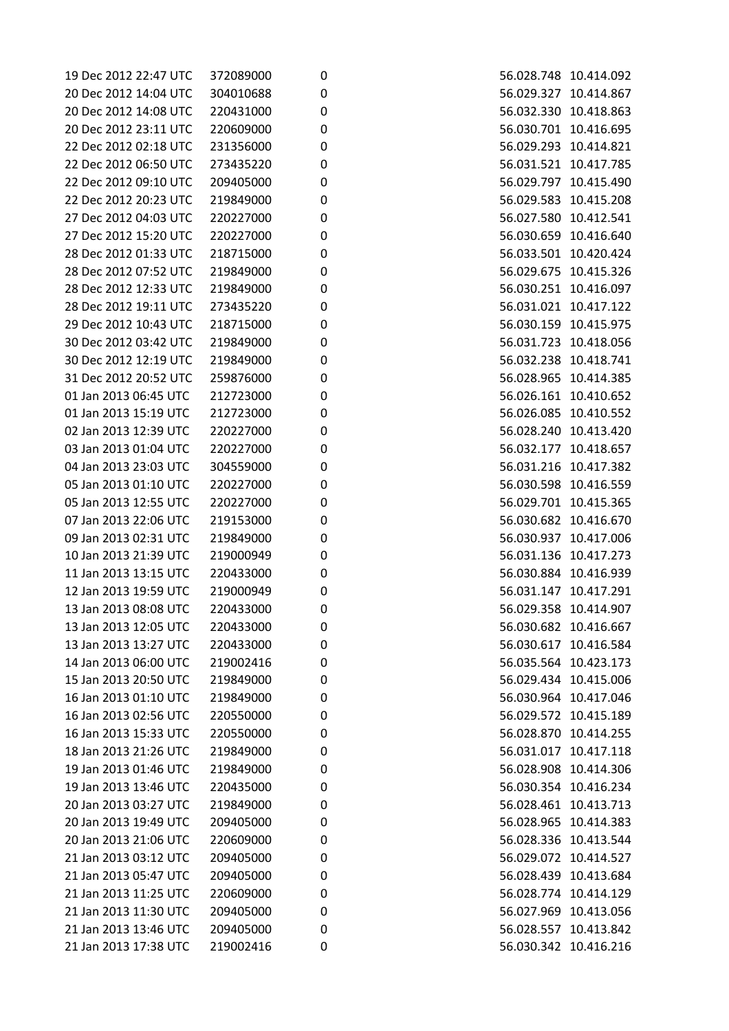| 19 Dec 2012 22:47 UTC | 372089000 | 0           | 56.028.748 10.414.092 |  |
|-----------------------|-----------|-------------|-----------------------|--|
| 20 Dec 2012 14:04 UTC | 304010688 | 0           | 56.029.327 10.414.867 |  |
| 20 Dec 2012 14:08 UTC | 220431000 | 0           | 56.032.330 10.418.863 |  |
| 20 Dec 2012 23:11 UTC | 220609000 |             | 56.030.701 10.416.695 |  |
| 22 Dec 2012 02:18 UTC | 231356000 | 0<br>0      | 56.029.293 10.414.821 |  |
| 22 Dec 2012 06:50 UTC |           | 0           | 56.031.521 10.417.785 |  |
|                       | 273435220 |             |                       |  |
| 22 Dec 2012 09:10 UTC | 209405000 | $\pmb{0}$   | 56.029.797 10.415.490 |  |
| 22 Dec 2012 20:23 UTC | 219849000 | 0           | 56.029.583 10.415.208 |  |
| 27 Dec 2012 04:03 UTC | 220227000 | 0           | 56.027.580 10.412.541 |  |
| 27 Dec 2012 15:20 UTC | 220227000 | 0           | 56.030.659 10.416.640 |  |
| 28 Dec 2012 01:33 UTC | 218715000 | 0           | 56.033.501 10.420.424 |  |
| 28 Dec 2012 07:52 UTC | 219849000 | 0           | 56.029.675 10.415.326 |  |
| 28 Dec 2012 12:33 UTC | 219849000 | 0           | 56.030.251 10.416.097 |  |
| 28 Dec 2012 19:11 UTC | 273435220 | 0           | 56.031.021 10.417.122 |  |
| 29 Dec 2012 10:43 UTC | 218715000 | 0           | 56.030.159 10.415.975 |  |
| 30 Dec 2012 03:42 UTC | 219849000 | 0           | 56.031.723 10.418.056 |  |
| 30 Dec 2012 12:19 UTC | 219849000 | 0           | 56.032.238 10.418.741 |  |
| 31 Dec 2012 20:52 UTC | 259876000 | 0           | 56.028.965 10.414.385 |  |
| 01 Jan 2013 06:45 UTC | 212723000 | 0           | 56.026.161 10.410.652 |  |
| 01 Jan 2013 15:19 UTC | 212723000 | $\mathbf 0$ | 56.026.085 10.410.552 |  |
| 02 Jan 2013 12:39 UTC | 220227000 | 0           | 56.028.240 10.413.420 |  |
| 03 Jan 2013 01:04 UTC | 220227000 | 0           | 56.032.177 10.418.657 |  |
| 04 Jan 2013 23:03 UTC | 304559000 | 0           | 56.031.216 10.417.382 |  |
| 05 Jan 2013 01:10 UTC | 220227000 | 0           | 56.030.598 10.416.559 |  |
| 05 Jan 2013 12:55 UTC | 220227000 | 0           | 56.029.701 10.415.365 |  |
| 07 Jan 2013 22:06 UTC | 219153000 | 0           | 56.030.682 10.416.670 |  |
| 09 Jan 2013 02:31 UTC | 219849000 | 0           | 56.030.937 10.417.006 |  |
| 10 Jan 2013 21:39 UTC | 219000949 | 0           | 56.031.136 10.417.273 |  |
| 11 Jan 2013 13:15 UTC | 220433000 | 0           | 56.030.884 10.416.939 |  |
| 12 Jan 2013 19:59 UTC | 219000949 | 0           | 56.031.147 10.417.291 |  |
| 13 Jan 2013 08:08 UTC | 220433000 | 0           | 56.029.358 10.414.907 |  |
| 13 Jan 2013 12:05 UTC | 220433000 | 0           | 56.030.682 10.416.667 |  |
| 13 Jan 2013 13:27 UTC | 220433000 | 0           | 56.030.617 10.416.584 |  |
| 14 Jan 2013 06:00 UTC | 219002416 | 0           | 56.035.564 10.423.173 |  |
| 15 Jan 2013 20:50 UTC | 219849000 | 0           | 56.029.434 10.415.006 |  |
| 16 Jan 2013 01:10 UTC | 219849000 | 0           | 56.030.964 10.417.046 |  |
| 16 Jan 2013 02:56 UTC | 220550000 | 0           | 56.029.572 10.415.189 |  |
| 16 Jan 2013 15:33 UTC | 220550000 | 0           | 56.028.870 10.414.255 |  |
| 18 Jan 2013 21:26 UTC | 219849000 | 0           | 56.031.017 10.417.118 |  |
| 19 Jan 2013 01:46 UTC | 219849000 | 0           | 56.028.908 10.414.306 |  |
| 19 Jan 2013 13:46 UTC | 220435000 | 0           | 56.030.354 10.416.234 |  |
| 20 Jan 2013 03:27 UTC | 219849000 | 0           | 56.028.461 10.413.713 |  |
| 20 Jan 2013 19:49 UTC | 209405000 | 0           | 56.028.965 10.414.383 |  |
| 20 Jan 2013 21:06 UTC | 220609000 | 0           | 56.028.336 10.413.544 |  |
| 21 Jan 2013 03:12 UTC | 209405000 | 0           | 56.029.072 10.414.527 |  |
| 21 Jan 2013 05:47 UTC | 209405000 | 0           | 56.028.439 10.413.684 |  |
| 21 Jan 2013 11:25 UTC | 220609000 |             | 56.028.774 10.414.129 |  |
|                       |           | 0           |                       |  |
| 21 Jan 2013 11:30 UTC | 209405000 | 0           | 56.027.969 10.413.056 |  |
| 21 Jan 2013 13:46 UTC | 209405000 | 0           | 56.028.557 10.413.842 |  |
| 21 Jan 2013 17:38 UTC | 219002416 | 0           | 56.030.342 10.416.216 |  |

| 56.029.327<br>10.414.867<br>56.032.330<br>10.418.863<br>56.030.701<br>10.416.695<br>10.414.821<br>56.029.293<br>56.031.521<br>10.417.785<br>56.029.797<br>10.415.490<br>56.029.583<br>10.415.208<br>56.027.580<br>10.412.541<br>56.030.659<br>10.416.640<br>56.033.501<br>10.420.424<br>10.415.326<br>56.029.675<br>56.030.251<br>10.416.097<br>56.031.021<br>10.417.122<br>56.030.159<br>10.415.975<br>56.031.723<br>10.418.056<br>10.418.741<br>56.032.238<br>56.028.965<br>10.414.385<br>10.410.652<br>56.026.161<br>56.026.085<br>10.410.552<br>56.028.240<br>10.413.420<br>56.032.177<br>10.418.657<br>10.417.382<br>56.031.216<br>56.030.598<br>10.416.559<br>56.029.701<br>10.415.365<br>56.030.682<br>10.416.670<br>56.030.937<br>10.417.006<br>10.417.273<br>56.031.136<br>10.416.939<br>56.030.884<br>10.417.291<br>56.031.147<br>56.029.358<br>10.414.907<br>56.030.682<br>10.416.667<br>56.030.617<br>10.416.584<br>56.035.564<br>10.423.173<br>10.415.006<br>56.029.434<br>56.030.964<br>10.417.046<br>56.029.572<br>10.415.189<br>56.028.870<br>10.414.255<br>56.031.017<br>10.417.118<br>56.028.908<br>10.414.306<br>56.030.354<br>10.416.234<br>56.028.461<br>10.413.713<br>10.414.383<br>56.028.965<br>56.028.336<br>10.413.544<br>56.029.072<br>10.414.527<br>56.028.439<br>10.413.684<br>56.028.774<br>10.414.129<br>56.027.969<br>10.413.056<br>56.028.557<br>10.413.842<br>56.030.342<br>10.416.216 | 56.028.748 | 10.414.092 |
|--------------------------------------------------------------------------------------------------------------------------------------------------------------------------------------------------------------------------------------------------------------------------------------------------------------------------------------------------------------------------------------------------------------------------------------------------------------------------------------------------------------------------------------------------------------------------------------------------------------------------------------------------------------------------------------------------------------------------------------------------------------------------------------------------------------------------------------------------------------------------------------------------------------------------------------------------------------------------------------------------------------------------------------------------------------------------------------------------------------------------------------------------------------------------------------------------------------------------------------------------------------------------------------------------------------------------------------------------------------------------------------------------------------------------|------------|------------|
|                                                                                                                                                                                                                                                                                                                                                                                                                                                                                                                                                                                                                                                                                                                                                                                                                                                                                                                                                                                                                                                                                                                                                                                                                                                                                                                                                                                                                          |            |            |
|                                                                                                                                                                                                                                                                                                                                                                                                                                                                                                                                                                                                                                                                                                                                                                                                                                                                                                                                                                                                                                                                                                                                                                                                                                                                                                                                                                                                                          |            |            |
|                                                                                                                                                                                                                                                                                                                                                                                                                                                                                                                                                                                                                                                                                                                                                                                                                                                                                                                                                                                                                                                                                                                                                                                                                                                                                                                                                                                                                          |            |            |
|                                                                                                                                                                                                                                                                                                                                                                                                                                                                                                                                                                                                                                                                                                                                                                                                                                                                                                                                                                                                                                                                                                                                                                                                                                                                                                                                                                                                                          |            |            |
|                                                                                                                                                                                                                                                                                                                                                                                                                                                                                                                                                                                                                                                                                                                                                                                                                                                                                                                                                                                                                                                                                                                                                                                                                                                                                                                                                                                                                          |            |            |
|                                                                                                                                                                                                                                                                                                                                                                                                                                                                                                                                                                                                                                                                                                                                                                                                                                                                                                                                                                                                                                                                                                                                                                                                                                                                                                                                                                                                                          |            |            |
|                                                                                                                                                                                                                                                                                                                                                                                                                                                                                                                                                                                                                                                                                                                                                                                                                                                                                                                                                                                                                                                                                                                                                                                                                                                                                                                                                                                                                          |            |            |
|                                                                                                                                                                                                                                                                                                                                                                                                                                                                                                                                                                                                                                                                                                                                                                                                                                                                                                                                                                                                                                                                                                                                                                                                                                                                                                                                                                                                                          |            |            |
|                                                                                                                                                                                                                                                                                                                                                                                                                                                                                                                                                                                                                                                                                                                                                                                                                                                                                                                                                                                                                                                                                                                                                                                                                                                                                                                                                                                                                          |            |            |
|                                                                                                                                                                                                                                                                                                                                                                                                                                                                                                                                                                                                                                                                                                                                                                                                                                                                                                                                                                                                                                                                                                                                                                                                                                                                                                                                                                                                                          |            |            |
|                                                                                                                                                                                                                                                                                                                                                                                                                                                                                                                                                                                                                                                                                                                                                                                                                                                                                                                                                                                                                                                                                                                                                                                                                                                                                                                                                                                                                          |            |            |
|                                                                                                                                                                                                                                                                                                                                                                                                                                                                                                                                                                                                                                                                                                                                                                                                                                                                                                                                                                                                                                                                                                                                                                                                                                                                                                                                                                                                                          |            |            |
|                                                                                                                                                                                                                                                                                                                                                                                                                                                                                                                                                                                                                                                                                                                                                                                                                                                                                                                                                                                                                                                                                                                                                                                                                                                                                                                                                                                                                          |            |            |
|                                                                                                                                                                                                                                                                                                                                                                                                                                                                                                                                                                                                                                                                                                                                                                                                                                                                                                                                                                                                                                                                                                                                                                                                                                                                                                                                                                                                                          |            |            |
|                                                                                                                                                                                                                                                                                                                                                                                                                                                                                                                                                                                                                                                                                                                                                                                                                                                                                                                                                                                                                                                                                                                                                                                                                                                                                                                                                                                                                          |            |            |
|                                                                                                                                                                                                                                                                                                                                                                                                                                                                                                                                                                                                                                                                                                                                                                                                                                                                                                                                                                                                                                                                                                                                                                                                                                                                                                                                                                                                                          |            |            |
|                                                                                                                                                                                                                                                                                                                                                                                                                                                                                                                                                                                                                                                                                                                                                                                                                                                                                                                                                                                                                                                                                                                                                                                                                                                                                                                                                                                                                          |            |            |
|                                                                                                                                                                                                                                                                                                                                                                                                                                                                                                                                                                                                                                                                                                                                                                                                                                                                                                                                                                                                                                                                                                                                                                                                                                                                                                                                                                                                                          |            |            |
|                                                                                                                                                                                                                                                                                                                                                                                                                                                                                                                                                                                                                                                                                                                                                                                                                                                                                                                                                                                                                                                                                                                                                                                                                                                                                                                                                                                                                          |            |            |
|                                                                                                                                                                                                                                                                                                                                                                                                                                                                                                                                                                                                                                                                                                                                                                                                                                                                                                                                                                                                                                                                                                                                                                                                                                                                                                                                                                                                                          |            |            |
|                                                                                                                                                                                                                                                                                                                                                                                                                                                                                                                                                                                                                                                                                                                                                                                                                                                                                                                                                                                                                                                                                                                                                                                                                                                                                                                                                                                                                          |            |            |
|                                                                                                                                                                                                                                                                                                                                                                                                                                                                                                                                                                                                                                                                                                                                                                                                                                                                                                                                                                                                                                                                                                                                                                                                                                                                                                                                                                                                                          |            |            |
|                                                                                                                                                                                                                                                                                                                                                                                                                                                                                                                                                                                                                                                                                                                                                                                                                                                                                                                                                                                                                                                                                                                                                                                                                                                                                                                                                                                                                          |            |            |
|                                                                                                                                                                                                                                                                                                                                                                                                                                                                                                                                                                                                                                                                                                                                                                                                                                                                                                                                                                                                                                                                                                                                                                                                                                                                                                                                                                                                                          |            |            |
|                                                                                                                                                                                                                                                                                                                                                                                                                                                                                                                                                                                                                                                                                                                                                                                                                                                                                                                                                                                                                                                                                                                                                                                                                                                                                                                                                                                                                          |            |            |
|                                                                                                                                                                                                                                                                                                                                                                                                                                                                                                                                                                                                                                                                                                                                                                                                                                                                                                                                                                                                                                                                                                                                                                                                                                                                                                                                                                                                                          |            |            |
|                                                                                                                                                                                                                                                                                                                                                                                                                                                                                                                                                                                                                                                                                                                                                                                                                                                                                                                                                                                                                                                                                                                                                                                                                                                                                                                                                                                                                          |            |            |
|                                                                                                                                                                                                                                                                                                                                                                                                                                                                                                                                                                                                                                                                                                                                                                                                                                                                                                                                                                                                                                                                                                                                                                                                                                                                                                                                                                                                                          |            |            |
|                                                                                                                                                                                                                                                                                                                                                                                                                                                                                                                                                                                                                                                                                                                                                                                                                                                                                                                                                                                                                                                                                                                                                                                                                                                                                                                                                                                                                          |            |            |
|                                                                                                                                                                                                                                                                                                                                                                                                                                                                                                                                                                                                                                                                                                                                                                                                                                                                                                                                                                                                                                                                                                                                                                                                                                                                                                                                                                                                                          |            |            |
|                                                                                                                                                                                                                                                                                                                                                                                                                                                                                                                                                                                                                                                                                                                                                                                                                                                                                                                                                                                                                                                                                                                                                                                                                                                                                                                                                                                                                          |            |            |
|                                                                                                                                                                                                                                                                                                                                                                                                                                                                                                                                                                                                                                                                                                                                                                                                                                                                                                                                                                                                                                                                                                                                                                                                                                                                                                                                                                                                                          |            |            |
|                                                                                                                                                                                                                                                                                                                                                                                                                                                                                                                                                                                                                                                                                                                                                                                                                                                                                                                                                                                                                                                                                                                                                                                                                                                                                                                                                                                                                          |            |            |
|                                                                                                                                                                                                                                                                                                                                                                                                                                                                                                                                                                                                                                                                                                                                                                                                                                                                                                                                                                                                                                                                                                                                                                                                                                                                                                                                                                                                                          |            |            |
|                                                                                                                                                                                                                                                                                                                                                                                                                                                                                                                                                                                                                                                                                                                                                                                                                                                                                                                                                                                                                                                                                                                                                                                                                                                                                                                                                                                                                          |            |            |
|                                                                                                                                                                                                                                                                                                                                                                                                                                                                                                                                                                                                                                                                                                                                                                                                                                                                                                                                                                                                                                                                                                                                                                                                                                                                                                                                                                                                                          |            |            |
|                                                                                                                                                                                                                                                                                                                                                                                                                                                                                                                                                                                                                                                                                                                                                                                                                                                                                                                                                                                                                                                                                                                                                                                                                                                                                                                                                                                                                          |            |            |
|                                                                                                                                                                                                                                                                                                                                                                                                                                                                                                                                                                                                                                                                                                                                                                                                                                                                                                                                                                                                                                                                                                                                                                                                                                                                                                                                                                                                                          |            |            |
|                                                                                                                                                                                                                                                                                                                                                                                                                                                                                                                                                                                                                                                                                                                                                                                                                                                                                                                                                                                                                                                                                                                                                                                                                                                                                                                                                                                                                          |            |            |
|                                                                                                                                                                                                                                                                                                                                                                                                                                                                                                                                                                                                                                                                                                                                                                                                                                                                                                                                                                                                                                                                                                                                                                                                                                                                                                                                                                                                                          |            |            |
|                                                                                                                                                                                                                                                                                                                                                                                                                                                                                                                                                                                                                                                                                                                                                                                                                                                                                                                                                                                                                                                                                                                                                                                                                                                                                                                                                                                                                          |            |            |
|                                                                                                                                                                                                                                                                                                                                                                                                                                                                                                                                                                                                                                                                                                                                                                                                                                                                                                                                                                                                                                                                                                                                                                                                                                                                                                                                                                                                                          |            |            |
|                                                                                                                                                                                                                                                                                                                                                                                                                                                                                                                                                                                                                                                                                                                                                                                                                                                                                                                                                                                                                                                                                                                                                                                                                                                                                                                                                                                                                          |            |            |
|                                                                                                                                                                                                                                                                                                                                                                                                                                                                                                                                                                                                                                                                                                                                                                                                                                                                                                                                                                                                                                                                                                                                                                                                                                                                                                                                                                                                                          |            |            |
|                                                                                                                                                                                                                                                                                                                                                                                                                                                                                                                                                                                                                                                                                                                                                                                                                                                                                                                                                                                                                                                                                                                                                                                                                                                                                                                                                                                                                          |            |            |
|                                                                                                                                                                                                                                                                                                                                                                                                                                                                                                                                                                                                                                                                                                                                                                                                                                                                                                                                                                                                                                                                                                                                                                                                                                                                                                                                                                                                                          |            |            |
|                                                                                                                                                                                                                                                                                                                                                                                                                                                                                                                                                                                                                                                                                                                                                                                                                                                                                                                                                                                                                                                                                                                                                                                                                                                                                                                                                                                                                          |            |            |
|                                                                                                                                                                                                                                                                                                                                                                                                                                                                                                                                                                                                                                                                                                                                                                                                                                                                                                                                                                                                                                                                                                                                                                                                                                                                                                                                                                                                                          |            |            |
|                                                                                                                                                                                                                                                                                                                                                                                                                                                                                                                                                                                                                                                                                                                                                                                                                                                                                                                                                                                                                                                                                                                                                                                                                                                                                                                                                                                                                          |            |            |
|                                                                                                                                                                                                                                                                                                                                                                                                                                                                                                                                                                                                                                                                                                                                                                                                                                                                                                                                                                                                                                                                                                                                                                                                                                                                                                                                                                                                                          |            |            |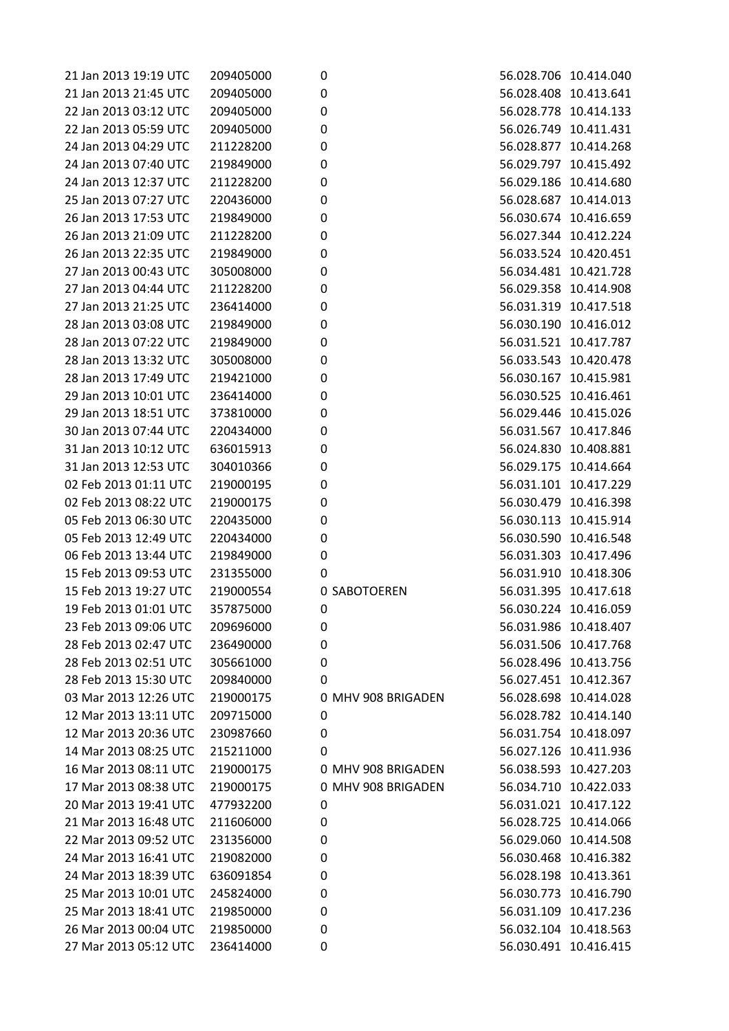| 21 Jan 2013 19:19 UTC | 209405000 | 0                  | 56.028.706 10.414.040 |  |
|-----------------------|-----------|--------------------|-----------------------|--|
| 21 Jan 2013 21:45 UTC | 209405000 | $\mathbf 0$        | 56.028.408 10.413.641 |  |
| 22 Jan 2013 03:12 UTC | 209405000 | $\pmb{0}$          | 56.028.778 10.414.133 |  |
| 22 Jan 2013 05:59 UTC | 209405000 | $\pmb{0}$          | 56.026.749 10.411.431 |  |
| 24 Jan 2013 04:29 UTC | 211228200 | $\pmb{0}$          | 56.028.877 10.414.268 |  |
| 24 Jan 2013 07:40 UTC | 219849000 | $\pmb{0}$          | 56.029.797 10.415.492 |  |
| 24 Jan 2013 12:37 UTC | 211228200 | $\pmb{0}$          | 56.029.186 10.414.680 |  |
| 25 Jan 2013 07:27 UTC | 220436000 | $\pmb{0}$          | 56.028.687 10.414.013 |  |
| 26 Jan 2013 17:53 UTC | 219849000 | $\pmb{0}$          | 56.030.674 10.416.659 |  |
| 26 Jan 2013 21:09 UTC | 211228200 | $\pmb{0}$          | 56.027.344 10.412.224 |  |
| 26 Jan 2013 22:35 UTC | 219849000 | $\mathbf 0$        | 56.033.524 10.420.451 |  |
| 27 Jan 2013 00:43 UTC | 305008000 | $\pmb{0}$          | 56.034.481 10.421.728 |  |
| 27 Jan 2013 04:44 UTC | 211228200 | $\pmb{0}$          | 56.029.358 10.414.908 |  |
| 27 Jan 2013 21:25 UTC | 236414000 | 0                  | 56.031.319 10.417.518 |  |
| 28 Jan 2013 03:08 UTC | 219849000 | $\pmb{0}$          | 56.030.190 10.416.012 |  |
| 28 Jan 2013 07:22 UTC | 219849000 | $\mathbf 0$        | 56.031.521 10.417.787 |  |
| 28 Jan 2013 13:32 UTC | 305008000 | $\pmb{0}$          | 56.033.543 10.420.478 |  |
| 28 Jan 2013 17:49 UTC | 219421000 | $\pmb{0}$          | 56.030.167 10.415.981 |  |
| 29 Jan 2013 10:01 UTC | 236414000 | $\pmb{0}$          | 56.030.525 10.416.461 |  |
| 29 Jan 2013 18:51 UTC | 373810000 | $\pmb{0}$          | 56.029.446 10.415.026 |  |
| 30 Jan 2013 07:44 UTC | 220434000 | $\pmb{0}$          | 56.031.567 10.417.846 |  |
| 31 Jan 2013 10:12 UTC | 636015913 | $\pmb{0}$          | 56.024.830 10.408.881 |  |
| 31 Jan 2013 12:53 UTC | 304010366 | $\pmb{0}$          | 56.029.175 10.414.664 |  |
| 02 Feb 2013 01:11 UTC | 219000195 | $\pmb{0}$          | 56.031.101 10.417.229 |  |
| 02 Feb 2013 08:22 UTC | 219000175 | 0                  | 56.030.479 10.416.398 |  |
| 05 Feb 2013 06:30 UTC | 220435000 | $\pmb{0}$          | 56.030.113 10.415.914 |  |
| 05 Feb 2013 12:49 UTC | 220434000 | $\pmb{0}$          | 56.030.590 10.416.548 |  |
| 06 Feb 2013 13:44 UTC |           | $\pmb{0}$          | 56.031.303 10.417.496 |  |
| 15 Feb 2013 09:53 UTC | 219849000 |                    | 56.031.910 10.418.306 |  |
|                       | 231355000 | 0                  |                       |  |
| 15 Feb 2013 19:27 UTC | 219000554 | 0 SABOTOEREN       | 56.031.395 10.417.618 |  |
| 19 Feb 2013 01:01 UTC | 357875000 | $\pmb{0}$          | 56.030.224 10.416.059 |  |
| 23 Feb 2013 09:06 UTC | 209696000 | 0                  | 56.031.986 10.418.407 |  |
| 28 Feb 2013 02:47 UTC | 236490000 | 0                  | 56.031.506 10.417.768 |  |
| 28 Feb 2013 02:51 UTC | 305661000 | $\pmb{0}$          | 56.028.496 10.413.756 |  |
| 28 Feb 2013 15:30 UTC | 209840000 | 0                  | 56.027.451 10.412.367 |  |
| 03 Mar 2013 12:26 UTC | 219000175 | 0 MHV 908 BRIGADEN | 56.028.698 10.414.028 |  |
| 12 Mar 2013 13:11 UTC | 209715000 | 0                  | 56.028.782 10.414.140 |  |
| 12 Mar 2013 20:36 UTC | 230987660 | 0                  | 56.031.754 10.418.097 |  |
| 14 Mar 2013 08:25 UTC | 215211000 | 0                  | 56.027.126 10.411.936 |  |
| 16 Mar 2013 08:11 UTC | 219000175 | 0 MHV 908 BRIGADEN | 56.038.593 10.427.203 |  |
| 17 Mar 2013 08:38 UTC | 219000175 | 0 MHV 908 BRIGADEN | 56.034.710 10.422.033 |  |
| 20 Mar 2013 19:41 UTC | 477932200 | 0                  | 56.031.021 10.417.122 |  |
| 21 Mar 2013 16:48 UTC | 211606000 | 0                  | 56.028.725 10.414.066 |  |
| 22 Mar 2013 09:52 UTC | 231356000 | 0                  | 56.029.060 10.414.508 |  |
| 24 Mar 2013 16:41 UTC | 219082000 | 0                  | 56.030.468 10.416.382 |  |
| 24 Mar 2013 18:39 UTC | 636091854 | 0                  | 56.028.198 10.413.361 |  |
| 25 Mar 2013 10:01 UTC | 245824000 | 0                  | 56.030.773 10.416.790 |  |
| 25 Mar 2013 18:41 UTC | 219850000 | 0                  | 56.031.109 10.417.236 |  |
| 26 Mar 2013 00:04 UTC | 219850000 | 0                  | 56.032.104 10.418.563 |  |
| 27 Mar 2013 05:12 UTC | 236414000 | 0                  | 56.030.491 10.416.415 |  |
|                       |           |                    |                       |  |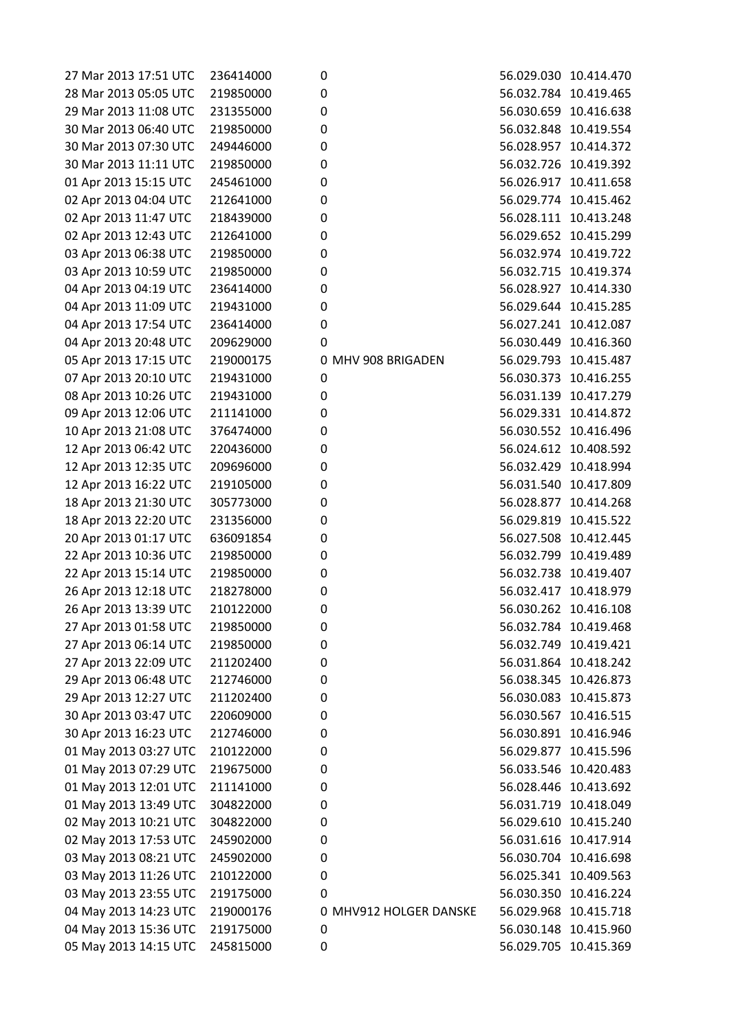| 27 Mar 2013 17:51 UTC | 236414000 | 0                      |                       | 56.029.030 10.414.470 |
|-----------------------|-----------|------------------------|-----------------------|-----------------------|
| 28 Mar 2013 05:05 UTC | 219850000 | 0                      |                       | 56.032.784 10.419.465 |
| 29 Mar 2013 11:08 UTC | 231355000 | 0                      |                       | 56.030.659 10.416.638 |
| 30 Mar 2013 06:40 UTC | 219850000 | 0                      |                       | 56.032.848 10.419.554 |
| 30 Mar 2013 07:30 UTC | 249446000 | 0                      |                       | 56.028.957 10.414.372 |
| 30 Mar 2013 11:11 UTC | 219850000 | 0                      |                       | 56.032.726 10.419.392 |
| 01 Apr 2013 15:15 UTC | 245461000 | 0                      |                       | 56.026.917 10.411.658 |
| 02 Apr 2013 04:04 UTC | 212641000 | 0                      |                       | 56.029.774 10.415.462 |
| 02 Apr 2013 11:47 UTC | 218439000 | 0                      |                       | 56.028.111 10.413.248 |
| 02 Apr 2013 12:43 UTC | 212641000 | 0                      |                       | 56.029.652 10.415.299 |
| 03 Apr 2013 06:38 UTC | 219850000 | 0                      |                       | 56.032.974 10.419.722 |
| 03 Apr 2013 10:59 UTC | 219850000 | 0                      |                       | 56.032.715 10.419.374 |
| 04 Apr 2013 04:19 UTC | 236414000 | 0                      | 56.028.927 10.414.330 |                       |
| 04 Apr 2013 11:09 UTC | 219431000 | 0                      |                       | 56.029.644 10.415.285 |
| 04 Apr 2013 17:54 UTC | 236414000 | 0                      |                       | 56.027.241 10.412.087 |
| 04 Apr 2013 20:48 UTC | 209629000 | 0                      |                       | 56.030.449 10.416.360 |
| 05 Apr 2013 17:15 UTC | 219000175 | 0 MHV 908 BRIGADEN     | 56.029.793 10.415.487 |                       |
| 07 Apr 2013 20:10 UTC | 219431000 | 0                      | 56.030.373            | 10.416.255            |
| 08 Apr 2013 10:26 UTC | 219431000 | 0                      |                       | 56.031.139 10.417.279 |
| 09 Apr 2013 12:06 UTC | 211141000 | 0                      | 56.029.331 10.414.872 |                       |
| 10 Apr 2013 21:08 UTC | 376474000 | 0                      |                       | 56.030.552 10.416.496 |
| 12 Apr 2013 06:42 UTC | 220436000 | 0                      |                       | 56.024.612 10.408.592 |
| 12 Apr 2013 12:35 UTC | 209696000 | 0                      |                       | 56.032.429 10.418.994 |
| 12 Apr 2013 16:22 UTC | 219105000 | 0                      |                       | 56.031.540 10.417.809 |
| 18 Apr 2013 21:30 UTC | 305773000 | 0                      |                       | 56.028.877 10.414.268 |
| 18 Apr 2013 22:20 UTC | 231356000 | 0                      |                       | 56.029.819 10.415.522 |
| 20 Apr 2013 01:17 UTC | 636091854 | 0                      |                       | 56.027.508 10.412.445 |
| 22 Apr 2013 10:36 UTC | 219850000 | 0                      | 56.032.799            | 10.419.489            |
| 22 Apr 2013 15:14 UTC | 219850000 | 0                      | 56.032.738 10.419.407 |                       |
| 26 Apr 2013 12:18 UTC | 218278000 | 0                      |                       | 56.032.417 10.418.979 |
| 26 Apr 2013 13:39 UTC | 210122000 | $\mathbf 0$            | 56.030.262 10.416.108 |                       |
| 27 Apr 2013 01:58 UTC | 219850000 | 0                      |                       | 56.032.784 10.419.468 |
| 27 Apr 2013 06:14 UTC | 219850000 | 0                      |                       | 56.032.749 10.419.421 |
| 27 Apr 2013 22:09 UTC | 211202400 |                        |                       | 56.031.864 10.418.242 |
| 29 Apr 2013 06:48 UTC | 212746000 | 0<br>$\boldsymbol{0}$  | 56.038.345            | 10.426.873            |
|                       | 211202400 |                        |                       | 56.030.083 10.415.873 |
| 29 Apr 2013 12:27 UTC |           | 0                      | 56.030.567 10.416.515 |                       |
| 30 Apr 2013 03:47 UTC | 220609000 | 0                      |                       | 56.030.891 10.416.946 |
| 30 Apr 2013 16:23 UTC | 212746000 | 0                      |                       |                       |
| 01 May 2013 03:27 UTC | 210122000 | $\boldsymbol{0}$       | 56.029.877            | 10.415.596            |
| 01 May 2013 07:29 UTC | 219675000 | 0                      | 56.033.546            | 10.420.483            |
| 01 May 2013 12:01 UTC | 211141000 | 0                      |                       | 56.028.446 10.413.692 |
| 01 May 2013 13:49 UTC | 304822000 | 0                      |                       | 56.031.719 10.418.049 |
| 02 May 2013 10:21 UTC | 304822000 | 0                      | 56.029.610 10.415.240 |                       |
| 02 May 2013 17:53 UTC | 245902000 | $\boldsymbol{0}$       | 56.031.616 10.417.914 |                       |
| 03 May 2013 08:21 UTC | 245902000 | 0                      |                       | 56.030.704 10.416.698 |
| 03 May 2013 11:26 UTC | 210122000 | 0                      |                       | 56.025.341 10.409.563 |
| 03 May 2013 23:55 UTC | 219175000 | 0                      |                       | 56.030.350 10.416.224 |
| 04 May 2013 14:23 UTC | 219000176 | 0 MHV912 HOLGER DANSKE |                       | 56.029.968 10.415.718 |
| 04 May 2013 15:36 UTC | 219175000 | 0                      |                       | 56.030.148 10.415.960 |
| 05 May 2013 14:15 UTC | 245815000 | 0                      |                       | 56.029.705 10.415.369 |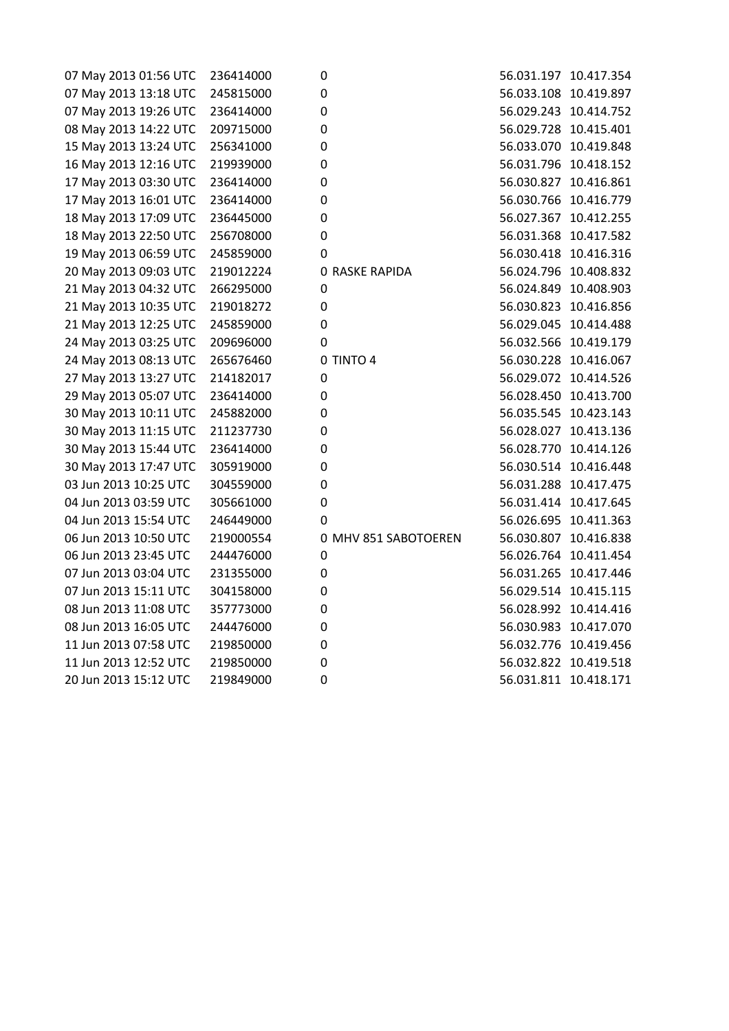| 07 May 2013 01:56 UTC | 236414000 | 0                     |                       | 56.031.197 10.417.354 |
|-----------------------|-----------|-----------------------|-----------------------|-----------------------|
| 07 May 2013 13:18 UTC | 245815000 | 0                     |                       | 56.033.108 10.419.897 |
| 07 May 2013 19:26 UTC | 236414000 | $\pmb{0}$             |                       | 56.029.243 10.414.752 |
| 08 May 2013 14:22 UTC | 209715000 | 0                     |                       | 56.029.728 10.415.401 |
| 15 May 2013 13:24 UTC | 256341000 | $\mathbf 0$           |                       | 56.033.070 10.419.848 |
| 16 May 2013 12:16 UTC | 219939000 | 0                     |                       | 56.031.796 10.418.152 |
| 17 May 2013 03:30 UTC | 236414000 | 0                     | 56.030.827 10.416.861 |                       |
| 17 May 2013 16:01 UTC | 236414000 | 0                     | 56.030.766 10.416.779 |                       |
| 18 May 2013 17:09 UTC | 236445000 | 0                     | 56.027.367 10.412.255 |                       |
| 18 May 2013 22:50 UTC | 256708000 | $\mathbf 0$           | 56.031.368 10.417.582 |                       |
| 19 May 2013 06:59 UTC | 245859000 | 0                     |                       | 56.030.418 10.416.316 |
| 20 May 2013 09:03 UTC | 219012224 | <b>0 RASKE RAPIDA</b> | 56.024.796 10.408.832 |                       |
| 21 May 2013 04:32 UTC | 266295000 | $\mathbf 0$           | 56.024.849 10.408.903 |                       |
| 21 May 2013 10:35 UTC | 219018272 | 0                     |                       | 56.030.823 10.416.856 |
| 21 May 2013 12:25 UTC | 245859000 | 0                     |                       | 56.029.045 10.414.488 |
| 24 May 2013 03:25 UTC | 209696000 | 0                     | 56.032.566 10.419.179 |                       |
| 24 May 2013 08:13 UTC | 265676460 | 0 TINTO 4             |                       | 56.030.228 10.416.067 |
| 27 May 2013 13:27 UTC | 214182017 | 0                     | 56.029.072 10.414.526 |                       |
| 29 May 2013 05:07 UTC | 236414000 | 0                     |                       | 56.028.450 10.413.700 |
| 30 May 2013 10:11 UTC | 245882000 | 0                     | 56.035.545 10.423.143 |                       |
| 30 May 2013 11:15 UTC | 211237730 | 0                     | 56.028.027 10.413.136 |                       |
| 30 May 2013 15:44 UTC | 236414000 | 0                     |                       | 56.028.770 10.414.126 |
| 30 May 2013 17:47 UTC | 305919000 | 0                     |                       | 56.030.514 10.416.448 |
| 03 Jun 2013 10:25 UTC | 304559000 | $\mathbf 0$           |                       | 56.031.288 10.417.475 |
| 04 Jun 2013 03:59 UTC | 305661000 | 0                     |                       | 56.031.414 10.417.645 |
| 04 Jun 2013 15:54 UTC | 246449000 | 0                     | 56.026.695 10.411.363 |                       |
| 06 Jun 2013 10:50 UTC | 219000554 | 0 MHV 851 SABOTOEREN  |                       | 56.030.807 10.416.838 |
| 06 Jun 2013 23:45 UTC | 244476000 | 0                     |                       | 56.026.764 10.411.454 |
| 07 Jun 2013 03:04 UTC | 231355000 | $\mathbf 0$           |                       | 56.031.265 10.417.446 |
| 07 Jun 2013 15:11 UTC | 304158000 | 0                     | 56.029.514 10.415.115 |                       |
| 08 Jun 2013 11:08 UTC | 357773000 | 0                     |                       | 56.028.992 10.414.416 |
| 08 Jun 2013 16:05 UTC | 244476000 | 0                     | 56.030.983 10.417.070 |                       |
| 11 Jun 2013 07:58 UTC | 219850000 | 0                     | 56.032.776 10.419.456 |                       |
| 11 Jun 2013 12:52 UTC | 219850000 | 0                     |                       | 56.032.822 10.419.518 |
| 20 Jun 2013 15:12 UTC | 219849000 | 0                     | 56.031.811 10.418.171 |                       |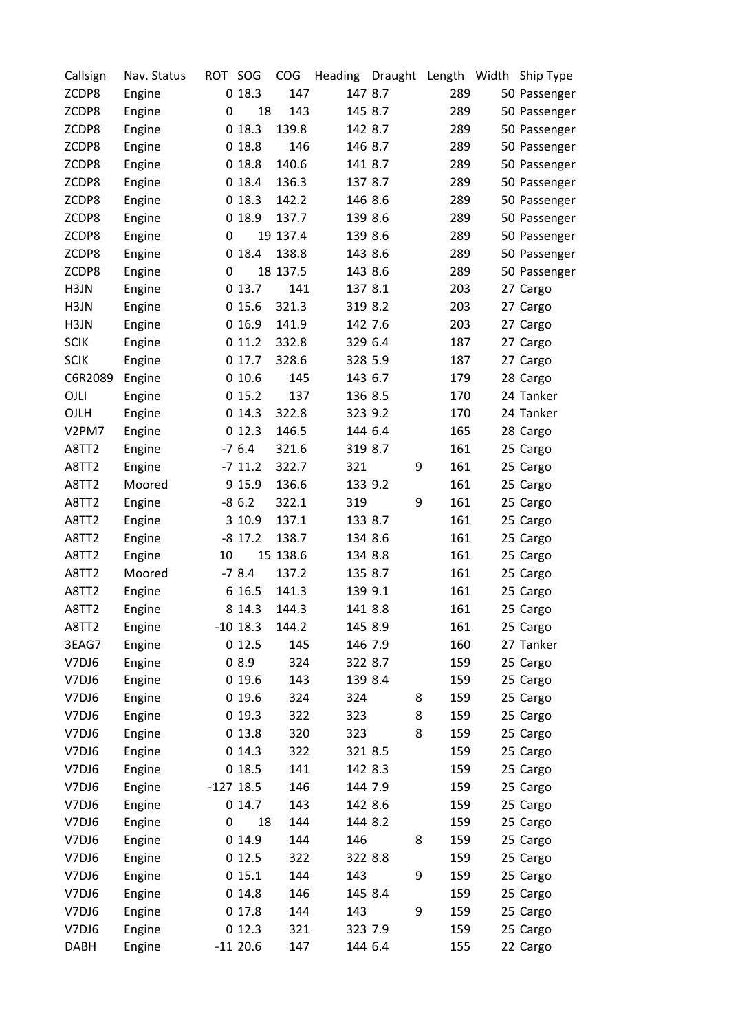| Callsign    | Nav. Status | ROT SOG     |            | COG      | Heading | Draught | Length Width | Ship Type    |
|-------------|-------------|-------------|------------|----------|---------|---------|--------------|--------------|
| ZCDP8       | Engine      |             | 018.3      | 147      | 147 8.7 |         | 289          | 50 Passenger |
| ZCDP8       | Engine      | 0           | 18         | 143      | 145 8.7 |         | 289          | 50 Passenger |
| ZCDP8       | Engine      |             | 018.3      | 139.8    | 142 8.7 |         | 289          | 50 Passenger |
| ZCDP8       | Engine      |             | 018.8      | 146      | 146 8.7 |         | 289          | 50 Passenger |
| ZCDP8       | Engine      |             | 018.8      | 140.6    | 141 8.7 |         | 289          | 50 Passenger |
| ZCDP8       | Engine      |             | 0 18.4     | 136.3    | 137 8.7 |         | 289          | 50 Passenger |
| ZCDP8       | Engine      |             | 018.3      | 142.2    | 146 8.6 |         | 289          | 50 Passenger |
| ZCDP8       | Engine      |             | 018.9      | 137.7    | 139 8.6 |         | 289          | 50 Passenger |
| ZCDP8       | Engine      | 0           |            | 19 137.4 | 139 8.6 |         | 289          | 50 Passenger |
| ZCDP8       | Engine      |             | 018.4      | 138.8    | 143 8.6 |         | 289          | 50 Passenger |
| ZCDP8       | Engine      | 0           |            | 18 137.5 | 143 8.6 |         | 289          | 50 Passenger |
| H3JN        | Engine      |             | 013.7      | 141      | 137 8.1 |         | 203          | 27 Cargo     |
| H3JN        | Engine      |             | 015.6      | 321.3    | 319 8.2 |         | 203          | 27 Cargo     |
| H3JN        | Engine      |             | 016.9      | 141.9    | 142 7.6 |         | 203          | 27 Cargo     |
| <b>SCIK</b> | Engine      |             | 011.2      | 332.8    | 329 6.4 |         | 187          | 27 Cargo     |
| <b>SCIK</b> | Engine      |             | 0 17.7     | 328.6    | 328 5.9 |         | 187          | 27 Cargo     |
| C6R2089     | Engine      |             | 010.6      | 145      | 143 6.7 |         | 179          | 28 Cargo     |
| OJLI        | Engine      |             | 015.2      | 137      | 136 8.5 |         | 170          | 24 Tanker    |
| OJLH        | Engine      |             | 014.3      | 322.8    | 323 9.2 |         | 170          | 24 Tanker    |
| V2PM7       | Engine      |             | 012.3      | 146.5    | 144 6.4 |         | 165          | 28 Cargo     |
| A8TT2       | Engine      |             | $-76.4$    | 321.6    | 319 8.7 |         | 161          | 25 Cargo     |
| A8TT2       | Engine      |             | $-7$ 11.2  | 322.7    | 321     | 9       | 161          | 25 Cargo     |
| A8TT2       | Moored      |             | 9 15.9     | 136.6    | 133 9.2 |         | 161          | 25 Cargo     |
| A8TT2       | Engine      |             | $-86.2$    | 322.1    | 319     | 9       | 161          | 25 Cargo     |
| A8TT2       | Engine      |             | 3 10.9     | 137.1    | 133 8.7 |         | 161          | 25 Cargo     |
| A8TT2       | Engine      |             | $-8$ 17.2  | 138.7    | 134 8.6 |         | 161          | 25 Cargo     |
| A8TT2       | Engine      | 10          |            | 15 138.6 | 134 8.8 |         | 161          | 25 Cargo     |
| A8TT2       | Moored      |             | $-78.4$    | 137.2    | 135 8.7 |         | 161          | 25 Cargo     |
| A8TT2       | Engine      |             | 6 16.5     | 141.3    | 139 9.1 |         | 161          | 25 Cargo     |
| A8TT2       | Engine      |             | 8 14.3     | 144.3    | 141 8.8 |         | 161          | 25 Cargo     |
| A8TT2       | Engine      |             | $-10$ 18.3 | 144.2    | 145 8.9 |         | 161          | 25 Cargo     |
| 3EAG7       | Engine      |             | 012.5      | 145      | 146 7.9 |         | 160          | 27 Tanker    |
| V7DJ6       | Engine      |             | 08.9       | 324      | 322 8.7 |         | 159          | 25 Cargo     |
| V7DJ6       | Engine      |             | 019.6      | 143      | 139 8.4 |         | 159          | 25 Cargo     |
| V7DJ6       | Engine      |             | 019.6      | 324      | 324     | 8       | 159          | 25 Cargo     |
| V7DJ6       | Engine      |             | 019.3      | 322      | 323     | 8       | 159          | 25 Cargo     |
| V7DJ6       | Engine      |             | 013.8      | 320      | 323     | 8       | 159          | 25 Cargo     |
| V7DJ6       | Engine      |             | 014.3      | 322      | 321 8.5 |         | 159          | 25 Cargo     |
| V7DJ6       |             |             |            | 141      | 142 8.3 |         | 159          |              |
| V7DJ6       | Engine      | $-127$ 18.5 | 018.5      | 146      | 144 7.9 |         | 159          | 25 Cargo     |
| V7DJ6       | Engine      |             | 014.7      | 143      | 142 8.6 |         | 159          | 25 Cargo     |
|             | Engine      |             |            | 144      |         |         |              | 25 Cargo     |
| V7DJ6       | Engine      | 0           | 18         |          | 144 8.2 |         | 159          | 25 Cargo     |
| V7DJ6       | Engine      |             | 014.9      | 144      | 146     | 8       | 159          | 25 Cargo     |
| V7DJ6       | Engine      |             | 012.5      | 322      | 322 8.8 |         | 159          | 25 Cargo     |
| V7DJ6       | Engine      |             | 015.1      | 144      | 143     | 9       | 159          | 25 Cargo     |
| V7DJ6       | Engine      |             | 014.8      | 146      | 145 8.4 |         | 159          | 25 Cargo     |
| V7DJ6       | Engine      |             | 017.8      | 144      | 143     | 9       | 159          | 25 Cargo     |
| V7DJ6       | Engine      |             | 012.3      | 321      | 323 7.9 |         | 159          | 25 Cargo     |
| <b>DABH</b> | Engine      |             | $-1120.6$  | 147      | 144 6.4 |         | 155          | 22 Cargo     |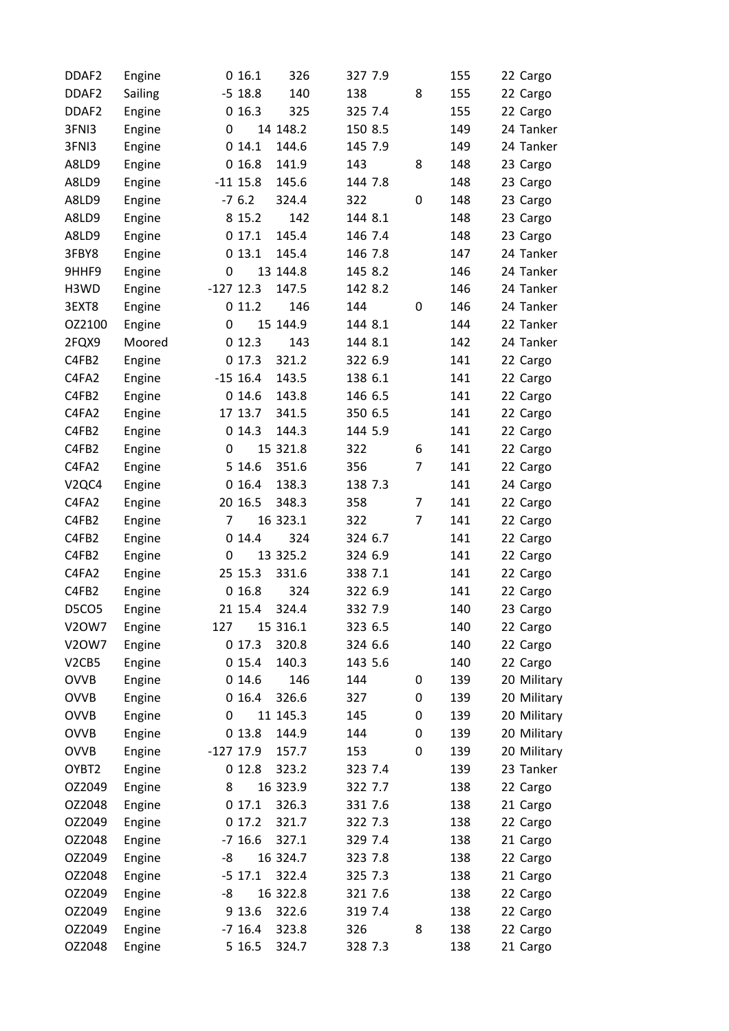| DDAF <sub>2</sub>              | Engine  |             | 016.1      | 326      | 327 7.9 |                | 155 | 22 Cargo    |
|--------------------------------|---------|-------------|------------|----------|---------|----------------|-----|-------------|
| DDAF <sub>2</sub>              | Sailing |             | $-5$ 18.8  | 140      | 138     | 8              | 155 | 22 Cargo    |
| DDAF <sub>2</sub>              | Engine  |             | 016.3      | 325      | 325 7.4 |                | 155 | 22 Cargo    |
| 3FNI3                          | Engine  | 0           |            | 14 148.2 | 150 8.5 |                | 149 | 24 Tanker   |
| 3FNI3                          | Engine  |             | 014.1      | 144.6    | 145 7.9 |                | 149 | 24 Tanker   |
| A8LD9                          | Engine  |             | 016.8      | 141.9    | 143     | 8              | 148 | 23 Cargo    |
| A8LD9                          | Engine  |             | $-11$ 15.8 | 145.6    | 144 7.8 |                | 148 | 23 Cargo    |
| A8LD9                          | Engine  |             | $-76.2$    | 324.4    | 322     | 0              | 148 | 23 Cargo    |
| A8LD9                          | Engine  |             | 8 15.2     | 142      | 144 8.1 |                | 148 | 23 Cargo    |
| A8LD9                          | Engine  |             | 017.1      | 145.4    | 146 7.4 |                | 148 | 23 Cargo    |
| 3FBY8                          | Engine  |             | 013.1      | 145.4    | 146 7.8 |                | 147 | 24 Tanker   |
| 9HHF9                          | Engine  | 0           |            | 13 144.8 | 145 8.2 |                | 146 | 24 Tanker   |
| H3WD                           | Engine  | $-127$ 12.3 |            | 147.5    | 142 8.2 |                | 146 | 24 Tanker   |
| 3EXT8                          | Engine  |             | 011.2      | 146      | 144     | 0              | 146 | 24 Tanker   |
| OZ2100                         | Engine  | 0           |            | 15 144.9 | 144 8.1 |                | 144 | 22 Tanker   |
| 2FQX9                          | Moored  |             | 012.3      | 143      | 144 8.1 |                | 142 | 24 Tanker   |
| C4FB2                          | Engine  |             | 017.3      | 321.2    | 322 6.9 |                | 141 | 22 Cargo    |
| C4FA2                          | Engine  |             | $-15$ 16.4 | 143.5    | 138 6.1 |                | 141 | 22 Cargo    |
| C4FB2                          | Engine  |             | 014.6      | 143.8    | 146 6.5 |                | 141 | 22 Cargo    |
| C4FA2                          | Engine  |             | 17 13.7    | 341.5    | 350 6.5 |                | 141 | 22 Cargo    |
| C4FB2                          | Engine  |             | 014.3      | 144.3    | 144 5.9 |                | 141 | 22 Cargo    |
| C4FB2                          | Engine  | 0           |            | 15 321.8 | 322     | 6              | 141 | 22 Cargo    |
| C4FA2                          | Engine  |             | 5 14.6     | 351.6    | 356     | $\overline{7}$ | 141 | 22 Cargo    |
| V <sub>2QC4</sub>              | Engine  |             | 016.4      | 138.3    | 138 7.3 |                | 141 | 24 Cargo    |
| C4FA2                          | Engine  |             | 20 16.5    | 348.3    | 358     | 7              | 141 | 22 Cargo    |
| C4FB2                          | Engine  | 7           |            | 16 323.1 | 322     | $\overline{7}$ | 141 | 22 Cargo    |
| C4FB2                          | Engine  |             | 014.4      | 324      | 324 6.7 |                | 141 | 22 Cargo    |
| C4FB2                          | Engine  | 0           |            | 13 325.2 | 324 6.9 |                | 141 | 22 Cargo    |
| C4FA2                          | Engine  |             | 25 15.3    | 331.6    | 338 7.1 |                | 141 | 22 Cargo    |
| C4FB2                          | Engine  |             | 016.8      | 324      | 322 6.9 |                | 141 | 22 Cargo    |
| D5CO5                          | Engine  |             | 21 15.4    | 324.4    | 332 7.9 |                | 140 | 23 Cargo    |
| V20W7                          | Engine  | 127         |            | 15 316.1 | 323 6.5 |                | 140 | 22 Cargo    |
| <b>V2OW7</b>                   | Engine  |             | 017.3      | 320.8    | 324 6.6 |                | 140 | 22 Cargo    |
| V <sub>2</sub> CB <sub>5</sub> | Engine  |             | 015.4      | 140.3    | 143 5.6 |                | 140 | 22 Cargo    |
| <b>OVVB</b>                    | Engine  |             | 014.6      | 146      | 144     | 0              | 139 | 20 Military |
| <b>OVVB</b>                    | Engine  |             | 016.4      | 326.6    | 327     | 0              | 139 | 20 Military |
| <b>OVVB</b>                    | Engine  | 0           |            | 11 145.3 | 145     | 0              | 139 | 20 Military |
| <b>OVVB</b>                    | Engine  |             | 013.8      | 144.9    | 144     | 0              | 139 | 20 Military |
| <b>OVVB</b>                    | Engine  | $-127$ 17.9 |            | 157.7    | 153     | 0              | 139 | 20 Military |
| OYBT2                          | Engine  |             | 012.8      | 323.2    | 323 7.4 |                | 139 | 23 Tanker   |
| OZ2049                         | Engine  | 8           |            | 16 323.9 | 322 7.7 |                | 138 | 22 Cargo    |
| OZ2048                         | Engine  |             | 017.1      | 326.3    | 331 7.6 |                | 138 | 21 Cargo    |
| OZ2049                         | Engine  |             | 017.2      | 321.7    | 322 7.3 |                | 138 | 22 Cargo    |
| OZ2048                         | Engine  |             | $-7$ 16.6  | 327.1    | 329 7.4 |                | 138 | 21 Cargo    |
| OZ2049                         | Engine  | -8          |            | 16 324.7 | 323 7.8 |                | 138 | 22 Cargo    |
| OZ2048                         | Engine  |             | $-5$ 17.1  | 322.4    | 325 7.3 |                | 138 | 21 Cargo    |
| OZ2049                         | Engine  | -8          |            | 16 322.8 | 321 7.6 |                | 138 | 22 Cargo    |
| OZ2049                         | Engine  |             | 9 13.6     | 322.6    | 319 7.4 |                | 138 | 22 Cargo    |
| OZ2049                         | Engine  |             | $-7$ 16.4  | 323.8    | 326     | 8              | 138 | 22 Cargo    |
| OZ2048                         | Engine  |             | 5 16.5     | 324.7    | 328 7.3 |                | 138 | 21 Cargo    |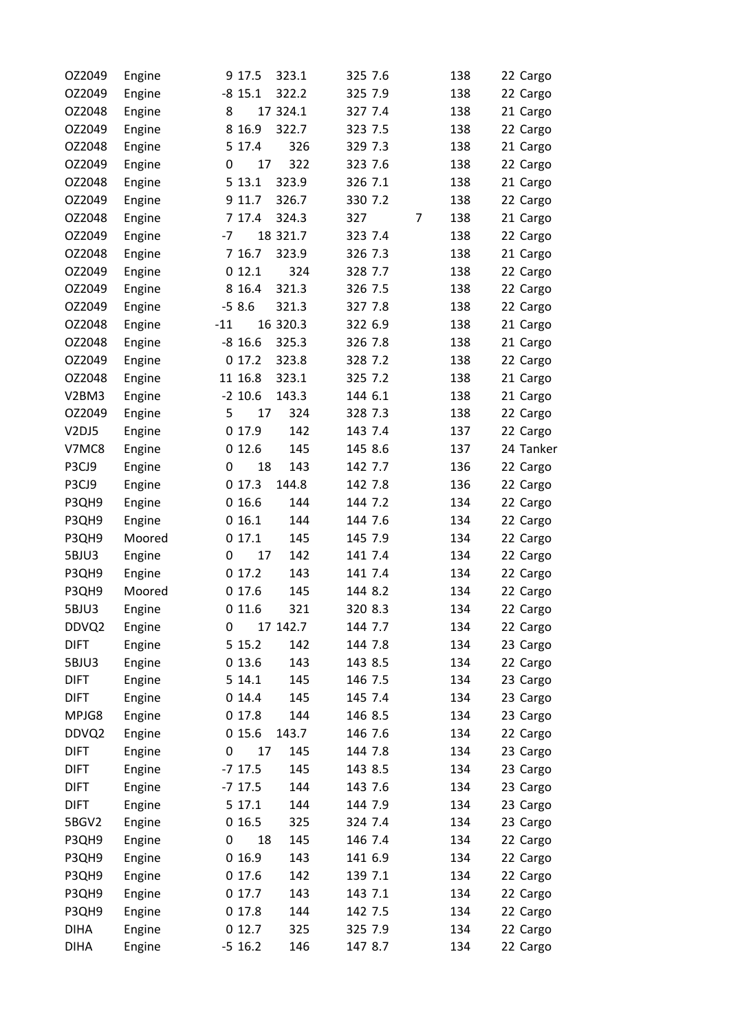| OZ2049      | Engine | 9 17.5    | 323.1    | 325 7.6  | 138 | 22 Cargo  |
|-------------|--------|-----------|----------|----------|-----|-----------|
| OZ2049      | Engine | $-8$ 15.1 | 322.2    | 325 7.9  | 138 | 22 Cargo  |
| OZ2048      | Engine | 8         | 17 324.1 | 327 7.4  | 138 | 21 Cargo  |
| OZ2049      | Engine | 8 16.9    | 322.7    | 323 7.5  | 138 | 22 Cargo  |
| OZ2048      | Engine | 5 17.4    | 326      | 329 7.3  | 138 | 21 Cargo  |
| OZ2049      | Engine | 0<br>17   | 322      | 323 7.6  | 138 | 22 Cargo  |
| OZ2048      | Engine | 5 13.1    | 323.9    | 326 7.1  | 138 | 21 Cargo  |
| OZ2049      | Engine | 9 11.7    | 326.7    | 330 7.2  | 138 | 22 Cargo  |
| OZ2048      | Engine | 7 17.4    | 324.3    | 327<br>7 | 138 | 21 Cargo  |
| OZ2049      | Engine | $-7$      | 18 321.7 | 323 7.4  | 138 | 22 Cargo  |
| OZ2048      | Engine | 7 16.7    | 323.9    | 326 7.3  | 138 | 21 Cargo  |
| OZ2049      | Engine | 012.1     | 324      | 328 7.7  | 138 | 22 Cargo  |
| OZ2049      | Engine | 8 16.4    | 321.3    | 326 7.5  | 138 | 22 Cargo  |
| OZ2049      | Engine | $-58.6$   | 321.3    | 327 7.8  | 138 | 22 Cargo  |
| OZ2048      | Engine | $-11$     | 16 320.3 | 322 6.9  | 138 | 21 Cargo  |
| OZ2048      | Engine | $-8$ 16.6 | 325.3    | 326 7.8  | 138 | 21 Cargo  |
| OZ2049      | Engine | 017.2     | 323.8    | 328 7.2  | 138 | 22 Cargo  |
| OZ2048      | Engine | 11 16.8   | 323.1    | 325 7.2  | 138 | 21 Cargo  |
| V2BM3       | Engine | $-2$ 10.6 | 143.3    | 144 6.1  | 138 | 21 Cargo  |
| OZ2049      | Engine | 5<br>17   | 324      | 328 7.3  | 138 | 22 Cargo  |
| V2DJ5       | Engine | 0 17.9    | 142      | 143 7.4  | 137 | 22 Cargo  |
| V7MC8       | Engine | 012.6     | 145      | 145 8.6  | 137 | 24 Tanker |
| P3CJ9       | Engine | 18<br>0   | 143      | 142 7.7  | 136 | 22 Cargo  |
| P3CJ9       | Engine | 017.3     | 144.8    | 142 7.8  | 136 | 22 Cargo  |
| P3QH9       | Engine | 016.6     | 144      | 144 7.2  | 134 | 22 Cargo  |
| P3QH9       | Engine | 016.1     | 144      | 144 7.6  | 134 | 22 Cargo  |
| P3QH9       | Moored | 017.1     | 145      | 145 7.9  | 134 | 22 Cargo  |
| 5BJU3       | Engine | 17<br>0   | 142      | 141 7.4  | 134 | 22 Cargo  |
| P3QH9       | Engine | 017.2     | 143      | 141 7.4  | 134 | 22 Cargo  |
| P3QH9       | Moored | 0 17.6    | 145      | 144 8.2  | 134 | 22 Cargo  |
| 5BJU3       | Engine | 0 11.6    | 321      | 320 8.3  | 134 | 22 Cargo  |
| DDVQ2       | Engine | 0         | 17 142.7 | 144 7.7  | 134 | 22 Cargo  |
| <b>DIFT</b> | Engine | 5 15.2    | 142      | 144 7.8  | 134 | 23 Cargo  |
| 5BJU3       | Engine | 0 13.6    | 143      | 143 8.5  | 134 | 22 Cargo  |
| <b>DIFT</b> | Engine | 5 14.1    | 145      | 146 7.5  | 134 | 23 Cargo  |
| <b>DIFT</b> | Engine | 014.4     | 145      | 145 7.4  | 134 | 23 Cargo  |
| MPJG8       | Engine | 0 17.8    | 144      | 146 8.5  | 134 | 23 Cargo  |
| DDVQ2       | Engine | 015.6     | 143.7    | 146 7.6  | 134 | 22 Cargo  |
| <b>DIFT</b> | Engine | 17<br>0   | 145      | 144 7.8  | 134 | 23 Cargo  |
| <b>DIFT</b> | Engine | $-7$ 17.5 | 145      | 143 8.5  | 134 | 23 Cargo  |
| <b>DIFT</b> | Engine | $-7$ 17.5 | 144      | 143 7.6  | 134 | 23 Cargo  |
| <b>DIFT</b> | Engine | 5 17.1    | 144      | 144 7.9  | 134 | 23 Cargo  |
| 5BGV2       | Engine | 016.5     | 325      | 324 7.4  | 134 | 23 Cargo  |
| P3QH9       | Engine | 18<br>0   | 145      | 146 7.4  | 134 | 22 Cargo  |
| P3QH9       | Engine | 016.9     | 143      | 141 6.9  | 134 | 22 Cargo  |
| P3QH9       | Engine | 0 17.6    | 142      | 139 7.1  | 134 | 22 Cargo  |
| P3QH9       | Engine | 017.7     | 143      | 143 7.1  | 134 | 22 Cargo  |
| P3QH9       | Engine | 017.8     | 144      | 142 7.5  | 134 | 22 Cargo  |
| <b>DIHA</b> | Engine | 012.7     | 325      | 325 7.9  | 134 | 22 Cargo  |
| <b>DIHA</b> | Engine | $-5$ 16.2 | 146      | 147 8.7  | 134 | 22 Cargo  |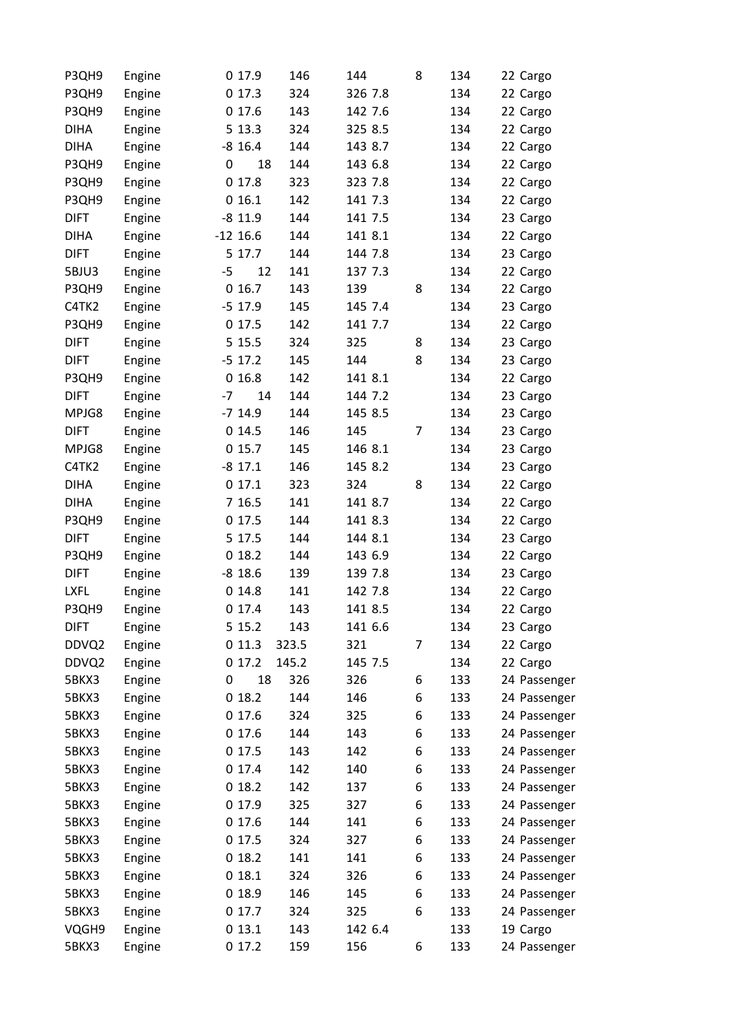| P3QH9       | Engine | 0 17.9     |    | 146   | 144     | 8 | 134 | 22 Cargo     |
|-------------|--------|------------|----|-------|---------|---|-----|--------------|
| P3QH9       | Engine | 017.3      |    | 324   | 326 7.8 |   | 134 | 22 Cargo     |
| P3QH9       | Engine | 017.6      |    | 143   | 142 7.6 |   | 134 | 22 Cargo     |
| <b>DIHA</b> | Engine | 5 13.3     |    | 324   | 325 8.5 |   | 134 | 22 Cargo     |
| <b>DIHA</b> | Engine | $-8$ 16.4  |    | 144   | 143 8.7 |   | 134 | 22 Cargo     |
| P3QH9       | Engine | 0          | 18 | 144   | 143 6.8 |   | 134 | 22 Cargo     |
| P3QH9       | Engine | 017.8      |    | 323   | 323 7.8 |   | 134 | 22 Cargo     |
| P3QH9       | Engine | 016.1      |    | 142   | 141 7.3 |   | 134 | 22 Cargo     |
| <b>DIFT</b> | Engine | $-8$ 11.9  |    | 144   | 141 7.5 |   | 134 | 23 Cargo     |
| <b>DIHA</b> | Engine | $-12$ 16.6 |    | 144   | 141 8.1 |   | 134 | 22 Cargo     |
| <b>DIFT</b> | Engine | 5 17.7     |    | 144   | 144 7.8 |   | 134 | 23 Cargo     |
| 5BJU3       | Engine | $-5$       | 12 | 141   | 137 7.3 |   | 134 | 22 Cargo     |
| P3QH9       | Engine | 016.7      |    | 143   | 139     | 8 | 134 | 22 Cargo     |
| C4TK2       | Engine | $-5$ 17.9  |    | 145   | 145 7.4 |   | 134 | 23 Cargo     |
| P3QH9       | Engine | 017.5      |    | 142   | 141 7.7 |   | 134 | 22 Cargo     |
| <b>DIFT</b> | Engine | 5 15.5     |    | 324   | 325     | 8 | 134 | 23 Cargo     |
| <b>DIFT</b> | Engine | $-5$ 17.2  |    | 145   | 144     | 8 | 134 | 23 Cargo     |
| P3QH9       | Engine | 016.8      |    | 142   | 141 8.1 |   | 134 | 22 Cargo     |
| <b>DIFT</b> | Engine | $-7$       | 14 | 144   | 144 7.2 |   | 134 | 23 Cargo     |
| MPJG8       | Engine | $-7$ 14.9  |    | 144   | 145 8.5 |   | 134 | 23 Cargo     |
| <b>DIFT</b> | Engine | 014.5      |    | 146   | 145     | 7 | 134 | 23 Cargo     |
| MPJG8       | Engine | 015.7      |    | 145   | 146 8.1 |   | 134 | 23 Cargo     |
| C4TK2       | Engine | $-8$ 17.1  |    | 146   | 145 8.2 |   | 134 | 23 Cargo     |
| <b>DIHA</b> | Engine | 017.1      |    | 323   | 324     | 8 | 134 | 22 Cargo     |
| <b>DIHA</b> | Engine | 7 16.5     |    | 141   | 141 8.7 |   | 134 | 22 Cargo     |
| P3QH9       | Engine | 017.5      |    | 144   | 141 8.3 |   | 134 | 22 Cargo     |
| <b>DIFT</b> | Engine | 5 17.5     |    | 144   | 144 8.1 |   | 134 | 23 Cargo     |
| P3QH9       | Engine | 018.2      |    | 144   | 143 6.9 |   | 134 | 22 Cargo     |
| <b>DIFT</b> | Engine | $-8$ 18.6  |    | 139   | 139 7.8 |   | 134 | 23 Cargo     |
| <b>LXFL</b> | Engine | 014.8      |    | 141   | 142 7.8 |   | 134 | 22 Cargo     |
| P3QH9       | Engine | 017.4      |    | 143   | 141 8.5 |   | 134 | 22 Cargo     |
| <b>DIFT</b> | Engine | 5 15.2     |    | 143   | 141 6.6 |   | 134 | 23 Cargo     |
| DDVQ2       | Engine | 011.3      |    | 323.5 | 321     | 7 | 134 | 22 Cargo     |
| DDVQ2       | Engine | 017.2      |    | 145.2 | 145 7.5 |   | 134 | 22 Cargo     |
| 5BKX3       | Engine | 0          | 18 | 326   | 326     | 6 | 133 | 24 Passenger |
| 5BKX3       | Engine | 018.2      |    | 144   | 146     | 6 | 133 | 24 Passenger |
| 5BKX3       | Engine | 0 17.6     |    | 324   | 325     | 6 | 133 | 24 Passenger |
| 5BKX3       | Engine | 0 17.6     |    | 144   | 143     | 6 | 133 | 24 Passenger |
| 5BKX3       | Engine | 0 17.5     |    | 143   | 142     | 6 | 133 | 24 Passenger |
| 5BKX3       | Engine | 017.4      |    | 142   | 140     | 6 | 133 | 24 Passenger |
| 5BKX3       | Engine | 018.2      |    | 142   | 137     | 6 | 133 | 24 Passenger |
| 5BKX3       | Engine | 0 17.9     |    | 325   | 327     | 6 | 133 | 24 Passenger |
| 5BKX3       | Engine | 017.6      |    | 144   | 141     | 6 | 133 | 24 Passenger |
| 5BKX3       | Engine | 0 17.5     |    | 324   | 327     | 6 | 133 | 24 Passenger |
| 5BKX3       | Engine | 018.2      |    | 141   | 141     | 6 | 133 | 24 Passenger |
| 5BKX3       | Engine | 018.1      |    | 324   | 326     | 6 | 133 | 24 Passenger |
| 5BKX3       | Engine | 018.9      |    | 146   | 145     | 6 | 133 | 24 Passenger |
| 5BKX3       | Engine | 0 17.7     |    | 324   | 325     | 6 | 133 | 24 Passenger |
| VQGH9       | Engine | 013.1      |    | 143   | 142 6.4 |   | 133 | 19 Cargo     |
| 5BKX3       | Engine | 017.2      |    | 159   | 156     | 6 | 133 | 24 Passenger |
|             |        |            |    |       |         |   |     |              |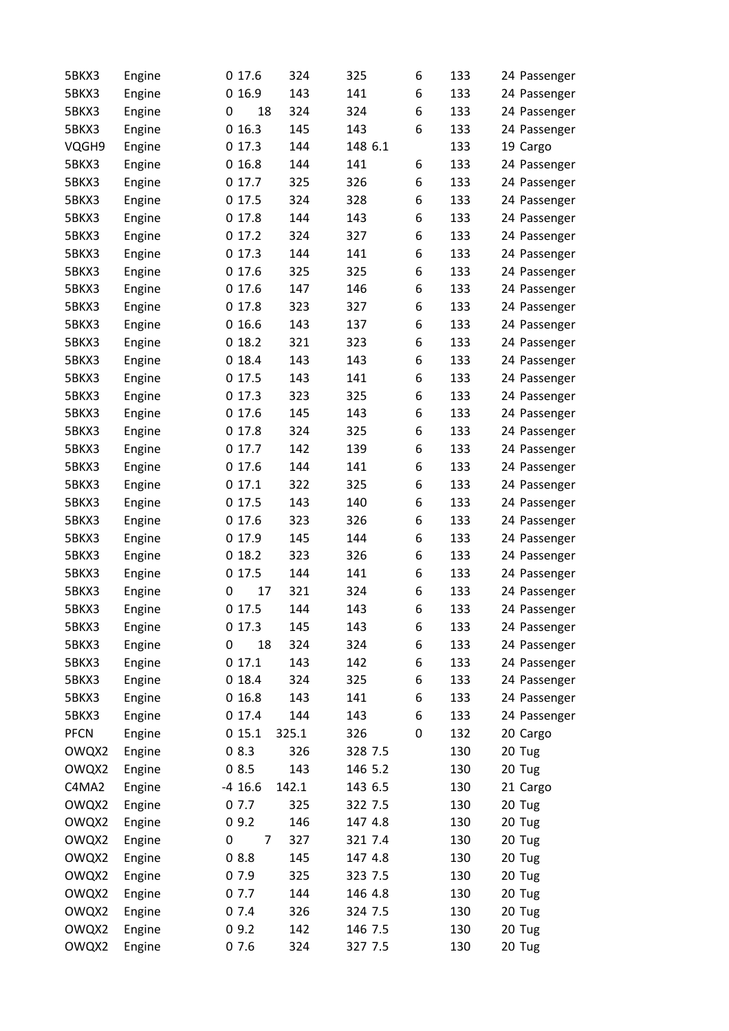| 5BKX3       | Engine |   | 017.6     | 324   | 325     | 6 | 133 | 24 Passenger |
|-------------|--------|---|-----------|-------|---------|---|-----|--------------|
| 5BKX3       | Engine |   | 016.9     | 143   | 141     | 6 | 133 | 24 Passenger |
| 5BKX3       | Engine | 0 | 18        | 324   | 324     | 6 | 133 | 24 Passenger |
| 5BKX3       | Engine |   | 016.3     | 145   | 143     | 6 | 133 | 24 Passenger |
| VQGH9       | Engine |   | 017.3     | 144   | 148 6.1 |   | 133 | 19 Cargo     |
| 5BKX3       | Engine |   | 016.8     | 144   | 141     | 6 | 133 | 24 Passenger |
| 5BKX3       | Engine |   | 017.7     | 325   | 326     | 6 | 133 | 24 Passenger |
| 5BKX3       | Engine |   | 0 17.5    | 324   | 328     | 6 | 133 | 24 Passenger |
| 5BKX3       | Engine |   | 017.8     | 144   | 143     | 6 | 133 | 24 Passenger |
| 5BKX3       | Engine |   | 017.2     | 324   | 327     | 6 | 133 | 24 Passenger |
| 5BKX3       | Engine |   | 017.3     | 144   | 141     | 6 | 133 | 24 Passenger |
| 5BKX3       | Engine |   | 017.6     | 325   | 325     | 6 | 133 | 24 Passenger |
| 5BKX3       | Engine |   | 017.6     | 147   | 146     | 6 | 133 | 24 Passenger |
| 5BKX3       | Engine |   | 017.8     | 323   | 327     | 6 | 133 | 24 Passenger |
| 5BKX3       | Engine |   | 016.6     | 143   | 137     | 6 | 133 | 24 Passenger |
| 5BKX3       | Engine |   | 018.2     | 321   | 323     | 6 | 133 | 24 Passenger |
| 5BKX3       | Engine |   | 018.4     | 143   | 143     | 6 | 133 | 24 Passenger |
| 5BKX3       | Engine |   | 017.5     | 143   | 141     | 6 | 133 | 24 Passenger |
| 5BKX3       | Engine |   | 017.3     | 323   | 325     | 6 | 133 | 24 Passenger |
| 5BKX3       | Engine |   | 017.6     | 145   | 143     | 6 | 133 | 24 Passenger |
| 5BKX3       | Engine |   | 017.8     | 324   | 325     | 6 | 133 | 24 Passenger |
| 5BKX3       | Engine |   | 017.7     | 142   | 139     | 6 | 133 | 24 Passenger |
| 5BKX3       | Engine |   | 017.6     | 144   | 141     | 6 | 133 | 24 Passenger |
| 5BKX3       | Engine |   | 017.1     | 322   | 325     | 6 | 133 | 24 Passenger |
| 5BKX3       | Engine |   | 0 17.5    | 143   | 140     | 6 | 133 | 24 Passenger |
| 5BKX3       | Engine |   | 017.6     | 323   | 326     | 6 | 133 | 24 Passenger |
| 5BKX3       | Engine |   | 0 17.9    | 145   | 144     | 6 | 133 | 24 Passenger |
| 5BKX3       | Engine |   | 018.2     | 323   | 326     | 6 | 133 | 24 Passenger |
| 5BKX3       | Engine |   | 0 17.5    | 144   | 141     | 6 | 133 | 24 Passenger |
| 5BKX3       | Engine | 0 | 17        | 321   | 324     | 6 | 133 | 24 Passenger |
| 5BKX3       | Engine |   | 017.5     | 144   | 143     | 6 | 133 | 24 Passenger |
| 5BKX3       | Engine |   | 017.3     | 145   | 143     | 6 | 133 | 24 Passenger |
| 5BKX3       | Engine | 0 | 18        | 324   | 324     | 6 | 133 | 24 Passenger |
| 5BKX3       | Engine |   | 017.1     | 143   | 142     | 6 | 133 | 24 Passenger |
| 5BKX3       | Engine |   | 018.4     | 324   | 325     | 6 | 133 | 24 Passenger |
| 5BKX3       | Engine |   | 016.8     | 143   | 141     | 6 | 133 | 24 Passenger |
| 5BKX3       | Engine |   | 0 17.4    | 144   | 143     | 6 | 133 | 24 Passenger |
| <b>PFCN</b> | Engine |   | 015.1     | 325.1 | 326     | 0 | 132 | 20 Cargo     |
| OWQX2       | Engine |   | 08.3      | 326   | 328 7.5 |   | 130 | 20 Tug       |
| OWQX2       | Engine |   | 08.5      | 143   | 146 5.2 |   | 130 | 20 Tug       |
| C4MA2       | Engine |   | $-4$ 16.6 | 142.1 | 143 6.5 |   | 130 | 21 Cargo     |
| OWQX2       | Engine |   | 07.7      | 325   | 322 7.5 |   | 130 | 20 Tug       |
| OWQX2       | Engine |   | 09.2      | 146   | 147 4.8 |   | 130 | 20 Tug       |
| OWQX2       | Engine | 0 | 7         | 327   | 321 7.4 |   | 130 | 20 Tug       |
| OWQX2       | Engine |   | 08.8      | 145   | 147 4.8 |   | 130 | 20 Tug       |
| OWQX2       | Engine |   | 07.9      | 325   | 323 7.5 |   | 130 | 20 Tug       |
| OWQX2       | Engine |   | 07.7      | 144   | 146 4.8 |   | 130 | 20 Tug       |
| OWQX2       | Engine |   | 07.4      | 326   | 324 7.5 |   | 130 | 20 Tug       |
| OWQX2       | Engine |   | 09.2      | 142   | 146 7.5 |   | 130 | 20 Tug       |
| OWQX2       | Engine |   | 07.6      | 324   | 327 7.5 |   | 130 | 20 Tug       |
|             |        |   |           |       |         |   |     |              |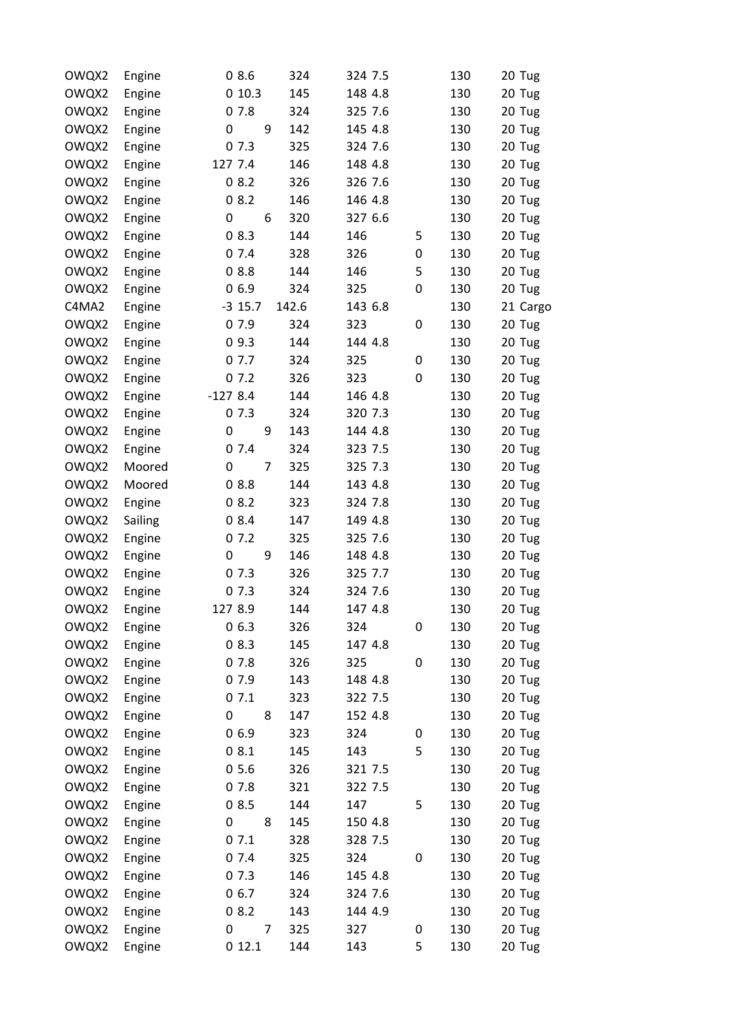| OWQX2 | Engine  | 08.6                | 324   | 324 7.5 |   | 130 | 20 Tug   |
|-------|---------|---------------------|-------|---------|---|-----|----------|
| OWQX2 | Engine  | 010.3               | 145   | 148 4.8 |   | 130 | 20 Tug   |
| OWQX2 | Engine  | 07.8                | 324   | 325 7.6 |   | 130 | 20 Tug   |
| OWQX2 | Engine  | 0<br>9              | 142   | 145 4.8 |   | 130 | 20 Tug   |
| OWQX2 | Engine  | 07.3                | 325   | 324 7.6 |   | 130 | 20 Tug   |
| OWQX2 | Engine  | 127 7.4             | 146   | 148 4.8 |   | 130 | 20 Tug   |
| OWQX2 | Engine  | 08.2                | 326   | 326 7.6 |   | 130 | 20 Tug   |
| OWQX2 | Engine  | 08.2                | 146   | 146 4.8 |   | 130 | 20 Tug   |
| OWQX2 | Engine  | 0<br>6              | 320   | 327 6.6 |   | 130 | 20 Tug   |
| OWQX2 | Engine  | 08.3                | 144   | 146     | 5 | 130 | 20 Tug   |
| OWQX2 | Engine  | 07.4                | 328   | 326     | 0 | 130 | 20 Tug   |
| OWQX2 | Engine  | 08.8                | 144   | 146     | 5 | 130 | 20 Tug   |
| OWQX2 | Engine  | 06.9                | 324   | 325     | 0 | 130 | 20 Tug   |
| C4MA2 | Engine  | $-3$ 15.7           | 142.6 | 143 6.8 |   | 130 | 21 Cargo |
| OWQX2 | Engine  | 07.9                | 324   | 323     | 0 | 130 | 20 Tug   |
| OWQX2 | Engine  | 09.3                | 144   | 144 4.8 |   | 130 | 20 Tug   |
| OWQX2 | Engine  | 07.7                | 324   | 325     | 0 | 130 | 20 Tug   |
| OWQX2 | Engine  | 07.2                | 326   | 323     | 0 | 130 | 20 Tug   |
| OWQX2 | Engine  | $-1278.4$           | 144   | 146 4.8 |   | 130 | 20 Tug   |
| OWQX2 | Engine  | 07.3                | 324   | 320 7.3 |   | 130 | 20 Tug   |
| OWQX2 | Engine  | 0<br>9              | 143   | 144 4.8 |   | 130 | 20 Tug   |
| OWQX2 | Engine  | 07.4                | 324   | 323 7.5 |   | 130 | 20 Tug   |
| OWQX2 | Moored  | $\overline{7}$<br>0 | 325   | 325 7.3 |   | 130 | 20 Tug   |
| OWQX2 | Moored  | 08.8                | 144   | 143 4.8 |   | 130 | 20 Tug   |
| OWQX2 | Engine  | 08.2                | 323   | 324 7.8 |   | 130 | 20 Tug   |
| OWQX2 | Sailing | 08.4                | 147   | 149 4.8 |   | 130 | 20 Tug   |
| OWQX2 | Engine  | 07.2                | 325   | 325 7.6 |   | 130 | 20 Tug   |
| OWQX2 | Engine  | 9<br>0              | 146   | 148 4.8 |   | 130 | 20 Tug   |
| OWQX2 | Engine  | 07.3                | 326   | 325 7.7 |   | 130 | 20 Tug   |
| OWQX2 | Engine  | 07.3                | 324   | 324 7.6 |   | 130 | 20 Tug   |
| OWQX2 | Engine  | 127 8.9             | 144   | 147 4.8 |   | 130 | 20 Tug   |
| OWQX2 | Engine  | 06.3                | 326   | 324     | 0 | 130 | 20 Tug   |
| OWQX2 | Engine  | 08.3                | 145   | 147 4.8 |   | 130 | 20 Tug   |
| OWQX2 | Engine  | 07.8                | 326   | 325     | 0 | 130 | 20 Tug   |
| OWQX2 | Engine  | 07.9                | 143   | 148 4.8 |   | 130 | 20 Tug   |
| OWQX2 | Engine  | 07.1                | 323   | 322 7.5 |   | 130 | 20 Tug   |
| OWQX2 | Engine  | 0<br>8              | 147   | 152 4.8 |   | 130 | 20 Tug   |
| OWQX2 | Engine  | 06.9                | 323   | 324     | 0 | 130 | 20 Tug   |
| OWQX2 | Engine  | 08.1                | 145   | 143     | 5 | 130 | 20 Tug   |
| OWQX2 | Engine  | 05.6                | 326   | 321 7.5 |   | 130 | 20 Tug   |
| OWQX2 | Engine  | 07.8                | 321   | 322 7.5 |   | 130 | 20 Tug   |
| OWQX2 | Engine  | 08.5                | 144   | 147     | 5 | 130 | 20 Tug   |
| OWQX2 | Engine  | 0<br>8              | 145   | 150 4.8 |   | 130 | 20 Tug   |
| OWQX2 | Engine  | 07.1                | 328   | 328 7.5 |   | 130 | 20 Tug   |
| OWQX2 | Engine  | 07.4                | 325   | 324     | 0 | 130 | 20 Tug   |
| OWQX2 | Engine  | 07.3                | 146   | 145 4.8 |   | 130 | 20 Tug   |
| OWQX2 | Engine  | 06.7                | 324   | 324 7.6 |   | 130 | 20 Tug   |
| OWQX2 | Engine  | 08.2                | 143   | 144 4.9 |   | 130 | 20 Tug   |
| OWQX2 | Engine  | 7<br>0              | 325   | 327     | 0 | 130 | 20 Tug   |
| OWQX2 | Engine  | 012.1               | 144   | 143     | 5 | 130 | 20 Tug   |
|       |         |                     |       |         |   |     |          |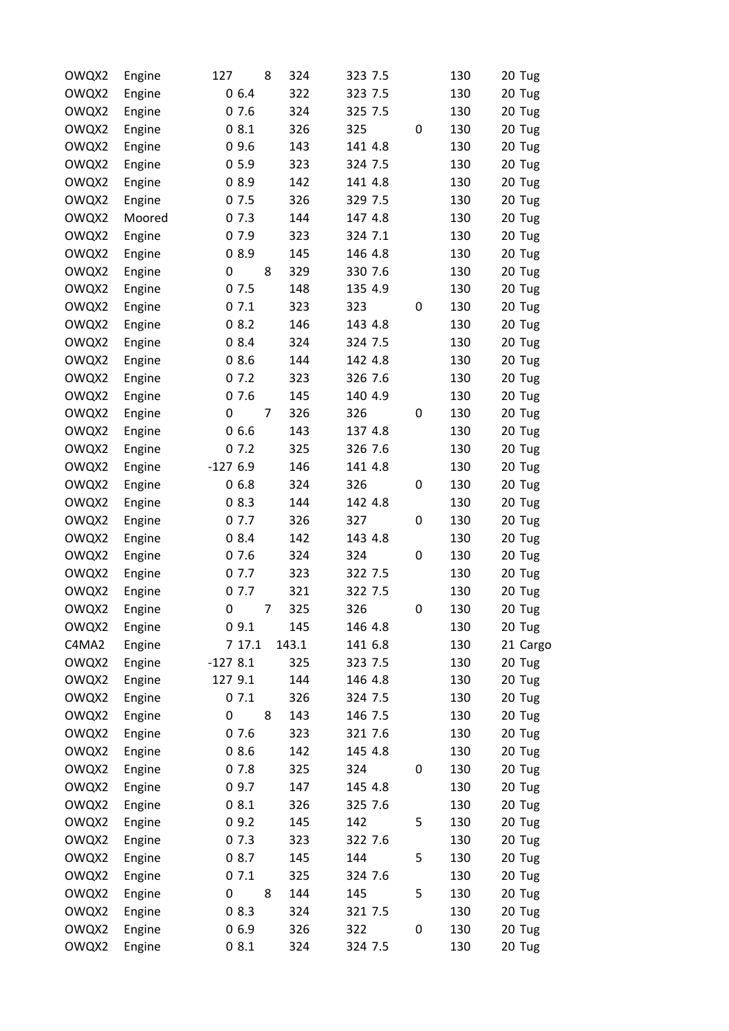| OWQX2 | Engine | 127       | 8 | 324   | 323 7.5 |   | 130 | 20 Tug   |
|-------|--------|-----------|---|-------|---------|---|-----|----------|
| OWQX2 | Engine | 06.4      |   | 322   | 323 7.5 |   | 130 | 20 Tug   |
| OWQX2 | Engine | 07.6      |   | 324   | 325 7.5 |   | 130 | 20 Tug   |
| OWQX2 | Engine | 08.1      |   | 326   | 325     | 0 | 130 | 20 Tug   |
| OWQX2 | Engine | 09.6      |   | 143   | 141 4.8 |   | 130 | 20 Tug   |
| OWQX2 | Engine | 05.9      |   | 323   | 324 7.5 |   | 130 | 20 Tug   |
| OWQX2 | Engine | 08.9      |   | 142   | 141 4.8 |   | 130 | 20 Tug   |
| OWQX2 | Engine | 07.5      |   | 326   | 329 7.5 |   | 130 | 20 Tug   |
| OWQX2 | Moored | 07.3      |   | 144   | 147 4.8 |   | 130 | 20 Tug   |
| OWQX2 | Engine | 07.9      |   | 323   | 324 7.1 |   | 130 | 20 Tug   |
| OWQX2 | Engine | 08.9      |   | 145   | 146 4.8 |   | 130 | 20 Tug   |
| OWQX2 | Engine | 0         | 8 | 329   | 330 7.6 |   | 130 | 20 Tug   |
| OWQX2 | Engine | 07.5      |   | 148   | 135 4.9 |   | 130 | 20 Tug   |
| OWQX2 | Engine | 07.1      |   | 323   | 323     | 0 | 130 | 20 Tug   |
| OWQX2 | Engine | 08.2      |   | 146   | 143 4.8 |   | 130 | 20 Tug   |
| OWQX2 | Engine | 08.4      |   | 324   | 324 7.5 |   | 130 | 20 Tug   |
| OWQX2 | Engine | 08.6      |   | 144   | 142 4.8 |   | 130 | 20 Tug   |
| OWQX2 | Engine | 07.2      |   | 323   | 326 7.6 |   | 130 | 20 Tug   |
| OWQX2 | Engine | 07.6      |   | 145   | 140 4.9 |   | 130 | 20 Tug   |
| OWQX2 | Engine | 0         | 7 | 326   | 326     | 0 | 130 | 20 Tug   |
| OWQX2 | Engine | 06.6      |   | 143   | 137 4.8 |   | 130 | 20 Tug   |
| OWQX2 | Engine | 07.2      |   | 325   | 326 7.6 |   | 130 | 20 Tug   |
| OWQX2 | Engine | $-1276.9$ |   | 146   | 141 4.8 |   | 130 | 20 Tug   |
| OWQX2 | Engine | 06.8      |   | 324   | 326     | 0 | 130 | 20 Tug   |
| OWQX2 | Engine | 08.3      |   | 144   | 142 4.8 |   | 130 | 20 Tug   |
| OWQX2 | Engine | 07.7      |   | 326   | 327     | 0 | 130 | 20 Tug   |
| OWQX2 | Engine | 08.4      |   | 142   | 143 4.8 |   | 130 | 20 Tug   |
| OWQX2 | Engine | 07.6      |   | 324   | 324     | 0 | 130 | 20 Tug   |
| OWQX2 | Engine | 07.7      |   | 323   | 322 7.5 |   | 130 | 20 Tug   |
| OWQX2 | Engine | 07.7      |   | 321   | 322 7.5 |   | 130 | 20 Tug   |
| OWQX2 | Engine | 0         | 7 | 325   | 326     | 0 | 130 | 20 Tug   |
| OWQX2 | Engine | 09.1      |   | 145   | 146 4.8 |   | 130 | 20 Tug   |
| C4MA2 | Engine | 7 17.1    |   | 143.1 | 141 6.8 |   | 130 | 21 Cargo |
| OWQX2 | Engine | $-1278.1$ |   | 325   | 323 7.5 |   | 130 | 20 Tug   |
| OWQX2 | Engine | 127 9.1   |   | 144   | 146 4.8 |   | 130 | 20 Tug   |
| OWQX2 | Engine | 07.1      |   | 326   | 324 7.5 |   | 130 | 20 Tug   |
| OWQX2 | Engine | 0         | 8 | 143   | 146 7.5 |   | 130 | 20 Tug   |
| OWQX2 | Engine | 07.6      |   | 323   | 321 7.6 |   | 130 | 20 Tug   |
| OWQX2 | Engine | 08.6      |   | 142   | 145 4.8 |   | 130 | 20 Tug   |
| OWQX2 | Engine | 07.8      |   | 325   | 324     | 0 | 130 | 20 Tug   |
| OWQX2 | Engine | 09.7      |   | 147   | 145 4.8 |   | 130 | 20 Tug   |
| OWQX2 | Engine | 08.1      |   | 326   | 325 7.6 |   | 130 | 20 Tug   |
| OWQX2 | Engine | 09.2      |   | 145   | 142     | 5 | 130 | 20 Tug   |
| OWQX2 | Engine | 07.3      |   | 323   | 322 7.6 |   | 130 | 20 Tug   |
| OWQX2 | Engine | 08.7      |   | 145   | 144     | 5 | 130 | 20 Tug   |
| OWQX2 | Engine | 07.1      |   | 325   | 324 7.6 |   | 130 | 20 Tug   |
| OWQX2 | Engine | 0         | 8 | 144   | 145     | 5 | 130 | 20 Tug   |
| OWQX2 | Engine | 08.3      |   | 324   | 321 7.5 |   | 130 | 20 Tug   |
| OWQX2 | Engine | 06.9      |   | 326   | 322     | 0 | 130 | 20 Tug   |
| OWQX2 | Engine | 08.1      |   | 324   | 324 7.5 |   | 130 | 20 Tug   |
|       |        |           |   |       |         |   |     |          |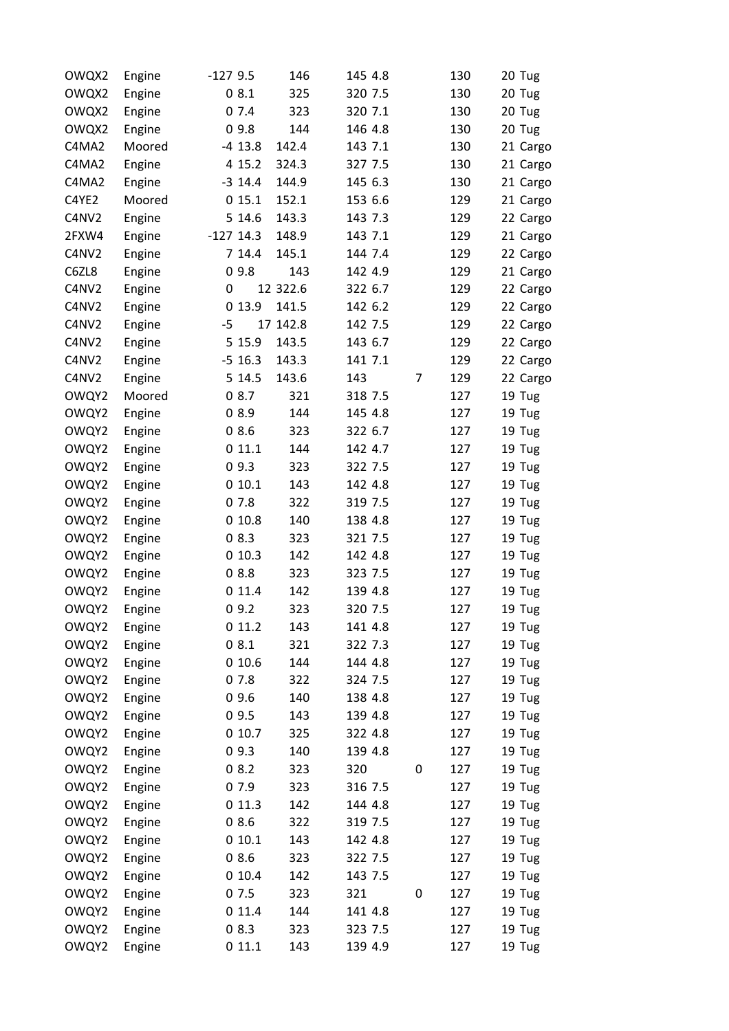| OWQX2 | Engine | $-1279.5$   | 146      | 145 4.8 |   | 130 | 20 Tug   |
|-------|--------|-------------|----------|---------|---|-----|----------|
| OWQX2 | Engine | 08.1        | 325      | 320 7.5 |   | 130 | 20 Tug   |
| OWQX2 | Engine | 07.4        | 323      | 320 7.1 |   | 130 | 20 Tug   |
| OWQX2 | Engine | 09.8        | 144      | 146 4.8 |   | 130 | 20 Tug   |
| C4MA2 | Moored | $-4$ 13.8   | 142.4    | 143 7.1 |   | 130 | 21 Cargo |
| C4MA2 | Engine | 4 15.2      | 324.3    | 327 7.5 |   | 130 | 21 Cargo |
| C4MA2 | Engine | $-3$ 14.4   | 144.9    | 145 6.3 |   | 130 | 21 Cargo |
| C4YE2 | Moored | 015.1       | 152.1    | 153 6.6 |   | 129 | 21 Cargo |
| C4NV2 | Engine | 5 14.6      | 143.3    | 143 7.3 |   | 129 | 22 Cargo |
| 2FXW4 | Engine | $-127$ 14.3 | 148.9    | 143 7.1 |   | 129 | 21 Cargo |
| C4NV2 | Engine | 7 14.4      | 145.1    | 144 7.4 |   | 129 | 22 Cargo |
| C6ZL8 | Engine | 09.8        | 143      | 142 4.9 |   | 129 | 21 Cargo |
| C4NV2 | Engine | 0           | 12 322.6 | 322 6.7 |   | 129 | 22 Cargo |
| C4NV2 | Engine | 0 13.9      | 141.5    | 142 6.2 |   | 129 | 22 Cargo |
| C4NV2 | Engine | $-5$        | 17 142.8 | 142 7.5 |   | 129 | 22 Cargo |
| C4NV2 | Engine | 5 15.9      | 143.5    | 143 6.7 |   | 129 | 22 Cargo |
| C4NV2 | Engine | $-5$ 16.3   | 143.3    | 141 7.1 |   | 129 | 22 Cargo |
| C4NV2 | Engine | 5 14.5      | 143.6    | 143     | 7 | 129 | 22 Cargo |
| OWQY2 | Moored | 08.7        | 321      | 318 7.5 |   | 127 | 19 Tug   |
| OWQY2 | Engine | 08.9        | 144      | 145 4.8 |   | 127 | 19 Tug   |
| OWQY2 | Engine | 08.6        | 323      | 322 6.7 |   | 127 | 19 Tug   |
| OWQY2 | Engine | 011.1       | 144      | 142 4.7 |   | 127 | 19 Tug   |
| OWQY2 | Engine | 09.3        | 323      | 322 7.5 |   | 127 | 19 Tug   |
| OWQY2 | Engine | 010.1       | 143      | 142 4.8 |   | 127 | 19 Tug   |
| OWQY2 | Engine | 07.8        | 322      | 319 7.5 |   | 127 | 19 Tug   |
| OWQY2 | Engine | 010.8       | 140      | 138 4.8 |   | 127 | 19 Tug   |
| OWQY2 | Engine | 08.3        | 323      | 321 7.5 |   | 127 | 19 Tug   |
| OWQY2 | Engine | 010.3       | 142      | 142 4.8 |   | 127 | 19 Tug   |
| OWQY2 | Engine | 08.8        | 323      | 323 7.5 |   | 127 | 19 Tug   |
| OWQY2 | Engine | 011.4       | 142      | 139 4.8 |   | 127 | 19 Tug   |
| OWQY2 | Engine | 09.2        | 323      | 320 7.5 |   | 127 | 19 Tug   |
| OWQY2 | Engine | 011.2       | 143      | 141 4.8 |   | 127 | 19 Tug   |
| OWQY2 | Engine | 08.1        | 321      | 322 7.3 |   | 127 | 19 Tug   |
| OWQY2 | Engine | 010.6       | 144      | 144 4.8 |   | 127 | 19 Tug   |
| OWQY2 | Engine | 07.8        | 322      | 324 7.5 |   | 127 | 19 Tug   |
| OWQY2 | Engine | 09.6        | 140      | 138 4.8 |   | 127 | 19 Tug   |
| OWQY2 | Engine | 09.5        | 143      | 139 4.8 |   | 127 | 19 Tug   |
| OWQY2 | Engine | 010.7       | 325      | 322 4.8 |   | 127 | 19 Tug   |
| OWQY2 | Engine | 09.3        | 140      | 139 4.8 |   | 127 | 19 Tug   |
| OWQY2 | Engine | 08.2        | 323      | 320     | 0 | 127 | 19 Tug   |
| OWQY2 | Engine | 07.9        | 323      | 316 7.5 |   | 127 | 19 Tug   |
| OWQY2 | Engine | 011.3       | 142      | 144 4.8 |   | 127 | 19 Tug   |
| OWQY2 | Engine | 08.6        | 322      | 319 7.5 |   | 127 | 19 Tug   |
| OWQY2 | Engine | 010.1       | 143      | 142 4.8 |   | 127 | 19 Tug   |
| OWQY2 | Engine | 08.6        | 323      | 322 7.5 |   | 127 | 19 Tug   |
| OWQY2 | Engine | 010.4       | 142      | 143 7.5 |   | 127 | 19 Tug   |
| OWQY2 | Engine | 07.5        | 323      | 321     | 0 | 127 | 19 Tug   |
| OWQY2 | Engine | 0 11.4      | 144      | 141 4.8 |   | 127 | 19 Tug   |
| OWQY2 | Engine | 08.3        | 323      | 323 7.5 |   | 127 | 19 Tug   |
| OWQY2 | Engine | 011.1       | 143      | 139 4.9 |   | 127 | 19 Tug   |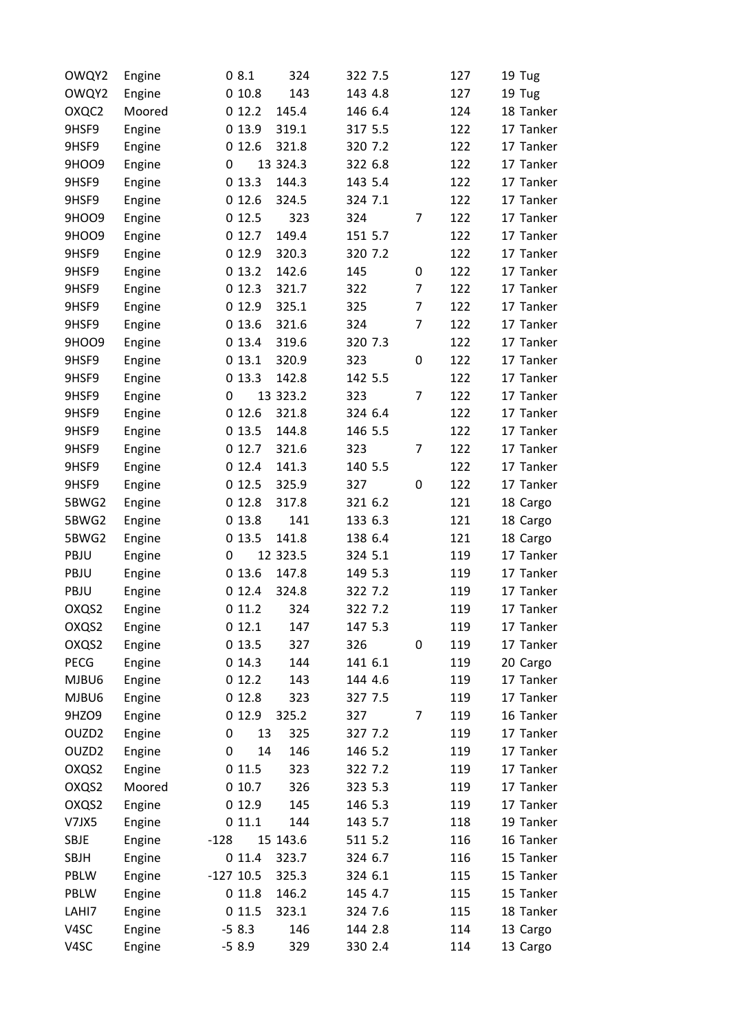| OWQY2             | Engine | 08.1        | 324      | 322 7.5 |                | 127 | 19 Tug    |
|-------------------|--------|-------------|----------|---------|----------------|-----|-----------|
| OWQY2             | Engine | 010.8       | 143      | 143 4.8 |                | 127 | 19 Tug    |
| OXQC2             | Moored | 012.2       | 145.4    | 146 6.4 |                | 124 | 18 Tanker |
| 9HSF9             | Engine | 0 13.9      | 319.1    | 317 5.5 |                | 122 | 17 Tanker |
| 9HSF9             | Engine | 012.6       | 321.8    | 320 7.2 |                | 122 | 17 Tanker |
| 9HOO9             | Engine | 0           | 13 324.3 | 322 6.8 |                | 122 | 17 Tanker |
| 9HSF9             | Engine | 013.3       | 144.3    | 143 5.4 |                | 122 | 17 Tanker |
| 9HSF9             | Engine | 012.6       | 324.5    | 324 7.1 |                | 122 | 17 Tanker |
| 9HOO9             | Engine | 012.5       | 323      | 324     | 7              | 122 | 17 Tanker |
| 9HOO9             | Engine | 012.7       | 149.4    | 151 5.7 |                | 122 | 17 Tanker |
| 9HSF9             | Engine | 0 12.9      | 320.3    | 320 7.2 |                | 122 | 17 Tanker |
| 9HSF9             | Engine | 013.2       | 142.6    | 145     | 0              | 122 | 17 Tanker |
| 9HSF9             | Engine | 012.3       | 321.7    | 322     | 7              | 122 | 17 Tanker |
| 9HSF9             | Engine | 0 12.9      | 325.1    | 325     | $\overline{7}$ | 122 | 17 Tanker |
| 9HSF9             | Engine | 013.6       | 321.6    | 324     | $\overline{7}$ | 122 | 17 Tanker |
| 9HOO9             | Engine | 013.4       | 319.6    | 320 7.3 |                | 122 | 17 Tanker |
| 9HSF9             | Engine | 013.1       | 320.9    | 323     | 0              | 122 | 17 Tanker |
| 9HSF9             | Engine | 013.3       | 142.8    | 142 5.5 |                | 122 | 17 Tanker |
| 9HSF9             | Engine | 0           | 13 323.2 | 323     | $\overline{7}$ | 122 | 17 Tanker |
| 9HSF9             | Engine | 012.6       | 321.8    | 324 6.4 |                | 122 | 17 Tanker |
| 9HSF9             | Engine | 0 13.5      | 144.8    | 146 5.5 |                | 122 | 17 Tanker |
| 9HSF9             | Engine | 012.7       | 321.6    | 323     | $\overline{7}$ | 122 | 17 Tanker |
| 9HSF9             | Engine | 012.4       | 141.3    | 140 5.5 |                | 122 | 17 Tanker |
| 9HSF9             | Engine | 012.5       | 325.9    | 327     | 0              | 122 | 17 Tanker |
| 5BWG2             | Engine | 012.8       | 317.8    | 321 6.2 |                | 121 | 18 Cargo  |
| 5BWG2             | Engine | 013.8       | 141      | 133 6.3 |                | 121 | 18 Cargo  |
| 5BWG2             | Engine | 0 13.5      | 141.8    | 138 6.4 |                | 121 | 18 Cargo  |
| PBJU              | Engine | 0           | 12 323.5 | 324 5.1 |                | 119 | 17 Tanker |
| PBJU              | Engine | 013.6       | 147.8    | 149 5.3 |                | 119 | 17 Tanker |
| PBJU              | Engine | 012.4       | 324.8    | 322 7.2 |                | 119 | 17 Tanker |
| OXQS2             | Engine | 011.2       | 324      | 322 7.2 |                | 119 | 17 Tanker |
| OXQS2             | Engine | 012.1       | 147      | 147 5.3 |                | 119 | 17 Tanker |
| OXQS2             | Engine | 0 13.5      | 327      | 326     | 0              | 119 | 17 Tanker |
| <b>PECG</b>       | Engine | 014.3       | 144      | 141 6.1 |                | 119 | 20 Cargo  |
| MJBU6             | Engine | 012.2       | 143      | 144 4.6 |                | 119 | 17 Tanker |
| MJBU6             | Engine | 012.8       | 323      | 327 7.5 |                | 119 | 17 Tanker |
| 9HZO9             | Engine | 0 12.9      | 325.2    | 327     | 7              | 119 | 16 Tanker |
| OUZD <sub>2</sub> | Engine | 0<br>13     | 325      | 327 7.2 |                | 119 | 17 Tanker |
| OUZD <sub>2</sub> | Engine | 0<br>14     | 146      | 146 5.2 |                | 119 | 17 Tanker |
| OXQS2             | Engine | 011.5       | 323      | 322 7.2 |                | 119 | 17 Tanker |
| OXQS2             | Moored | 010.7       | 326      | 323 5.3 |                | 119 | 17 Tanker |
| OXQS2             | Engine | 0 12.9      | 145      | 146 5.3 |                | 119 | 17 Tanker |
| V7JX5             |        |             | 144      |         |                |     | 19 Tanker |
|                   | Engine | 011.1       |          | 143 5.7 |                | 118 |           |
| <b>SBJE</b>       | Engine | $-128$      | 15 143.6 | 511 5.2 |                | 116 | 16 Tanker |
| <b>SBJH</b>       | Engine | 011.4       | 323.7    | 324 6.7 |                | 116 | 15 Tanker |
| PBLW              | Engine | $-127$ 10.5 | 325.3    | 324 6.1 |                | 115 | 15 Tanker |
| PBLW              | Engine | 011.8       | 146.2    | 145 4.7 |                | 115 | 15 Tanker |
| LAHI7             | Engine | 011.5       | 323.1    | 324 7.6 |                | 115 | 18 Tanker |
| V4SC              | Engine | $-58.3$     | 146      | 144 2.8 |                | 114 | 13 Cargo  |
| V4SC              | Engine | $-58.9$     | 329      | 330 2.4 |                | 114 | 13 Cargo  |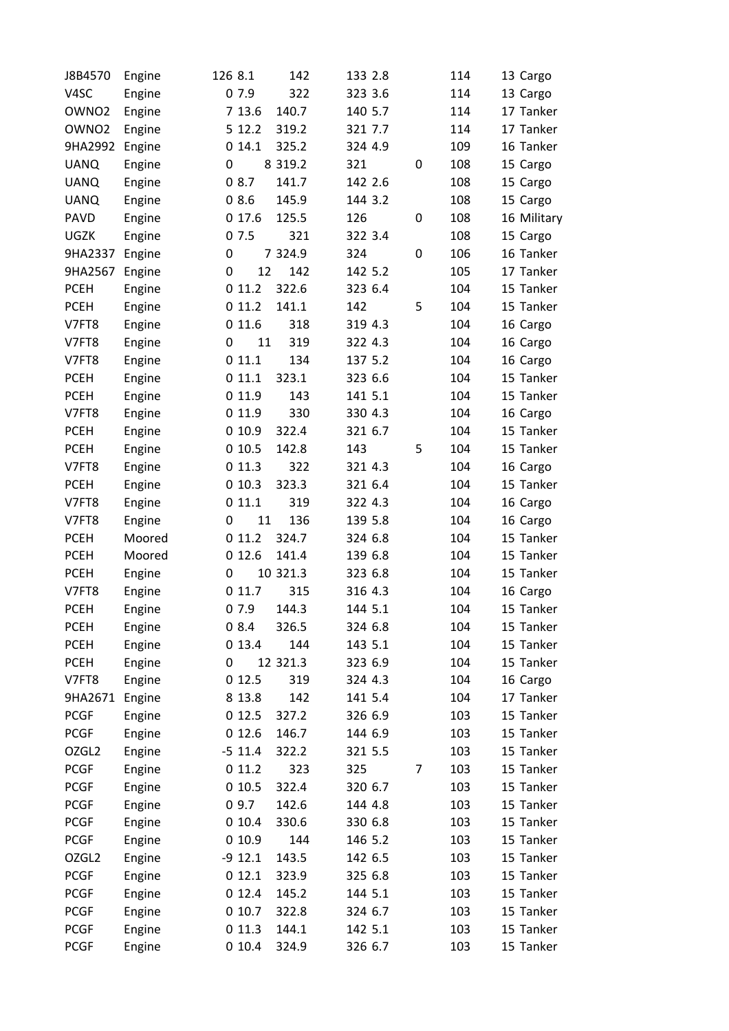| J8B4570           | Engine | 126 8.1     | 142         | 133 2.8 |   | 114 | 13 Cargo    |
|-------------------|--------|-------------|-------------|---------|---|-----|-------------|
| V <sub>4</sub> SC | Engine | 07.9        | 322         | 323 3.6 |   | 114 | 13 Cargo    |
| OWNO <sub>2</sub> | Engine | 7 13.6      | 140.7       | 140 5.7 |   | 114 | 17 Tanker   |
| OWNO <sub>2</sub> | Engine | 5 12.2      | 319.2       | 321 7.7 |   | 114 | 17 Tanker   |
| 9HA2992           | Engine | 014.1       | 325.2       | 324 4.9 |   | 109 | 16 Tanker   |
| <b>UANQ</b>       | Engine | 0           | 8 3 1 9 . 2 | 321     | 0 | 108 | 15 Cargo    |
| <b>UANQ</b>       | Engine | 08.7        | 141.7       | 142 2.6 |   | 108 | 15 Cargo    |
| <b>UANQ</b>       | Engine | 08.6        | 145.9       | 144 3.2 |   | 108 | 15 Cargo    |
| <b>PAVD</b>       | Engine | 017.6       | 125.5       | 126     | 0 | 108 | 16 Military |
| UGZK              | Engine | 07.5        | 321         | 322 3.4 |   | 108 | 15 Cargo    |
| 9HA2337           | Engine | $\mathbf 0$ | 7 324.9     | 324     | 0 | 106 | 16 Tanker   |
| 9HA2567           | Engine | 12<br>0     | 142         | 142 5.2 |   | 105 | 17 Tanker   |
| <b>PCEH</b>       | Engine | 011.2       | 322.6       | 323 6.4 |   | 104 | 15 Tanker   |
| <b>PCEH</b>       | Engine | 011.2       | 141.1       | 142     | 5 | 104 | 15 Tanker   |
| V7FT8             | Engine | 011.6       | 318         | 319 4.3 |   | 104 | 16 Cargo    |
| V7FT8             | Engine | 11<br>0     | 319         | 322 4.3 |   | 104 | 16 Cargo    |
| V7FT8             | Engine | 011.1       | 134         | 137 5.2 |   | 104 | 16 Cargo    |
| <b>PCEH</b>       | Engine | 011.1       | 323.1       | 323 6.6 |   | 104 | 15 Tanker   |
| <b>PCEH</b>       | Engine | 0 11.9      | 143         | 141 5.1 |   | 104 | 15 Tanker   |
| V7FT8             | Engine | 0 11.9      | 330         | 330 4.3 |   | 104 | 16 Cargo    |
| <b>PCEH</b>       | Engine | 010.9       | 322.4       | 321 6.7 |   | 104 | 15 Tanker   |
| <b>PCEH</b>       | Engine | 010.5       | 142.8       | 143     | 5 | 104 | 15 Tanker   |
| V7FT8             | Engine | 011.3       | 322         | 321 4.3 |   | 104 | 16 Cargo    |
| <b>PCEH</b>       | Engine | 010.3       | 323.3       | 321 6.4 |   | 104 | 15 Tanker   |
| V7FT8             | Engine | 011.1       | 319         | 322 4.3 |   | 104 | 16 Cargo    |
| V7FT8             | Engine | 0<br>11     | 136         | 139 5.8 |   | 104 | 16 Cargo    |
| <b>PCEH</b>       | Moored | 011.2       | 324.7       | 324 6.8 |   | 104 | 15 Tanker   |
| <b>PCEH</b>       | Moored | 012.6       | 141.4       | 139 6.8 |   | 104 | 15 Tanker   |
| <b>PCEH</b>       | Engine | 0           | 10 321.3    | 323 6.8 |   | 104 | 15 Tanker   |
| V7FT8             | Engine | 011.7       | 315         | 316 4.3 |   | 104 | 16 Cargo    |
| <b>PCEH</b>       | Engine | 07.9        | 144.3       | 144 5.1 |   | 104 | 15 Tanker   |
| <b>PCEH</b>       | Engine | 08.4        | 326.5       | 324 6.8 |   | 104 | 15 Tanker   |
| <b>PCEH</b>       | Engine | 013.4       | 144         | 143 5.1 |   | 104 | 15 Tanker   |
| <b>PCEH</b>       | Engine | 0           | 12 321.3    | 323 6.9 |   | 104 | 15 Tanker   |
| V7FT8             | Engine | 012.5       | 319         | 324 4.3 |   | 104 | 16 Cargo    |
| 9HA2671           | Engine | 8 1 3.8     | 142         | 141 5.4 |   | 104 | 17 Tanker   |
| <b>PCGF</b>       | Engine | 0 12.5      | 327.2       | 326 6.9 |   | 103 | 15 Tanker   |
| <b>PCGF</b>       | Engine | 012.6       | 146.7       | 144 6.9 |   | 103 | 15 Tanker   |
| OZGL <sub>2</sub> | Engine | $-5$ 11.4   | 322.2       | 321 5.5 |   | 103 | 15 Tanker   |
| <b>PCGF</b>       | Engine | 011.2       | 323         | 325     | 7 | 103 | 15 Tanker   |
| <b>PCGF</b>       | Engine | 010.5       | 322.4       | 320 6.7 |   | 103 | 15 Tanker   |
| <b>PCGF</b>       | Engine | 09.7        | 142.6       | 144 4.8 |   | 103 | 15 Tanker   |
| <b>PCGF</b>       | Engine | 010.4       | 330.6       | 330 6.8 |   | 103 | 15 Tanker   |
| <b>PCGF</b>       | Engine | 010.9       | 144         | 146 5.2 |   | 103 | 15 Tanker   |
| OZGL <sub>2</sub> | Engine | $-912.1$    | 143.5       | 142 6.5 |   | 103 | 15 Tanker   |
| <b>PCGF</b>       | Engine | 012.1       | 323.9       | 325 6.8 |   | 103 | 15 Tanker   |
| <b>PCGF</b>       | Engine | 012.4       | 145.2       | 144 5.1 |   | 103 | 15 Tanker   |
| <b>PCGF</b>       | Engine | 010.7       | 322.8       | 324 6.7 |   | 103 | 15 Tanker   |
| <b>PCGF</b>       | Engine | 011.3       | 144.1       | 142 5.1 |   | 103 | 15 Tanker   |
| <b>PCGF</b>       | Engine | 010.4       | 324.9       | 326 6.7 |   | 103 | 15 Tanker   |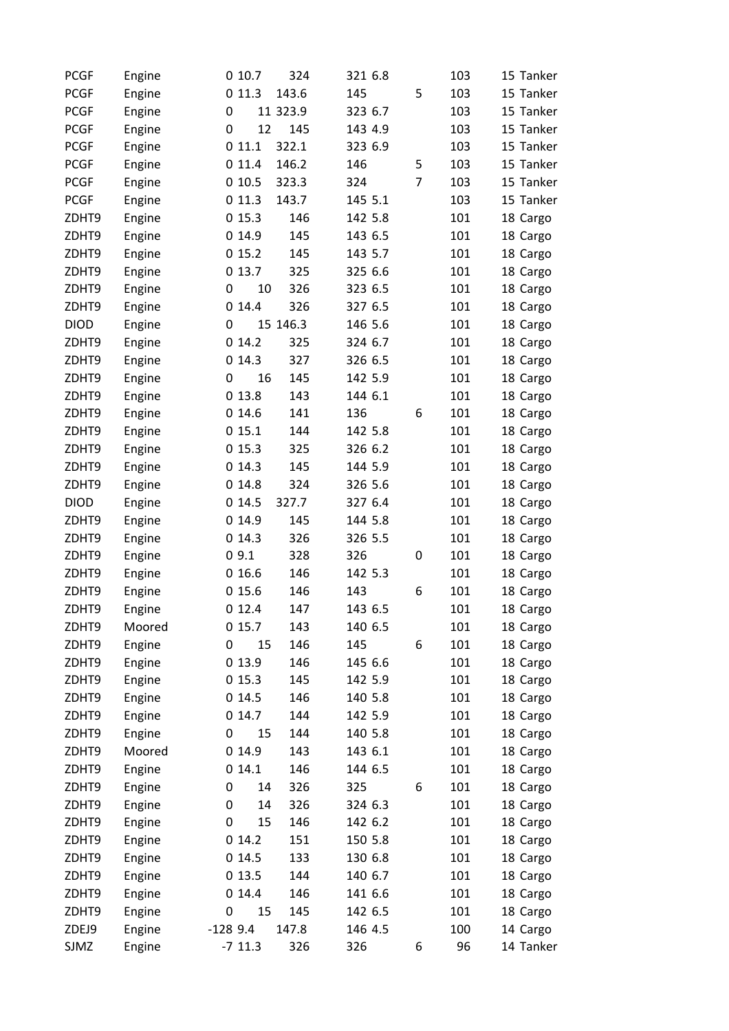| <b>PCGF</b> | Engine | 324<br>010.7       | 321 6.8 |                | 103 | 15 Tanker |
|-------------|--------|--------------------|---------|----------------|-----|-----------|
| <b>PCGF</b> | Engine | 143.6<br>011.3     | 145     | 5              | 103 | 15 Tanker |
| <b>PCGF</b> | Engine | 11 323.9<br>0      | 323 6.7 |                | 103 | 15 Tanker |
| <b>PCGF</b> | Engine | 12<br>145<br>0     | 143 4.9 |                | 103 | 15 Tanker |
| <b>PCGF</b> | Engine | 011.1<br>322.1     | 323 6.9 |                | 103 | 15 Tanker |
| <b>PCGF</b> | Engine | 011.4<br>146.2     | 146     | 5              | 103 | 15 Tanker |
| <b>PCGF</b> | Engine | 010.5<br>323.3     | 324     | $\overline{7}$ | 103 | 15 Tanker |
| <b>PCGF</b> | Engine | 143.7<br>011.3     | 145 5.1 |                | 103 | 15 Tanker |
| ZDHT9       | Engine | 146<br>015.3       | 142 5.8 |                | 101 | 18 Cargo  |
| ZDHT9       | Engine | 145<br>014.9       | 143 6.5 |                | 101 | 18 Cargo  |
| ZDHT9       | Engine | 015.2<br>145       | 143 5.7 |                | 101 | 18 Cargo  |
| ZDHT9       | Engine | 325<br>0 13.7      | 325 6.6 |                | 101 | 18 Cargo  |
| ZDHT9       | Engine | 10<br>326<br>0     | 323 6.5 |                | 101 | 18 Cargo  |
| ZDHT9       | Engine | 014.4<br>326       | 327 6.5 |                | 101 | 18 Cargo  |
| <b>DIOD</b> | Engine | 15 146.3<br>0      | 146 5.6 |                | 101 | 18 Cargo  |
| ZDHT9       | Engine | 014.2<br>325       | 324 6.7 |                | 101 | 18 Cargo  |
| ZDHT9       | Engine | 014.3<br>327       | 326 6.5 |                | 101 | 18 Cargo  |
| ZDHT9       | Engine | 16<br>0<br>145     | 142 5.9 |                | 101 | 18 Cargo  |
| ZDHT9       | Engine | 143<br>013.8       | 144 6.1 |                | 101 | 18 Cargo  |
| ZDHT9       | Engine | 014.6<br>141       | 136     | 6              | 101 | 18 Cargo  |
| ZDHT9       | Engine | 015.1<br>144       | 142 5.8 |                | 101 | 18 Cargo  |
| ZDHT9       | Engine | 325<br>015.3       | 326 6.2 |                | 101 | 18 Cargo  |
| ZDHT9       | Engine | 145<br>014.3       | 144 5.9 |                | 101 | 18 Cargo  |
| ZDHT9       | Engine | 014.8<br>324       | 326 5.6 |                | 101 | 18 Cargo  |
| <b>DIOD</b> | Engine | 014.5<br>327.7     | 327 6.4 |                | 101 | 18 Cargo  |
| ZDHT9       | Engine | 014.9<br>145       | 144 5.8 |                | 101 | 18 Cargo  |
| ZDHT9       | Engine | 014.3<br>326       | 326 5.5 |                | 101 | 18 Cargo  |
| ZDHT9       | Engine | 09.1<br>328        | 326     | 0              | 101 | 18 Cargo  |
| ZDHT9       | Engine | 146<br>016.6       | 142 5.3 |                | 101 | 18 Cargo  |
| ZDHT9       | Engine | 015.6<br>146       | 143     | 6              | 101 | 18 Cargo  |
| ZDHT9       | Engine | 012.4<br>147       | 143 6.5 |                | 101 | 18 Cargo  |
| ZDHT9       | Moored | 015.7<br>143       | 140 6.5 |                | 101 | 18 Cargo  |
| ZDHT9       | Engine | 146<br>15<br>0     | 145     | 6              | 101 | 18 Cargo  |
| ZDHT9       | Engine | 146<br>0 13.9      | 145 6.6 |                | 101 | 18 Cargo  |
| ZDHT9       | Engine | 015.3<br>145       | 142 5.9 |                | 101 | 18 Cargo  |
| ZDHT9       | Engine | 146<br>0 14.5      | 140 5.8 |                | 101 | 18 Cargo  |
| ZDHT9       | Engine | 144<br>014.7       | 142 5.9 |                | 101 | 18 Cargo  |
| ZDHT9       | Engine | 15<br>144<br>0     | 140 5.8 |                | 101 | 18 Cargo  |
| ZDHT9       | Moored | 143<br>014.9       | 143 6.1 |                | 101 | 18 Cargo  |
| ZDHT9       | Engine | 014.1<br>146       | 144 6.5 |                | 101 | 18 Cargo  |
| ZDHT9       | Engine | 326<br>0<br>14     | 325     | 6              | 101 | 18 Cargo  |
| ZDHT9       | Engine | 14<br>326<br>0     | 324 6.3 |                | 101 | 18 Cargo  |
| ZDHT9       | Engine | 15<br>146<br>0     | 142 6.2 |                | 101 | 18 Cargo  |
| ZDHT9       | Engine | 014.2<br>151       | 150 5.8 |                | 101 | 18 Cargo  |
| ZDHT9       | Engine | 014.5<br>133       | 130 6.8 |                | 101 | 18 Cargo  |
| ZDHT9       | Engine | 144<br>0 13.5      | 140 6.7 |                | 101 | 18 Cargo  |
| ZDHT9       | Engine | 146<br>014.4       | 141 6.6 |                | 101 | 18 Cargo  |
| ZDHT9       | Engine | 15<br>145<br>0     | 142 6.5 |                | 101 | 18 Cargo  |
| ZDEJ9       | Engine | $-1289.4$<br>147.8 | 146 4.5 |                | 100 | 14 Cargo  |
| SJMZ        | Engine | $-7$ 11.3<br>326   | 326     | 6              | 96  | 14 Tanker |
|             |        |                    |         |                |     |           |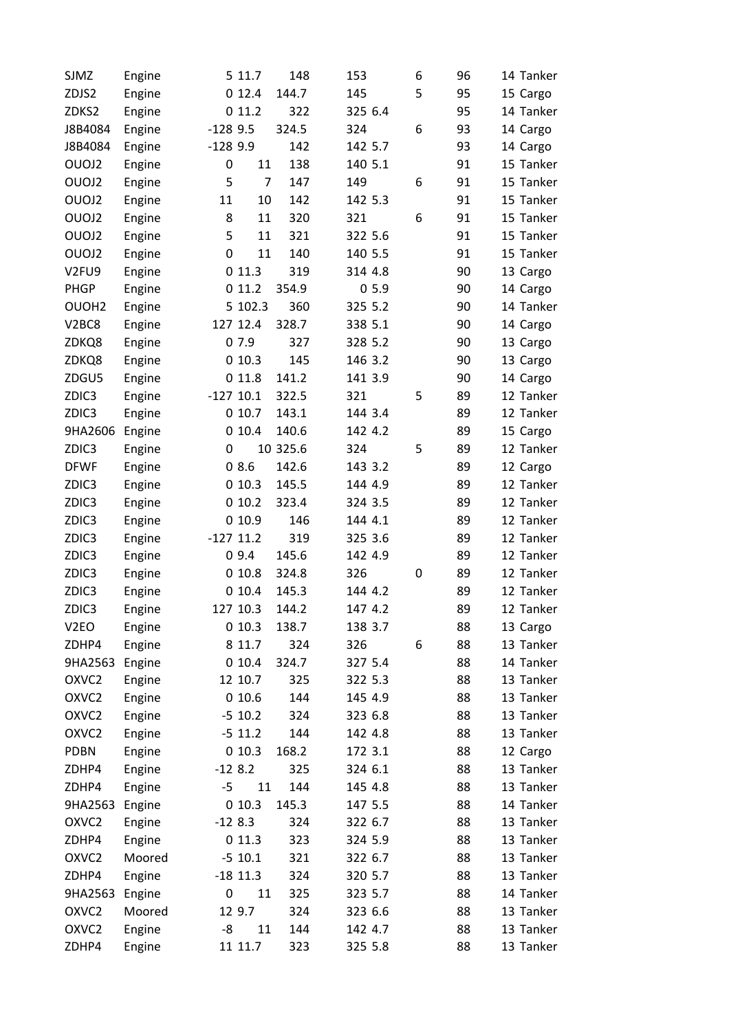| SJMZ                           | Engine |           | 5 11.7      | 148      | 153     |      | 96<br>6 | 14 Tanker |
|--------------------------------|--------|-----------|-------------|----------|---------|------|---------|-----------|
| ZDJS2                          | Engine |           | 012.4       | 144.7    | 145     |      | 5<br>95 | 15 Cargo  |
| ZDKS2                          | Engine |           | 011.2       | 322      | 325 6.4 |      | 95      | 14 Tanker |
| J8B4084                        | Engine | $-1289.5$ |             | 324.5    | 324     |      | 6<br>93 | 14 Cargo  |
| J8B4084                        | Engine | $-1289.9$ |             | 142      | 142 5.7 |      | 93      | 14 Cargo  |
| OUOJ2                          | Engine | 0         | 11          | 138      | 140 5.1 |      | 91      | 15 Tanker |
| OUOJ2                          | Engine | 5         | 7           | 147      | 149     |      | 6<br>91 | 15 Tanker |
| OUOJ2                          | Engine | 11        | 10          | 142      | 142 5.3 |      | 91      | 15 Tanker |
| OUOJ2                          | Engine | 8         | 11          | 320      | 321     |      | 6<br>91 | 15 Tanker |
| OUOJ2                          | Engine | 5         | 11          | 321      | 322 5.6 |      | 91      | 15 Tanker |
| OUOJ2                          | Engine | 0         | 11          | 140      | 140 5.5 |      | 91      | 15 Tanker |
| V2FU9                          | Engine |           | 011.3       | 319      | 314 4.8 |      | 90      | 13 Cargo  |
| <b>PHGP</b>                    | Engine |           | 011.2       | 354.9    |         | 05.9 | 90      | 14 Cargo  |
| OUOH <sub>2</sub>              | Engine |           | 5 102.3     | 360      | 325 5.2 |      | 90      | 14 Tanker |
| V <sub>2</sub> BC <sub>8</sub> | Engine |           | 127 12.4    | 328.7    | 338 5.1 |      | 90      | 14 Cargo  |
| ZDKQ8                          | Engine |           | 07.9        | 327      | 328 5.2 |      | 90      | 13 Cargo  |
| ZDKQ8                          | Engine |           | 010.3       | 145      | 146 3.2 |      | 90      | 13 Cargo  |
| ZDGU5                          | Engine |           | 0 11.8      | 141.2    | 141 3.9 |      | 90      | 14 Cargo  |
| ZDIC3                          | Engine |           | $-127$ 10.1 | 322.5    | 321     |      | 5<br>89 | 12 Tanker |
| ZDIC3                          | Engine |           | 010.7       | 143.1    | 144 3.4 |      | 89      | 12 Tanker |
| 9HA2606                        | Engine |           | 010.4       | 140.6    | 142 4.2 |      | 89      | 15 Cargo  |
| ZDIC3                          | Engine | 0         |             | 10 325.6 | 324     |      | 5<br>89 | 12 Tanker |
| <b>DFWF</b>                    | Engine |           | 08.6        | 142.6    | 143 3.2 |      | 89      | 12 Cargo  |
| ZDIC3                          | Engine |           | 010.3       | 145.5    | 144 4.9 |      | 89      | 12 Tanker |
| ZDIC3                          |        |           | 010.2       | 323.4    | 324 3.5 |      | 89      | 12 Tanker |
| ZDIC3                          | Engine |           | 010.9       | 146      | 144 4.1 |      | 89      | 12 Tanker |
| ZDIC3                          | Engine |           | $-127$ 11.2 | 319      | 325 3.6 |      | 89      | 12 Tanker |
| ZDIC3                          | Engine |           | 09.4        | 145.6    | 142 4.9 |      | 89      | 12 Tanker |
|                                | Engine |           |             |          |         |      |         |           |
| ZDIC3                          | Engine |           | 010.8       | 324.8    | 326     |      | 0<br>89 | 12 Tanker |
| ZDIC3                          | Engine |           | 010.4       | 145.3    | 144 4.2 |      | 89      | 12 Tanker |
| ZDIC3                          | Engine |           | 127 10.3    | 144.2    | 147 4.2 |      | 89      | 12 Tanker |
| V <sub>2</sub> EO              | Engine |           | 010.3       | 138.7    | 138 3.7 |      | 88      | 13 Cargo  |
| ZDHP4                          | Engine |           | 8 11.7      | 324      | 326     |      | 88<br>6 | 13 Tanker |
| 9HA2563                        | Engine |           | 010.4       | 324.7    | 327 5.4 |      | 88      | 14 Tanker |
| OXVC <sub>2</sub>              | Engine |           | 12 10.7     | 325      | 322 5.3 |      | 88      | 13 Tanker |
| OXVC <sub>2</sub>              | Engine |           | 010.6       | 144      | 145 4.9 |      | 88      | 13 Tanker |
| OXVC <sub>2</sub>              | Engine |           | $-5$ 10.2   | 324      | 323 6.8 |      | 88      | 13 Tanker |
| OXVC <sub>2</sub>              | Engine |           | $-5$ 11.2   | 144      | 142 4.8 |      | 88      | 13 Tanker |
| <b>PDBN</b>                    | Engine |           | 010.3       | 168.2    | 172 3.1 |      | 88      | 12 Cargo  |
| ZDHP4                          | Engine |           | $-128.2$    | 325      | 324 6.1 |      | 88      | 13 Tanker |
| ZDHP4                          | Engine | $-5$      | 11          | 144      | 145 4.8 |      | 88      | 13 Tanker |
| 9HA2563                        | Engine |           | 010.3       | 145.3    | 147 5.5 |      | 88      | 14 Tanker |
| OXVC <sub>2</sub>              | Engine |           | $-128.3$    | 324      | 322 6.7 |      | 88      | 13 Tanker |
| ZDHP4                          | Engine |           | 0 11.3      | 323      | 324 5.9 |      | 88      | 13 Tanker |
| OXVC <sub>2</sub>              | Moored |           | $-5$ 10.1   | 321      | 322 6.7 |      | 88      | 13 Tanker |
| ZDHP4                          | Engine |           | $-18$ 11.3  | 324      | 320 5.7 |      | 88      | 13 Tanker |
| 9HA2563                        | Engine | 0         | 11          | 325      | 323 5.7 |      | 88      | 14 Tanker |
| OXVC <sub>2</sub>              | Moored |           | 12 9.7      | 324      | 323 6.6 |      | 88      | 13 Tanker |
| OXVC <sub>2</sub>              | Engine | -8        | 11          | 144      | 142 4.7 |      | 88      | 13 Tanker |
| ZDHP4                          | Engine |           | 11 11.7     | 323      | 325 5.8 |      | 88      | 13 Tanker |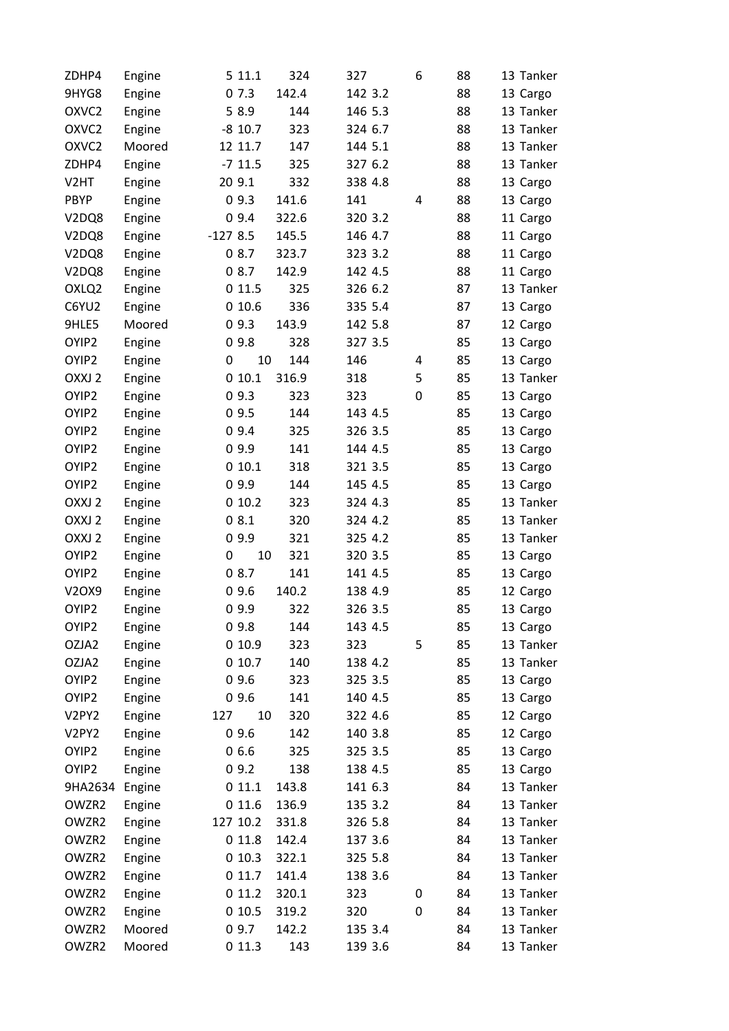| ZDHP4                          | Engine           | 5 11.1    | 324       | 327     | 6 | 88 | 13 Tanker |
|--------------------------------|------------------|-----------|-----------|---------|---|----|-----------|
| 9HYG8                          | Engine           | 07.3      | 142.4     | 142 3.2 |   | 88 | 13 Cargo  |
| OXVC <sub>2</sub>              | Engine           | 5 8.9     | 144       | 146 5.3 |   | 88 | 13 Tanker |
| OXVC <sub>2</sub>              | Engine           | $-8$ 10.7 | 323       | 324 6.7 |   | 88 | 13 Tanker |
| OXVC <sub>2</sub>              | Moored           | 12 11.7   | 147       | 144 5.1 |   | 88 | 13 Tanker |
| ZDHP4                          | Engine           | $-711.5$  | 325       | 327 6.2 |   | 88 | 13 Tanker |
| V <sub>2</sub> HT              | Engine           | 20 9.1    | 332       | 338 4.8 |   | 88 | 13 Cargo  |
| <b>PBYP</b>                    | Engine           | 09.3      | 141.6     | 141     | 4 | 88 | 13 Cargo  |
| V <sub>2</sub> DQ <sub>8</sub> | Engine           | 09.4      | 322.6     | 320 3.2 |   | 88 | 11 Cargo  |
| V <sub>2</sub> DQ <sub>8</sub> | Engine           | $-1278.5$ | 145.5     | 146 4.7 |   | 88 | 11 Cargo  |
| V <sub>2</sub> DQ <sub>8</sub> | Engine           | 08.7      | 323.7     | 323 3.2 |   | 88 | 11 Cargo  |
| V2DQ8                          | Engine           | 08.7      | 142.9     | 142 4.5 |   | 88 | 11 Cargo  |
| OXLQ2                          | Engine           | 0 11.5    | 325       | 326 6.2 |   | 87 | 13 Tanker |
| C6YU2                          | Engine           | 010.6     | 336       | 335 5.4 |   | 87 | 13 Cargo  |
| 9HLE5                          | Moored           | 09.3      | 143.9     | 142 5.8 |   | 87 | 12 Cargo  |
| OYIP2                          | Engine           | 09.8      | 328       | 327 3.5 |   | 85 | 13 Cargo  |
| OYIP2                          | Engine           | 0         | 10<br>144 | 146     | 4 | 85 | 13 Cargo  |
| OXXJ 2                         | Engine           | 010.1     | 316.9     | 318     | 5 | 85 | 13 Tanker |
| OYIP2                          | Engine           | 09.3      | 323       | 323     | 0 | 85 | 13 Cargo  |
| OYIP <sub>2</sub>              | Engine           | 09.5      | 144       | 143 4.5 |   | 85 | 13 Cargo  |
| OYIP2                          | Engine           | 09.4      | 325       | 326 3.5 |   | 85 | 13 Cargo  |
| OYIP2                          | Engine           | 09.9      | 141       | 144 4.5 |   | 85 | 13 Cargo  |
| OYIP2                          | Engine           | 010.1     | 318       | 321 3.5 |   | 85 | 13 Cargo  |
| OYIP2                          | Engine           | 09.9      | 144       | 145 4.5 |   | 85 | 13 Cargo  |
| OXXJ 2                         | Engine           | 010.2     | 323       | 324 4.3 |   | 85 | 13 Tanker |
| OXXJ 2                         | Engine           | 08.1      | 320       | 324 4.2 |   | 85 | 13 Tanker |
| OXXJ 2                         | Engine           | 09.9      | 321       | 325 4.2 |   | 85 | 13 Tanker |
| OYIP2                          | Engine           | 0         | 10<br>321 | 320 3.5 |   | 85 | 13 Cargo  |
| OYIP2                          |                  | 08.7      | 141       | 141 4.5 |   | 85 | 13 Cargo  |
| V2OX9                          | Engine<br>Engine | 09.6      | 140.2     | 138 4.9 |   | 85 | 12 Cargo  |
| OYIP2                          | Engine           | 09.9      | 322       | 326 3.5 |   | 85 | 13 Cargo  |
| OYIP2                          |                  | 09.8      | 144       | 143 4.5 |   | 85 |           |
|                                | Engine           |           |           |         | 5 |    | 13 Cargo  |
| OZJA2                          | Engine           | 010.9     | 323       | 323     |   | 85 | 13 Tanker |
| OZJA2                          | Engine           | 010.7     | 140       | 138 4.2 |   | 85 | 13 Tanker |
| OYIP2                          | Engine           | 09.6      | 323       | 325 3.5 |   | 85 | 13 Cargo  |
| OYIP2                          | Engine           | 09.6      | 141       | 140 4.5 |   | 85 | 13 Cargo  |
| V <sub>2</sub> PY <sub>2</sub> | Engine           | 127       | 10<br>320 | 322 4.6 |   | 85 | 12 Cargo  |
| V2PY2                          | Engine           | 09.6      | 142       | 140 3.8 |   | 85 | 12 Cargo  |
| OYIP2                          | Engine           | 06.6      | 325       | 325 3.5 |   | 85 | 13 Cargo  |
| OYIP2                          | Engine           | 09.2      | 138       | 138 4.5 |   | 85 | 13 Cargo  |
| 9HA2634                        | Engine           | 011.1     | 143.8     | 141 6.3 |   | 84 | 13 Tanker |
| OWZR2                          | Engine           | 0 11.6    | 136.9     | 135 3.2 |   | 84 | 13 Tanker |
| OWZR2                          | Engine           | 127 10.2  | 331.8     | 326 5.8 |   | 84 | 13 Tanker |
| OWZR2                          | Engine           | 0 11.8    | 142.4     | 137 3.6 |   | 84 | 13 Tanker |
| OWZR2                          | Engine           | 010.3     | 322.1     | 325 5.8 |   | 84 | 13 Tanker |
| OWZR2                          | Engine           | 011.7     | 141.4     | 138 3.6 |   | 84 | 13 Tanker |
| OWZR2                          | Engine           | 011.2     | 320.1     | 323     | 0 | 84 | 13 Tanker |
| OWZR2                          | Engine           | 010.5     | 319.2     | 320     | 0 | 84 | 13 Tanker |
| OWZR2                          | Moored           | 09.7      | 142.2     | 135 3.4 |   | 84 | 13 Tanker |
| OWZR2                          | Moored           | 011.3     | 143       | 139 3.6 |   | 84 | 13 Tanker |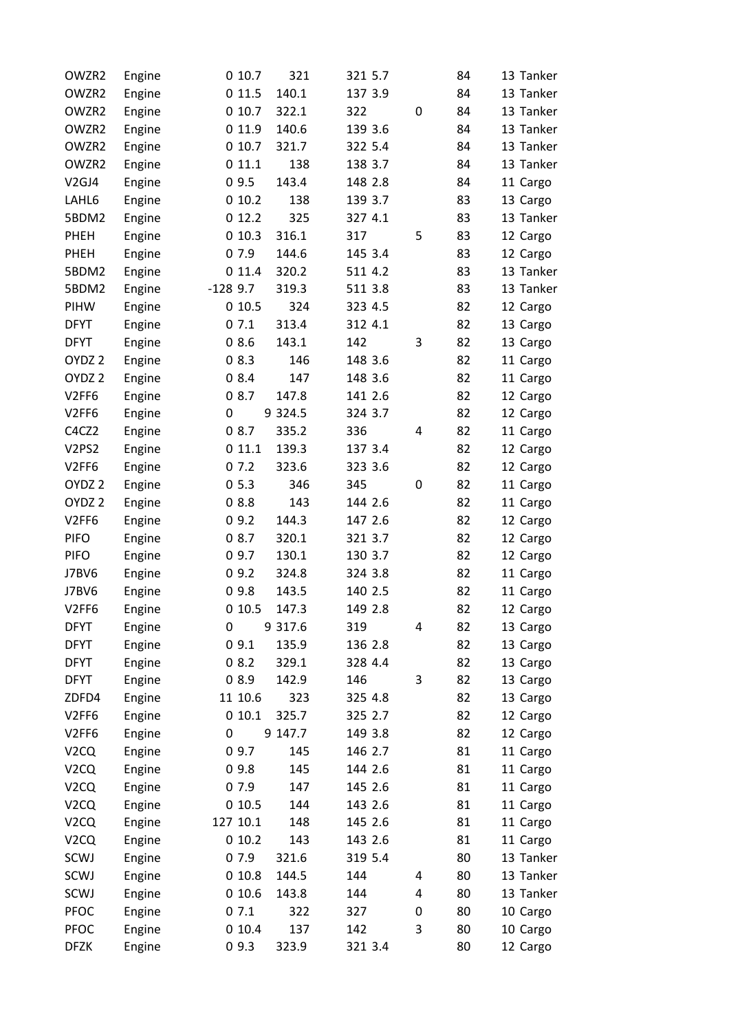| OWZR2             | Engine | 010.7     | 321         | 321 5.7 |             | 84 | 13 Tanker |
|-------------------|--------|-----------|-------------|---------|-------------|----|-----------|
| OWZR2             | Engine | 0 11.5    | 140.1       | 137 3.9 |             | 84 | 13 Tanker |
| OWZR2             | Engine | 010.7     | 322.1       | 322     | $\mathbf 0$ | 84 | 13 Tanker |
| OWZR2             | Engine | 0 11.9    | 140.6       | 139 3.6 |             | 84 | 13 Tanker |
| OWZR2             | Engine | 010.7     | 321.7       | 322 5.4 |             | 84 | 13 Tanker |
| OWZR2             | Engine | 011.1     | 138         | 138 3.7 |             | 84 | 13 Tanker |
| V <sub>2GJ4</sub> | Engine | 09.5      | 143.4       | 148 2.8 |             | 84 | 11 Cargo  |
| LAHL6             | Engine | 010.2     | 138         | 139 3.7 |             | 83 | 13 Cargo  |
| 5BDM2             | Engine | 012.2     | 325         | 327 4.1 |             | 83 | 13 Tanker |
| <b>PHEH</b>       | Engine | 010.3     | 316.1       | 317     | 5           | 83 | 12 Cargo  |
| <b>PHEH</b>       | Engine | 07.9      | 144.6       | 145 3.4 |             | 83 | 12 Cargo  |
| 5BDM2             | Engine | 011.4     | 320.2       | 511 4.2 |             | 83 | 13 Tanker |
| 5BDM2             | Engine | $-1289.7$ | 319.3       | 511 3.8 |             | 83 | 13 Tanker |
| PIHW              | Engine | 010.5     | 324         | 323 4.5 |             | 82 | 12 Cargo  |
| <b>DFYT</b>       | Engine | 07.1      | 313.4       | 312 4.1 |             | 82 | 13 Cargo  |
| <b>DFYT</b>       | Engine | 08.6      | 143.1       | 142     | 3           | 82 | 13 Cargo  |
| OYDZ <sub>2</sub> | Engine | 08.3      | 146         | 148 3.6 |             | 82 | 11 Cargo  |
| OYDZ <sub>2</sub> | Engine | 08.4      | 147         | 148 3.6 |             | 82 | 11 Cargo  |
| V2FF6             | Engine | 08.7      | 147.8       | 141 2.6 |             | 82 | 12 Cargo  |
| V2FF6             | Engine | 0         | 9 3 2 4 .5  | 324 3.7 |             | 82 | 12 Cargo  |
| C4CZ2             | Engine | 08.7      | 335.2       | 336     | 4           | 82 | 11 Cargo  |
| V2PS2             | Engine | 011.1     | 139.3       | 137 3.4 |             | 82 | 12 Cargo  |
| V <sub>2FF6</sub> | Engine | 07.2      | 323.6       | 323 3.6 |             | 82 | 12 Cargo  |
| OYDZ <sub>2</sub> | Engine | 05.3      | 346         | 345     | 0           | 82 | 11 Cargo  |
| OYDZ <sub>2</sub> | Engine | 08.8      | 143         | 144 2.6 |             | 82 | 11 Cargo  |
| V2FF6             | Engine | 09.2      | 144.3       | 147 2.6 |             | 82 | 12 Cargo  |
| <b>PIFO</b>       | Engine | 08.7      | 320.1       | 321 3.7 |             | 82 | 12 Cargo  |
| <b>PIFO</b>       | Engine | 09.7      | 130.1       | 130 3.7 |             | 82 | 12 Cargo  |
| J7BV6             | Engine | 09.2      | 324.8       | 324 3.8 |             | 82 | 11 Cargo  |
| J7BV6             | Engine | 09.8      | 143.5       | 140 2.5 |             | 82 | 11 Cargo  |
| V <sub>2FF6</sub> | Engine | 010.5     | 147.3       | 149 2.8 |             | 82 | 12 Cargo  |
| <b>DFYT</b>       | Engine | 0         | 9 3 1 7 . 6 | 319     | 4           | 82 | 13 Cargo  |
| <b>DFYT</b>       | Engine | 09.1      | 135.9       | 136 2.8 |             | 82 | 13 Cargo  |
| <b>DFYT</b>       | Engine | 08.2      | 329.1       | 328 4.4 |             | 82 | 13 Cargo  |
| <b>DFYT</b>       | Engine | 08.9      | 142.9       | 146     | 3           | 82 | 13 Cargo  |
| ZDFD4             | Engine | 11 10.6   | 323         | 325 4.8 |             | 82 | 13 Cargo  |
| V <sub>2FF6</sub> | Engine | 010.1     | 325.7       | 325 2.7 |             | 82 | 12 Cargo  |
| V2FF6             | Engine | 0         | 9 147.7     | 149 3.8 |             | 82 | 12 Cargo  |
| V <sub>2</sub> CQ | Engine | 09.7      | 145         | 146 2.7 |             | 81 | 11 Cargo  |
| V <sub>2</sub> CQ | Engine | 09.8      | 145         | 144 2.6 |             | 81 | 11 Cargo  |
| V <sub>2</sub> CQ | Engine | 07.9      | 147         | 145 2.6 |             | 81 | 11 Cargo  |
| V <sub>2</sub> CQ | Engine | 010.5     | 144         | 143 2.6 |             | 81 | 11 Cargo  |
| V <sub>2</sub> CQ | Engine | 127 10.1  | 148         | 145 2.6 |             | 81 | 11 Cargo  |
| V <sub>2</sub> CQ | Engine | 010.2     | 143         | 143 2.6 |             | 81 | 11 Cargo  |
| SCWJ              | Engine | 07.9      | 321.6       | 319 5.4 |             | 80 | 13 Tanker |
| SCWJ              | Engine | 010.8     | 144.5       | 144     | 4           | 80 | 13 Tanker |
| SCWJ              | Engine | 010.6     | 143.8       | 144     | 4           | 80 | 13 Tanker |
| PFOC              | Engine | 07.1      | 322         | 327     | 0           | 80 | 10 Cargo  |
| PFOC              | Engine | 010.4     | 137         | 142     | 3           | 80 | 10 Cargo  |
| <b>DFZK</b>       | Engine | 09.3      | 323.9       | 321 3.4 |             | 80 | 12 Cargo  |
|                   |        |           |             |         |             |    |           |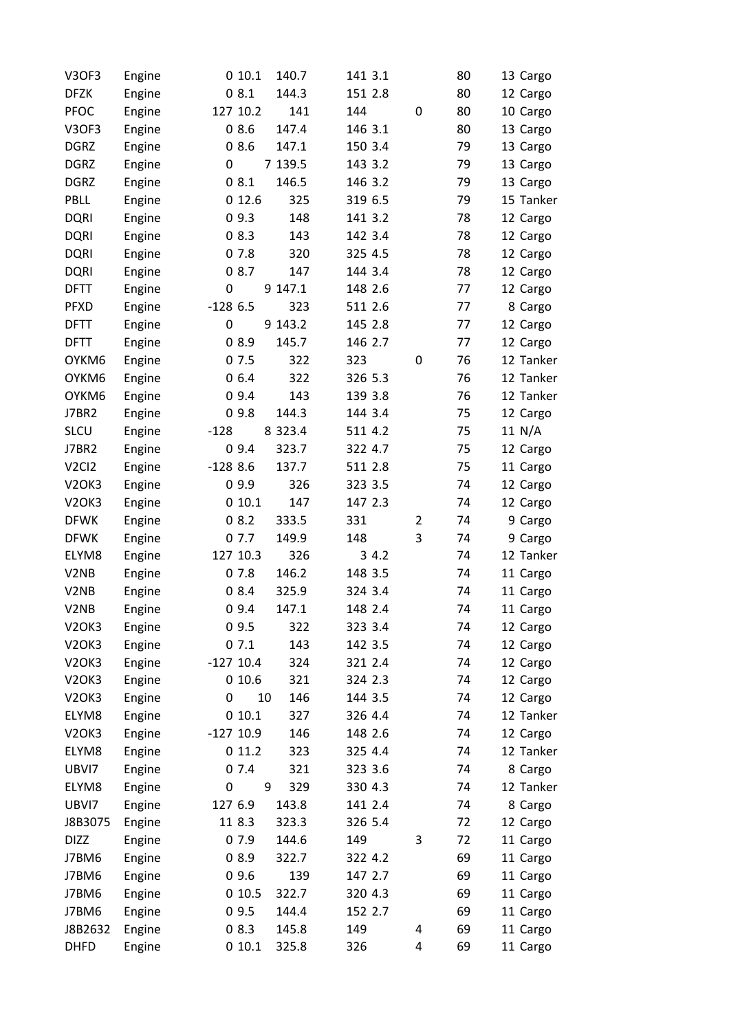| V3OF3                          | Engine | 010.1<br>140.7      | 141 3.1 | 80      | 13 Cargo  |
|--------------------------------|--------|---------------------|---------|---------|-----------|
| <b>DFZK</b>                    | Engine | 08.1<br>144.3       | 151 2.8 | 80      | 12 Cargo  |
| <b>PFOC</b>                    | Engine | 127 10.2<br>141     | 144     | 0<br>80 | 10 Cargo  |
| <b>V3OF3</b>                   | Engine | 08.6<br>147.4       | 146 3.1 | 80      | 13 Cargo  |
| <b>DGRZ</b>                    | Engine | 147.1<br>08.6       | 150 3.4 | 79      | 13 Cargo  |
| <b>DGRZ</b>                    | Engine | 0<br>7 139.5        | 143 3.2 | 79      | 13 Cargo  |
| <b>DGRZ</b>                    | Engine | 08.1<br>146.5       | 146 3.2 | 79      | 13 Cargo  |
| PBLL                           | Engine | 325<br>012.6        | 319 6.5 | 79      | 15 Tanker |
| <b>DQRI</b>                    | Engine | 09.3<br>148         | 141 3.2 | 78      | 12 Cargo  |
| <b>DQRI</b>                    | Engine | 08.3<br>143         | 142 3.4 | 78      | 12 Cargo  |
| <b>DQRI</b>                    | Engine | 07.8<br>320         | 325 4.5 | 78      | 12 Cargo  |
| <b>DQRI</b>                    | Engine | 08.7<br>147         | 144 3.4 | 78      | 12 Cargo  |
| <b>DFTT</b>                    | Engine | 0<br>9 147.1        | 148 2.6 | 77      | 12 Cargo  |
| <b>PFXD</b>                    | Engine | $-1286.5$<br>323    | 511 2.6 | 77      | 8 Cargo   |
| <b>DFTT</b>                    | Engine | 9 143.2<br>0        | 145 2.8 | 77      | 12 Cargo  |
| <b>DFTT</b>                    | Engine | 08.9<br>145.7       | 146 2.7 | 77      | 12 Cargo  |
| OYKM6                          | Engine | 07.5<br>322         | 323     | 0<br>76 | 12 Tanker |
| OYKM6                          | Engine | 06.4<br>322         | 326 5.3 | 76      | 12 Tanker |
| OYKM6                          | Engine | 09.4<br>143         | 139 3.8 | 76      | 12 Tanker |
| <b>J7BR2</b>                   | Engine | 09.8<br>144.3       | 144 3.4 | 75      | 12 Cargo  |
| <b>SLCU</b>                    | Engine | $-128$<br>8 3 2 3.4 | 511 4.2 | 75      | 11 N/A    |
| <b>J7BR2</b>                   | Engine | 09.4<br>323.7       | 322 4.7 | 75      | 12 Cargo  |
| V <sub>2</sub> C <sub>12</sub> | Engine | $-1288.6$<br>137.7  | 511 2.8 | 75      | 11 Cargo  |
| V <sub>2</sub> OK <sub>3</sub> | Engine | 09.9<br>326         | 323 3.5 | 74      | 12 Cargo  |
| V <sub>2</sub> OK <sub>3</sub> | Engine | 010.1<br>147        | 147 2.3 | 74      | 12 Cargo  |
| <b>DFWK</b>                    | Engine | 08.2<br>333.5       | 331     | 74<br>2 | 9 Cargo   |
| <b>DFWK</b>                    | Engine | 07.7<br>149.9       | 148     | 3<br>74 | 9 Cargo   |
| ELYM8                          | Engine | 127 10.3<br>326     | 34.2    | 74      | 12 Tanker |
| V <sub>2</sub> N <sub>B</sub>  | Engine | 146.2<br>07.8       | 148 3.5 | 74      | 11 Cargo  |
| V <sub>2</sub> N <sub>B</sub>  | Engine | 08.4<br>325.9       | 324 3.4 | 74      | 11 Cargo  |
| V2NB                           | Engine | 09.4<br>147.1       | 148 2.4 | 74      | 11 Cargo  |
| V <sub>2</sub> OK <sub>3</sub> | Engine | 09.5<br>322         | 323 3.4 | 74      | 12 Cargo  |
| V <sub>2</sub> OK <sub>3</sub> | Engine | 07.1<br>143         | 142 3.5 | 74      | 12 Cargo  |
| V <sub>2</sub> OK <sub>3</sub> | Engine | $-127$ 10.4<br>324  | 321 2.4 | 74      | 12 Cargo  |
| V <sub>2</sub> OK <sub>3</sub> | Engine | 010.6<br>321        | 324 2.3 | 74      | 12 Cargo  |
| <b>V2OK3</b>                   | Engine | 0<br>10<br>146      | 144 3.5 | 74      | 12 Cargo  |
| ELYM8                          | Engine | 010.1<br>327        | 326 4.4 | 74      | 12 Tanker |
| V <sub>2</sub> OK <sub>3</sub> | Engine | $-127$ 10.9<br>146  | 148 2.6 | 74      | 12 Cargo  |
| ELYM8                          | Engine | 011.2<br>323        | 325 4.4 | 74      | 12 Tanker |
| UBVI7                          | Engine | 07.4<br>321         | 323 3.6 | 74      | 8 Cargo   |
| ELYM8                          | Engine | 9<br>329<br>0       | 330 4.3 | 74      | 12 Tanker |
| UBVI7                          | Engine | 127 6.9<br>143.8    | 141 2.4 | 74      | 8 Cargo   |
| J8B3075                        | Engine | 11 8.3<br>323.3     | 326 5.4 | 72      | 12 Cargo  |
| <b>DIZZ</b>                    | Engine | 07.9<br>144.6       | 149     | 3<br>72 | 11 Cargo  |
| J7BM6                          | Engine | 08.9<br>322.7       | 322 4.2 | 69      | 11 Cargo  |
| J7BM6                          | Engine | 09.6<br>139         | 147 2.7 | 69      | 11 Cargo  |
| J7BM6                          | Engine | 010.5<br>322.7      | 320 4.3 | 69      | 11 Cargo  |
| J7BM6                          | Engine | 09.5<br>144.4       | 152 2.7 | 69      | 11 Cargo  |
| J8B2632                        | Engine | 08.3<br>145.8       | 149     | 4<br>69 | 11 Cargo  |
| <b>DHFD</b>                    | Engine | 010.1<br>325.8      | 326     | 4<br>69 | 11 Cargo  |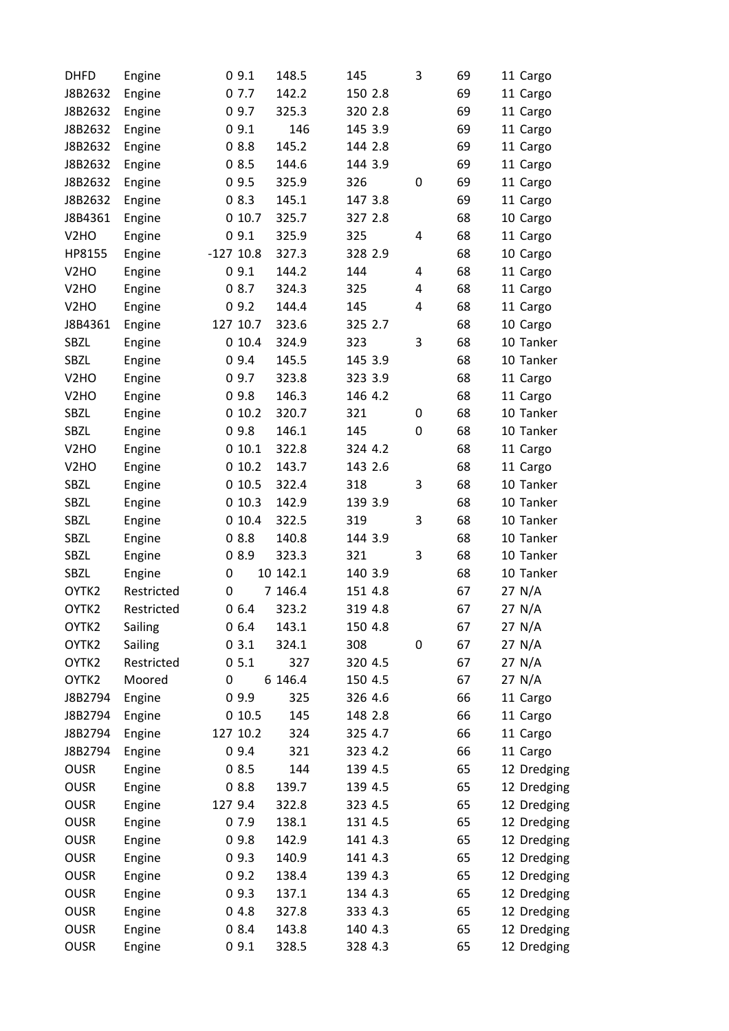| <b>DHFD</b>       | Engine     |         | 09.1        | 148.5    | 145     | 3 | 69 | 11 Cargo    |
|-------------------|------------|---------|-------------|----------|---------|---|----|-------------|
| J8B2632           | Engine     |         | 07.7        | 142.2    | 150 2.8 |   | 69 | 11 Cargo    |
| J8B2632           | Engine     |         | 09.7        | 325.3    | 320 2.8 |   | 69 | 11 Cargo    |
| J8B2632           | Engine     |         | 09.1        | 146      | 145 3.9 |   | 69 | 11 Cargo    |
| J8B2632           | Engine     |         | 08.8        | 145.2    | 144 2.8 |   | 69 | 11 Cargo    |
| J8B2632           | Engine     |         | 08.5        | 144.6    | 144 3.9 |   | 69 | 11 Cargo    |
| J8B2632           | Engine     |         | 09.5        | 325.9    | 326     | 0 | 69 | 11 Cargo    |
| J8B2632           | Engine     |         | 08.3        | 145.1    | 147 3.8 |   | 69 | 11 Cargo    |
| J8B4361           | Engine     |         | 010.7       | 325.7    | 327 2.8 |   | 68 | 10 Cargo    |
| V <sub>2</sub> HO | Engine     |         | 09.1        | 325.9    | 325     | 4 | 68 | 11 Cargo    |
| HP8155            | Engine     |         | $-127$ 10.8 | 327.3    | 328 2.9 |   | 68 | 10 Cargo    |
| V <sub>2</sub> HO | Engine     |         | 09.1        | 144.2    | 144     | 4 | 68 | 11 Cargo    |
| V <sub>2</sub> HO | Engine     |         | 08.7        | 324.3    | 325     | 4 | 68 | 11 Cargo    |
| V <sub>2</sub> HO | Engine     |         | 09.2        | 144.4    | 145     | 4 | 68 | 11 Cargo    |
| J8B4361           | Engine     |         | 127 10.7    | 323.6    | 325 2.7 |   | 68 | 10 Cargo    |
| SBZL              | Engine     |         | 010.4       | 324.9    | 323     | 3 | 68 | 10 Tanker   |
| SBZL              | Engine     |         | 09.4        | 145.5    | 145 3.9 |   | 68 | 10 Tanker   |
| V <sub>2</sub> HO | Engine     |         | 09.7        | 323.8    | 323 3.9 |   | 68 | 11 Cargo    |
| V <sub>2</sub> HO | Engine     |         | 09.8        | 146.3    | 146 4.2 |   | 68 | 11 Cargo    |
| SBZL              | Engine     |         | 010.2       | 320.7    | 321     | 0 | 68 | 10 Tanker   |
| SBZL              | Engine     |         | 09.8        | 146.1    | 145     | 0 | 68 | 10 Tanker   |
| V <sub>2</sub> HO | Engine     |         | 010.1       | 322.8    | 324 4.2 |   | 68 | 11 Cargo    |
| V <sub>2</sub> HO | Engine     |         | 010.2       | 143.7    | 143 2.6 |   | 68 | 11 Cargo    |
| SBZL              | Engine     |         | 010.5       | 322.4    | 318     | 3 | 68 | 10 Tanker   |
| SBZL              | Engine     |         | 010.3       | 142.9    | 139 3.9 |   | 68 | 10 Tanker   |
| SBZL              | Engine     |         | 010.4       | 322.5    | 319     | 3 | 68 | 10 Tanker   |
| SBZL              | Engine     |         | 08.8        | 140.8    | 144 3.9 |   | 68 | 10 Tanker   |
| SBZL              | Engine     |         | 08.9        | 323.3    | 321     | 3 | 68 | 10 Tanker   |
| SBZL              | Engine     | 0       |             | 10 142.1 | 140 3.9 |   | 68 | 10 Tanker   |
| OYTK2             | Restricted | 0       |             | 7 146.4  | 151 4.8 |   | 67 | 27 N/A      |
| OYTK2             | Restricted |         | 06.4        | 323.2    | 319 4.8 |   | 67 | 27 N/A      |
| OYTK2             | Sailing    |         | 06.4        | 143.1    | 150 4.8 |   | 67 | 27 N/A      |
| OYTK2             | Sailing    |         | 03.1        | 324.1    | 308     | 0 | 67 | 27 N/A      |
| OYTK2             | Restricted |         | 05.1        | 327      | 320 4.5 |   | 67 | 27 N/A      |
| OYTK2             | Moored     | 0       |             | 6 146.4  | 150 4.5 |   | 67 | 27 N/A      |
| J8B2794           | Engine     |         | 09.9        | 325      | 326 4.6 |   | 66 | 11 Cargo    |
| J8B2794           | Engine     |         | 010.5       | 145      | 148 2.8 |   | 66 | 11 Cargo    |
| J8B2794           | Engine     |         | 127 10.2    | 324      | 325 4.7 |   | 66 | 11 Cargo    |
| J8B2794           | Engine     |         | 09.4        | 321      | 323 4.2 |   | 66 | 11 Cargo    |
| <b>OUSR</b>       | Engine     |         | 08.5        | 144      | 139 4.5 |   | 65 | 12 Dredging |
| <b>OUSR</b>       | Engine     |         | 08.8        | 139.7    | 139 4.5 |   | 65 | 12 Dredging |
| <b>OUSR</b>       | Engine     | 127 9.4 |             | 322.8    | 323 4.5 |   | 65 | 12 Dredging |
| <b>OUSR</b>       | Engine     |         | 07.9        | 138.1    | 131 4.5 |   | 65 | 12 Dredging |
| <b>OUSR</b>       | Engine     |         | 09.8        | 142.9    | 141 4.3 |   | 65 | 12 Dredging |
| <b>OUSR</b>       | Engine     |         | 09.3        | 140.9    | 141 4.3 |   | 65 | 12 Dredging |
| <b>OUSR</b>       |            |         | 09.2        | 138.4    | 139 4.3 |   | 65 |             |
| <b>OUSR</b>       | Engine     |         | 09.3        | 137.1    | 134 4.3 |   | 65 | 12 Dredging |
| <b>OUSR</b>       | Engine     |         |             |          |         |   |    | 12 Dredging |
|                   | Engine     |         | 04.8        | 327.8    | 333 4.3 |   | 65 | 12 Dredging |
| <b>OUSR</b>       | Engine     |         | 08.4        | 143.8    | 140 4.3 |   | 65 | 12 Dredging |
| <b>OUSR</b>       | Engine     |         | 09.1        | 328.5    | 328 4.3 |   | 65 | 12 Dredging |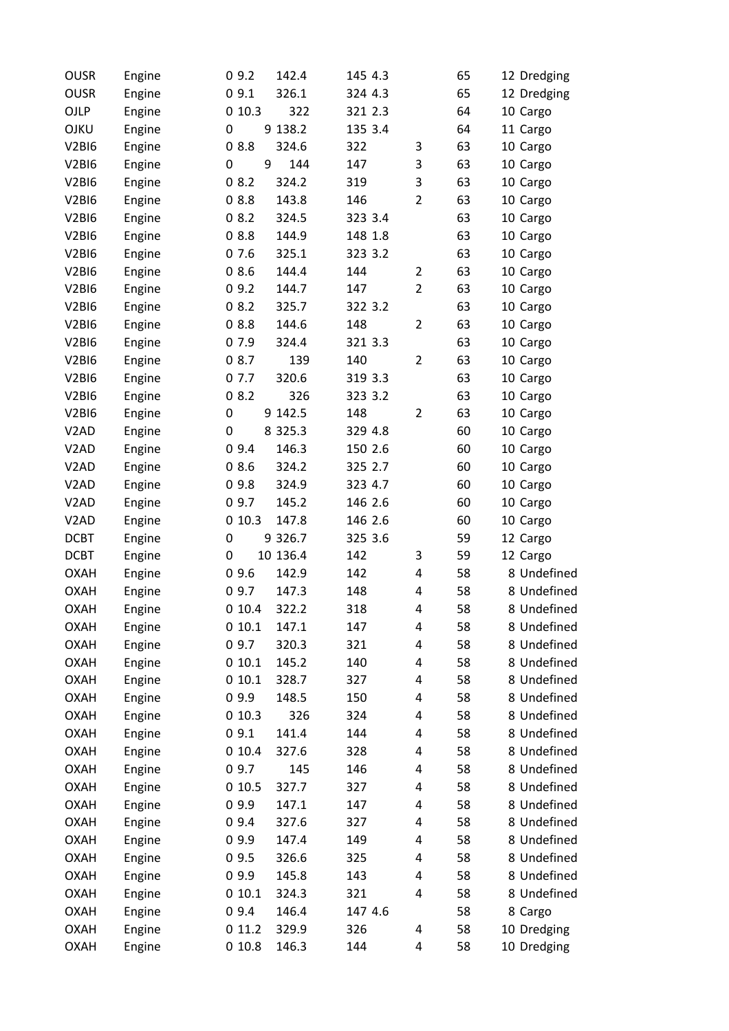| <b>OUSR</b>                    | Engine | 09.2                  | 142.4       | 145 4.3 |                | 65 | 12 Dredging |
|--------------------------------|--------|-----------------------|-------------|---------|----------------|----|-------------|
| <b>OUSR</b>                    | Engine | 09.1                  | 326.1       | 324 4.3 |                | 65 | 12 Dredging |
| OJLP                           | Engine | 010.3                 | 322         | 321 2.3 |                | 64 | 10 Cargo    |
| OJKU                           | Engine | 0                     | 9 138.2     | 135 3.4 |                | 64 | 11 Cargo    |
| <b>V2BI6</b>                   | Engine | 08.8                  | 324.6       | 322     | 3              | 63 | 10 Cargo    |
| <b>V2BI6</b>                   | Engine | $\boldsymbol{0}$<br>9 | 144         | 147     | 3              | 63 | 10 Cargo    |
| <b>V2BI6</b>                   | Engine | 08.2                  | 324.2       | 319     | 3              | 63 | 10 Cargo    |
| V <sub>2</sub> BI <sub>6</sub> | Engine | 08.8                  | 143.8       | 146     | $\overline{2}$ | 63 | 10 Cargo    |
| V <sub>2</sub> BI <sub>6</sub> | Engine | 08.2                  | 324.5       | 323 3.4 |                | 63 | 10 Cargo    |
| <b>V2BI6</b>                   | Engine | 08.8                  | 144.9       | 148 1.8 |                | 63 | 10 Cargo    |
| <b>V2BI6</b>                   | Engine | 07.6                  | 325.1       | 323 3.2 |                | 63 | 10 Cargo    |
| <b>V2BI6</b>                   | Engine | 08.6                  | 144.4       | 144     | 2              | 63 | 10 Cargo    |
| V <sub>2</sub> BI <sub>6</sub> | Engine | 09.2                  | 144.7       | 147     | $\overline{2}$ | 63 | 10 Cargo    |
| V <sub>2</sub> BI <sub>6</sub> | Engine | 08.2                  | 325.7       | 322 3.2 |                | 63 | 10 Cargo    |
| V <sub>2</sub> BI <sub>6</sub> | Engine | 08.8                  | 144.6       | 148     | $\overline{2}$ | 63 | 10 Cargo    |
| <b>V2BI6</b>                   | Engine | 07.9                  | 324.4       | 321 3.3 |                | 63 | 10 Cargo    |
| <b>V2BI6</b>                   | Engine | 08.7                  | 139         | 140     | $\overline{2}$ | 63 | 10 Cargo    |
| <b>V2BI6</b>                   | Engine | 07.7                  | 320.6       | 319 3.3 |                | 63 | 10 Cargo    |
| <b>V2BI6</b>                   | Engine | 08.2                  | 326         | 323 3.2 |                | 63 | 10 Cargo    |
| V <sub>2</sub> BI <sub>6</sub> | Engine | 0                     | 9 142.5     | 148     | 2              | 63 | 10 Cargo    |
| V <sub>2</sub> AD              | Engine | 0                     | 8 3 2 5 . 3 | 329 4.8 |                | 60 | 10 Cargo    |
| V <sub>2</sub> AD              | Engine | 09.4                  | 146.3       | 150 2.6 |                | 60 | 10 Cargo    |
| V <sub>2</sub> AD              | Engine | 08.6                  | 324.2       | 325 2.7 |                | 60 | 10 Cargo    |
| V <sub>2</sub> AD              | Engine | 09.8                  | 324.9       | 323 4.7 |                | 60 | 10 Cargo    |
| V <sub>2</sub> AD              | Engine | 09.7                  | 145.2       | 146 2.6 |                | 60 | 10 Cargo    |
| V <sub>2</sub> AD              | Engine | 010.3                 | 147.8       | 146 2.6 |                | 60 | 10 Cargo    |
| <b>DCBT</b>                    | Engine | $\boldsymbol{0}$      | 9 3 2 6.7   | 325 3.6 |                | 59 | 12 Cargo    |
| <b>DCBT</b>                    | Engine | 0                     | 10 136.4    | 142     | 3              | 59 | 12 Cargo    |
| <b>OXAH</b>                    | Engine | 09.6                  | 142.9       | 142     | 4              | 58 | 8 Undefined |
| <b>OXAH</b>                    | Engine | 09.7                  | 147.3       | 148     | 4              | 58 | 8 Undefined |
| <b>OXAH</b>                    | Engine | 010.4                 | 322.2       | 318     | 4              | 58 | 8 Undefined |
| <b>OXAH</b>                    | Engine | 010.1                 | 147.1       | 147     | 4              | 58 | 8 Undefined |
| <b>OXAH</b>                    | Engine | 09.7                  | 320.3       | 321     | 4              | 58 | 8 Undefined |
| <b>OXAH</b>                    | Engine | 010.1                 | 145.2       | 140     | 4              | 58 | 8 Undefined |
| <b>OXAH</b>                    | Engine | 010.1                 | 328.7       | 327     | 4              | 58 | 8 Undefined |
| <b>OXAH</b>                    | Engine | 09.9                  | 148.5       | 150     | 4              | 58 | 8 Undefined |
| <b>OXAH</b>                    | Engine | 010.3                 | 326         | 324     | 4              | 58 | 8 Undefined |
| <b>OXAH</b>                    | Engine | 09.1                  | 141.4       | 144     | 4              | 58 | 8 Undefined |
| <b>OXAH</b>                    | Engine | 010.4                 | 327.6       | 328     | 4              | 58 | 8 Undefined |
| <b>OXAH</b>                    | Engine | 09.7                  | 145         | 146     | 4              | 58 | 8 Undefined |
| <b>OXAH</b>                    | Engine | 010.5                 | 327.7       | 327     | 4              | 58 | 8 Undefined |
| <b>OXAH</b>                    | Engine | 09.9                  | 147.1       | 147     | 4              | 58 | 8 Undefined |
| <b>OXAH</b>                    | Engine | 09.4                  | 327.6       | 327     | 4              | 58 | 8 Undefined |
| <b>OXAH</b>                    | Engine | 09.9                  | 147.4       | 149     | 4              | 58 | 8 Undefined |
| <b>OXAH</b>                    | Engine | 09.5                  | 326.6       | 325     | 4              | 58 | 8 Undefined |
| <b>OXAH</b>                    | Engine | 09.9                  | 145.8       | 143     | 4              | 58 | 8 Undefined |
| <b>OXAH</b>                    | Engine | 010.1                 | 324.3       | 321     | 4              | 58 | 8 Undefined |
| <b>OXAH</b>                    | Engine | 09.4                  | 146.4       | 147 4.6 |                | 58 | 8 Cargo     |
| <b>OXAH</b>                    | Engine | 011.2                 | 329.9       | 326     | 4              | 58 | 10 Dredging |
| <b>OXAH</b>                    | Engine | 010.8                 | 146.3       | 144     | 4              | 58 | 10 Dredging |
|                                |        |                       |             |         |                |    |             |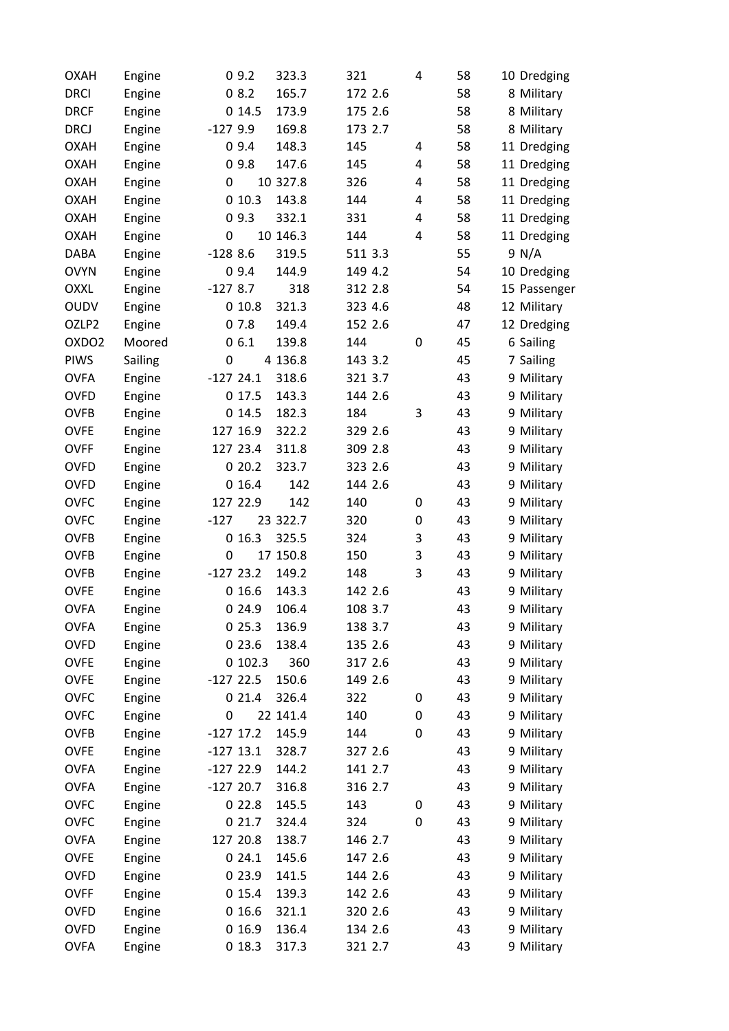| <b>OXAH</b>       | Engine  |             | 09.2     | 323.3    | 321     | $\overline{a}$          | 58 | 10 Dredging  |
|-------------------|---------|-------------|----------|----------|---------|-------------------------|----|--------------|
| <b>DRCI</b>       | Engine  |             | 08.2     | 165.7    | 172 2.6 |                         | 58 | 8 Military   |
| <b>DRCF</b>       | Engine  |             | 014.5    | 173.9    | 175 2.6 |                         | 58 | 8 Military   |
| <b>DRCJ</b>       | Engine  | $-1279.9$   |          | 169.8    | 173 2.7 |                         | 58 | 8 Military   |
| <b>OXAH</b>       | Engine  |             | 09.4     | 148.3    | 145     | 4                       | 58 | 11 Dredging  |
| <b>OXAH</b>       | Engine  |             | 09.8     | 147.6    | 145     | 4                       | 58 | 11 Dredging  |
| <b>OXAH</b>       | Engine  | 0           |          | 10 327.8 | 326     | 4                       | 58 | 11 Dredging  |
| <b>OXAH</b>       | Engine  |             | 010.3    | 143.8    | 144     | 4                       | 58 | 11 Dredging  |
| <b>OXAH</b>       | Engine  |             | 09.3     | 332.1    | 331     | 4                       | 58 | 11 Dredging  |
| <b>OXAH</b>       | Engine  | 0           |          | 10 146.3 | 144     | $\overline{\mathbf{4}}$ | 58 | 11 Dredging  |
| <b>DABA</b>       | Engine  | $-1288.6$   |          | 319.5    | 511 3.3 |                         | 55 | 9 N/A        |
| <b>OVYN</b>       | Engine  |             | 09.4     | 144.9    | 149 4.2 |                         | 54 | 10 Dredging  |
| <b>OXXL</b>       | Engine  | $-1278.7$   |          | 318      | 312 2.8 |                         | 54 | 15 Passenger |
| <b>OUDV</b>       | Engine  |             | 010.8    | 321.3    | 323 4.6 |                         | 48 | 12 Military  |
| OZLP2             | Engine  |             | 07.8     | 149.4    | 152 2.6 |                         | 47 | 12 Dredging  |
| OXDO <sub>2</sub> | Moored  |             | 06.1     | 139.8    | 144     | $\boldsymbol{0}$        | 45 | 6 Sailing    |
| PIWS              | Sailing | 0           |          | 4 136.8  | 143 3.2 |                         | 45 | 7 Sailing    |
| <b>OVFA</b>       | Engine  | $-12724.1$  |          | 318.6    | 321 3.7 |                         | 43 | 9 Military   |
| <b>OVFD</b>       | Engine  |             | 0 17.5   | 143.3    | 144 2.6 |                         | 43 | 9 Military   |
| <b>OVFB</b>       | Engine  |             | 014.5    | 182.3    | 184     | 3                       | 43 | 9 Military   |
| <b>OVFE</b>       | Engine  |             | 127 16.9 | 322.2    | 329 2.6 |                         | 43 | 9 Military   |
| <b>OVFF</b>       | Engine  |             | 127 23.4 | 311.8    | 309 2.8 |                         | 43 | 9 Military   |
| <b>OVFD</b>       | Engine  |             | 020.2    | 323.7    | 323 2.6 |                         | 43 | 9 Military   |
| <b>OVFD</b>       | Engine  |             | 016.4    | 142      | 144 2.6 |                         | 43 | 9 Military   |
| <b>OVFC</b>       | Engine  |             | 127 22.9 | 142      | 140     | 0                       | 43 | 9 Military   |
| <b>OVFC</b>       | Engine  | $-127$      |          | 23 322.7 | 320     | 0                       | 43 | 9 Military   |
| <b>OVFB</b>       | Engine  |             | 016.3    | 325.5    | 324     | 3                       | 43 | 9 Military   |
| <b>OVFB</b>       | Engine  | 0           |          | 17 150.8 | 150     | 3                       | 43 | 9 Military   |
| <b>OVFB</b>       | Engine  | $-12723.2$  |          | 149.2    | 148     | 3                       | 43 | 9 Military   |
| <b>OVFE</b>       | Engine  |             | 016.6    | 143.3    | 142 2.6 |                         | 43 | 9 Military   |
| <b>OVFA</b>       | Engine  |             | 024.9    | 106.4    | 108 3.7 |                         | 43 | 9 Military   |
| <b>OVFA</b>       | Engine  |             | 025.3    | 136.9    | 138 3.7 |                         | 43 | 9 Military   |
| <b>OVFD</b>       | Engine  |             | 023.6    | 138.4    | 135 2.6 |                         | 43 | 9 Military   |
| <b>OVFE</b>       | Engine  |             | 0102.3   | 360      | 317 2.6 |                         | 43 | 9 Military   |
| <b>OVFE</b>       | Engine  | $-12722.5$  |          | 150.6    | 149 2.6 |                         | 43 | 9 Military   |
| <b>OVFC</b>       | Engine  |             | 021.4    | 326.4    | 322     | 0                       | 43 | 9 Military   |
| <b>OVFC</b>       | Engine  | 0           |          | 22 141.4 | 140     | 0                       | 43 | 9 Military   |
| <b>OVFB</b>       | Engine  | $-127$ 17.2 |          | 145.9    | 144     | $\boldsymbol{0}$        | 43 | 9 Military   |
| <b>OVFE</b>       | Engine  | $-127$ 13.1 |          | 328.7    | 327 2.6 |                         | 43 | 9 Military   |
| <b>OVFA</b>       | Engine  | $-12722.9$  |          | 144.2    | 141 2.7 |                         | 43 | 9 Military   |
| <b>OVFA</b>       | Engine  | $-12720.7$  |          | 316.8    | 316 2.7 |                         | 43 | 9 Military   |
| <b>OVFC</b>       | Engine  |             | 022.8    | 145.5    | 143     | 0                       | 43 | 9 Military   |
| <b>OVFC</b>       | Engine  |             | 021.7    | 324.4    | 324     | $\boldsymbol{0}$        | 43 | 9 Military   |
| <b>OVFA</b>       | Engine  |             | 127 20.8 | 138.7    | 146 2.7 |                         | 43 | 9 Military   |
| <b>OVFE</b>       | Engine  |             | 024.1    | 145.6    | 147 2.6 |                         | 43 | 9 Military   |
| <b>OVFD</b>       | Engine  |             | 0 23.9   | 141.5    | 144 2.6 |                         | 43 | 9 Military   |
| <b>OVFF</b>       | Engine  |             | 015.4    | 139.3    | 142 2.6 |                         | 43 | 9 Military   |
| <b>OVFD</b>       | Engine  |             | 016.6    | 321.1    | 320 2.6 |                         | 43 | 9 Military   |
| <b>OVFD</b>       | Engine  |             | 016.9    | 136.4    | 134 2.6 |                         | 43 | 9 Military   |
| <b>OVFA</b>       | Engine  |             | 018.3    | 317.3    | 321 2.7 |                         | 43 | 9 Military   |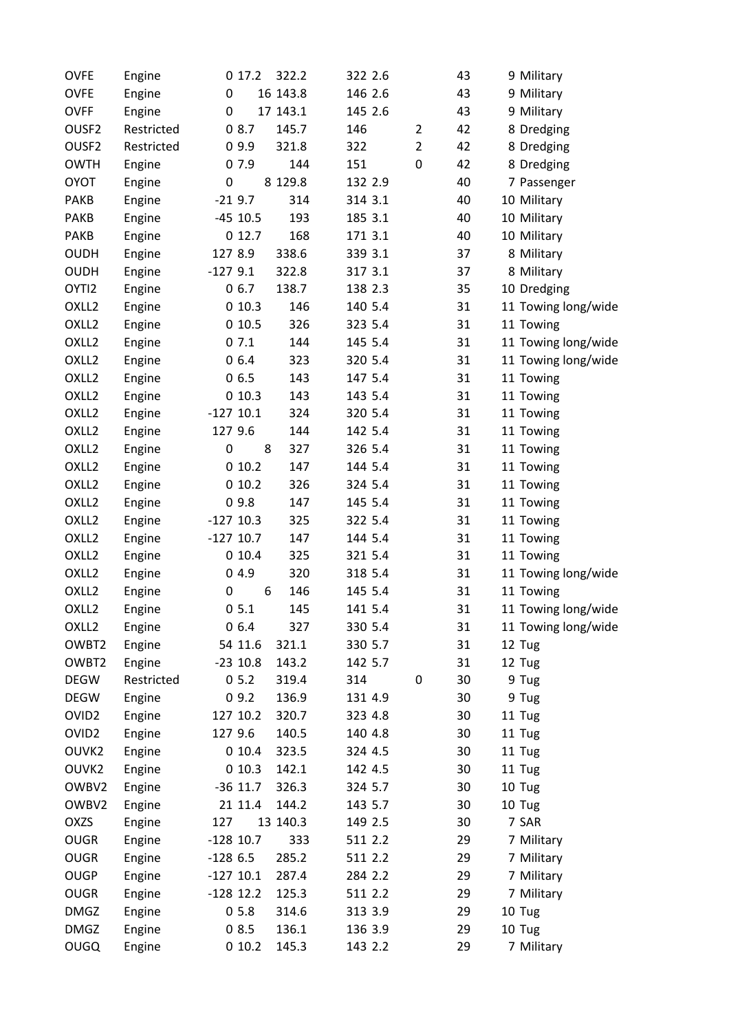| <b>OVFE</b>       | Engine           | 017.2       | 322.2    | 322 2.6 |                | 43 | 9 Military               |
|-------------------|------------------|-------------|----------|---------|----------------|----|--------------------------|
| <b>OVFE</b>       | Engine           | 0           | 16 143.8 | 146 2.6 |                | 43 | 9 Military               |
| <b>OVFF</b>       | Engine           | 0           | 17 143.1 | 145 2.6 |                | 43 | 9 Military               |
| OUSF <sub>2</sub> | Restricted       | 08.7        | 145.7    | 146     | 2              | 42 | 8 Dredging               |
| OUSF2             | Restricted       | 09.9        | 321.8    | 322     | $\overline{2}$ | 42 | 8 Dredging               |
| <b>OWTH</b>       | Engine           | 07.9        | 144      | 151     | 0              | 42 | 8 Dredging               |
| <b>OYOT</b>       | Engine           | $\pmb{0}$   | 8 129.8  | 132 2.9 |                | 40 | 7 Passenger              |
| PAKB              | Engine           | $-219.7$    | 314      | 314 3.1 |                | 40 | 10 Military              |
| PAKB              | Engine           | $-45$ 10.5  | 193      | 185 3.1 |                | 40 | 10 Military              |
| PAKB              | Engine           | 012.7       | 168      | 171 3.1 |                | 40 | 10 Military              |
| <b>OUDH</b>       | Engine           | 127 8.9     | 338.6    | 339 3.1 |                | 37 | 8 Military               |
| <b>OUDH</b>       | Engine           | $-1279.1$   | 322.8    | 317 3.1 |                | 37 | 8 Military               |
| OYTI2             | Engine           | 06.7        | 138.7    | 138 2.3 |                | 35 | 10 Dredging              |
| OXLL <sub>2</sub> | Engine           | 010.3       | 146      | 140 5.4 |                | 31 | 11 Towing long/wide      |
| OXLL <sub>2</sub> | Engine           | 010.5       | 326      | 323 5.4 |                | 31 | 11 Towing                |
| OXLL <sub>2</sub> | Engine           | 07.1        | 144      | 145 5.4 |                | 31 | 11 Towing long/wide      |
| OXLL <sub>2</sub> | Engine           | 06.4        | 323      | 320 5.4 |                | 31 | 11 Towing long/wide      |
| OXLL <sub>2</sub> | Engine           | 06.5        | 143      | 147 5.4 |                | 31 | 11 Towing                |
| OXLL <sub>2</sub> | Engine           | 010.3       | 143      | 143 5.4 |                | 31 | 11 Towing                |
| OXLL <sub>2</sub> | Engine           | $-127$ 10.1 | 324      | 320 5.4 |                | 31 | 11 Towing                |
| OXLL <sub>2</sub> | Engine           | 127 9.6     | 144      | 142 5.4 |                | 31 | 11 Towing                |
| OXLL <sub>2</sub> | Engine           | 0<br>8      | 327      | 326 5.4 |                | 31 | 11 Towing                |
| OXLL <sub>2</sub> | Engine           | 010.2       | 147      | 144 5.4 |                | 31 | 11 Towing                |
| OXLL <sub>2</sub> | Engine           | 010.2       | 326      | 324 5.4 |                | 31 | 11 Towing                |
| OXLL <sub>2</sub> | Engine           | 09.8        | 147      | 145 5.4 |                | 31 | 11 Towing                |
| OXLL <sub>2</sub> | Engine           | $-127$ 10.3 | 325      | 322 5.4 |                | 31 | 11 Towing                |
| OXLL <sub>2</sub> | Engine           | $-127$ 10.7 | 147      | 144 5.4 |                | 31 | 11 Towing                |
| OXLL <sub>2</sub> | Engine           | 010.4       | 325      | 321 5.4 |                | 31 | 11 Towing                |
| OXLL <sub>2</sub> | Engine           | 04.9        | 320      | 318 5.4 |                | 31 | 11 Towing long/wide      |
| OXLL <sub>2</sub> | Engine           | 0<br>6      | 146      | 145 5.4 |                | 31 | 11 Towing                |
| OXLL <sub>2</sub> | Engine           | 05.1        | 145      | 141 5.4 |                | 31 | 11 Towing long/wide      |
| OXLL <sub>2</sub> | Engine           | 06.4        | 327      | 330 5.4 |                | 31 | 11 Towing long/wide      |
| OWBT2             | Engine           | 54 11.6     | 321.1    | 330 5.7 |                | 31 | 12 Tug                   |
| OWBT2             | Engine           | $-23$ 10.8  | 143.2    | 142 5.7 |                | 31 | 12 Tug                   |
| <b>DEGW</b>       | Restricted       | 05.2        | 319.4    | 314     | 0              | 30 | 9 Tug                    |
| <b>DEGW</b>       | Engine           | 09.2        | 136.9    | 131 4.9 |                | 30 | 9 Tug                    |
| OVID <sub>2</sub> | Engine           | 127 10.2    | 320.7    | 323 4.8 |                | 30 | 11 Tug                   |
| OVID <sub>2</sub> | Engine           | 127 9.6     | 140.5    | 140 4.8 |                | 30 | 11 Tug                   |
| OUVK2             | Engine           | 010.4       | 323.5    | 324 4.5 |                | 30 | 11 Tug                   |
| OUVK2             | Engine           | 010.3       | 142.1    | 142 4.5 |                | 30 | 11 Tug                   |
| OWBV2             | Engine           | $-36$ 11.7  | 326.3    | 324 5.7 |                | 30 | 10 Tug                   |
| OWBV2             | Engine           | 21 11.4     | 144.2    | 143 5.7 |                | 30 | 10 Tug                   |
| OXZS              | Engine           | 127         | 13 140.3 | 149 2.5 |                | 30 | 7 SAR                    |
| <b>OUGR</b>       | Engine           | $-128$ 10.7 | 333      | 511 2.2 |                | 29 | 7 Military               |
| <b>OUGR</b>       | Engine           | $-1286.5$   | 285.2    | 511 2.2 |                | 29 | 7 Military               |
| <b>OUGP</b>       |                  | $-127$ 10.1 | 287.4    | 284 2.2 |                | 29 |                          |
| <b>OUGR</b>       | Engine           | $-128$ 12.2 | 125.3    | 511 2.2 |                | 29 | 7 Military<br>7 Military |
| <b>DMGZ</b>       | Engine<br>Engine | 05.8        | 314.6    | 313 3.9 |                | 29 | 10 Tug                   |
| <b>DMGZ</b>       |                  | 08.5        |          |         |                | 29 | 10 Tug                   |
|                   | Engine           |             | 136.1    | 136 3.9 |                |    |                          |
| <b>OUGQ</b>       | Engine           | 010.2       | 145.3    | 143 2.2 |                | 29 | 7 Military               |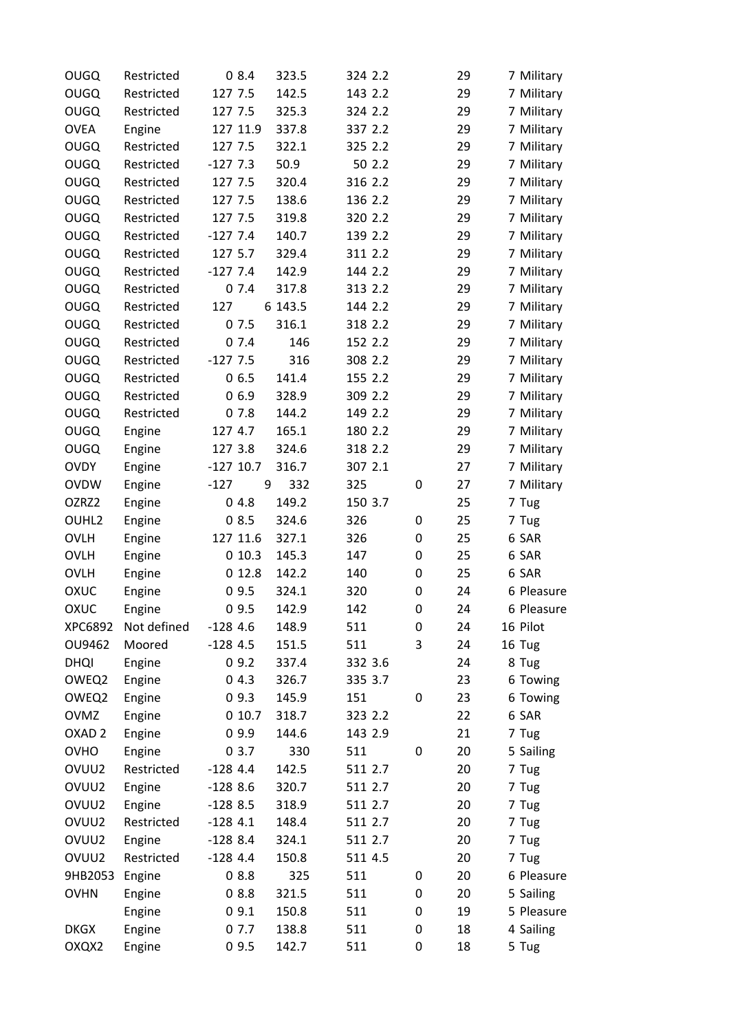| <b>OUGQ</b>       | Restricted  | 08.4        | 323.5   | 324 2.2 |   | 29 | 7 Military |
|-------------------|-------------|-------------|---------|---------|---|----|------------|
| <b>OUGQ</b>       | Restricted  | 127 7.5     | 142.5   | 143 2.2 |   | 29 | 7 Military |
| <b>OUGQ</b>       | Restricted  | 127 7.5     | 325.3   | 324 2.2 |   | 29 | 7 Military |
| <b>OVEA</b>       | Engine      | 127 11.9    | 337.8   | 337 2.2 |   | 29 | 7 Military |
| <b>OUGQ</b>       | Restricted  | 127 7.5     | 322.1   | 325 2.2 |   | 29 | 7 Military |
| <b>OUGQ</b>       | Restricted  | $-1277.3$   | 50.9    | 50 2.2  |   | 29 | 7 Military |
| <b>OUGQ</b>       | Restricted  | 127 7.5     | 320.4   | 316 2.2 |   | 29 | 7 Military |
| <b>OUGQ</b>       | Restricted  | 127 7.5     | 138.6   | 136 2.2 |   | 29 | 7 Military |
| <b>OUGQ</b>       | Restricted  | 127 7.5     | 319.8   | 320 2.2 |   | 29 | 7 Military |
| <b>OUGQ</b>       | Restricted  | $-1277.4$   | 140.7   | 139 2.2 |   | 29 | 7 Military |
| <b>OUGQ</b>       | Restricted  | 127 5.7     | 329.4   | 311 2.2 |   | 29 | 7 Military |
| <b>OUGQ</b>       | Restricted  | $-1277.4$   | 142.9   | 144 2.2 |   | 29 | 7 Military |
| <b>OUGQ</b>       | Restricted  | 07.4        | 317.8   | 313 2.2 |   | 29 | 7 Military |
| <b>OUGQ</b>       | Restricted  | 127         | 6 143.5 | 144 2.2 |   | 29 | 7 Military |
| <b>OUGQ</b>       | Restricted  | 07.5        | 316.1   | 318 2.2 |   | 29 | 7 Military |
| <b>OUGQ</b>       | Restricted  | 07.4        | 146     | 152 2.2 |   | 29 | 7 Military |
| <b>OUGQ</b>       | Restricted  | $-1277.5$   | 316     | 308 2.2 |   | 29 | 7 Military |
| <b>OUGQ</b>       | Restricted  | 06.5        | 141.4   | 155 2.2 |   | 29 | 7 Military |
| <b>OUGQ</b>       | Restricted  | 06.9        | 328.9   | 309 2.2 |   | 29 | 7 Military |
| <b>OUGQ</b>       | Restricted  | 07.8        | 144.2   | 149 2.2 |   | 29 | 7 Military |
| <b>OUGQ</b>       | Engine      | 127 4.7     | 165.1   | 180 2.2 |   | 29 | 7 Military |
| <b>OUGQ</b>       | Engine      | 127 3.8     | 324.6   | 318 2.2 |   | 29 | 7 Military |
| <b>OVDY</b>       | Engine      | $-127$ 10.7 | 316.7   | 307 2.1 |   | 27 | 7 Military |
| <b>OVDW</b>       | Engine      | $-127$<br>9 | 332     | 325     | 0 | 27 | 7 Military |
| OZRZ2             | Engine      | 04.8        | 149.2   | 150 3.7 |   | 25 | 7 Tug      |
| OUHL2             | Engine      | 08.5        | 324.6   | 326     | 0 | 25 | 7 Tug      |
| <b>OVLH</b>       | Engine      | 127 11.6    | 327.1   | 326     | 0 | 25 | 6 SAR      |
| <b>OVLH</b>       | Engine      | 010.3       | 145.3   | 147     | 0 | 25 | 6 SAR      |
| <b>OVLH</b>       | Engine      | 012.8       | 142.2   | 140     | 0 | 25 | 6 SAR      |
| OXUC              | Engine      | 09.5        | 324.1   | 320     | 0 | 24 | 6 Pleasure |
| OXUC              | Engine      | 09.5        | 142.9   | 142     | 0 | 24 | 6 Pleasure |
| XPC6892           | Not defined | $-1284.6$   | 148.9   | 511     | 0 | 24 | 16 Pilot   |
| OU9462            | Moored      | $-1284.5$   | 151.5   | 511     | 3 | 24 | 16 Tug     |
| <b>DHQI</b>       | Engine      | 09.2        | 337.4   | 332 3.6 |   | 24 | 8 Tug      |
| OWEQ2             | Engine      | 04.3        | 326.7   | 335 3.7 |   | 23 | 6 Towing   |
| OWEQ2             | Engine      | 09.3        | 145.9   | 151     | 0 | 23 | 6 Towing   |
| <b>OVMZ</b>       | Engine      | 010.7       | 318.7   | 323 2.2 |   | 22 | 6 SAR      |
| OXAD <sub>2</sub> | Engine      | 09.9        | 144.6   | 143 2.9 |   | 21 | 7 Tug      |
| <b>OVHO</b>       | Engine      | 03.7        | 330     | 511     | 0 | 20 | 5 Sailing  |
| OVUU2             | Restricted  | $-1284.4$   | 142.5   | 511 2.7 |   | 20 | 7 Tug      |
| OVUU2             | Engine      | $-1288.6$   | 320.7   | 511 2.7 |   | 20 | 7 Tug      |
| OVUU2             | Engine      | $-1288.5$   | 318.9   | 511 2.7 |   | 20 | 7 Tug      |
| OVUU2             | Restricted  | $-1284.1$   | 148.4   | 511 2.7 |   | 20 | 7 Tug      |
| OVUU2             | Engine      | $-1288.4$   | 324.1   | 511 2.7 |   | 20 | 7 Tug      |
| OVUU2             | Restricted  | $-1284.4$   | 150.8   | 511 4.5 |   | 20 | 7 Tug      |
| 9HB2053           | Engine      | 08.8        | 325     | 511     | 0 | 20 | 6 Pleasure |
| <b>OVHN</b>       | Engine      | 08.8        | 321.5   | 511     | 0 | 20 | 5 Sailing  |
|                   | Engine      | 09.1        | 150.8   | 511     | 0 | 19 | 5 Pleasure |
| <b>DKGX</b>       | Engine      | 07.7        | 138.8   | 511     | 0 | 18 | 4 Sailing  |
| OXQX2             | Engine      | 09.5        | 142.7   | 511     | 0 | 18 | 5 Tug      |
|                   |             |             |         |         |   |    |            |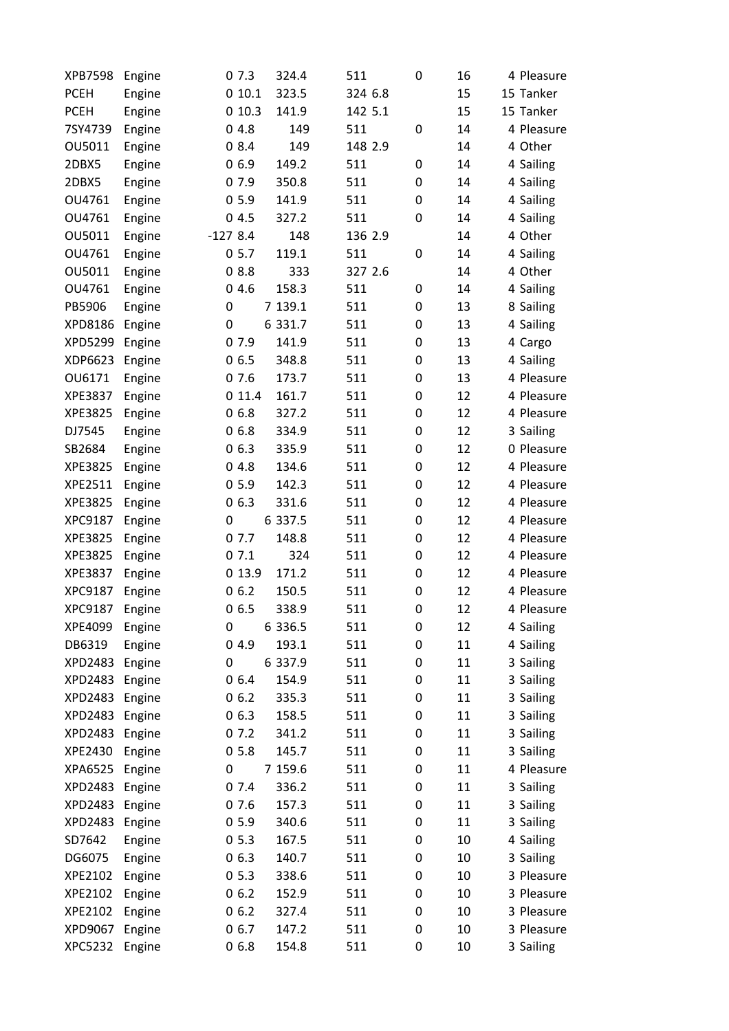| <b>XPB7598</b> | Engine |           | 07.3   | 324.4   | 511     | 0 | 16 | 4 Pleasure |
|----------------|--------|-----------|--------|---------|---------|---|----|------------|
| <b>PCEH</b>    | Engine |           | 010.1  | 323.5   | 324 6.8 |   | 15 | 15 Tanker  |
| <b>PCEH</b>    | Engine |           | 010.3  | 141.9   | 142 5.1 |   | 15 | 15 Tanker  |
| 7SY4739        | Engine |           | 04.8   | 149     | 511     | 0 | 14 | 4 Pleasure |
| OU5011         | Engine |           | 08.4   | 149     | 148 2.9 |   | 14 | 4 Other    |
| 2DBX5          | Engine |           | 06.9   | 149.2   | 511     | 0 | 14 | 4 Sailing  |
| 2DBX5          | Engine |           | 07.9   | 350.8   | 511     | 0 | 14 | 4 Sailing  |
| OU4761         | Engine |           | 05.9   | 141.9   | 511     | 0 | 14 | 4 Sailing  |
| OU4761         | Engine |           | 04.5   | 327.2   | 511     | 0 | 14 | 4 Sailing  |
| OU5011         | Engine | $-1278.4$ |        | 148     | 136 2.9 |   | 14 | 4 Other    |
| OU4761         | Engine |           | 05.7   | 119.1   | 511     | 0 | 14 | 4 Sailing  |
| OU5011         | Engine |           | 08.8   | 333     | 327 2.6 |   | 14 | 4 Other    |
| OU4761         | Engine |           | 04.6   | 158.3   | 511     | 0 | 14 | 4 Sailing  |
| PB5906         | Engine | 0         |        | 7 139.1 | 511     | 0 | 13 | 8 Sailing  |
| XPD8186        | Engine | 0         |        | 6 331.7 | 511     | 0 | 13 | 4 Sailing  |
| <b>XPD5299</b> | Engine |           | 07.9   | 141.9   | 511     | 0 | 13 | 4 Cargo    |
| XDP6623        | Engine |           | 06.5   | 348.8   | 511     | 0 | 13 | 4 Sailing  |
| OU6171         | Engine |           | 07.6   | 173.7   | 511     | 0 | 13 | 4 Pleasure |
| XPE3837        | Engine |           | 011.4  | 161.7   | 511     | 0 | 12 | 4 Pleasure |
| XPE3825        | Engine |           | 06.8   | 327.2   | 511     | 0 | 12 | 4 Pleasure |
| DJ7545         | Engine |           | 06.8   | 334.9   | 511     | 0 | 12 | 3 Sailing  |
| SB2684         | Engine |           | 06.3   | 335.9   | 511     | 0 | 12 | 0 Pleasure |
| XPE3825        | Engine |           | 04.8   | 134.6   | 511     | 0 | 12 | 4 Pleasure |
| XPE2511        | Engine |           | 05.9   | 142.3   | 511     | 0 | 12 | 4 Pleasure |
| XPE3825        | Engine |           | 06.3   | 331.6   | 511     | 0 | 12 | 4 Pleasure |
| XPC9187        | Engine | 0         |        | 6 337.5 | 511     | 0 | 12 | 4 Pleasure |
| XPE3825        | Engine |           | 07.7   | 148.8   | 511     | 0 | 12 | 4 Pleasure |
| XPE3825        | Engine |           | 07.1   | 324     | 511     | 0 | 12 | 4 Pleasure |
| XPE3837        | Engine |           | 0 13.9 | 171.2   | 511     | 0 | 12 | 4 Pleasure |
| XPC9187        | Engine |           | 06.2   | 150.5   | 511     | 0 | 12 | 4 Pleasure |
| XPC9187        | Engine |           | 06.5   | 338.9   | 511     | 0 | 12 | 4 Pleasure |
| XPE4099        | Engine | 0         |        | 6 336.5 | 511     | 0 | 12 | 4 Sailing  |
| DB6319         | Engine |           | 04.9   | 193.1   | 511     | 0 | 11 | 4 Sailing  |
| <b>XPD2483</b> | Engine | 0         |        | 6 337.9 | 511     | 0 | 11 | 3 Sailing  |
| <b>XPD2483</b> | Engine |           | 06.4   | 154.9   | 511     | 0 | 11 | 3 Sailing  |
| XPD2483        | Engine |           | 06.2   | 335.3   | 511     | 0 | 11 | 3 Sailing  |
| <b>XPD2483</b> | Engine |           | 06.3   | 158.5   | 511     | 0 | 11 | 3 Sailing  |
| XPD2483        | Engine |           | 07.2   | 341.2   | 511     | 0 | 11 | 3 Sailing  |
| XPE2430        | Engine |           | 05.8   | 145.7   | 511     | 0 | 11 | 3 Sailing  |
| XPA6525        | Engine | 0         |        | 7 159.6 | 511     | 0 | 11 | 4 Pleasure |
| <b>XPD2483</b> | Engine |           | 07.4   | 336.2   | 511     | 0 | 11 | 3 Sailing  |
| XPD2483        | Engine |           | 07.6   | 157.3   | 511     | 0 | 11 | 3 Sailing  |
| XPD2483        | Engine |           | 05.9   | 340.6   | 511     | 0 | 11 | 3 Sailing  |
| SD7642         | Engine |           | 05.3   | 167.5   | 511     | 0 | 10 | 4 Sailing  |
| DG6075         | Engine |           | 06.3   | 140.7   | 511     | 0 | 10 | 3 Sailing  |
| XPE2102        | Engine |           | 05.3   | 338.6   | 511     | 0 | 10 | 3 Pleasure |
| XPE2102        | Engine |           | 06.2   | 152.9   | 511     | 0 | 10 | 3 Pleasure |
| XPE2102        | Engine |           | 06.2   | 327.4   | 511     | 0 | 10 | 3 Pleasure |
| XPD9067        | Engine |           | 06.7   | 147.2   | 511     | 0 | 10 | 3 Pleasure |
| <b>XPC5232</b> | Engine |           | 06.8   | 154.8   | 511     | 0 | 10 | 3 Sailing  |
|                |        |           |        |         |         |   |    |            |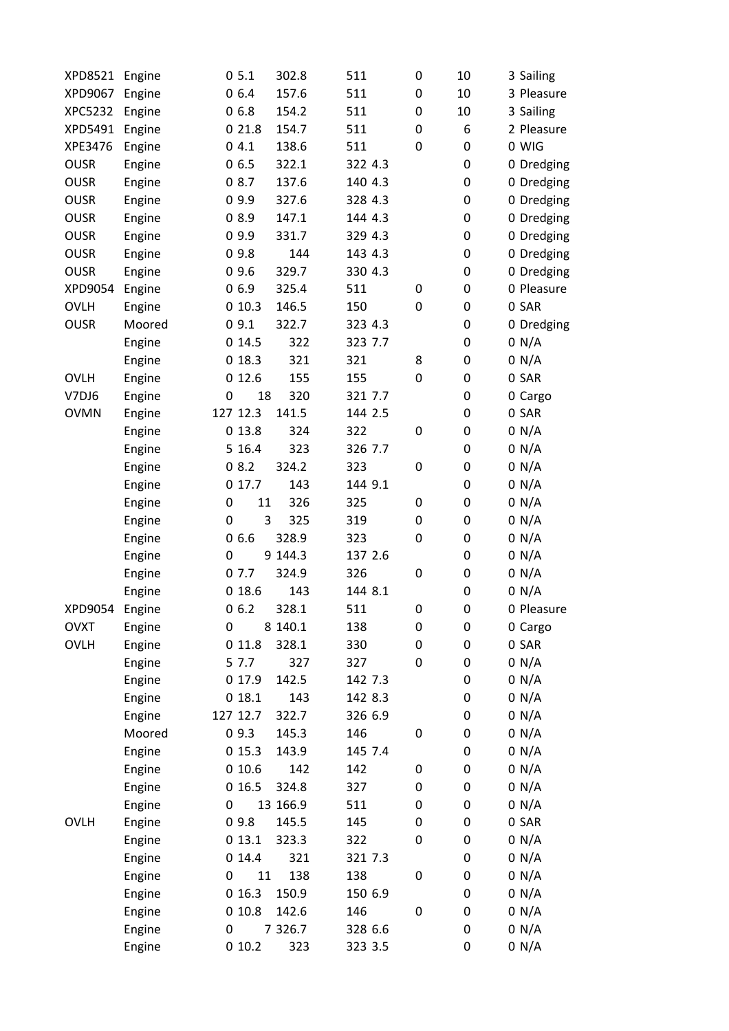| XPD8521        | Engine |                  | 05.1     | 302.8     | 511     | $\boldsymbol{0}$ | 10 | 3 Sailing  |
|----------------|--------|------------------|----------|-----------|---------|------------------|----|------------|
| XPD9067        | Engine |                  | 06.4     | 157.6     | 511     | $\pmb{0}$        | 10 | 3 Pleasure |
| <b>XPC5232</b> | Engine |                  | 06.8     | 154.2     | 511     | $\boldsymbol{0}$ | 10 | 3 Sailing  |
| XPD5491        | Engine |                  | 021.8    | 154.7     | 511     | $\boldsymbol{0}$ | 6  | 2 Pleasure |
| XPE3476        | Engine |                  | 04.1     | 138.6     | 511     | $\mathbf 0$      | 0  | 0 WIG      |
| <b>OUSR</b>    | Engine |                  | 06.5     | 322.1     | 322 4.3 |                  | 0  | 0 Dredging |
| <b>OUSR</b>    | Engine |                  | 08.7     | 137.6     | 140 4.3 |                  | 0  | 0 Dredging |
| <b>OUSR</b>    | Engine |                  | 09.9     | 327.6     | 328 4.3 |                  | 0  | 0 Dredging |
| <b>OUSR</b>    | Engine |                  | 08.9     | 147.1     | 144 4.3 |                  | 0  | 0 Dredging |
| <b>OUSR</b>    | Engine |                  | 09.9     | 331.7     | 329 4.3 |                  | 0  | 0 Dredging |
| <b>OUSR</b>    | Engine |                  | 09.8     | 144       | 143 4.3 |                  | 0  | 0 Dredging |
| <b>OUSR</b>    | Engine |                  | 09.6     | 329.7     | 330 4.3 |                  | 0  | 0 Dredging |
| XPD9054        | Engine |                  | 06.9     | 325.4     | 511     | $\boldsymbol{0}$ | 0  | 0 Pleasure |
| <b>OVLH</b>    | Engine |                  | 010.3    | 146.5     | 150     | $\boldsymbol{0}$ | 0  | 0 SAR      |
| <b>OUSR</b>    | Moored |                  | 09.1     | 322.7     | 323 4.3 |                  | 0  | 0 Dredging |
|                | Engine |                  | 014.5    | 322       | 323 7.7 |                  | 0  | 0 N/A      |
|                | Engine |                  | 018.3    | 321       | 321     | 8                | 0  | 0 N/A      |
| <b>OVLH</b>    | Engine |                  | 012.6    | 155       | 155     | $\boldsymbol{0}$ | 0  | 0 SAR      |
| V7DJ6          | Engine | $\boldsymbol{0}$ | 18       | 320       | 321 7.7 |                  | 0  | 0 Cargo    |
| <b>OVMN</b>    | Engine |                  | 127 12.3 | 141.5     | 144 2.5 |                  | 0  | 0 SAR      |
|                | Engine |                  | 013.8    | 324       | 322     | $\pmb{0}$        | 0  | 0 N/A      |
|                | Engine |                  | 5 16.4   | 323       | 326 7.7 |                  | 0  | 0 N/A      |
|                | Engine |                  | 08.2     | 324.2     | 323     | $\pmb{0}$        | 0  | 0 N/A      |
|                | Engine |                  | 0 17.7   | 143       | 144 9.1 |                  | 0  | 0 N/A      |
|                | Engine | 0                | 11       | 326       | 325     | 0                | 0  | 0 N/A      |
|                | Engine | 0                | 3        | 325       | 319     | $\pmb{0}$        | 0  | 0 N/A      |
|                | Engine |                  | 06.6     | 328.9     | 323     | $\mathbf 0$      | 0  | 0 N/A      |
|                | Engine | $\mathbf 0$      |          | 9 144.3   | 137 2.6 |                  | 0  | 0 N/A      |
|                | Engine |                  | 07.7     | 324.9     | 326     | $\boldsymbol{0}$ | 0  | 0 N/A      |
|                | Engine |                  | 018.6    | 143       | 144 8.1 |                  | 0  | 0 N/A      |
| XPD9054        | Engine |                  | 06.2     | 328.1     | 511     | $\pmb{0}$        | 0  | 0 Pleasure |
| <b>OVXT</b>    | Engine | 0                |          | 8 140.1   | 138     | 0                | 0  | 0 Cargo    |
| <b>OVLH</b>    | Engine |                  | 011.8    | 328.1     | 330     | $\boldsymbol{0}$ | 0  | 0 SAR      |
|                | Engine |                  | 5 7.7    | 327       | 327     | 0                | 0  | 0 N/A      |
|                | Engine |                  | 017.9    | 142.5     | 142 7.3 |                  | 0  | 0 N/A      |
|                | Engine |                  | 018.1    | 143       | 142 8.3 |                  | 0  | 0 N/A      |
|                | Engine |                  | 127 12.7 | 322.7     | 326 6.9 |                  | 0  | 0 N/A      |
|                | Moored |                  | 09.3     | 145.3     | 146     | $\pmb{0}$        | 0  | 0 N/A      |
|                | Engine |                  | 015.3    | 143.9     | 145 7.4 |                  | 0  | 0 N/A      |
|                | Engine |                  | 010.6    | 142       | 142     | $\pmb{0}$        | 0  | 0 N/A      |
|                | Engine |                  | 016.5    | 324.8     | 327     | $\boldsymbol{0}$ | 0  | 0 N/A      |
|                | Engine | 0                |          | 13 166.9  | 511     | $\pmb{0}$        | 0  | 0 N/A      |
| <b>OVLH</b>    | Engine |                  | 09.8     | 145.5     | 145     | $\pmb{0}$        | 0  | 0 SAR      |
|                | Engine |                  | 013.1    | 323.3     | 322     | $\boldsymbol{0}$ | 0  | 0 N/A      |
|                | Engine |                  | 014.4    | 321       | 321 7.3 |                  | 0  | 0 N/A      |
|                | Engine | 0                | 11       | 138       | 138     | $\pmb{0}$        | 0  | 0 N/A      |
|                | Engine |                  | 016.3    | 150.9     | 150 6.9 |                  | 0  | 0 N/A      |
|                | Engine |                  | 010.8    | 142.6     | 146     | $\boldsymbol{0}$ | 0  | 0 N/A      |
|                | Engine | 0                |          | 7 3 2 6.7 | 328 6.6 |                  | 0  | 0 N/A      |
|                | Engine |                  | 010.2    | 323       | 323 3.5 |                  | 0  | 0 N/A      |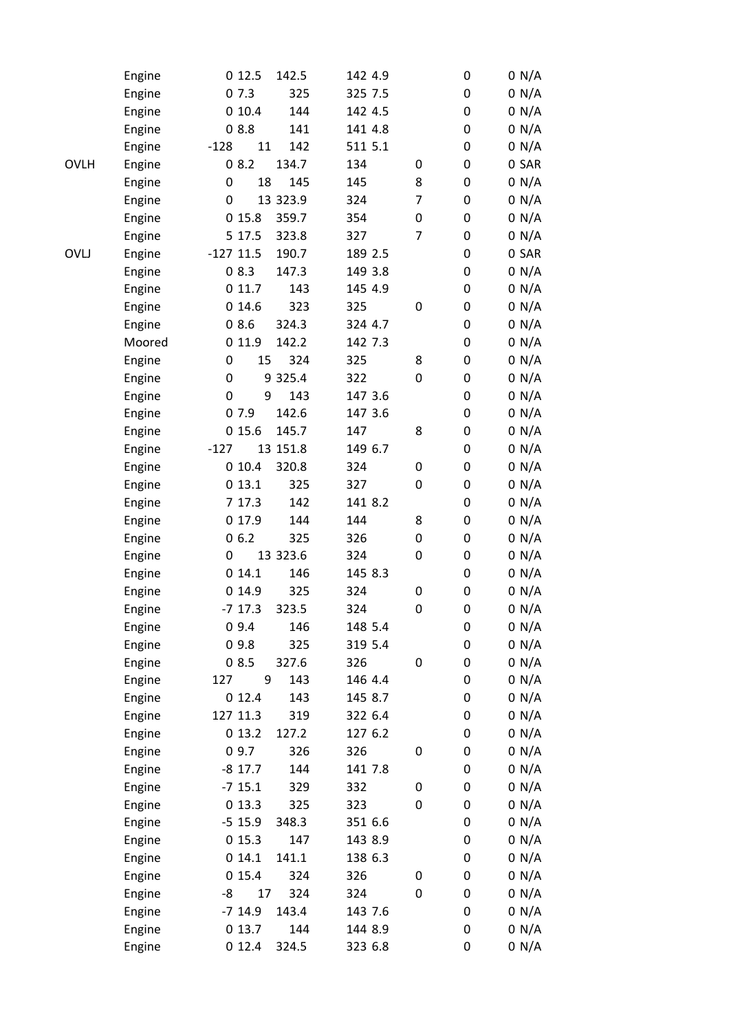|             | Engine | 012.5<br>142.5       | 142 4.9 |   | 0                | 0 N/A |
|-------------|--------|----------------------|---------|---|------------------|-------|
|             | Engine | 07.3<br>325          | 325 7.5 |   | $\boldsymbol{0}$ | 0 N/A |
|             | Engine | 010.4<br>144         | 142 4.5 |   | $\boldsymbol{0}$ | 0 N/A |
|             | Engine | 08.8<br>141          | 141 4.8 |   | 0                | 0 N/A |
|             | Engine | $-128$<br>11<br>142  | 511 5.1 |   | $\boldsymbol{0}$ | 0 N/A |
| <b>OVLH</b> | Engine | 08.2<br>134.7        | 134     | 0 | 0                | 0 SAR |
|             | Engine | 18<br>0<br>145       | 145     | 8 | 0                | 0 N/A |
|             | Engine | 13 323.9<br>0        | 324     | 7 | 0                | 0 N/A |
|             | Engine | 015.8<br>359.7       | 354     | 0 | 0                | 0 N/A |
|             | Engine | 5 17.5<br>323.8      | 327     | 7 | 0                | 0 N/A |
| <b>OVLJ</b> | Engine | $-127$ 11.5<br>190.7 | 189 2.5 |   | $\boldsymbol{0}$ | 0 SAR |
|             | Engine | 08.3<br>147.3        | 149 3.8 |   | $\boldsymbol{0}$ | 0 N/A |
|             | Engine | 011.7<br>143         | 145 4.9 |   | 0                | 0 N/A |
|             | Engine | 014.6<br>323         | 325     | 0 | 0                | 0 N/A |
|             | Engine | 08.6<br>324.3        | 324 4.7 |   | 0                | 0 N/A |
|             | Moored | 011.9<br>142.2       | 142 7.3 |   | 0                | 0 N/A |
|             | Engine | 0<br>15<br>324       | 325     | 8 | 0                | 0 N/A |
|             | Engine | 9 3 2 5.4<br>0       | 322     | 0 | 0                | 0 N/A |
|             | Engine | 9<br>0<br>143        | 147 3.6 |   | $\boldsymbol{0}$ | 0 N/A |
|             | Engine | 142.6<br>07.9        | 147 3.6 |   | 0                | 0 N/A |
|             | Engine | 015.6<br>145.7       | 147     | 8 | 0                | 0 N/A |
|             | Engine | 13 151.8<br>$-127$   | 149 6.7 |   | $\boldsymbol{0}$ | 0 N/A |
|             | Engine | 010.4<br>320.8       | 324     | 0 | 0                | 0 N/A |
|             | Engine | 013.1<br>325         | 327     | 0 | 0                | 0 N/A |
|             | Engine | 7 17.3<br>142        | 141 8.2 |   | 0                | 0 N/A |
|             | Engine | 0 17.9<br>144        | 144     | 8 | 0                | 0 N/A |
|             | Engine | 06.2<br>325          | 326     | 0 | 0                | 0 N/A |
|             | Engine | 13 323.6<br>0        | 324     | 0 | 0                | 0 N/A |
|             | Engine | 014.1<br>146         | 145 8.3 |   | 0                | 0 N/A |
|             | Engine | 014.9<br>325         | 324     | 0 | 0                | 0 N/A |
|             | Engine | $-7$ 17.3<br>323.5   | 324     | 0 | $\boldsymbol{0}$ | 0 N/A |
|             | Engine | 09.4<br>146          | 148 5.4 |   | $\pmb{0}$        | 0 N/A |
|             | Engine | 09.8<br>325          | 319 5.4 |   | 0                | 0 N/A |
|             | Engine | 08.5<br>327.6        | 326     | 0 | 0                | 0 N/A |
|             | Engine | 143<br>127<br>9      | 146 4.4 |   | 0                | 0 N/A |
|             | Engine | 012.4<br>143         | 145 8.7 |   | 0                | 0 N/A |
|             | Engine | 127 11.3<br>319      | 322 6.4 |   | 0                | 0 N/A |
|             | Engine | 013.2<br>127.2       | 127 6.2 |   | 0                | 0 N/A |
|             | Engine | 09.7<br>326          | 326     | 0 | 0                | 0 N/A |
|             | Engine | 144<br>$-8$ 17.7     | 141 7.8 |   | 0                | 0 N/A |
|             | Engine | $-7$ 15.1<br>329     | 332     | 0 | 0                | 0 N/A |
|             | Engine | 013.3<br>325         | 323     | 0 | 0                | 0 N/A |
|             |        | $-5$ 15.9<br>348.3   | 351 6.6 |   | 0                |       |
|             | Engine | 147                  |         |   |                  | 0 N/A |
|             | Engine | 015.3                | 143 8.9 |   | 0                | 0 N/A |
|             | Engine | 014.1<br>141.1       | 138 6.3 |   | 0                | 0 N/A |
|             | Engine | 015.4<br>324         | 326     | 0 | 0                | 0 N/A |
|             | Engine | -8<br>17<br>324      | 324     | 0 | 0                | 0 N/A |
|             | Engine | $-7$ 14.9<br>143.4   | 143 7.6 |   | 0                | 0 N/A |
|             | Engine | 013.7<br>144         | 144 8.9 |   | 0                | 0 N/A |
|             | Engine | 012.4<br>324.5       | 323 6.8 |   | 0                | 0 N/A |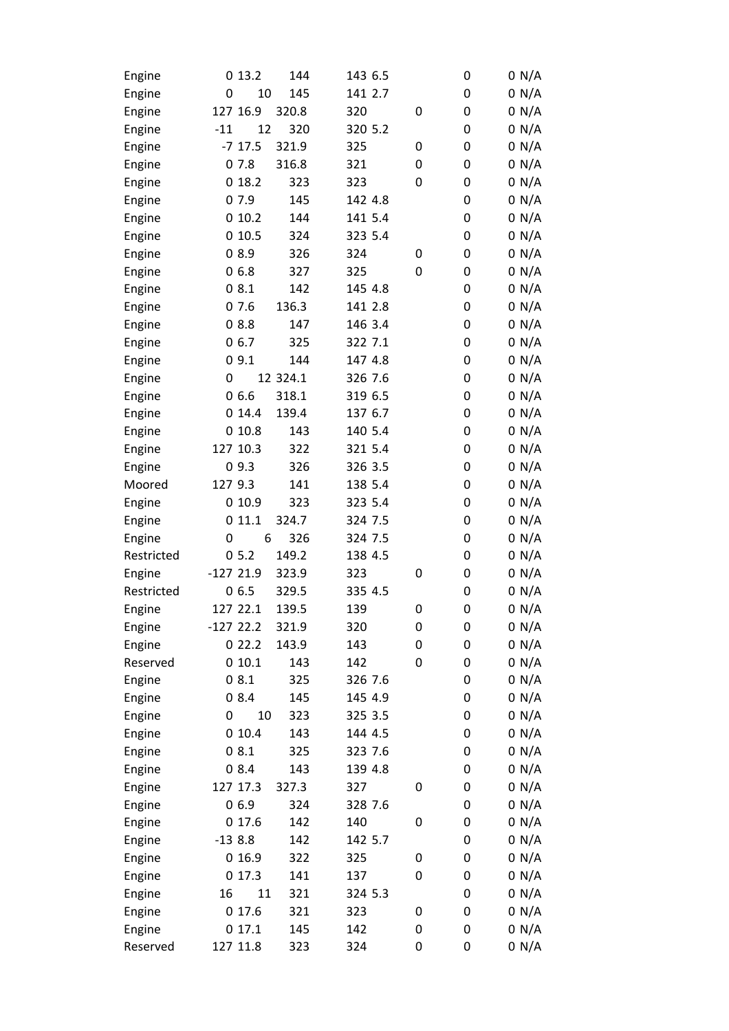| Engine           |            | 013.2     | 144      | 143 6.5 |   | 0 | 0 N/A |
|------------------|------------|-----------|----------|---------|---|---|-------|
| Engine           | 0          | 10        | 145      | 141 2.7 |   | 0 | 0 N/A |
| Engine           | 127 16.9   |           | 320.8    | 320     | 0 | 0 | 0 N/A |
| Engine           | $-11$      | 12        | 320      | 320 5.2 |   | 0 | 0 N/A |
| Engine           |            | $-7$ 17.5 | 321.9    | 325     | 0 | 0 | 0 N/A |
| Engine           | 07.8       |           | 316.8    | 321     | 0 | 0 | 0 N/A |
| Engine           |            | 018.2     | 323      | 323     | 0 | 0 | 0 N/A |
| Engine           | 07.9       |           | 145      | 142 4.8 |   | 0 | 0 N/A |
| Engine           |            | 010.2     | 144      | 141 5.4 |   | 0 | 0 N/A |
| Engine           |            | 010.5     | 324      | 323 5.4 |   | 0 | 0 N/A |
| Engine           | 08.9       |           | 326      | 324     | 0 | 0 | 0 N/A |
| Engine           | 06.8       |           | 327      | 325     | 0 | 0 | 0 N/A |
| Engine           | 08.1       |           | 142      | 145 4.8 |   | 0 | 0 N/A |
| Engine           | 07.6       |           | 136.3    | 141 2.8 |   | 0 | 0 N/A |
| Engine           | 08.8       |           | 147      | 146 3.4 |   | 0 | 0 N/A |
| Engine           | 06.7       |           | 325      | 322 7.1 |   | 0 | 0 N/A |
| Engine           | 09.1       |           | 144      | 147 4.8 |   | 0 | 0 N/A |
| Engine           | 0          |           | 12 324.1 | 326 7.6 |   | 0 | 0 N/A |
| Engine           | 06.6       |           | 318.1    | 319 6.5 |   | 0 | 0 N/A |
| Engine           |            | 014.4     | 139.4    | 137 6.7 |   | 0 | 0 N/A |
| Engine           |            | 010.8     | 143      | 140 5.4 |   | 0 | 0 N/A |
| Engine           | 127 10.3   |           | 322      | 321 5.4 |   | 0 | 0 N/A |
| Engine           | 09.3       |           | 326      | 326 3.5 |   | 0 | 0 N/A |
| Moored           | 127 9.3    |           | 141      | 138 5.4 |   | 0 | 0 N/A |
| Engine           |            | 010.9     | 323      | 323 5.4 |   | 0 | 0 N/A |
| Engine           | 0          | 11.1      | 324.7    | 324 7.5 |   | 0 | 0 N/A |
| Engine           | 0          | 6         | 326      | 324 7.5 |   | 0 | 0 N/A |
| Restricted       | 05.2       |           | 149.2    | 138 4.5 |   | 0 | 0 N/A |
| Engine           | $-12721.9$ |           | 323.9    | 323     | 0 | 0 | 0 N/A |
| Restricted       | 06.5       |           | 329.5    | 335 4.5 |   | 0 | 0 N/A |
| Engine           | 127 22.1   |           | 139.5    | 139     | 0 | 0 | 0 N/A |
| Engine           | $-12722.2$ |           | 321.9    | 320     | 0 | 0 | 0 N/A |
| Engine           |            | 022.2     | 143.9    | 143     | 0 | 0 | 0 N/A |
| Reserved         |            | 010.1     | 143      | 142     | 0 | 0 | 0 N/A |
| Engine           | 08.1       |           | 325      | 326 7.6 |   | 0 | 0 N/A |
| Engine           | 08.4       |           | 145      | 145 4.9 |   | 0 | 0 N/A |
| Engine           | 0          | 10        | 323      | 325 3.5 |   | 0 | 0 N/A |
| Engine           |            | 010.4     | 143      | 144 4.5 |   | 0 | 0 N/A |
| Engine           | 08.1       |           | 325      | 323 7.6 |   | 0 | 0 N/A |
| Engine           | 08.4       |           | 143      | 139 4.8 |   | 0 | 0 N/A |
| Engine           | 127 17.3   |           | 327.3    | 327     | 0 | 0 | 0 N/A |
| Engine           | 06.9       |           | 324      | 328 7.6 |   | 0 | 0 N/A |
| Engine           |            | 017.6     | 142      | 140     | 0 | 0 | 0 N/A |
| Engine           | $-138.8$   |           | 142      | 142 5.7 |   | 0 | 0 N/A |
| Engine           |            | 016.9     | 322      | 325     | 0 | 0 | 0 N/A |
|                  |            | 017.3     | 141      | 137     | 0 | 0 | 0 N/A |
| Engine<br>Engine | 16         | 11        | 321      | 324 5.3 |   | 0 | 0 N/A |
|                  |            | 017.6     | 321      | 323     | 0 | 0 | 0 N/A |
| Engine           |            | 017.1     |          |         | 0 |   | 0 N/A |
| Engine           |            |           | 145      | 142     |   | 0 |       |
| Reserved         | 127 11.8   |           | 323      | 324     | 0 | 0 | 0 N/A |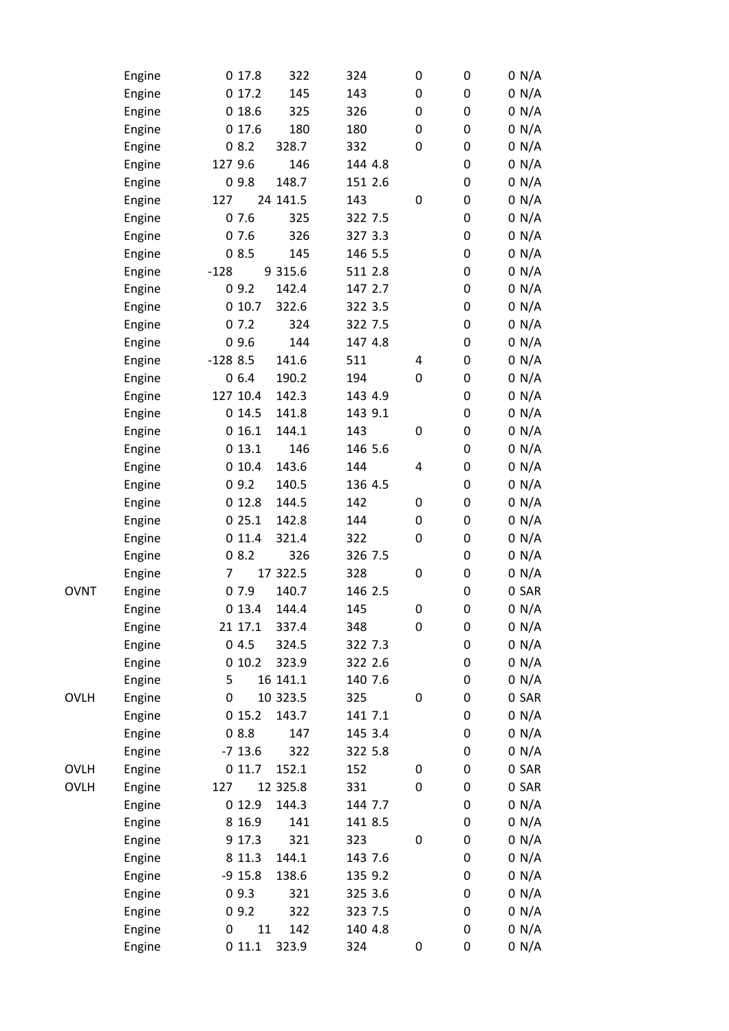|             | Engine | 0 17.8    | 322         | 324     | 0 | 0 | 0 N/A          |
|-------------|--------|-----------|-------------|---------|---|---|----------------|
|             | Engine | 017.2     | 145         | 143     | 0 | 0 | 0 N/A          |
|             | Engine | 018.6     | 325         | 326     | 0 | 0 | 0 N/A          |
|             | Engine | 017.6     | 180         | 180     | 0 | 0 | 0 N/A          |
|             | Engine | 08.2      | 328.7       | 332     | 0 | 0 | 0 N/A          |
|             | Engine | 127 9.6   | 146         | 144 4.8 |   | 0 | 0 N/A          |
|             | Engine | 09.8      | 148.7       | 151 2.6 |   | 0 | 0 N/A          |
|             | Engine | 127       | 24 141.5    | 143     | 0 | 0 | 0 N/A          |
|             | Engine | 07.6      | 325         | 322 7.5 |   | 0 | 0 N/A          |
|             | Engine | 07.6      | 326         | 327 3.3 |   | 0 | 0 N/A          |
|             | Engine | 08.5      | 145         | 146 5.5 |   | 0 | 0 N/A          |
|             | Engine | $-128$    | 9 3 1 5 . 6 | 511 2.8 |   | 0 | 0 N/A          |
|             | Engine | 09.2      | 142.4       | 147 2.7 |   | 0 | 0 N/A          |
|             | Engine | 010.7     | 322.6       | 322 3.5 |   | 0 | 0 N/A          |
|             | Engine | 07.2      | 324         | 322 7.5 |   | 0 | 0 N/A          |
|             | Engine | 09.6      | 144         | 147 4.8 |   | 0 | 0 N/A          |
|             | Engine | $-1288.5$ | 141.6       | 511     | 4 | 0 | 0 N/A          |
|             | Engine | 06.4      | 190.2       | 194     | 0 | 0 | 0 N/A          |
|             | Engine | 127 10.4  | 142.3       | 143 4.9 |   | 0 |                |
|             | Engine | 014.5     | 141.8       | 143 9.1 |   | 0 | 0 N/A<br>0 N/A |
|             |        | 016.1     | 144.1       | 143     | 0 | 0 |                |
|             | Engine |           | 146         | 146 5.6 |   | 0 | 0 N/A          |
|             | Engine | 013.1     |             |         |   |   | 0 N/A          |
|             | Engine | 010.4     | 143.6       | 144     | 4 | 0 | 0 N/A          |
|             | Engine | 09.2      | 140.5       | 136 4.5 |   | 0 | 0 N/A          |
|             | Engine | 012.8     | 144.5       | 142     | 0 | 0 | 0 N/A          |
|             | Engine | 025.1     | 142.8       | 144     | 0 | 0 | 0 N/A          |
|             | Engine | 011.4     | 321.4       | 322     | 0 | 0 | 0 N/A          |
|             | Engine | 08.2      | 326         | 326 7.5 |   | 0 | 0 N/A          |
|             | Engine | 7         | 17 322.5    | 328     | 0 | 0 | 0 N/A          |
| <b>OVNT</b> | Engine | 07.9      | 140.7       | 146 2.5 |   | 0 | 0 SAR          |
|             | Engine | 0 13.4    | 144.4       | 145     | 0 | 0 | 0 N/A          |
|             | Engine | 21 17.1   | 337.4       | 348     | 0 | 0 | 0 N/A          |
|             | Engine | 04.5      | 324.5       | 322 7.3 |   | 0 | 0 N/A          |
|             | Engine | 010.2     | 323.9       | 322 2.6 |   | 0 | 0 N/A          |
|             | Engine | 5         | 16 141.1    | 140 7.6 |   | 0 | 0 N/A          |
| <b>OVLH</b> | Engine | 0         | 10 323.5    | 325     | 0 | 0 | 0 SAR          |
|             | Engine | 015.2     | 143.7       | 141 7.1 |   | 0 | 0 N/A          |
|             | Engine | 08.8      | 147         | 145 3.4 |   | 0 | 0 N/A          |
|             | Engine | $-7$ 13.6 | 322         | 322 5.8 |   | 0 | 0 N/A          |
| <b>OVLH</b> | Engine | 011.7     | 152.1       | 152     | 0 | 0 | 0 SAR          |
| <b>OVLH</b> | Engine | 127       | 12 325.8    | 331     | 0 | 0 | 0 SAR          |
|             | Engine | 012.9     | 144.3       | 144 7.7 |   | 0 | 0 N/A          |
|             | Engine | 8 16.9    | 141         | 141 8.5 |   | 0 | 0 N/A          |
|             | Engine | 9 17.3    | 321         | 323     | 0 | 0 | 0 N/A          |
|             | Engine | 8 11.3    | 144.1       | 143 7.6 |   | 0 | 0 N/A          |
|             | Engine | $-9$ 15.8 | 138.6       | 135 9.2 |   | 0 | 0 N/A          |
|             | Engine | 09.3      | 321         | 325 3.6 |   | 0 | 0 N/A          |
|             | Engine | 09.2      | 322         | 323 7.5 |   | 0 | 0 N/A          |
|             | Engine | 11<br>0   | 142         | 140 4.8 |   | 0 | 0 N/A          |
|             | Engine | 011.1     | 323.9       | 324     | 0 | 0 | 0 N/A          |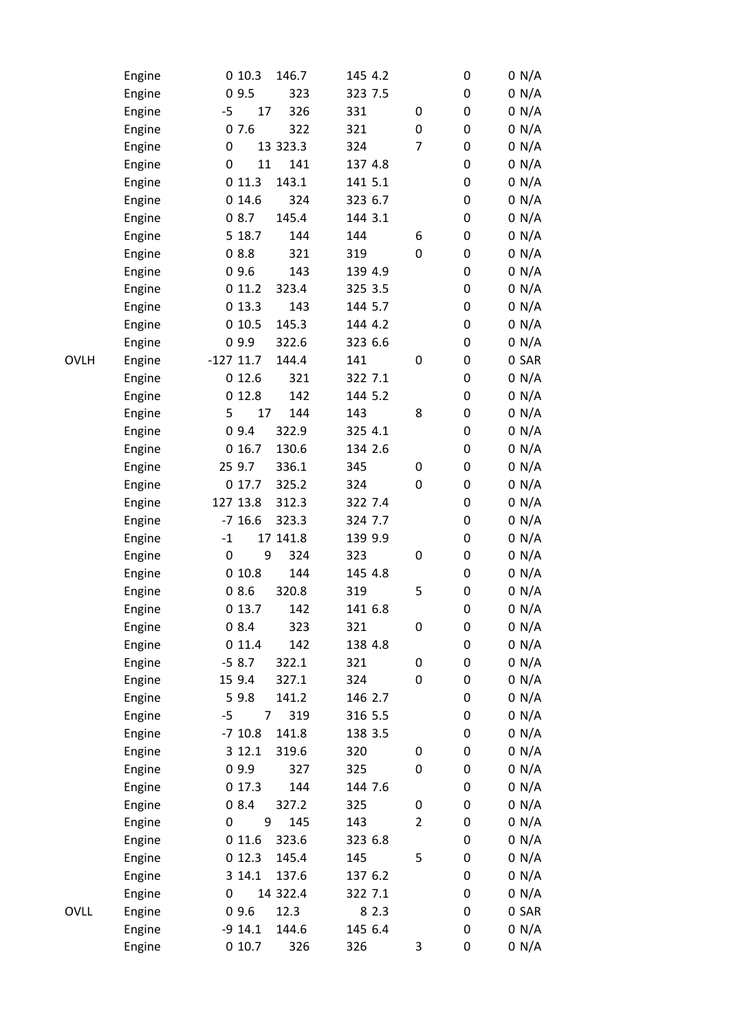|             | Engine | 010.3                  | 146.7    | 145 4.2 |                | 0                | 0 N/A |
|-------------|--------|------------------------|----------|---------|----------------|------------------|-------|
|             | Engine | 09.5                   | 323      | 323 7.5 |                | 0                | 0 N/A |
|             | Engine | 17<br>$-5$             | 326      | 331     | 0              | 0                | 0 N/A |
|             | Engine | 07.6                   | 322      | 321     | 0              | 0                | 0 N/A |
|             | Engine | 0                      | 13 323.3 | 324     | 7              | 0                | 0 N/A |
|             | Engine | 11<br>0                | 141      | 137 4.8 |                | 0                | 0 N/A |
|             | Engine | 011.3                  | 143.1    | 141 5.1 |                | 0                | 0 N/A |
|             | Engine | 014.6                  | 324      | 323 6.7 |                | 0                | 0 N/A |
|             | Engine | 08.7                   | 145.4    | 144 3.1 |                | 0                | 0 N/A |
|             | Engine | 5 18.7                 | 144      | 144     | 6              | 0                | 0 N/A |
|             | Engine | 08.8                   | 321      | 319     | 0              | 0                | 0 N/A |
|             | Engine | 09.6                   | 143      | 139 4.9 |                | 0                | 0 N/A |
|             | Engine | 011.2                  | 323.4    | 325 3.5 |                | 0                | 0 N/A |
|             | Engine | 013.3                  | 143      | 144 5.7 |                | 0                | 0 N/A |
|             | Engine | 010.5                  | 145.3    | 144 4.2 |                | 0                | 0 N/A |
|             | Engine | 09.9                   | 322.6    | 323 6.6 |                | 0                | 0 N/A |
| <b>OVLH</b> | Engine | $-127$ 11.7            | 144.4    | 141     | 0              | 0                | 0 SAR |
|             | Engine | 012.6                  | 321      | 322 7.1 |                | 0                | 0 N/A |
|             | Engine | 012.8                  | 142      | 144 5.2 |                | $\boldsymbol{0}$ | 0 N/A |
|             | Engine | 5<br>17                | 144      | 143     | 8              | 0                | 0 N/A |
|             | Engine | 09.4                   | 322.9    | 325 4.1 |                | 0                | 0 N/A |
|             | Engine | 016.7                  | 130.6    | 134 2.6 |                | 0                | 0 N/A |
|             | Engine | 25 9.7                 | 336.1    | 345     | 0              | 0                | 0 N/A |
|             |        | 0 17.7                 | 325.2    | 324     | 0              | 0                | 0 N/A |
|             | Engine |                        |          |         |                |                  |       |
|             | Engine | 127 13.8               | 312.3    | 322 7.4 |                | 0                | 0 N/A |
|             | Engine | $-7$ 16.6              | 323.3    | 324 7.7 |                | $\boldsymbol{0}$ | 0 N/A |
|             | Engine | $-1$                   | 17 141.8 | 139 9.9 |                | 0                | 0 N/A |
|             | Engine | $\boldsymbol{0}$<br>9  | 324      | 323     | 0              | 0                | 0 N/A |
|             | Engine | 010.8                  | 144      | 145 4.8 |                | 0                | 0 N/A |
|             | Engine | 08.6                   | 320.8    | 319     | 5              | 0                | 0 N/A |
|             | Engine | 013.7                  | 142      | 141 6.8 |                | $\mathbf 0$      | 0 N/A |
|             | Engine | 08.4                   | 323      | 321     | 0              | 0                | 0 N/A |
|             | Engine | 011.4                  | 142      | 138 4.8 |                | 0                | 0 N/A |
|             | Engine | $-58.7$                | 322.1    | 321     | 0              | 0                | 0 N/A |
|             | Engine | 15 9.4                 | 327.1    | 324     | 0              | 0                | 0 N/A |
|             | Engine | 5 9.8                  | 141.2    | 146 2.7 |                | 0                | 0 N/A |
|             | Engine | $\overline{7}$<br>$-5$ | 319      | 316 5.5 |                | 0                | 0 N/A |
|             | Engine | $-7$ 10.8              | 141.8    | 138 3.5 |                | 0                | 0 N/A |
|             | Engine | 3 12.1                 | 319.6    | 320     | 0              | 0                | 0 N/A |
|             | Engine | 09.9                   | 327      | 325     | 0              | $\boldsymbol{0}$ | 0 N/A |
|             | Engine | 017.3                  | 144      | 144 7.6 |                | 0                | 0 N/A |
|             | Engine | 08.4                   | 327.2    | 325     | 0              | 0                | 0 N/A |
|             | Engine | 9<br>0                 | 145      | 143     | $\overline{2}$ | 0                | 0 N/A |
|             | Engine | 011.6                  | 323.6    | 323 6.8 |                | 0                | 0 N/A |
|             | Engine | 012.3                  | 145.4    | 145     | 5              | $\boldsymbol{0}$ | 0 N/A |
|             | Engine | 3 14.1                 | 137.6    | 137 6.2 |                | 0                | 0 N/A |
|             | Engine | 0                      | 14 322.4 | 322 7.1 |                | 0                | 0 N/A |
| <b>OVLL</b> | Engine | 09.6                   | 12.3     | 8 2.3   |                | 0                | 0 SAR |
|             | Engine | $-9$ 14.1              | 144.6    | 145 6.4 |                | 0                | 0 N/A |
|             | Engine | 010.7                  | 326      | 326     | 3              | 0                | 0 N/A |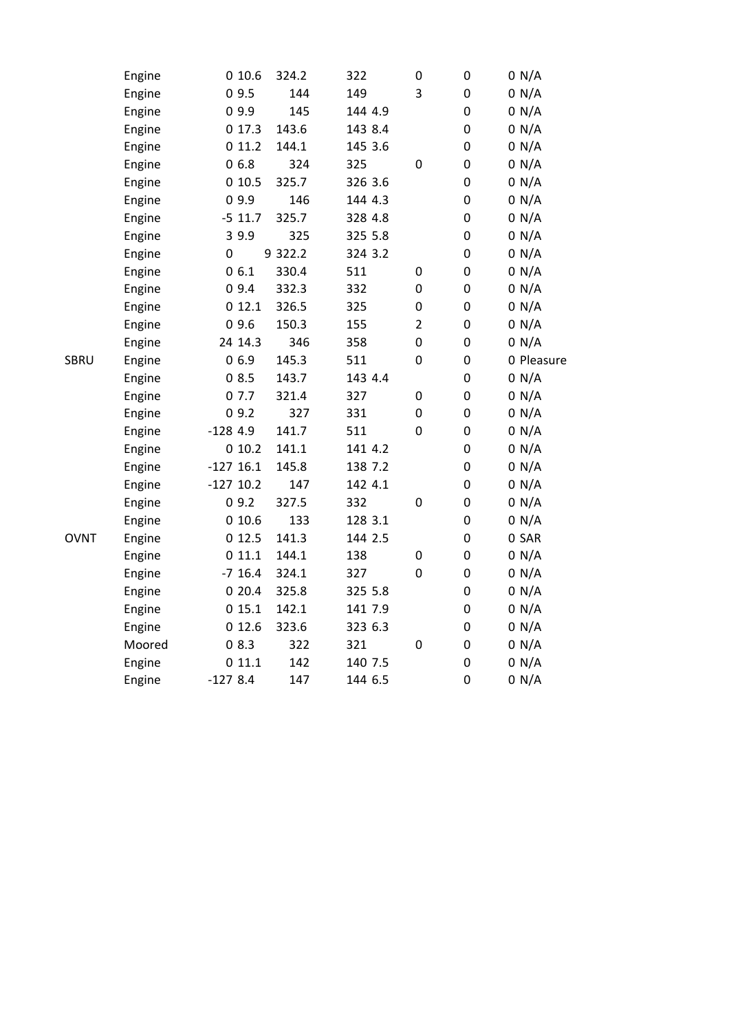|             | Engine | 010.6       | 324.2   | 322     | $\boldsymbol{0}$ | 0                | 0 N/A      |
|-------------|--------|-------------|---------|---------|------------------|------------------|------------|
|             | Engine | 09.5        | 144     | 149     | 3                | $\pmb{0}$        | 0 N/A      |
|             | Engine | 09.9        | 145     | 144 4.9 |                  | $\boldsymbol{0}$ | 0 N/A      |
|             | Engine | 017.3       | 143.6   | 143 8.4 |                  | 0                | 0 N/A      |
|             | Engine | 011.2       | 144.1   | 145 3.6 |                  | 0                | 0 N/A      |
|             | Engine | 06.8        | 324     | 325     | $\boldsymbol{0}$ | $\pmb{0}$        | 0 N/A      |
|             | Engine | 010.5       | 325.7   | 326 3.6 |                  | $\pmb{0}$        | 0 N/A      |
|             | Engine | 09.9        | 146     | 144 4.3 |                  | 0                | 0 N/A      |
|             | Engine | $-5$ 11.7   | 325.7   | 328 4.8 |                  | $\pmb{0}$        | 0 N/A      |
|             | Engine | 3 9.9       | 325     | 325 5.8 |                  | $\pmb{0}$        | 0 N/A      |
|             | Engine | $\mathbf 0$ | 9 322.2 | 324 3.2 |                  | $\boldsymbol{0}$ | 0 N/A      |
|             | Engine | 06.1        | 330.4   | 511     | 0                | $\boldsymbol{0}$ | 0 N/A      |
|             | Engine | 09.4        | 332.3   | 332     | $\boldsymbol{0}$ | $\pmb{0}$        | 0 N/A      |
|             | Engine | 012.1       | 326.5   | 325     | $\pmb{0}$        | $\boldsymbol{0}$ | 0 N/A      |
|             | Engine | 09.6        | 150.3   | 155     | $\overline{2}$   | 0                | 0 N/A      |
|             | Engine | 24 14.3     | 346     | 358     | $\boldsymbol{0}$ | 0                | 0 N/A      |
| SBRU        | Engine | 06.9        | 145.3   | 511     | $\boldsymbol{0}$ | $\pmb{0}$        | 0 Pleasure |
|             | Engine | 08.5        | 143.7   | 143 4.4 |                  | $\pmb{0}$        | 0 N/A      |
|             | Engine | 07.7        | 321.4   | 327     | 0                | $\pmb{0}$        | 0 N/A      |
|             | Engine | 09.2        | 327     | 331     | 0                | $\boldsymbol{0}$ | 0 N/A      |
|             | Engine | $-1284.9$   | 141.7   | 511     | $\boldsymbol{0}$ | $\pmb{0}$        | 0 N/A      |
|             | Engine | 010.2       | 141.1   | 141 4.2 |                  | $\pmb{0}$        | 0 N/A      |
|             | Engine | $-127$ 16.1 | 145.8   | 138 7.2 |                  | 0                | 0 N/A      |
|             | Engine | $-127$ 10.2 | 147     | 142 4.1 |                  | 0                | 0 N/A      |
|             | Engine | 09.2        | 327.5   | 332     | $\pmb{0}$        | $\pmb{0}$        | 0 N/A      |
|             | Engine | 010.6       | 133     | 128 3.1 |                  | $\pmb{0}$        | 0 N/A      |
| <b>OVNT</b> | Engine | 012.5       | 141.3   | 144 2.5 |                  | $\boldsymbol{0}$ | 0 SAR      |
|             | Engine | 011.1       | 144.1   | 138     | 0                | $\pmb{0}$        | 0 N/A      |
|             | Engine | $-7$ 16.4   | 324.1   | 327     | $\boldsymbol{0}$ | $\pmb{0}$        | 0 N/A      |
|             | Engine | 020.4       | 325.8   | 325 5.8 |                  | 0                | 0 N/A      |
|             | Engine | 015.1       | 142.1   | 141 7.9 |                  | 0                | 0 N/A      |
|             | Engine | 012.6       | 323.6   | 323 6.3 |                  | 0                | 0 N/A      |
|             | Moored | 08.3        | 322     | 321     | $\boldsymbol{0}$ | $\pmb{0}$        | 0 N/A      |
|             | Engine | 011.1       | 142     | 140 7.5 |                  | 0                | 0 N/A      |
|             | Engine | $-1278.4$   | 147     | 144 6.5 |                  | 0                | 0 N/A      |
|             |        |             |         |         |                  |                  |            |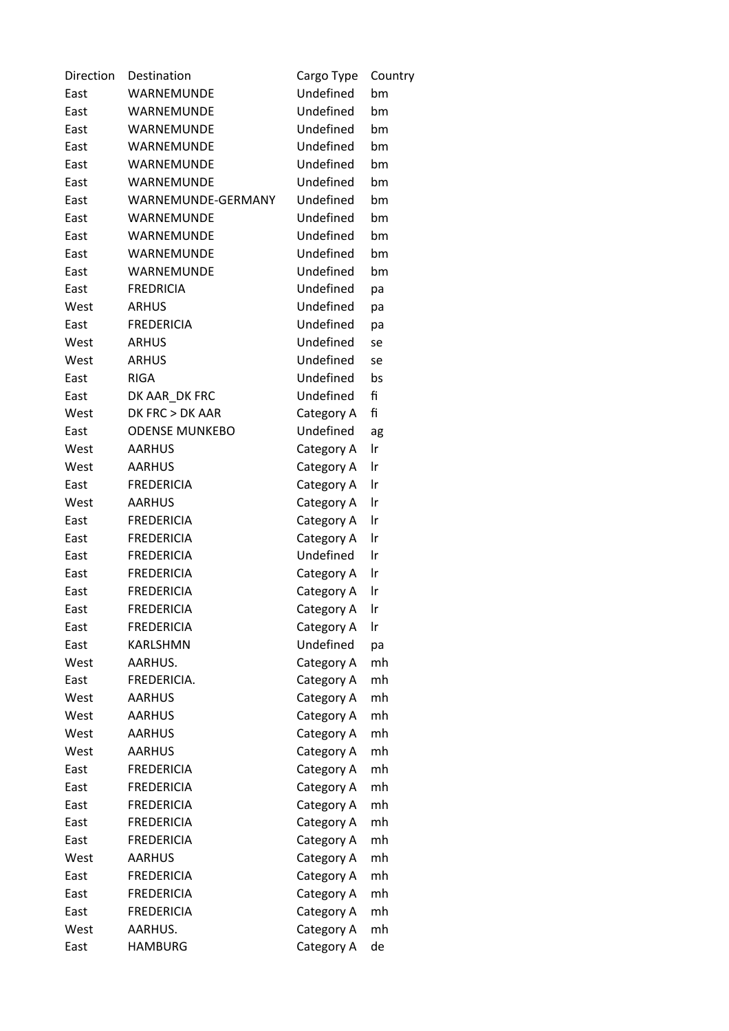| Direction | Destination           | Cargo Type | Country |
|-----------|-----------------------|------------|---------|
| East      | WARNEMUNDE            | Undefined  | bm      |
| East      | WARNEMUNDE            | Undefined  | bm      |
| East      | WARNEMUNDE            | Undefined  | bm      |
| East      | WARNEMUNDE            | Undefined  | bm      |
| East      | WARNEMUNDE            | Undefined  | bm      |
| East      | WARNEMUNDE            | Undefined  | bm      |
| East      | WARNEMUNDE-GERMANY    | Undefined  | bm      |
| East      | WARNEMUNDE            | Undefined  | bm      |
| East      | WARNEMUNDE            | Undefined  | bm      |
| East      | WARNEMUNDE            | Undefined  | bm      |
| East      | WARNEMUNDE            | Undefined  | bm      |
| East      | <b>FREDRICIA</b>      | Undefined  | pa      |
| West      | <b>ARHUS</b>          | Undefined  | pa      |
| East      | <b>FREDERICIA</b>     | Undefined  | pa      |
| West      | <b>ARHUS</b>          | Undefined  | se      |
| West      | <b>ARHUS</b>          | Undefined  | se      |
| East      | <b>RIGA</b>           | Undefined  | bs      |
| East      | DK AAR DK FRC         | Undefined  | fi      |
| West      | DK FRC > DK AAR       | Category A | fi      |
| East      | <b>ODENSE MUNKEBO</b> | Undefined  | ag      |
| West      | <b>AARHUS</b>         | Category A | Ir      |
| West      | <b>AARHUS</b>         | Category A | Ir      |
| East      | <b>FREDERICIA</b>     | Category A | Ir      |
| West      | <b>AARHUS</b>         | Category A | Ir      |
| East      | <b>FREDERICIA</b>     | Category A | Ir      |
| East      | <b>FREDERICIA</b>     | Category A | Ir      |
| East      | <b>FREDERICIA</b>     | Undefined  | Ir      |
| East      | <b>FREDERICIA</b>     | Category A | Ir      |
| East      | <b>FREDERICIA</b>     | Category A | Ir      |
| East      | <b>FREDERICIA</b>     | Category A | Ir      |
| East      | <b>FREDERICIA</b>     | Category A | Ir      |
| East      | <b>KARLSHMN</b>       | Undefined  | pa      |
| West      | AARHUS.               | Category A | mh      |
| East      | FREDERICIA.           | Category A | mh      |
| West      | <b>AARHUS</b>         | Category A | mh      |
| West      | <b>AARHUS</b>         | Category A | mh      |
| West      | <b>AARHUS</b>         | Category A | mh      |
| West      | <b>AARHUS</b>         | Category A | mh      |
| East      | <b>FREDERICIA</b>     | Category A | mh      |
| East      | <b>FREDERICIA</b>     | Category A | mh      |
| East      | <b>FREDERICIA</b>     | Category A | mh      |
| East      | <b>FREDERICIA</b>     | Category A | mh      |
| East      | <b>FREDERICIA</b>     | Category A | mh      |
| West      | <b>AARHUS</b>         | Category A | mh      |
| East      | <b>FREDERICIA</b>     | Category A | mh      |
| East      | <b>FREDERICIA</b>     | Category A | mh      |
| East      | <b>FREDERICIA</b>     | Category A | mh      |
| West      | AARHUS.               | Category A | mh      |
| East      | <b>HAMBURG</b>        | Category A | de      |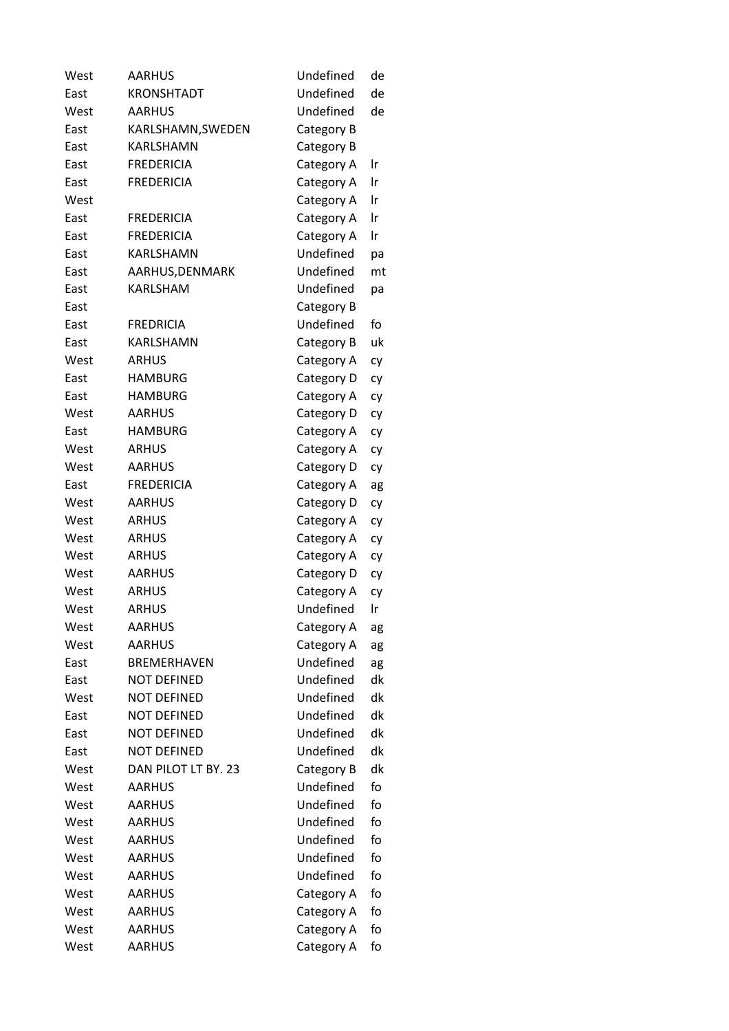| West | <b>AARHUS</b>       | Undefined  | de |
|------|---------------------|------------|----|
| East | <b>KRONSHTADT</b>   | Undefined  | de |
| West | <b>AARHUS</b>       | Undefined  | de |
| East | KARLSHAMN, SWEDEN   | Category B |    |
| East | <b>KARLSHAMN</b>    | Category B |    |
| East | <b>FREDERICIA</b>   | Category A | Ir |
| East | <b>FREDERICIA</b>   | Category A | Ir |
| West |                     | Category A | Ir |
| East | <b>FREDERICIA</b>   | Category A | Ir |
| East | <b>FREDERICIA</b>   | Category A | Ir |
| East | KARLSHAMN           | Undefined  | pa |
| East | AARHUS, DENMARK     | Undefined  | mt |
| East | KARLSHAM            | Undefined  | рa |
| East |                     | Category B |    |
| East | <b>FREDRICIA</b>    | Undefined  | fo |
| East | KARLSHAMN           | Category B | uk |
| West | <b>ARHUS</b>        | Category A | cy |
| East | <b>HAMBURG</b>      | Category D | cy |
| East | <b>HAMBURG</b>      | Category A | cy |
| West | <b>AARHUS</b>       | Category D | сy |
| East | <b>HAMBURG</b>      | Category A | cy |
| West | <b>ARHUS</b>        | Category A | cy |
| West | <b>AARHUS</b>       | Category D | cy |
| East | <b>FREDERICIA</b>   | Category A | ag |
| West | <b>AARHUS</b>       | Category D | сy |
| West | <b>ARHUS</b>        | Category A | cy |
| West | <b>ARHUS</b>        | Category A | сy |
| West | <b>ARHUS</b>        | Category A | сy |
| West | <b>AARHUS</b>       | Category D | cy |
| West | <b>ARHUS</b>        | Category A | cy |
| West | <b>ARHUS</b>        | Undefined  | Ir |
| West | <b>AARHUS</b>       | Category A | ag |
| West | <b>AARHUS</b>       | Category A | ag |
| East | <b>BREMERHAVEN</b>  | Undefined  | ag |
| East | <b>NOT DEFINED</b>  | Undefined  | dk |
| West | <b>NOT DEFINED</b>  | Undefined  | dk |
| East | <b>NOT DEFINED</b>  | Undefined  | dk |
| East | <b>NOT DEFINED</b>  | Undefined  | dk |
| East | <b>NOT DEFINED</b>  | Undefined  | dk |
| West | DAN PILOT LT BY, 23 | Category B | dk |
| West | <b>AARHUS</b>       | Undefined  | fo |
| West | <b>AARHUS</b>       | Undefined  | fo |
| West | <b>AARHUS</b>       | Undefined  | fo |
| West | <b>AARHUS</b>       | Undefined  | fo |
| West | <b>AARHUS</b>       | Undefined  | fo |
| West | <b>AARHUS</b>       | Undefined  | fo |
| West | <b>AARHUS</b>       | Category A | fo |
| West | <b>AARHUS</b>       | Category A | fo |
| West | <b>AARHUS</b>       | Category A | fo |
| West | <b>AARHUS</b>       | Category A | fo |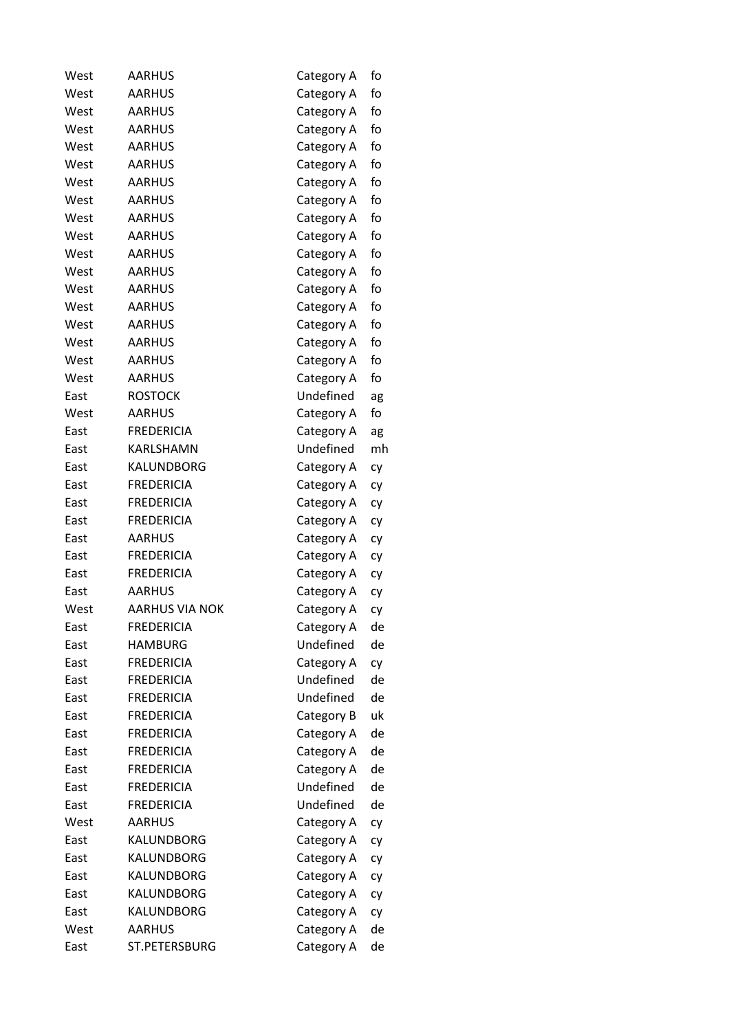| <b>AARHUS</b><br>fo<br>West<br>Category A<br><b>AARHUS</b><br>fo<br>West<br>Category A<br>fo<br><b>AARHUS</b><br>West<br>Category A<br>West<br><b>AARHUS</b><br>fo<br>Category A<br>fo<br><b>AARHUS</b><br>West<br>Category A<br>fo<br><b>AARHUS</b><br>West<br>Category A<br><b>AARHUS</b><br>fo<br>West<br>Category A<br>West<br><b>AARHUS</b><br>fo<br>Category A<br>West<br><b>AARHUS</b><br>fo<br>Category A<br>fo<br><b>AARHUS</b><br>West<br>Category A<br><b>AARHUS</b><br>fo<br>West<br>Category A<br><b>AARHUS</b><br>fo<br>West<br>Category A<br><b>AARHUS</b><br>West<br>fo<br>Category A<br>West<br><b>AARHUS</b><br>fo<br>Category A<br>fo<br><b>AARHUS</b><br>West<br>Category A<br><b>AARHUS</b><br>fo<br>West<br>Category A<br>fo<br>West<br>AARHUS<br>Category A<br><b>ROSTOCK</b><br>Undefined<br>East<br><b>AARHUS</b><br>West<br>fo<br>Category A<br><b>FREDERICIA</b><br>East<br>Category A<br>KARLSHAMN<br>Undefined<br>East<br>KALUNDBORG<br>East<br>Category A<br>cy<br><b>FREDERICIA</b><br>East<br>Category A<br>cy<br><b>FREDERICIA</b><br>East<br>Category A<br>сy<br><b>FREDERICIA</b><br>East<br>Category A<br>cy<br><b>AARHUS</b><br>East<br>Category A<br>сy<br><b>FREDERICIA</b><br>East<br>Category A<br>cy<br><b>FREDERICIA</b><br>East<br>Category A<br>cy<br>AARHUS<br>East<br>Category A<br>cy<br>West<br><b>AARHUS VIA NOK</b><br>Category A<br>сy<br>East<br><b>FREDERICIA</b><br>Category A<br><b>HAMBURG</b><br>Undefined<br>East<br>East<br><b>FREDERICIA</b><br>Category A<br>Undefined<br><b>FREDERICIA</b><br>East<br>Undefined<br><b>FREDERICIA</b><br>East<br><b>FREDERICIA</b><br>East<br>Category B<br><b>FREDERICIA</b><br>Category A<br>East<br><b>FREDERICIA</b><br>Category A<br>East<br>East<br><b>FREDERICIA</b><br>Category A<br>Undefined<br>East<br><b>FREDERICIA</b><br>Undefined<br><b>FREDERICIA</b><br>East<br>West<br><b>AARHUS</b><br>Category A<br>сy<br>KALUNDBORG<br>East<br>Category A<br>сy<br>East<br>KALUNDBORG<br>Category A<br>сy<br>East<br>KALUNDBORG<br>Category A<br>сy<br>KALUNDBORG<br>East<br>Category A<br>cy<br>KALUNDBORG<br>East<br>Category A<br>West<br><b>AARHUS</b><br>Category A | West | <b>AARHUS</b> | Category A | fo |
|-----------------------------------------------------------------------------------------------------------------------------------------------------------------------------------------------------------------------------------------------------------------------------------------------------------------------------------------------------------------------------------------------------------------------------------------------------------------------------------------------------------------------------------------------------------------------------------------------------------------------------------------------------------------------------------------------------------------------------------------------------------------------------------------------------------------------------------------------------------------------------------------------------------------------------------------------------------------------------------------------------------------------------------------------------------------------------------------------------------------------------------------------------------------------------------------------------------------------------------------------------------------------------------------------------------------------------------------------------------------------------------------------------------------------------------------------------------------------------------------------------------------------------------------------------------------------------------------------------------------------------------------------------------------------------------------------------------------------------------------------------------------------------------------------------------------------------------------------------------------------------------------------------------------------------------------------------------------------------------------------------------------------------------------------------------------------------------------------------------------------------------------------------------------------------|------|---------------|------------|----|
|                                                                                                                                                                                                                                                                                                                                                                                                                                                                                                                                                                                                                                                                                                                                                                                                                                                                                                                                                                                                                                                                                                                                                                                                                                                                                                                                                                                                                                                                                                                                                                                                                                                                                                                                                                                                                                                                                                                                                                                                                                                                                                                                                                             |      |               |            |    |
|                                                                                                                                                                                                                                                                                                                                                                                                                                                                                                                                                                                                                                                                                                                                                                                                                                                                                                                                                                                                                                                                                                                                                                                                                                                                                                                                                                                                                                                                                                                                                                                                                                                                                                                                                                                                                                                                                                                                                                                                                                                                                                                                                                             |      |               |            |    |
|                                                                                                                                                                                                                                                                                                                                                                                                                                                                                                                                                                                                                                                                                                                                                                                                                                                                                                                                                                                                                                                                                                                                                                                                                                                                                                                                                                                                                                                                                                                                                                                                                                                                                                                                                                                                                                                                                                                                                                                                                                                                                                                                                                             |      |               |            |    |
|                                                                                                                                                                                                                                                                                                                                                                                                                                                                                                                                                                                                                                                                                                                                                                                                                                                                                                                                                                                                                                                                                                                                                                                                                                                                                                                                                                                                                                                                                                                                                                                                                                                                                                                                                                                                                                                                                                                                                                                                                                                                                                                                                                             |      |               |            |    |
|                                                                                                                                                                                                                                                                                                                                                                                                                                                                                                                                                                                                                                                                                                                                                                                                                                                                                                                                                                                                                                                                                                                                                                                                                                                                                                                                                                                                                                                                                                                                                                                                                                                                                                                                                                                                                                                                                                                                                                                                                                                                                                                                                                             |      |               |            |    |
|                                                                                                                                                                                                                                                                                                                                                                                                                                                                                                                                                                                                                                                                                                                                                                                                                                                                                                                                                                                                                                                                                                                                                                                                                                                                                                                                                                                                                                                                                                                                                                                                                                                                                                                                                                                                                                                                                                                                                                                                                                                                                                                                                                             |      |               |            |    |
|                                                                                                                                                                                                                                                                                                                                                                                                                                                                                                                                                                                                                                                                                                                                                                                                                                                                                                                                                                                                                                                                                                                                                                                                                                                                                                                                                                                                                                                                                                                                                                                                                                                                                                                                                                                                                                                                                                                                                                                                                                                                                                                                                                             |      |               |            |    |
|                                                                                                                                                                                                                                                                                                                                                                                                                                                                                                                                                                                                                                                                                                                                                                                                                                                                                                                                                                                                                                                                                                                                                                                                                                                                                                                                                                                                                                                                                                                                                                                                                                                                                                                                                                                                                                                                                                                                                                                                                                                                                                                                                                             |      |               |            |    |
|                                                                                                                                                                                                                                                                                                                                                                                                                                                                                                                                                                                                                                                                                                                                                                                                                                                                                                                                                                                                                                                                                                                                                                                                                                                                                                                                                                                                                                                                                                                                                                                                                                                                                                                                                                                                                                                                                                                                                                                                                                                                                                                                                                             |      |               |            |    |
|                                                                                                                                                                                                                                                                                                                                                                                                                                                                                                                                                                                                                                                                                                                                                                                                                                                                                                                                                                                                                                                                                                                                                                                                                                                                                                                                                                                                                                                                                                                                                                                                                                                                                                                                                                                                                                                                                                                                                                                                                                                                                                                                                                             |      |               |            |    |
|                                                                                                                                                                                                                                                                                                                                                                                                                                                                                                                                                                                                                                                                                                                                                                                                                                                                                                                                                                                                                                                                                                                                                                                                                                                                                                                                                                                                                                                                                                                                                                                                                                                                                                                                                                                                                                                                                                                                                                                                                                                                                                                                                                             |      |               |            |    |
|                                                                                                                                                                                                                                                                                                                                                                                                                                                                                                                                                                                                                                                                                                                                                                                                                                                                                                                                                                                                                                                                                                                                                                                                                                                                                                                                                                                                                                                                                                                                                                                                                                                                                                                                                                                                                                                                                                                                                                                                                                                                                                                                                                             |      |               |            |    |
|                                                                                                                                                                                                                                                                                                                                                                                                                                                                                                                                                                                                                                                                                                                                                                                                                                                                                                                                                                                                                                                                                                                                                                                                                                                                                                                                                                                                                                                                                                                                                                                                                                                                                                                                                                                                                                                                                                                                                                                                                                                                                                                                                                             |      |               |            |    |
|                                                                                                                                                                                                                                                                                                                                                                                                                                                                                                                                                                                                                                                                                                                                                                                                                                                                                                                                                                                                                                                                                                                                                                                                                                                                                                                                                                                                                                                                                                                                                                                                                                                                                                                                                                                                                                                                                                                                                                                                                                                                                                                                                                             |      |               |            |    |
|                                                                                                                                                                                                                                                                                                                                                                                                                                                                                                                                                                                                                                                                                                                                                                                                                                                                                                                                                                                                                                                                                                                                                                                                                                                                                                                                                                                                                                                                                                                                                                                                                                                                                                                                                                                                                                                                                                                                                                                                                                                                                                                                                                             |      |               |            |    |
|                                                                                                                                                                                                                                                                                                                                                                                                                                                                                                                                                                                                                                                                                                                                                                                                                                                                                                                                                                                                                                                                                                                                                                                                                                                                                                                                                                                                                                                                                                                                                                                                                                                                                                                                                                                                                                                                                                                                                                                                                                                                                                                                                                             |      |               |            |    |
|                                                                                                                                                                                                                                                                                                                                                                                                                                                                                                                                                                                                                                                                                                                                                                                                                                                                                                                                                                                                                                                                                                                                                                                                                                                                                                                                                                                                                                                                                                                                                                                                                                                                                                                                                                                                                                                                                                                                                                                                                                                                                                                                                                             |      |               |            |    |
|                                                                                                                                                                                                                                                                                                                                                                                                                                                                                                                                                                                                                                                                                                                                                                                                                                                                                                                                                                                                                                                                                                                                                                                                                                                                                                                                                                                                                                                                                                                                                                                                                                                                                                                                                                                                                                                                                                                                                                                                                                                                                                                                                                             |      |               |            | ag |
|                                                                                                                                                                                                                                                                                                                                                                                                                                                                                                                                                                                                                                                                                                                                                                                                                                                                                                                                                                                                                                                                                                                                                                                                                                                                                                                                                                                                                                                                                                                                                                                                                                                                                                                                                                                                                                                                                                                                                                                                                                                                                                                                                                             |      |               |            |    |
|                                                                                                                                                                                                                                                                                                                                                                                                                                                                                                                                                                                                                                                                                                                                                                                                                                                                                                                                                                                                                                                                                                                                                                                                                                                                                                                                                                                                                                                                                                                                                                                                                                                                                                                                                                                                                                                                                                                                                                                                                                                                                                                                                                             |      |               |            | ag |
|                                                                                                                                                                                                                                                                                                                                                                                                                                                                                                                                                                                                                                                                                                                                                                                                                                                                                                                                                                                                                                                                                                                                                                                                                                                                                                                                                                                                                                                                                                                                                                                                                                                                                                                                                                                                                                                                                                                                                                                                                                                                                                                                                                             |      |               |            | mh |
|                                                                                                                                                                                                                                                                                                                                                                                                                                                                                                                                                                                                                                                                                                                                                                                                                                                                                                                                                                                                                                                                                                                                                                                                                                                                                                                                                                                                                                                                                                                                                                                                                                                                                                                                                                                                                                                                                                                                                                                                                                                                                                                                                                             |      |               |            |    |
|                                                                                                                                                                                                                                                                                                                                                                                                                                                                                                                                                                                                                                                                                                                                                                                                                                                                                                                                                                                                                                                                                                                                                                                                                                                                                                                                                                                                                                                                                                                                                                                                                                                                                                                                                                                                                                                                                                                                                                                                                                                                                                                                                                             |      |               |            |    |
|                                                                                                                                                                                                                                                                                                                                                                                                                                                                                                                                                                                                                                                                                                                                                                                                                                                                                                                                                                                                                                                                                                                                                                                                                                                                                                                                                                                                                                                                                                                                                                                                                                                                                                                                                                                                                                                                                                                                                                                                                                                                                                                                                                             |      |               |            |    |
|                                                                                                                                                                                                                                                                                                                                                                                                                                                                                                                                                                                                                                                                                                                                                                                                                                                                                                                                                                                                                                                                                                                                                                                                                                                                                                                                                                                                                                                                                                                                                                                                                                                                                                                                                                                                                                                                                                                                                                                                                                                                                                                                                                             |      |               |            |    |
|                                                                                                                                                                                                                                                                                                                                                                                                                                                                                                                                                                                                                                                                                                                                                                                                                                                                                                                                                                                                                                                                                                                                                                                                                                                                                                                                                                                                                                                                                                                                                                                                                                                                                                                                                                                                                                                                                                                                                                                                                                                                                                                                                                             |      |               |            |    |
|                                                                                                                                                                                                                                                                                                                                                                                                                                                                                                                                                                                                                                                                                                                                                                                                                                                                                                                                                                                                                                                                                                                                                                                                                                                                                                                                                                                                                                                                                                                                                                                                                                                                                                                                                                                                                                                                                                                                                                                                                                                                                                                                                                             |      |               |            |    |
|                                                                                                                                                                                                                                                                                                                                                                                                                                                                                                                                                                                                                                                                                                                                                                                                                                                                                                                                                                                                                                                                                                                                                                                                                                                                                                                                                                                                                                                                                                                                                                                                                                                                                                                                                                                                                                                                                                                                                                                                                                                                                                                                                                             |      |               |            |    |
|                                                                                                                                                                                                                                                                                                                                                                                                                                                                                                                                                                                                                                                                                                                                                                                                                                                                                                                                                                                                                                                                                                                                                                                                                                                                                                                                                                                                                                                                                                                                                                                                                                                                                                                                                                                                                                                                                                                                                                                                                                                                                                                                                                             |      |               |            |    |
|                                                                                                                                                                                                                                                                                                                                                                                                                                                                                                                                                                                                                                                                                                                                                                                                                                                                                                                                                                                                                                                                                                                                                                                                                                                                                                                                                                                                                                                                                                                                                                                                                                                                                                                                                                                                                                                                                                                                                                                                                                                                                                                                                                             |      |               |            |    |
|                                                                                                                                                                                                                                                                                                                                                                                                                                                                                                                                                                                                                                                                                                                                                                                                                                                                                                                                                                                                                                                                                                                                                                                                                                                                                                                                                                                                                                                                                                                                                                                                                                                                                                                                                                                                                                                                                                                                                                                                                                                                                                                                                                             |      |               |            | de |
|                                                                                                                                                                                                                                                                                                                                                                                                                                                                                                                                                                                                                                                                                                                                                                                                                                                                                                                                                                                                                                                                                                                                                                                                                                                                                                                                                                                                                                                                                                                                                                                                                                                                                                                                                                                                                                                                                                                                                                                                                                                                                                                                                                             |      |               |            | de |
|                                                                                                                                                                                                                                                                                                                                                                                                                                                                                                                                                                                                                                                                                                                                                                                                                                                                                                                                                                                                                                                                                                                                                                                                                                                                                                                                                                                                                                                                                                                                                                                                                                                                                                                                                                                                                                                                                                                                                                                                                                                                                                                                                                             |      |               |            | cy |
|                                                                                                                                                                                                                                                                                                                                                                                                                                                                                                                                                                                                                                                                                                                                                                                                                                                                                                                                                                                                                                                                                                                                                                                                                                                                                                                                                                                                                                                                                                                                                                                                                                                                                                                                                                                                                                                                                                                                                                                                                                                                                                                                                                             |      |               |            | de |
|                                                                                                                                                                                                                                                                                                                                                                                                                                                                                                                                                                                                                                                                                                                                                                                                                                                                                                                                                                                                                                                                                                                                                                                                                                                                                                                                                                                                                                                                                                                                                                                                                                                                                                                                                                                                                                                                                                                                                                                                                                                                                                                                                                             |      |               |            | de |
|                                                                                                                                                                                                                                                                                                                                                                                                                                                                                                                                                                                                                                                                                                                                                                                                                                                                                                                                                                                                                                                                                                                                                                                                                                                                                                                                                                                                                                                                                                                                                                                                                                                                                                                                                                                                                                                                                                                                                                                                                                                                                                                                                                             |      |               |            | uk |
|                                                                                                                                                                                                                                                                                                                                                                                                                                                                                                                                                                                                                                                                                                                                                                                                                                                                                                                                                                                                                                                                                                                                                                                                                                                                                                                                                                                                                                                                                                                                                                                                                                                                                                                                                                                                                                                                                                                                                                                                                                                                                                                                                                             |      |               |            | de |
|                                                                                                                                                                                                                                                                                                                                                                                                                                                                                                                                                                                                                                                                                                                                                                                                                                                                                                                                                                                                                                                                                                                                                                                                                                                                                                                                                                                                                                                                                                                                                                                                                                                                                                                                                                                                                                                                                                                                                                                                                                                                                                                                                                             |      |               |            | de |
|                                                                                                                                                                                                                                                                                                                                                                                                                                                                                                                                                                                                                                                                                                                                                                                                                                                                                                                                                                                                                                                                                                                                                                                                                                                                                                                                                                                                                                                                                                                                                                                                                                                                                                                                                                                                                                                                                                                                                                                                                                                                                                                                                                             |      |               |            | de |
|                                                                                                                                                                                                                                                                                                                                                                                                                                                                                                                                                                                                                                                                                                                                                                                                                                                                                                                                                                                                                                                                                                                                                                                                                                                                                                                                                                                                                                                                                                                                                                                                                                                                                                                                                                                                                                                                                                                                                                                                                                                                                                                                                                             |      |               |            | de |
|                                                                                                                                                                                                                                                                                                                                                                                                                                                                                                                                                                                                                                                                                                                                                                                                                                                                                                                                                                                                                                                                                                                                                                                                                                                                                                                                                                                                                                                                                                                                                                                                                                                                                                                                                                                                                                                                                                                                                                                                                                                                                                                                                                             |      |               |            | de |
|                                                                                                                                                                                                                                                                                                                                                                                                                                                                                                                                                                                                                                                                                                                                                                                                                                                                                                                                                                                                                                                                                                                                                                                                                                                                                                                                                                                                                                                                                                                                                                                                                                                                                                                                                                                                                                                                                                                                                                                                                                                                                                                                                                             |      |               |            |    |
|                                                                                                                                                                                                                                                                                                                                                                                                                                                                                                                                                                                                                                                                                                                                                                                                                                                                                                                                                                                                                                                                                                                                                                                                                                                                                                                                                                                                                                                                                                                                                                                                                                                                                                                                                                                                                                                                                                                                                                                                                                                                                                                                                                             |      |               |            |    |
|                                                                                                                                                                                                                                                                                                                                                                                                                                                                                                                                                                                                                                                                                                                                                                                                                                                                                                                                                                                                                                                                                                                                                                                                                                                                                                                                                                                                                                                                                                                                                                                                                                                                                                                                                                                                                                                                                                                                                                                                                                                                                                                                                                             |      |               |            |    |
|                                                                                                                                                                                                                                                                                                                                                                                                                                                                                                                                                                                                                                                                                                                                                                                                                                                                                                                                                                                                                                                                                                                                                                                                                                                                                                                                                                                                                                                                                                                                                                                                                                                                                                                                                                                                                                                                                                                                                                                                                                                                                                                                                                             |      |               |            |    |
|                                                                                                                                                                                                                                                                                                                                                                                                                                                                                                                                                                                                                                                                                                                                                                                                                                                                                                                                                                                                                                                                                                                                                                                                                                                                                                                                                                                                                                                                                                                                                                                                                                                                                                                                                                                                                                                                                                                                                                                                                                                                                                                                                                             |      |               |            |    |
|                                                                                                                                                                                                                                                                                                                                                                                                                                                                                                                                                                                                                                                                                                                                                                                                                                                                                                                                                                                                                                                                                                                                                                                                                                                                                                                                                                                                                                                                                                                                                                                                                                                                                                                                                                                                                                                                                                                                                                                                                                                                                                                                                                             |      |               |            | cy |
|                                                                                                                                                                                                                                                                                                                                                                                                                                                                                                                                                                                                                                                                                                                                                                                                                                                                                                                                                                                                                                                                                                                                                                                                                                                                                                                                                                                                                                                                                                                                                                                                                                                                                                                                                                                                                                                                                                                                                                                                                                                                                                                                                                             |      |               |            | de |
|                                                                                                                                                                                                                                                                                                                                                                                                                                                                                                                                                                                                                                                                                                                                                                                                                                                                                                                                                                                                                                                                                                                                                                                                                                                                                                                                                                                                                                                                                                                                                                                                                                                                                                                                                                                                                                                                                                                                                                                                                                                                                                                                                                             | East | ST.PETERSBURG | Category A | de |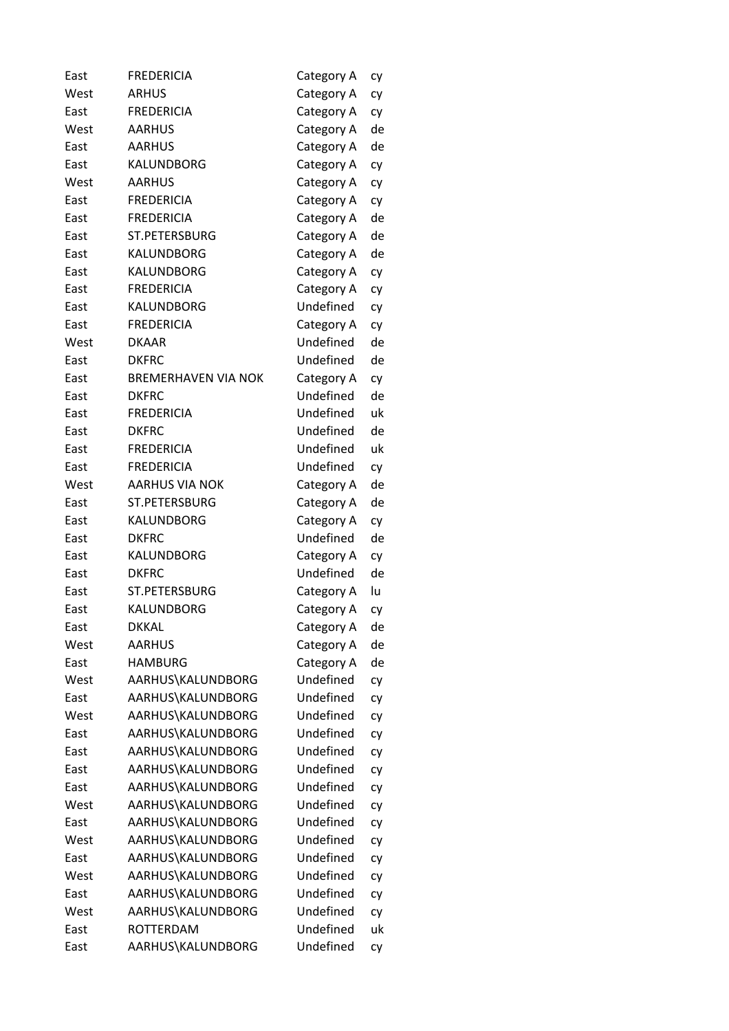| East | <b>FREDERICIA</b>          | Category A | сy       |
|------|----------------------------|------------|----------|
| West | <b>ARHUS</b>               | Category A | cy       |
| East | <b>FREDERICIA</b>          | Category A | cy       |
| West | <b>AARHUS</b>              | Category A | de       |
| East | <b>AARHUS</b>              | Category A | de       |
| East | KALUNDBORG                 | Category A | cy       |
| West | <b>AARHUS</b>              | Category A | cy       |
| East | <b>FREDERICIA</b>          | Category A | cy       |
| East | <b>FREDERICIA</b>          | Category A | de       |
| East | ST.PETERSBURG              | Category A | de       |
| East | KALUNDBORG                 | Category A | de       |
| East | KALUNDBORG                 | Category A | cy       |
| East | <b>FREDERICIA</b>          | Category A | cy       |
| East | KALUNDBORG                 | Undefined  | cy       |
| East | <b>FREDERICIA</b>          | Category A | cy       |
| West | <b>DKAAR</b>               | Undefined  | de       |
| East | <b>DKFRC</b>               | Undefined  | de       |
| East | <b>BREMERHAVEN VIA NOK</b> | Category A | cy       |
| East | <b>DKFRC</b>               | Undefined  | de       |
| East | <b>FREDERICIA</b>          | Undefined  | uk       |
| East | <b>DKFRC</b>               | Undefined  | de       |
| East | <b>FREDERICIA</b>          | Undefined  | uk       |
| East | <b>FREDERICIA</b>          | Undefined  | cy       |
| West | <b>AARHUS VIA NOK</b>      | Category A | de       |
| East | ST.PETERSBURG              | Category A | de       |
| East | KALUNDBORG                 | Category A | cy       |
| East | <b>DKFRC</b>               | Undefined  | de       |
| East | KALUNDBORG                 | Category A | cy       |
| East | <b>DKFRC</b>               | Undefined  | de       |
| East | ST.PETERSBURG              | Category A | lu       |
| East | KALUNDBORG                 | Category A | cy       |
| East | <b>DKKAL</b>               | Category A | de       |
| West | <b>AARHUS</b>              | Category A | de       |
| East | <b>HAMBURG</b>             | Category A | de       |
| West | AARHUS\KALUNDBORG          | Undefined  | cy       |
| East | AARHUS\KALUNDBORG          | Undefined  | cy       |
| West | AARHUS\KALUNDBORG          | Undefined  | cy       |
| East | AARHUS\KALUNDBORG          | Undefined  | cy       |
| East | AARHUS\KALUNDBORG          | Undefined  | cy       |
| East | AARHUS\KALUNDBORG          | Undefined  | cy       |
| East | AARHUS\KALUNDBORG          | Undefined  | cy       |
| West | AARHUS\KALUNDBORG          | Undefined  | cy       |
| East | AARHUS\KALUNDBORG          | Undefined  | cy       |
| West | AARHUS\KALUNDBORG          | Undefined  | cy       |
| East | AARHUS\KALUNDBORG          | Undefined  | cy       |
| West | AARHUS\KALUNDBORG          | Undefined  |          |
| East | AARHUS\KALUNDBORG          | Undefined  | cy<br>cy |
| West | AARHUS\KALUNDBORG          | Undefined  |          |
| East | <b>ROTTERDAM</b>           | Undefined  | cy<br>uk |
| East | AARHUS\KALUNDBORG          | Undefined  |          |
|      |                            |            | cy       |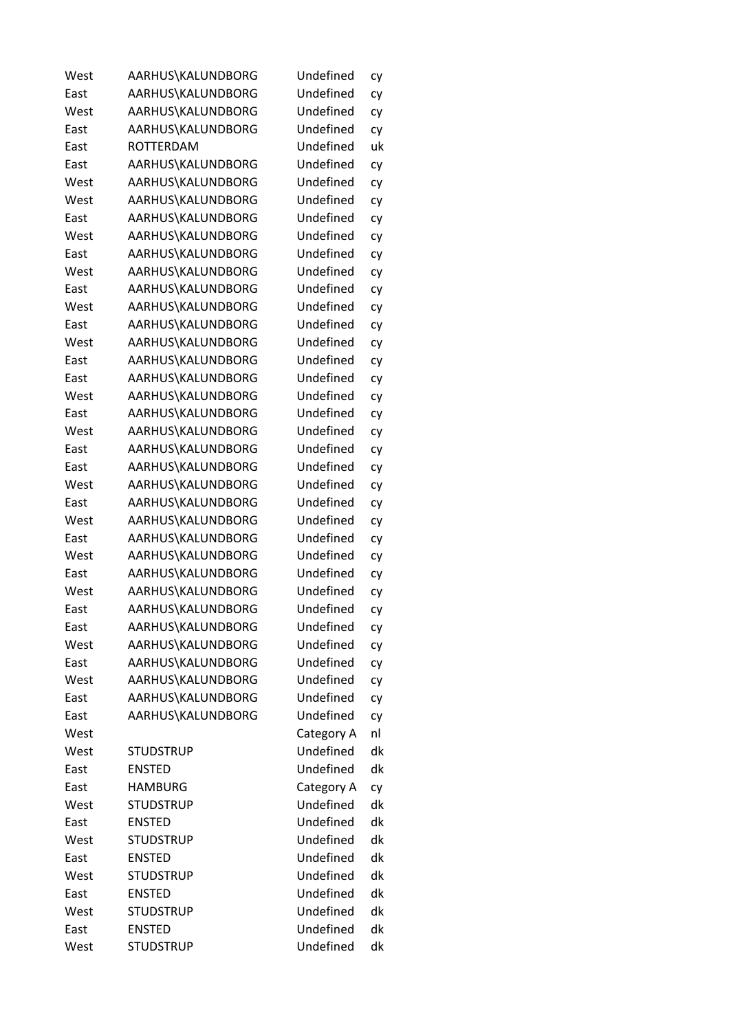| West | AARHUS\KALUNDBORG | Undefined  | cy |
|------|-------------------|------------|----|
| East | AARHUS\KALUNDBORG | Undefined  | cy |
| West | AARHUS\KALUNDBORG | Undefined  | cy |
| East | AARHUS\KALUNDBORG | Undefined  | cy |
| East | <b>ROTTERDAM</b>  | Undefined  | uk |
| East | AARHUS\KALUNDBORG | Undefined  | cy |
| West | AARHUS\KALUNDBORG | Undefined  | cy |
| West | AARHUS\KALUNDBORG | Undefined  | cy |
| East | AARHUS\KALUNDBORG | Undefined  | cy |
| West | AARHUS\KALUNDBORG | Undefined  | cy |
| East | AARHUS\KALUNDBORG | Undefined  | cy |
| West | AARHUS\KALUNDBORG | Undefined  | cy |
| East | AARHUS\KALUNDBORG | Undefined  | cy |
| West | AARHUS\KALUNDBORG | Undefined  | cy |
| East | AARHUS\KALUNDBORG | Undefined  | cy |
| West | AARHUS\KALUNDBORG | Undefined  | cy |
| East | AARHUS\KALUNDBORG | Undefined  | cy |
| East | AARHUS\KALUNDBORG | Undefined  | cy |
| West | AARHUS\KALUNDBORG | Undefined  | cy |
| East | AARHUS\KALUNDBORG | Undefined  | cy |
| West | AARHUS\KALUNDBORG | Undefined  | cy |
| East | AARHUS\KALUNDBORG | Undefined  | cy |
| East | AARHUS\KALUNDBORG | Undefined  | cy |
| West | AARHUS\KALUNDBORG | Undefined  | cy |
| East | AARHUS\KALUNDBORG | Undefined  | cy |
| West | AARHUS\KALUNDBORG | Undefined  | cy |
| East | AARHUS\KALUNDBORG | Undefined  | cy |
| West | AARHUS\KALUNDBORG | Undefined  | cy |
| East | AARHUS\KALUNDBORG | Undefined  | cy |
| West | AARHUS\KALUNDBORG | Undefined  | cy |
| East | AARHUS\KALUNDBORG | Undefined  | cy |
| East | AARHUS\KALUNDBORG | Undefined  | cy |
| West | AARHUS\KALUNDBORG | Undefined  | cy |
| East | AARHUS\KALUNDBORG | Undefined  | сy |
| West | AARHUS\KALUNDBORG | Undefined  | cy |
| East | AARHUS\KALUNDBORG | Undefined  | cy |
| East | AARHUS\KALUNDBORG | Undefined  | cy |
| West |                   | Category A | nl |
| West | <b>STUDSTRUP</b>  | Undefined  | dk |
| East | <b>ENSTED</b>     | Undefined  | dk |
| East | <b>HAMBURG</b>    | Category A | cy |
| West | <b>STUDSTRUP</b>  | Undefined  | dk |
| East | <b>ENSTED</b>     | Undefined  | dk |
| West | <b>STUDSTRUP</b>  | Undefined  | dk |
| East | <b>ENSTED</b>     | Undefined  | dk |
| West | <b>STUDSTRUP</b>  | Undefined  | dk |
| East | <b>ENSTED</b>     | Undefined  | dk |
| West | <b>STUDSTRUP</b>  | Undefined  | dk |
| East | <b>ENSTED</b>     | Undefined  | dk |
| West | <b>STUDSTRUP</b>  | Undefined  | dk |
|      |                   |            |    |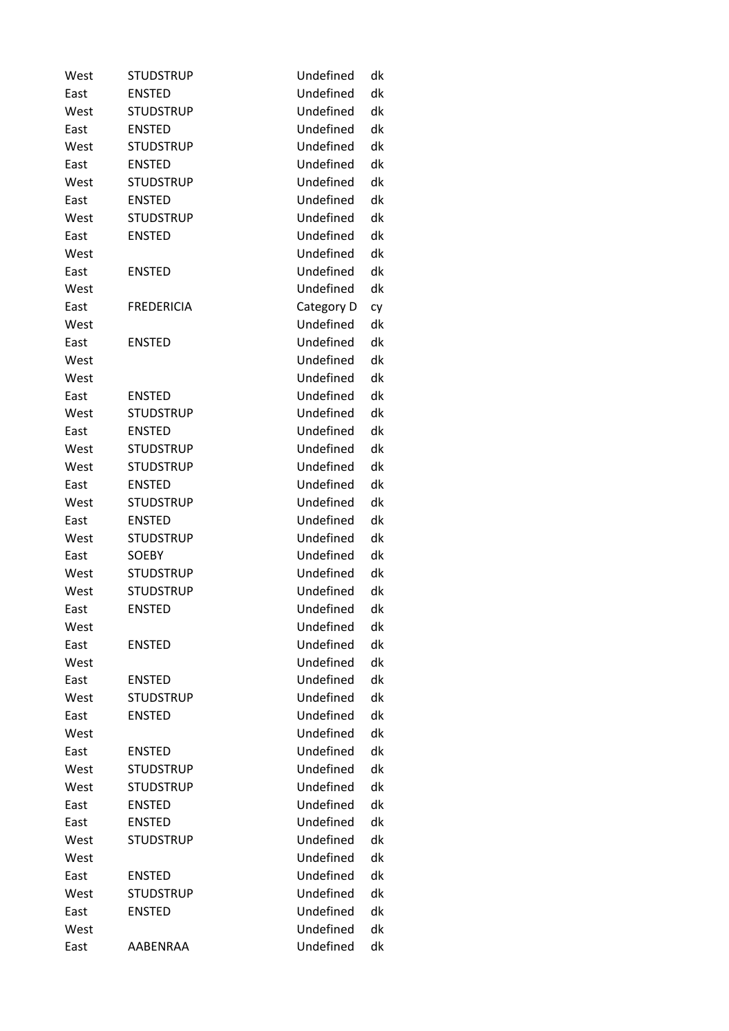| West | <b>STUDSTRUP</b>  | Undefined  | dk |
|------|-------------------|------------|----|
| East | <b>ENSTED</b>     | Undefined  | dk |
| West | <b>STUDSTRUP</b>  | Undefined  | dk |
| East | <b>ENSTED</b>     | Undefined  | dk |
| West | <b>STUDSTRUP</b>  | Undefined  | dk |
| East | <b>ENSTED</b>     | Undefined  | dk |
| West | <b>STUDSTRUP</b>  | Undefined  | dk |
| East | <b>ENSTED</b>     | Undefined  | dk |
| West | <b>STUDSTRUP</b>  | Undefined  | dk |
| East | <b>ENSTED</b>     | Undefined  | dk |
| West |                   | Undefined  | dk |
| East | <b>ENSTED</b>     | Undefined  | dk |
| West |                   | Undefined  | dk |
| East | <b>FREDERICIA</b> | Category D | cy |
| West |                   | Undefined  | dk |
| East | <b>ENSTED</b>     | Undefined  | dk |
| West |                   | Undefined  | dk |
| West |                   | Undefined  | dk |
| East | <b>ENSTED</b>     | Undefined  | dk |
| West | <b>STUDSTRUP</b>  | Undefined  | dk |
| East | <b>ENSTED</b>     | Undefined  | dk |
| West | <b>STUDSTRUP</b>  | Undefined  | dk |
| West | <b>STUDSTRUP</b>  | Undefined  | dk |
| East | <b>ENSTED</b>     | Undefined  | dk |
| West | <b>STUDSTRUP</b>  | Undefined  | dk |
| East | <b>ENSTED</b>     | Undefined  | dk |
| West | <b>STUDSTRUP</b>  | Undefined  | dk |
| East | <b>SOEBY</b>      | Undefined  | dk |
| West | <b>STUDSTRUP</b>  | Undefined  | dk |
| West | <b>STUDSTRUP</b>  | Undefined  | dk |
| East | <b>ENSTED</b>     | Undefined  | dk |
| West |                   | Undefined  | dk |
| East | <b>ENSTED</b>     | Undefined  | dk |
| West |                   | Undefined  | dk |
| East | <b>ENSTED</b>     | Undefined  | dk |
| West | <b>STUDSTRUP</b>  | Undefined  | dk |
| East | <b>ENSTED</b>     | Undefined  | dk |
| West |                   | Undefined  | dk |
| East | <b>ENSTED</b>     | Undefined  | dk |
| West | <b>STUDSTRUP</b>  | Undefined  | dk |
| West | <b>STUDSTRUP</b>  | Undefined  | dk |
| East | <b>ENSTED</b>     | Undefined  | dk |
| East | <b>ENSTED</b>     | Undefined  | dk |
| West | <b>STUDSTRUP</b>  | Undefined  | dk |
| West |                   | Undefined  | dk |
| East | <b>ENSTED</b>     | Undefined  | dk |
| West | <b>STUDSTRUP</b>  | Undefined  | dk |
| East | <b>ENSTED</b>     | Undefined  | dk |
| West |                   | Undefined  | dk |
| East | AABENRAA          | Undefined  | dk |
|      |                   |            |    |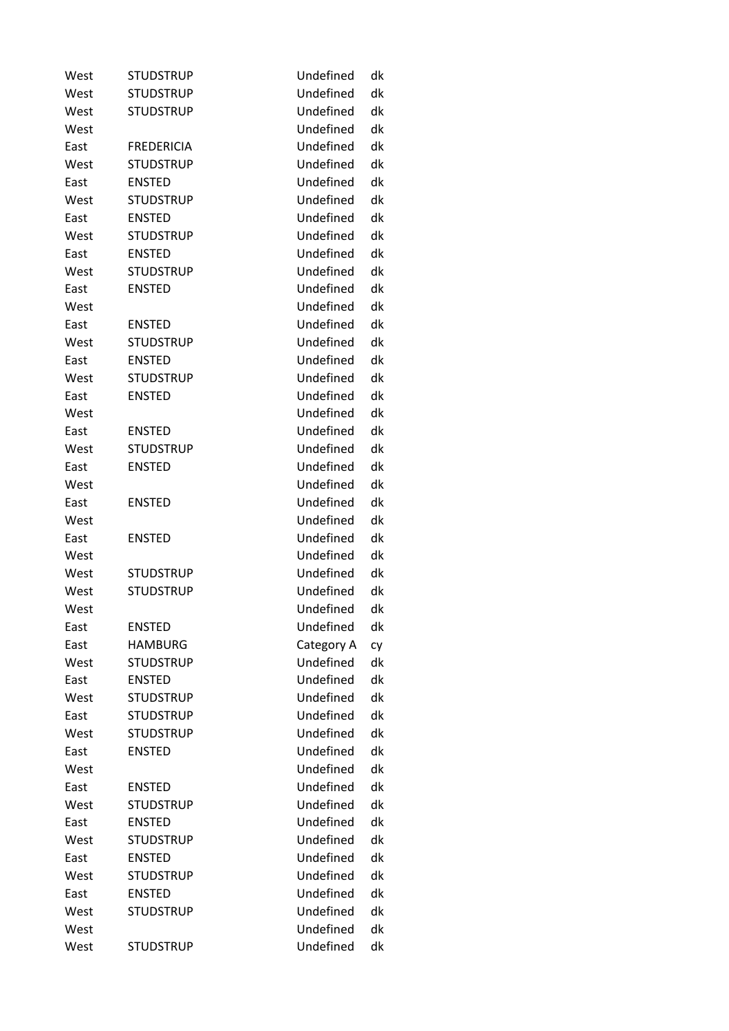| West | <b>STUDSTRUP</b>  | Undefined  | dk |
|------|-------------------|------------|----|
| West | <b>STUDSTRUP</b>  | Undefined  | dk |
| West | <b>STUDSTRUP</b>  | Undefined  | dk |
| West |                   | Undefined  | dk |
| East | <b>FREDERICIA</b> | Undefined  | dk |
| West | <b>STUDSTRUP</b>  | Undefined  | dk |
| East | <b>ENSTED</b>     | Undefined  | dk |
| West | <b>STUDSTRUP</b>  | Undefined  | dk |
| East | <b>ENSTED</b>     | Undefined  | dk |
| West | <b>STUDSTRUP</b>  | Undefined  | dk |
| East | <b>ENSTED</b>     | Undefined  | dk |
| West | <b>STUDSTRUP</b>  | Undefined  | dk |
| East | <b>ENSTED</b>     | Undefined  | dk |
| West |                   | Undefined  | dk |
| East | <b>ENSTED</b>     | Undefined  | dk |
| West | <b>STUDSTRUP</b>  | Undefined  | dk |
| East | <b>ENSTED</b>     | Undefined  | dk |
| West | <b>STUDSTRUP</b>  | Undefined  | dk |
| East | <b>ENSTED</b>     | Undefined  | dk |
| West |                   | Undefined  | dk |
| East | <b>ENSTED</b>     | Undefined  | dk |
| West | <b>STUDSTRUP</b>  | Undefined  | dk |
| East | <b>ENSTED</b>     | Undefined  | dk |
| West |                   | Undefined  | dk |
| East | <b>ENSTED</b>     | Undefined  | dk |
| West |                   | Undefined  | dk |
| East | <b>ENSTED</b>     | Undefined  | dk |
| West |                   | Undefined  | dk |
| West | <b>STUDSTRUP</b>  | Undefined  | dk |
| West | <b>STUDSTRUP</b>  | Undefined  | dk |
| West |                   | Undefined  | dk |
| East | <b>ENSTED</b>     | Undefined  | dk |
| East | <b>HAMBURG</b>    | Category A | cy |
| West | <b>STUDSTRUP</b>  | Undefined  | dk |
| East | <b>ENSTED</b>     | Undefined  | dk |
| West | <b>STUDSTRUP</b>  | Undefined  | dk |
| East | <b>STUDSTRUP</b>  | Undefined  | dk |
| West | <b>STUDSTRUP</b>  | Undefined  | dk |
| East | <b>ENSTED</b>     | Undefined  | dk |
| West |                   | Undefined  | dk |
| East | <b>ENSTED</b>     | Undefined  | dk |
| West | <b>STUDSTRUP</b>  | Undefined  | dk |
| East | <b>ENSTED</b>     | Undefined  | dk |
| West | <b>STUDSTRUP</b>  | Undefined  | dk |
| East | <b>ENSTED</b>     | Undefined  | dk |
| West | <b>STUDSTRUP</b>  | Undefined  | dk |
| East | <b>ENSTED</b>     | Undefined  | dk |
| West | <b>STUDSTRUP</b>  | Undefined  | dk |
| West |                   | Undefined  | dk |
| West | <b>STUDSTRUP</b>  | Undefined  | dk |
|      |                   |            |    |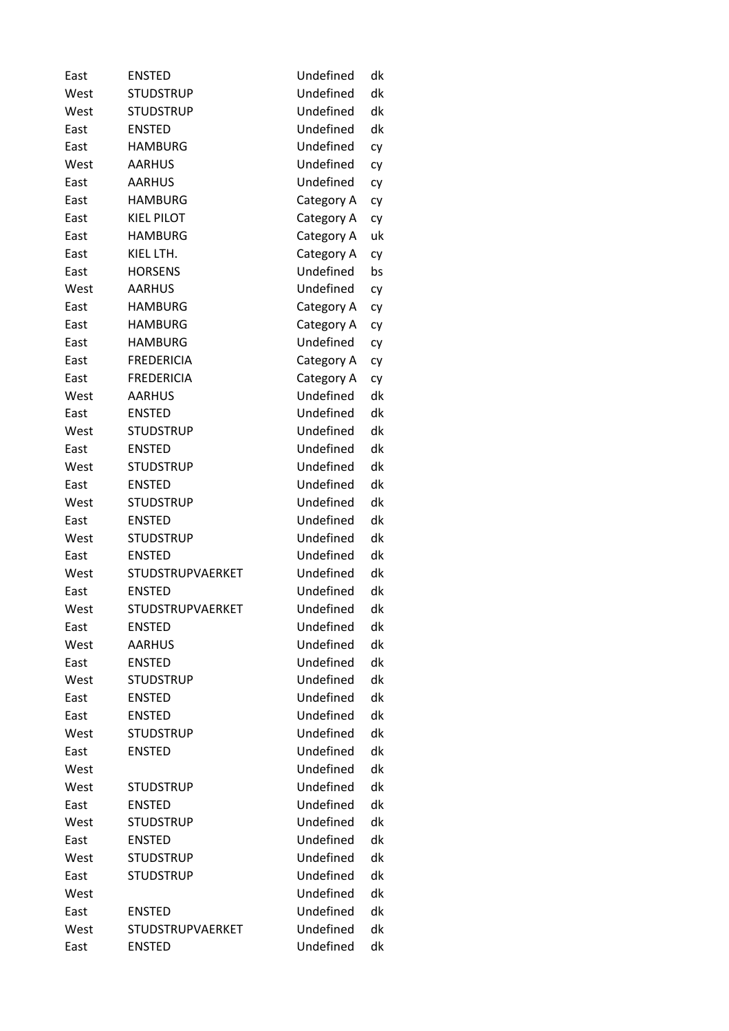| East | <b>ENSTED</b>           | Undefined  | dk |
|------|-------------------------|------------|----|
| West | <b>STUDSTRUP</b>        | Undefined  | dk |
| West | <b>STUDSTRUP</b>        | Undefined  | dk |
| East | <b>ENSTED</b>           | Undefined  | dk |
| East | <b>HAMBURG</b>          | Undefined  | cy |
| West | <b>AARHUS</b>           | Undefined  | cy |
| East | <b>AARHUS</b>           | Undefined  | сy |
| East | <b>HAMBURG</b>          | Category A | сy |
| East | <b>KIEL PILOT</b>       | Category A | cy |
| East | <b>HAMBURG</b>          | Category A | uk |
| East | KIEL LTH.               | Category A | cy |
| East | <b>HORSENS</b>          | Undefined  | bs |
| West | <b>AARHUS</b>           | Undefined  | сy |
| East | <b>HAMBURG</b>          | Category A | сy |
| East | <b>HAMBURG</b>          | Category A | сy |
| East | <b>HAMBURG</b>          | Undefined  | сy |
| East | <b>FREDERICIA</b>       | Category A | сy |
| East | <b>FREDERICIA</b>       | Category A | cy |
| West | <b>AARHUS</b>           | Undefined  | dk |
| East | <b>ENSTED</b>           | Undefined  | dk |
| West | <b>STUDSTRUP</b>        | Undefined  | dk |
| East | <b>ENSTED</b>           | Undefined  | dk |
| West | <b>STUDSTRUP</b>        | Undefined  | dk |
| East | <b>ENSTED</b>           | Undefined  | dk |
| West | <b>STUDSTRUP</b>        | Undefined  | dk |
| East | <b>ENSTED</b>           | Undefined  | dk |
| West | <b>STUDSTRUP</b>        | Undefined  | dk |
| East | <b>ENSTED</b>           | Undefined  | dk |
| West | STUDSTRUPVAERKET        | Undefined  | dk |
| East | <b>ENSTED</b>           | Undefined  | dk |
| West | <b>STUDSTRUPVAERKET</b> | Undefined  | dk |
| East | <b>ENSTED</b>           | Undefined  | dk |
| West | <b>AARHUS</b>           | Undefined  | dk |
| East | <b>ENSTED</b>           | Undefined  | dk |
| West | <b>STUDSTRUP</b>        | Undefined  | dk |
| East | <b>ENSTED</b>           | Undefined  | dk |
| East | <b>ENSTED</b>           | Undefined  | dk |
| West | <b>STUDSTRUP</b>        | Undefined  | dk |
| East | <b>ENSTED</b>           | Undefined  | dk |
| West |                         | Undefined  | dk |
| West | <b>STUDSTRUP</b>        | Undefined  | dk |
| East | <b>ENSTED</b>           | Undefined  | dk |
| West | <b>STUDSTRUP</b>        | Undefined  | dk |
| East | <b>ENSTED</b>           | Undefined  | dk |
| West | <b>STUDSTRUP</b>        | Undefined  | dk |
| East | <b>STUDSTRUP</b>        | Undefined  | dk |
| West |                         | Undefined  | dk |
| East | <b>ENSTED</b>           | Undefined  | dk |
| West | <b>STUDSTRUPVAERKET</b> | Undefined  | dk |
| East | <b>ENSTED</b>           | Undefined  | dk |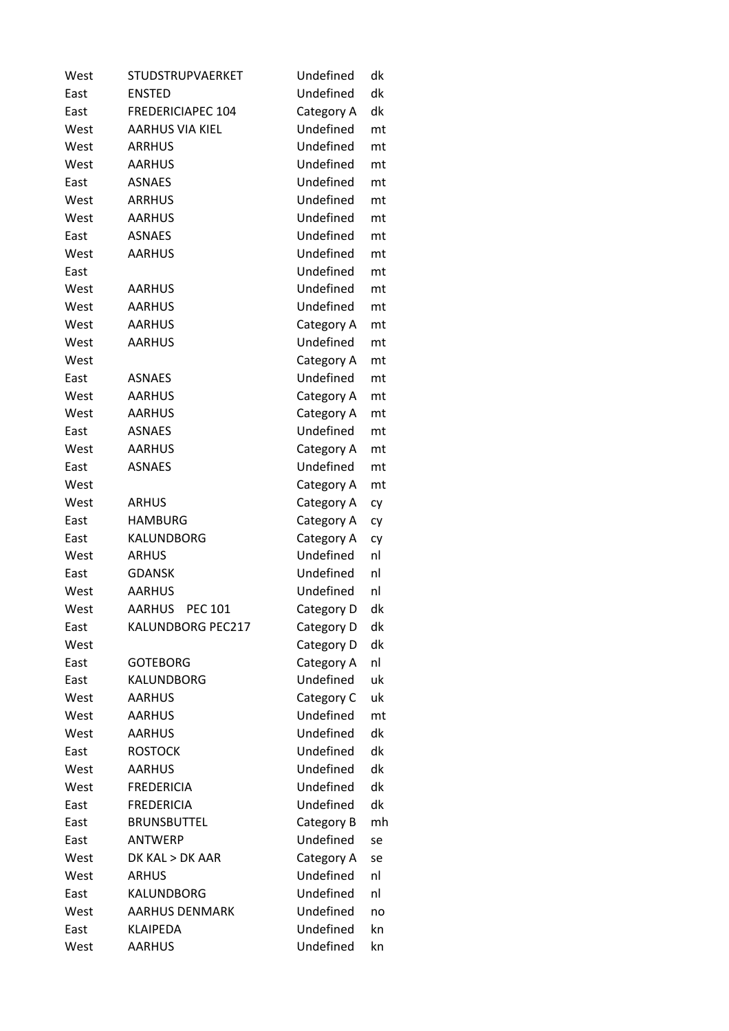| West | <b>STUDSTRUPVAERKET</b>         | Undefined  | dk |
|------|---------------------------------|------------|----|
| East | <b>ENSTED</b>                   | Undefined  | dk |
| East | <b>FREDERICIAPEC 104</b>        | Category A | dk |
| West | <b>AARHUS VIA KIEL</b>          | Undefined  | mt |
| West | <b>ARRHUS</b>                   | Undefined  | mt |
| West | <b>AARHUS</b>                   | Undefined  | mt |
| East | <b>ASNAES</b>                   | Undefined  | mt |
| West | <b>ARRHUS</b>                   | Undefined  | mt |
| West | <b>AARHUS</b>                   | Undefined  | mt |
| East | <b>ASNAES</b>                   | Undefined  | mt |
| West | <b>AARHUS</b>                   | Undefined  | mt |
| East |                                 | Undefined  | mt |
| West | AARHUS                          | Undefined  | mt |
| West | <b>AARHUS</b>                   | Undefined  | mt |
| West | <b>AARHUS</b>                   | Category A | mt |
| West | <b>AARHUS</b>                   | Undefined  | mt |
| West |                                 | Category A | mt |
| East | <b>ASNAES</b>                   | Undefined  | mt |
| West | <b>AARHUS</b>                   | Category A | mt |
| West | <b>AARHUS</b>                   | Category A | mt |
| East | <b>ASNAES</b>                   | Undefined  | mt |
| West | <b>AARHUS</b>                   | Category A | mt |
| East | <b>ASNAES</b>                   | Undefined  | mt |
| West |                                 | Category A | mt |
| West | <b>ARHUS</b>                    | Category A | cy |
| East | <b>HAMBURG</b>                  | Category A | cy |
| East | KALUNDBORG                      | Category A | cy |
| West | <b>ARHUS</b>                    | Undefined  | nl |
| East | <b>GDANSK</b>                   | Undefined  | nl |
| West | <b>AARHUS</b>                   | Undefined  | nl |
| West | <b>AARHUS</b><br><b>PEC 101</b> | Category D | dk |
| East | KALUNDBORG PEC217               | Category D | dk |
| West |                                 | Category D | dk |
| East | <b>GOTEBORG</b>                 | Category A | nl |
| East | KALUNDBORG                      | Undefined  | uk |
| West | <b>AARHUS</b>                   | Category C | uk |
| West | <b>AARHUS</b>                   | Undefined  | mt |
| West | <b>AARHUS</b>                   | Undefined  | dk |
| East | <b>ROSTOCK</b>                  | Undefined  | dk |
| West | <b>AARHUS</b>                   | Undefined  | dk |
| West | <b>FREDERICIA</b>               | Undefined  | dk |
| East | <b>FREDERICIA</b>               | Undefined  | dk |
| East | <b>BRUNSBUTTEL</b>              | Category B | mh |
| East | <b>ANTWERP</b>                  | Undefined  | se |
| West | DK KAL > DK AAR                 | Category A | se |
| West | <b>ARHUS</b>                    | Undefined  | nl |
| East | KALUNDBORG                      | Undefined  | nl |
| West | <b>AARHUS DENMARK</b>           | Undefined  | no |
| East | <b>KLAIPEDA</b>                 | Undefined  | kn |
| West | <b>AARHUS</b>                   | Undefined  | kn |
|      |                                 |            |    |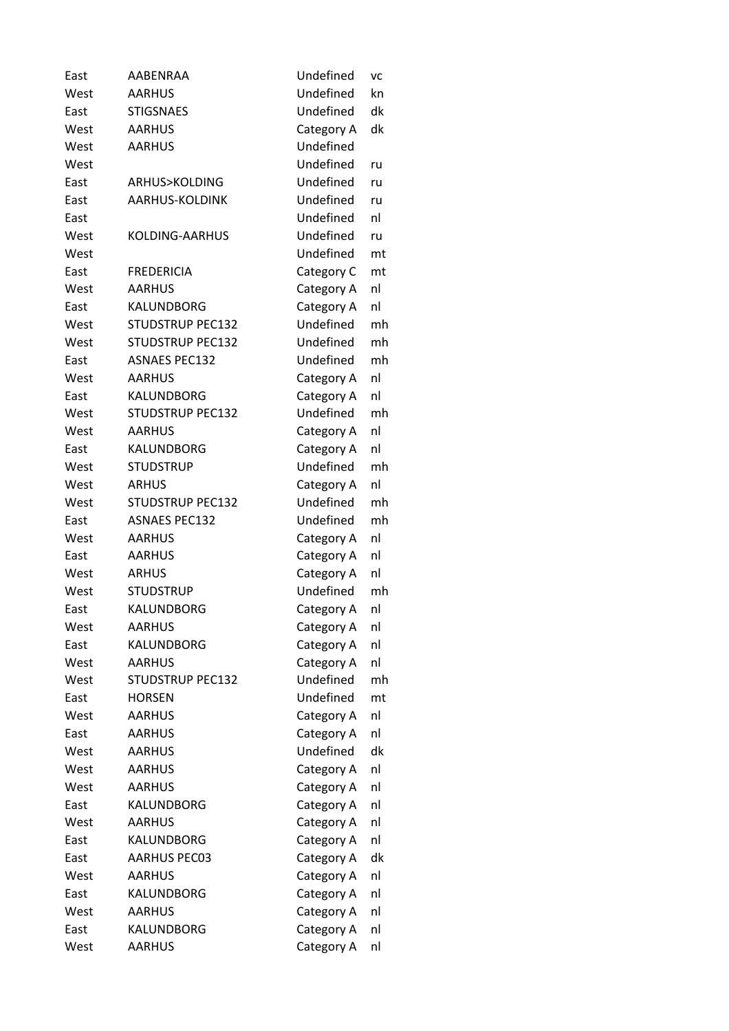| East | AABENRAA                | Undefined  | VC |
|------|-------------------------|------------|----|
| West | <b>AARHUS</b>           | Undefined  | kn |
| East | <b>STIGSNAES</b>        | Undefined  | dk |
| West | <b>AARHUS</b>           | Category A | dk |
| West | <b>AARHUS</b>           | Undefined  |    |
| West |                         | Undefined  | ru |
| East | ARHUS>KOLDING           | Undefined  | ru |
| East | AARHUS-KOLDINK          | Undefined  | ru |
| East |                         | Undefined  | nl |
| West | <b>KOLDING-AARHUS</b>   | Undefined  | ru |
| West |                         | Undefined  | mt |
| East | <b>FREDERICIA</b>       | Category C | mt |
| West | <b>AARHUS</b>           | Category A | nl |
| East | <b>KALUNDBORG</b>       | Category A | nl |
| West | <b>STUDSTRUP PEC132</b> | Undefined  | mh |
| West | <b>STUDSTRUP PEC132</b> | Undefined  | mh |
| East | <b>ASNAES PEC132</b>    | Undefined  | mh |
| West | <b>AARHUS</b>           | Category A | nl |
| East | <b>KALUNDBORG</b>       | Category A | nl |
| West | <b>STUDSTRUP PEC132</b> | Undefined  | mh |
| West | <b>AARHUS</b>           | Category A | nl |
| East | KALUNDBORG              | Category A | nl |
| West | <b>STUDSTRUP</b>        | Undefined  | mh |
| West | <b>ARHUS</b>            | Category A | nl |
| West | <b>STUDSTRUP PEC132</b> | Undefined  | mh |
| East | <b>ASNAES PEC132</b>    | Undefined  | mh |
| West | <b>AARHUS</b>           | Category A | nl |
| East | <b>AARHUS</b>           | Category A | nl |
| West | <b>ARHUS</b>            | Category A | nl |
| West | <b>STUDSTRUP</b>        | Undefined  | mh |
| East | <b>KALUNDBORG</b>       | Category A | nl |
| West | <b>AARHUS</b>           | Category A | nl |
| East | KALUNDBORG              | Category A | nl |
| West | <b>AARHUS</b>           | Category A | nl |
| West | <b>STUDSTRUP PEC132</b> | Undefined  | mh |
| East | <b>HORSEN</b>           | Undefined  | mt |
| West | <b>AARHUS</b>           | Category A | nl |
| East | <b>AARHUS</b>           | Category A | nl |
| West | <b>AARHUS</b>           | Undefined  | dk |
| West | <b>AARHUS</b>           | Category A | nl |
| West | <b>AARHUS</b>           | Category A | nl |
| East | <b>KALUNDBORG</b>       | Category A | nl |
| West | <b>AARHUS</b>           | Category A | nl |
| East | KALUNDBORG              | Category A | nl |
| East | <b>AARHUS PEC03</b>     | Category A | dk |
| West | <b>AARHUS</b>           | Category A | nl |
| East | KALUNDBORG              | Category A | nl |
| West | <b>AARHUS</b>           | Category A | nl |
| East | <b>KALUNDBORG</b>       | Category A | nl |
| West | <b>AARHUS</b>           | Category A | nl |
|      |                         |            |    |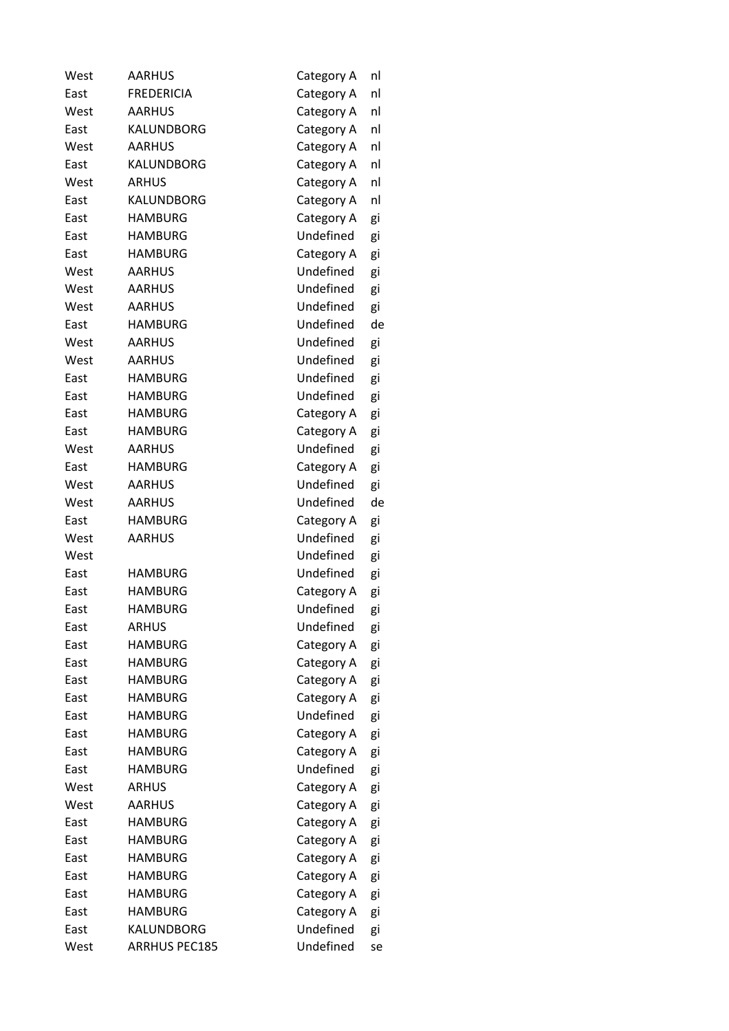| West | <b>AARHUS</b>        | Category A | nl |
|------|----------------------|------------|----|
| East | <b>FREDERICIA</b>    | Category A | nl |
| West | <b>AARHUS</b>        | Category A | nl |
| East | KALUNDBORG           | Category A | nl |
| West | <b>AARHUS</b>        | Category A | nl |
| East | KALUNDBORG           | Category A | nl |
| West | <b>ARHUS</b>         | Category A | nl |
| East | <b>KALUNDBORG</b>    | Category A | nl |
| East | <b>HAMBURG</b>       | Category A | gi |
| East | <b>HAMBURG</b>       | Undefined  | gi |
| East | <b>HAMBURG</b>       | Category A | gi |
| West | <b>AARHUS</b>        | Undefined  | gi |
| West | <b>AARHUS</b>        | Undefined  | gi |
| West | <b>AARHUS</b>        | Undefined  | gi |
| East | <b>HAMBURG</b>       | Undefined  | de |
| West | <b>AARHUS</b>        | Undefined  | gi |
| West | <b>AARHUS</b>        | Undefined  | gi |
| East | <b>HAMBURG</b>       | Undefined  | gi |
| East | <b>HAMBURG</b>       | Undefined  | gi |
| East | <b>HAMBURG</b>       | Category A | gi |
| East | <b>HAMBURG</b>       | Category A | gi |
| West | <b>AARHUS</b>        | Undefined  | gi |
| East | <b>HAMBURG</b>       | Category A | gi |
| West | <b>AARHUS</b>        | Undefined  | gi |
| West | <b>AARHUS</b>        | Undefined  | de |
| East | <b>HAMBURG</b>       | Category A | gi |
| West | <b>AARHUS</b>        | Undefined  | gi |
| West |                      | Undefined  | gi |
| East | <b>HAMBURG</b>       | Undefined  | gi |
| East | <b>HAMBURG</b>       | Category A | gi |
| East | <b>HAMBURG</b>       | Undefined  | gi |
| East | <b>ARHUS</b>         | Undefined  | gi |
| East | <b>HAMBURG</b>       | Category A | gi |
| East | <b>HAMBURG</b>       | Category A | gi |
| East | <b>HAMBURG</b>       | Category A | gi |
| East | <b>HAMBURG</b>       | Category A | gi |
| East | <b>HAMBURG</b>       | Undefined  | gi |
| East | <b>HAMBURG</b>       | Category A | gi |
| East | <b>HAMBURG</b>       | Category A | gi |
| East | <b>HAMBURG</b>       | Undefined  | gi |
| West | <b>ARHUS</b>         | Category A | gi |
| West | AARHUS               | Category A | gi |
| East | <b>HAMBURG</b>       | Category A | gi |
| East | <b>HAMBURG</b>       | Category A | gi |
| East | <b>HAMBURG</b>       | Category A | gi |
| East | <b>HAMBURG</b>       | Category A | gi |
| East | <b>HAMBURG</b>       | Category A | gi |
| East | <b>HAMBURG</b>       | Category A | gi |
| East | KALUNDBORG           | Undefined  | gi |
| West | <b>ARRHUS PEC185</b> | Undefined  | se |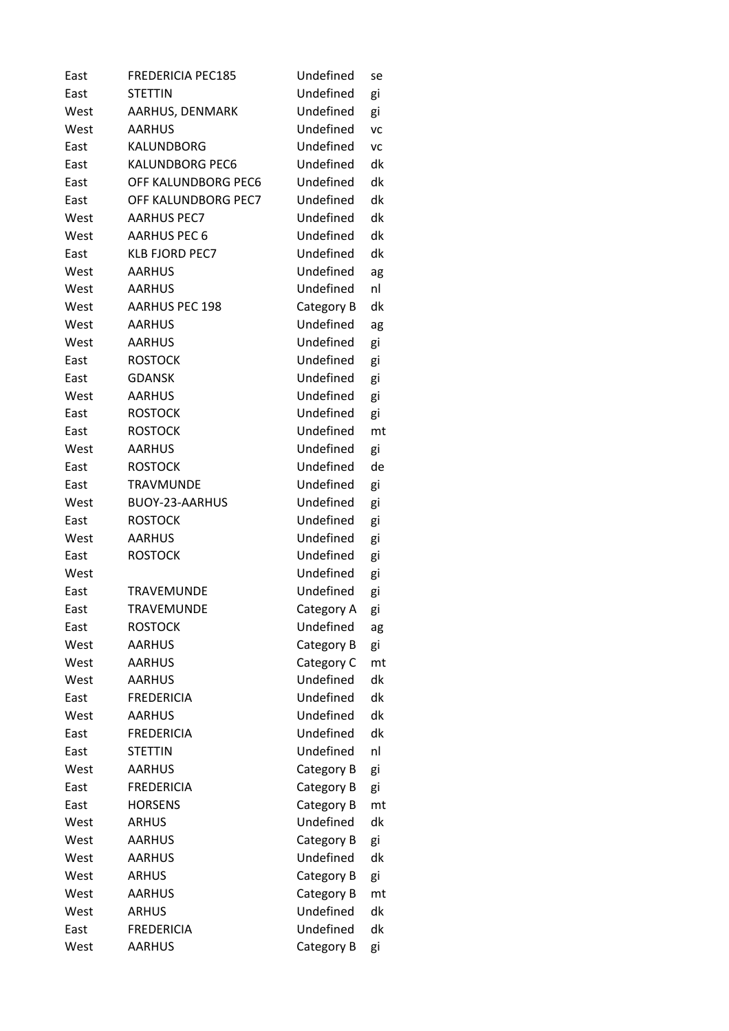| East | <b>FREDERICIA PEC185</b> | Undefined  | se        |
|------|--------------------------|------------|-----------|
| East | <b>STETTIN</b>           | Undefined  | gi        |
| West | AARHUS, DENMARK          | Undefined  | gi        |
| West | <b>AARHUS</b>            | Undefined  | <b>VC</b> |
| East | <b>KALUNDBORG</b>        | Undefined  | VC        |
| East | <b>KALUNDBORG PEC6</b>   | Undefined  | dk        |
| East | OFF KALUNDBORG PEC6      | Undefined  | dk        |
| East | OFF KALUNDBORG PEC7      | Undefined  | dk        |
| West | <b>AARHUS PEC7</b>       | Undefined  | dk        |
| West | <b>AARHUS PEC 6</b>      | Undefined  | dk        |
| East | <b>KLB FJORD PEC7</b>    | Undefined  | dk        |
| West | <b>AARHUS</b>            | Undefined  | ag        |
| West | <b>AARHUS</b>            | Undefined  | nl        |
| West | <b>AARHUS PEC 198</b>    | Category B | dk        |
| West | <b>AARHUS</b>            | Undefined  | ag        |
| West | <b>AARHUS</b>            | Undefined  | gi        |
| East | <b>ROSTOCK</b>           | Undefined  | gi        |
| East | <b>GDANSK</b>            | Undefined  | gi        |
| West | <b>AARHUS</b>            | Undefined  | gi        |
| East | <b>ROSTOCK</b>           | Undefined  | gi        |
| East | <b>ROSTOCK</b>           | Undefined  | mt        |
| West | <b>AARHUS</b>            | Undefined  | gi        |
| East | <b>ROSTOCK</b>           | Undefined  | de        |
| East | <b>TRAVMUNDE</b>         | Undefined  | gi        |
| West | BUOY-23-AARHUS           | Undefined  | gi        |
| East | <b>ROSTOCK</b>           | Undefined  | gi        |
| West | <b>AARHUS</b>            | Undefined  | gi        |
| East | <b>ROSTOCK</b>           | Undefined  | gi        |
| West |                          | Undefined  | gi        |
| East | <b>TRAVEMUNDE</b>        | Undefined  | gi        |
| East | <b>TRAVEMUNDE</b>        | Category A | gi        |
| East | <b>ROSTOCK</b>           | Undefined  | ag        |
| West | <b>AARHUS</b>            | Category B | gi        |
| West | <b>AARHUS</b>            | Category C | mt        |
| West | <b>AARHUS</b>            | Undefined  | dk        |
| East | <b>FREDERICIA</b>        | Undefined  | dk        |
| West | <b>AARHUS</b>            | Undefined  | dk        |
| East | <b>FREDERICIA</b>        | Undefined  | dk        |
| East | <b>STETTIN</b>           | Undefined  | nl        |
| West | <b>AARHUS</b>            | Category B | gi        |
| East | <b>FREDERICIA</b>        | Category B | gi        |
| East | <b>HORSENS</b>           | Category B | mt        |
| West | <b>ARHUS</b>             | Undefined  | dk        |
| West | <b>AARHUS</b>            | Category B | gi        |
| West | <b>AARHUS</b>            | Undefined  | dk        |
| West | <b>ARHUS</b>             | Category B | gi        |
| West | <b>AARHUS</b>            | Category B | mt        |
| West | <b>ARHUS</b>             | Undefined  | dk        |
| East | <b>FREDERICIA</b>        | Undefined  | dk        |
| West | <b>AARHUS</b>            | Category B | gi        |
|      |                          |            |           |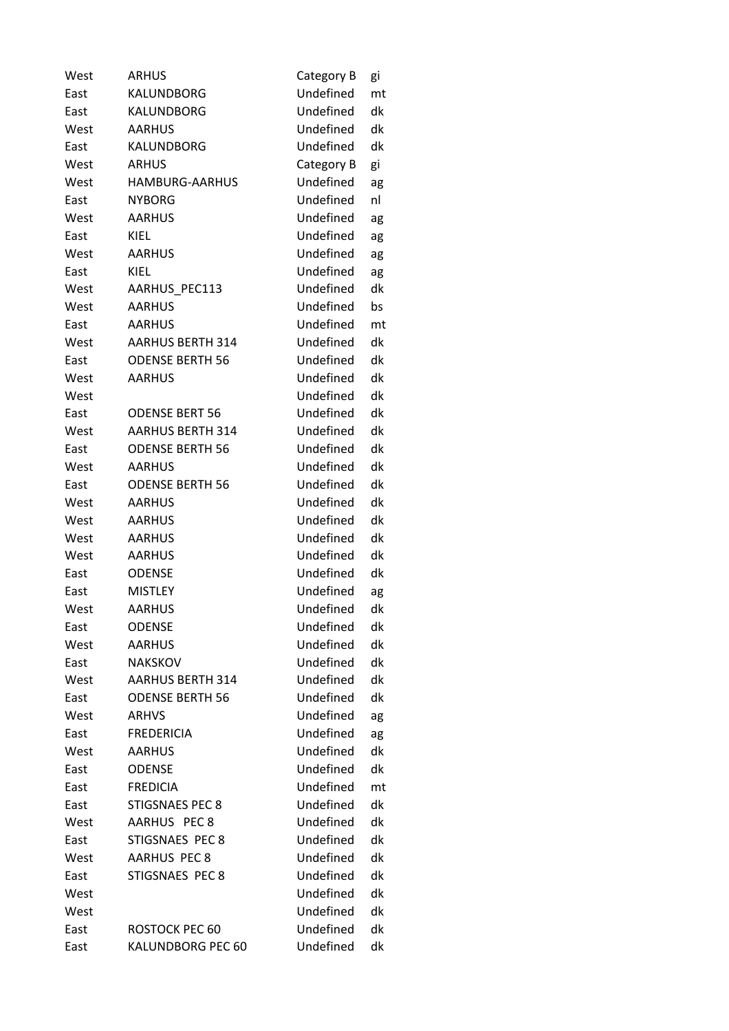| West | <b>ARHUS</b>            | Category B | gi |
|------|-------------------------|------------|----|
| East | KALUNDBORG              | Undefined  | mt |
| East | <b>KALUNDBORG</b>       | Undefined  | dk |
| West | <b>AARHUS</b>           | Undefined  | dk |
| East | <b>KALUNDBORG</b>       | Undefined  | dk |
| West | <b>ARHUS</b>            | Category B | gi |
| West | <b>HAMBURG-AARHUS</b>   | Undefined  | ag |
| East | <b>NYBORG</b>           | Undefined  | nl |
| West | <b>AARHUS</b>           | Undefined  | ag |
| East | KIEL                    | Undefined  | ag |
| West | <b>AARHUS</b>           | Undefined  | ag |
| East | KIEL                    | Undefined  | ag |
| West | AARHUS PEC113           | Undefined  | dk |
| West | <b>AARHUS</b>           | Undefined  | bs |
| East | <b>AARHUS</b>           | Undefined  | mt |
| West | <b>AARHUS BERTH 314</b> | Undefined  | dk |
| East | <b>ODENSE BERTH 56</b>  | Undefined  | dk |
| West | <b>AARHUS</b>           | Undefined  | dk |
| West |                         | Undefined  | dk |
| East | <b>ODENSE BERT 56</b>   | Undefined  | dk |
| West | <b>AARHUS BERTH 314</b> | Undefined  | dk |
| East | <b>ODENSE BERTH 56</b>  | Undefined  | dk |
| West | <b>AARHUS</b>           | Undefined  | dk |
| East | <b>ODENSE BERTH 56</b>  | Undefined  | dk |
| West | <b>AARHUS</b>           | Undefined  | dk |
| West | <b>AARHUS</b>           | Undefined  | dk |
| West | <b>AARHUS</b>           | Undefined  | dk |
| West | <b>AARHUS</b>           | Undefined  | dk |
| East | <b>ODENSE</b>           | Undefined  | dk |
| East | <b>MISTLEY</b>          | Undefined  | ag |
| West | <b>AARHUS</b>           | Undefined  | dk |
| East | <b>ODENSE</b>           | Undefined  | dk |
| West | <b>AARHUS</b>           | Undefined  | dk |
| East | <b>NAKSKOV</b>          | Undefined  | dk |
| West | <b>AARHUS BERTH 314</b> | Undefined  | dk |
| East | <b>ODENSE BERTH 56</b>  | Undefined  | dk |
| West | <b>ARHVS</b>            | Undefined  | ag |
| East | <b>FREDERICIA</b>       | Undefined  | ag |
| West | <b>AARHUS</b>           | Undefined  | dk |
| East | <b>ODENSE</b>           | Undefined  | dk |
| East | <b>FREDICIA</b>         | Undefined  | mt |
| East | <b>STIGSNAES PEC 8</b>  | Undefined  | dk |
| West | AARHUS PEC 8            | Undefined  | dk |
| East | STIGSNAES PEC 8         | Undefined  | dk |
| West | <b>AARHUS PEC 8</b>     | Undefined  | dk |
| East | STIGSNAES PEC 8         | Undefined  | dk |
| West |                         | Undefined  | dk |
| West |                         | Undefined  | dk |
| East | ROSTOCK PEC 60          | Undefined  | dk |
| East | KALUNDBORG PEC 60       | Undefined  | dk |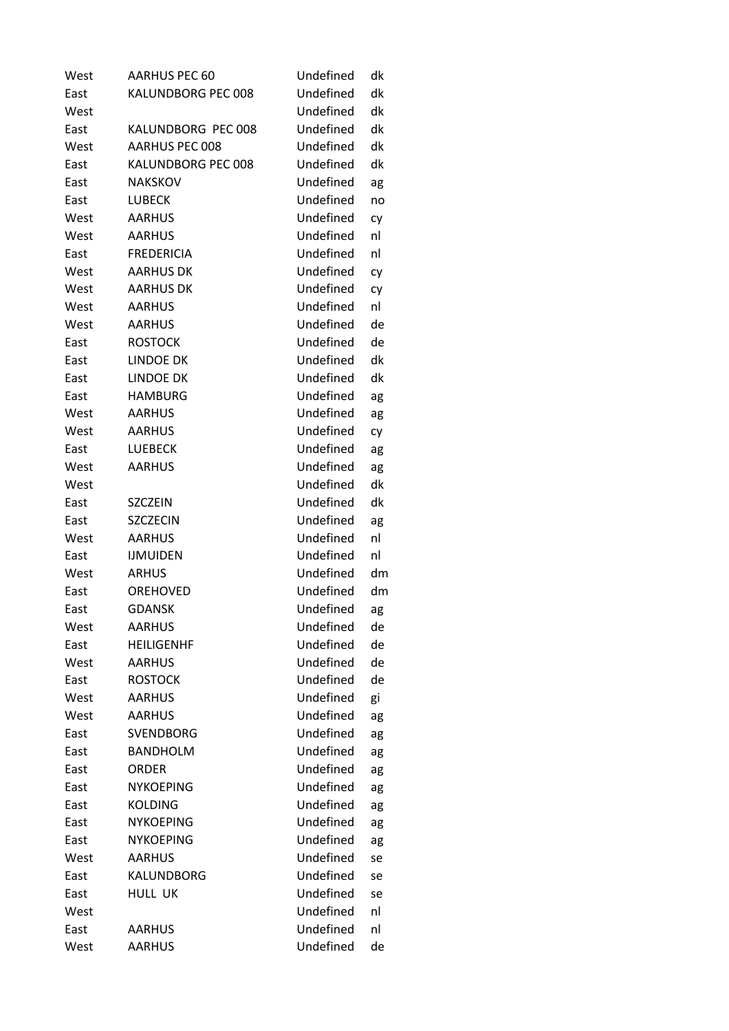| West | AARHUS PEC 60      | Undefined | dk |
|------|--------------------|-----------|----|
| East | KALUNDBORG PEC 008 | Undefined | dk |
| West |                    | Undefined | dk |
| East | KALUNDBORG PEC 008 | Undefined | dk |
| West | AARHUS PEC 008     | Undefined | dk |
| East | KALUNDBORG PEC 008 | Undefined | dk |
| East | <b>NAKSKOV</b>     | Undefined | ag |
| East | <b>LUBECK</b>      | Undefined | no |
| West | <b>AARHUS</b>      | Undefined | cy |
| West | <b>AARHUS</b>      | Undefined | nl |
| East | <b>FREDERICIA</b>  | Undefined | nl |
| West | <b>AARHUS DK</b>   | Undefined | cy |
| West | <b>AARHUS DK</b>   | Undefined | cy |
| West | <b>AARHUS</b>      | Undefined | nl |
| West | <b>AARHUS</b>      | Undefined | de |
| East | <b>ROSTOCK</b>     | Undefined | de |
| East | <b>LINDOE DK</b>   | Undefined | dk |
| East | <b>LINDOE DK</b>   | Undefined | dk |
| East | <b>HAMBURG</b>     | Undefined | ag |
| West | <b>AARHUS</b>      | Undefined | ag |
| West | <b>AARHUS</b>      | Undefined | cy |
| East | <b>LUEBECK</b>     | Undefined | ag |
| West | <b>AARHUS</b>      | Undefined | ag |
| West |                    | Undefined | dk |
| East | SZCZEIN            | Undefined | dk |
| East | <b>SZCZECIN</b>    | Undefined | ag |
| West | <b>AARHUS</b>      | Undefined | nl |
| East | <b>IJMUIDEN</b>    | Undefined | nl |
| West | <b>ARHUS</b>       | Undefined | dm |
| East | OREHOVED           | Undefined | dm |
| East | <b>GDANSK</b>      | Undefined | ag |
| West | <b>AARHUS</b>      | Undefined | de |
| East | <b>HEILIGENHF</b>  | Undefined | de |
| West | <b>AARHUS</b>      | Undefined | de |
| East | <b>ROSTOCK</b>     | Undefined | de |
| West | <b>AARHUS</b>      | Undefined | gi |
| West | <b>AARHUS</b>      | Undefined | ag |
| East | <b>SVENDBORG</b>   | Undefined | ag |
| East | <b>BANDHOLM</b>    | Undefined | ag |
| East | ORDER              | Undefined | ag |
| East | <b>NYKOEPING</b>   | Undefined | ag |
| East | <b>KOLDING</b>     | Undefined | ag |
| East | <b>NYKOEPING</b>   | Undefined | ag |
| East | <b>NYKOEPING</b>   | Undefined | ag |
| West | <b>AARHUS</b>      | Undefined | se |
| East | KALUNDBORG         | Undefined | se |
| East | HULL UK            | Undefined | se |
| West |                    | Undefined | nl |
| East | <b>AARHUS</b>      | Undefined | nl |
| West | <b>AARHUS</b>      | Undefined | de |
|      |                    |           |    |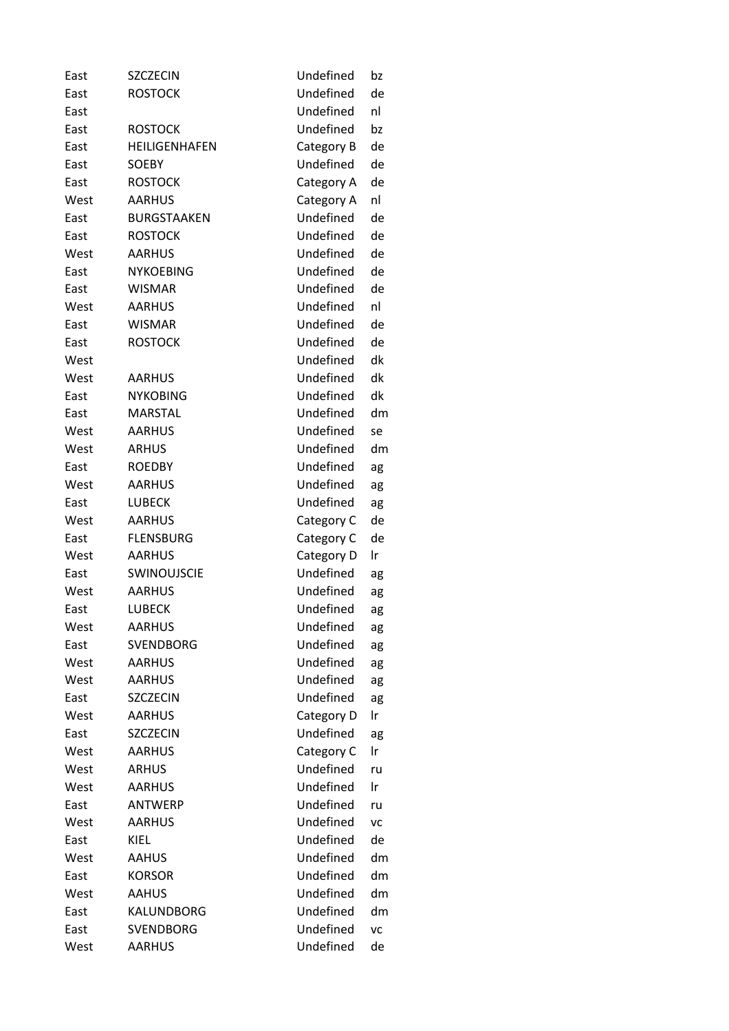| East | <b>SZCZECIN</b>    | Undefined  | bz |
|------|--------------------|------------|----|
| East | <b>ROSTOCK</b>     | Undefined  | de |
| East |                    | Undefined  | nl |
| East | <b>ROSTOCK</b>     | Undefined  | bz |
| East | HEILIGENHAFEN      | Category B | de |
| East | <b>SOEBY</b>       | Undefined  | de |
| East | <b>ROSTOCK</b>     | Category A | de |
| West | <b>AARHUS</b>      | Category A | nl |
| East | <b>BURGSTAAKEN</b> | Undefined  | de |
| East | <b>ROSTOCK</b>     | Undefined  | de |
| West | <b>AARHUS</b>      | Undefined  | de |
| East | <b>NYKOEBING</b>   | Undefined  | de |
| East | <b>WISMAR</b>      | Undefined  | de |
| West | <b>AARHUS</b>      | Undefined  | nl |
| East | <b>WISMAR</b>      | Undefined  | de |
| East | <b>ROSTOCK</b>     | Undefined  | de |
| West |                    | Undefined  | dk |
| West | AARHUS             | Undefined  | dk |
| East | <b>NYKOBING</b>    | Undefined  | dk |
| East | <b>MARSTAL</b>     | Undefined  | dm |
| West | <b>AARHUS</b>      | Undefined  | se |
| West | <b>ARHUS</b>       | Undefined  | dm |
| East | <b>ROEDBY</b>      | Undefined  | ag |
| West | <b>AARHUS</b>      | Undefined  | ag |
| East | <b>LUBECK</b>      | Undefined  | ag |
| West | <b>AARHUS</b>      | Category C | de |
| East | <b>FLENSBURG</b>   | Category C | de |
| West | <b>AARHUS</b>      | Category D | Ir |
| East | <b>SWINOUJSCIE</b> | Undefined  | ag |
| West | <b>AARHUS</b>      | Undefined  | ag |
| East | <b>LUBECK</b>      | Undefined  | ag |
| West | <b>AARHUS</b>      | Undefined  | ag |
| East | <b>SVENDBORG</b>   | Undefined  | ag |
| West | <b>AARHUS</b>      | Undefined  | ag |
| West | <b>AARHUS</b>      | Undefined  | ag |
| East | <b>SZCZECIN</b>    | Undefined  | ag |
| West | <b>AARHUS</b>      | Category D | Ir |
| East | <b>SZCZECIN</b>    | Undefined  | ag |
| West | <b>AARHUS</b>      | Category C | Ir |
| West | <b>ARHUS</b>       | Undefined  | ru |
| West | <b>AARHUS</b>      | Undefined  | Ir |
| East | <b>ANTWERP</b>     | Undefined  | ru |
| West | <b>AARHUS</b>      | Undefined  | VC |
| East | KIEL               | Undefined  | de |
| West | <b>AAHUS</b>       | Undefined  | dm |
| East | <b>KORSOR</b>      | Undefined  | dm |
| West | <b>AAHUS</b>       | Undefined  | dm |
| East | KALUNDBORG         | Undefined  | dm |
| East | <b>SVENDBORG</b>   | Undefined  | VC |
| West | <b>AARHUS</b>      | Undefined  | de |
|      |                    |            |    |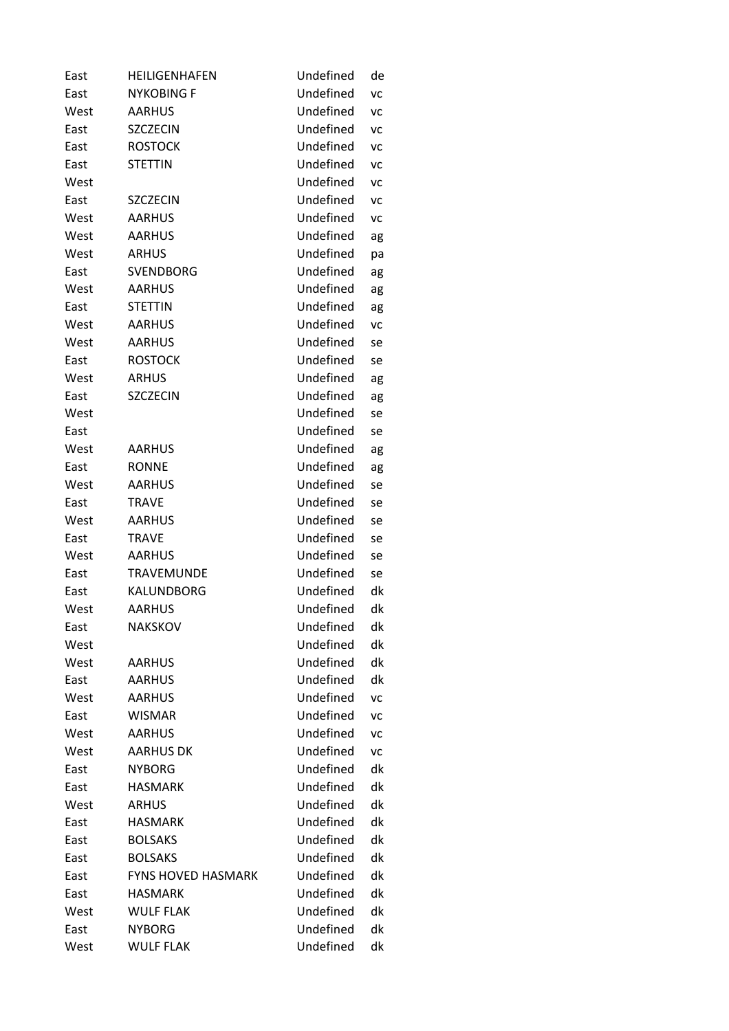| East | HEILIGENHAFEN             | Undefined | de        |
|------|---------------------------|-----------|-----------|
| East | <b>NYKOBING F</b>         | Undefined | VC        |
| West | <b>AARHUS</b>             | Undefined | VC        |
| East | <b>SZCZECIN</b>           | Undefined | <b>VC</b> |
| East | <b>ROSTOCK</b>            | Undefined | <b>VC</b> |
| East | <b>STETTIN</b>            | Undefined | VC        |
| West |                           | Undefined | <b>VC</b> |
| East | <b>SZCZECIN</b>           | Undefined | VC        |
| West | <b>AARHUS</b>             | Undefined | VC        |
| West | <b>AARHUS</b>             | Undefined | ag        |
| West | <b>ARHUS</b>              | Undefined | pa        |
| East | <b>SVENDBORG</b>          | Undefined | ag        |
| West | <b>AARHUS</b>             | Undefined | ag        |
| East | <b>STETTIN</b>            | Undefined | ag        |
| West | <b>AARHUS</b>             | Undefined | VC        |
| West | <b>AARHUS</b>             | Undefined | se        |
| East | <b>ROSTOCK</b>            | Undefined | se        |
| West | <b>ARHUS</b>              | Undefined | ag        |
| East | <b>SZCZECIN</b>           | Undefined | ag        |
| West |                           | Undefined | se        |
| East |                           | Undefined | se        |
| West | <b>AARHUS</b>             | Undefined | ag        |
| East | <b>RONNE</b>              | Undefined | ag        |
| West | <b>AARHUS</b>             | Undefined | se        |
| East | <b>TRAVE</b>              | Undefined | se        |
| West | <b>AARHUS</b>             | Undefined | se        |
| East | <b>TRAVE</b>              | Undefined | se        |
| West | <b>AARHUS</b>             | Undefined | se        |
| East | <b>TRAVEMUNDE</b>         | Undefined | se        |
| East | <b>KALUNDBORG</b>         | Undefined | dk        |
| West | <b>AARHUS</b>             | Undefined | dk        |
| East | <b>NAKSKOV</b>            | Undefined | dk        |
| West |                           | Undefined | dk        |
| West | <b>AARHUS</b>             | Undefined | dk        |
| East | <b>AARHUS</b>             | Undefined | dk        |
| West | <b>AARHUS</b>             | Undefined | VC        |
| East | <b>WISMAR</b>             | Undefined | VC        |
| West | <b>AARHUS</b>             | Undefined | <b>VC</b> |
| West | <b>AARHUS DK</b>          | Undefined | VC        |
| East | <b>NYBORG</b>             | Undefined | dk        |
| East | <b>HASMARK</b>            | Undefined | dk        |
| West | <b>ARHUS</b>              | Undefined | dk        |
| East | <b>HASMARK</b>            | Undefined | dk        |
| East | <b>BOLSAKS</b>            | Undefined | dk        |
| East | <b>BOLSAKS</b>            | Undefined | dk        |
| East | <b>FYNS HOVED HASMARK</b> | Undefined | dk        |
| East | <b>HASMARK</b>            | Undefined | dk        |
| West | <b>WULF FLAK</b>          | Undefined | dk        |
| East | <b>NYBORG</b>             | Undefined | dk        |
| West | <b>WULF FLAK</b>          | Undefined | dk        |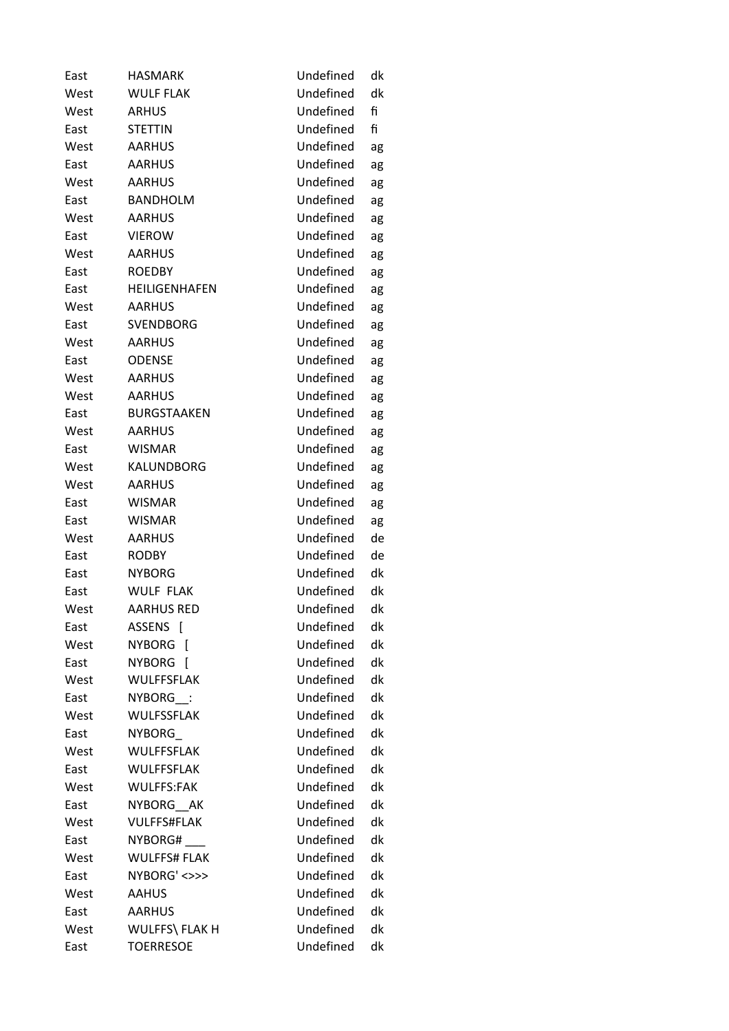| East | <b>HASMARK</b>              | Undefined | dk |
|------|-----------------------------|-----------|----|
| West | <b>WULF FLAK</b>            | Undefined | dk |
| West | <b>ARHUS</b>                | Undefined | fi |
| East | <b>STETTIN</b>              | Undefined | fi |
| West | <b>AARHUS</b>               | Undefined | ag |
| East | <b>AARHUS</b>               | Undefined | ag |
| West | <b>AARHUS</b>               | Undefined | ag |
| East | <b>BANDHOLM</b>             | Undefined | ag |
| West | <b>AARHUS</b>               | Undefined | ag |
| East | <b>VIEROW</b>               | Undefined | ag |
| West | <b>AARHUS</b>               | Undefined | ag |
| East | <b>ROEDBY</b>               | Undefined | ag |
| East | HEILIGENHAFEN               | Undefined | ag |
| West | <b>AARHUS</b>               | Undefined | ag |
| East | <b>SVENDBORG</b>            | Undefined | ag |
| West | <b>AARHUS</b>               | Undefined | ag |
| East | <b>ODENSE</b>               | Undefined | ag |
| West | <b>AARHUS</b>               | Undefined | ag |
| West | <b>AARHUS</b>               | Undefined | ag |
| East | <b>BURGSTAAKEN</b>          | Undefined | ag |
| West | <b>AARHUS</b>               | Undefined | ag |
| East | <b>WISMAR</b>               | Undefined | ag |
| West | KALUNDBORG                  | Undefined | ag |
| West | <b>AARHUS</b>               | Undefined | ag |
| East | <b>WISMAR</b>               | Undefined | ag |
| East | <b>WISMAR</b>               | Undefined | ag |
| West | <b>AARHUS</b>               | Undefined | de |
| East | <b>RODBY</b>                | Undefined | de |
| East | <b>NYBORG</b>               | Undefined | dk |
| East | <b>WULF FLAK</b>            | Undefined | dk |
| West | <b>AARHUS RED</b>           | Undefined | dk |
| East | <b>ASSENS</b><br>$\perp$    | Undefined | dk |
| West | <b>NYBORG</b><br>T          | Undefined | dk |
| East | <b>NYBORG</b><br>$\sqrt{ }$ | Undefined | dk |
| West | <b>WULFFSFLAK</b>           | Undefined | dk |
| East | NYBORG :                    | Undefined | dk |
| West | <b>WULFSSFLAK</b>           | Undefined | dk |
| East | NYBORG                      | Undefined | dk |
| West | <b>WULFFSFLAK</b>           | Undefined | dk |
| East | <b>WULFFSFLAK</b>           | Undefined | dk |
| West | <b>WULFFS:FAK</b>           | Undefined | dk |
| East | NYBORG AK                   | Undefined | dk |
| West | <b>VULFFS#FLAK</b>          | Undefined | dk |
| East | NYBORG#                     | Undefined | dk |
| West | <b>WULFFS# FLAK</b>         | Undefined | dk |
| East | NYBORG' <>>>                | Undefined | dk |
| West | <b>AAHUS</b>                | Undefined | dk |
| East | <b>AARHUS</b>               | Undefined | dk |
| West | WULFFS\FLAKH                | Undefined | dk |
| East | <b>TOERRESOE</b>            | Undefined | dk |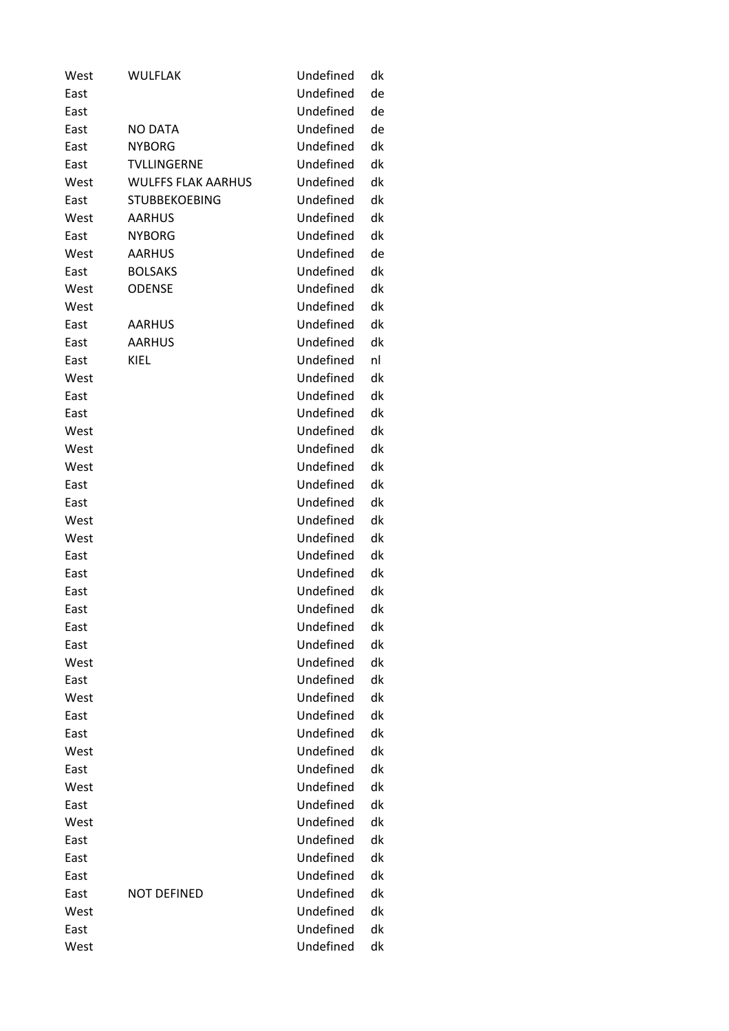| West | <b>WULFLAK</b>            | Undefined | dk |
|------|---------------------------|-----------|----|
| East |                           | Undefined | de |
| East |                           | Undefined | de |
| East | NO DATA                   | Undefined | de |
| East | <b>NYBORG</b>             | Undefined | dk |
| East | <b>TVLLINGERNE</b>        | Undefined | dk |
| West | <b>WULFFS FLAK AARHUS</b> | Undefined | dk |
| East | <b>STUBBEKOEBING</b>      | Undefined | dk |
| West | <b>AARHUS</b>             | Undefined | dk |
| East | <b>NYBORG</b>             | Undefined | dk |
| West | <b>AARHUS</b>             | Undefined | de |
| East | <b>BOLSAKS</b>            | Undefined | dk |
| West | <b>ODENSE</b>             | Undefined | dk |
| West |                           | Undefined | dk |
| East | <b>AARHUS</b>             | Undefined | dk |
| East | <b>AARHUS</b>             | Undefined | dk |
| East | KIEL                      | Undefined | nl |
| West |                           | Undefined | dk |
| East |                           | Undefined | dk |
| East |                           | Undefined | dk |
| West |                           | Undefined | dk |
| West |                           | Undefined | dk |
| West |                           | Undefined | dk |
| East |                           | Undefined | dk |
| East |                           | Undefined | dk |
| West |                           | Undefined | dk |
| West |                           | Undefined | dk |
| East |                           | Undefined | dk |
| East |                           | Undefined | dk |
| East |                           | Undefined | dk |
| East |                           | Undefined | dk |
| East |                           | Undefined | dk |
| East |                           | Undefined | dk |
| West |                           | Undefined | dk |
| East |                           | Undefined | dk |
| West |                           | Undefined | dk |
| East |                           | Undefined | dk |
| East |                           | Undefined | dk |
| West |                           | Undefined | dk |
| East |                           | Undefined | dk |
| West |                           | Undefined | dk |
| East |                           | Undefined | dk |
| West |                           | Undefined | dk |
| East |                           | Undefined | dk |
| East |                           | Undefined | dk |
| East |                           | Undefined | dk |
|      |                           | Undefined | dk |
| East | <b>NOT DEFINED</b>        | Undefined |    |
| West |                           |           | dk |
| East |                           | Undefined | dk |
| West |                           | Undefined | dk |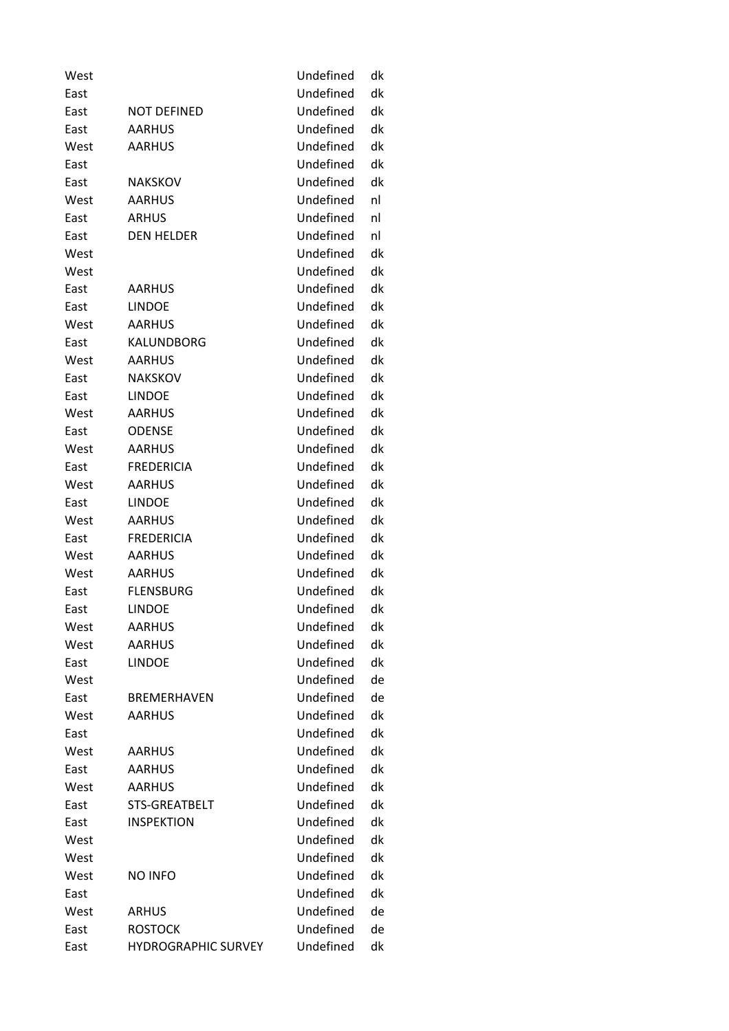| West |                            | Undefined | dk |
|------|----------------------------|-----------|----|
| East |                            | Undefined | dk |
| East | <b>NOT DEFINED</b>         | Undefined | dk |
| East | <b>AARHUS</b>              | Undefined | dk |
| West | <b>AARHUS</b>              | Undefined | dk |
| East |                            | Undefined | dk |
| East | NAKSKOV                    | Undefined | dk |
| West | <b>AARHUS</b>              | Undefined | nl |
| East | <b>ARHUS</b>               | Undefined | nl |
| East | <b>DEN HELDER</b>          | Undefined | nl |
| West |                            | Undefined | dk |
| West |                            | Undefined | dk |
| East | AARHUS                     | Undefined | dk |
| East | <b>LINDOE</b>              | Undefined | dk |
| West | <b>AARHUS</b>              | Undefined | dk |
| East | KALUNDBORG                 | Undefined | dk |
| West | <b>AARHUS</b>              | Undefined | dk |
| East | <b>NAKSKOV</b>             | Undefined | dk |
| East | <b>LINDOE</b>              | Undefined | dk |
| West | AARHUS                     | Undefined | dk |
| East | <b>ODENSE</b>              | Undefined | dk |
| West | <b>AARHUS</b>              | Undefined | dk |
| East | <b>FREDERICIA</b>          | Undefined | dk |
| West | <b>AARHUS</b>              | Undefined | dk |
| East | <b>LINDOE</b>              | Undefined | dk |
| West | <b>AARHUS</b>              | Undefined | dk |
| East | <b>FREDERICIA</b>          | Undefined | dk |
| West | <b>AARHUS</b>              | Undefined | dk |
| West | <b>AARHUS</b>              | Undefined | dk |
| East | <b>FLENSBURG</b>           | Undefined | dk |
| East | <b>LINDOE</b>              | Undefined | dk |
| West | <b>AARHUS</b>              | Undefined | dk |
| West | <b>AARHUS</b>              | Undefined | dk |
| East | <b>LINDOE</b>              | Undefined | dk |
| West |                            | Undefined | de |
| East | <b>BREMERHAVEN</b>         | Undefined | de |
| West | <b>AARHUS</b>              | Undefined | dk |
| East |                            | Undefined | dk |
| West | <b>AARHUS</b>              | Undefined | dk |
| East | <b>AARHUS</b>              | Undefined | dk |
| West | <b>AARHUS</b>              | Undefined | dk |
| East | STS-GREATBELT              | Undefined | dk |
| East | <b>INSPEKTION</b>          | Undefined | dk |
| West |                            | Undefined | dk |
| West |                            | Undefined | dk |
| West | <b>NO INFO</b>             | Undefined | dk |
| East |                            | Undefined | dk |
| West | <b>ARHUS</b>               | Undefined | de |
| East | <b>ROSTOCK</b>             | Undefined | de |
| East | <b>HYDROGRAPHIC SURVEY</b> | Undefined | dk |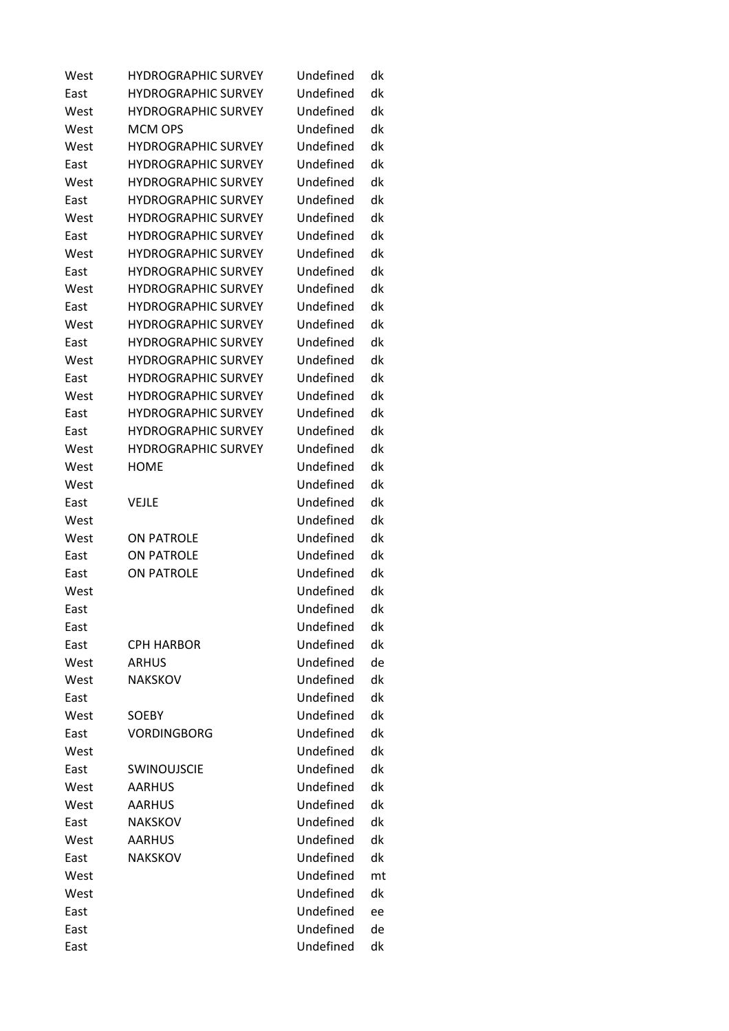| West | <b>HYDROGRAPHIC SURVEY</b> | Undefined | dk |
|------|----------------------------|-----------|----|
| East | <b>HYDROGRAPHIC SURVEY</b> | Undefined | dk |
| West | <b>HYDROGRAPHIC SURVEY</b> | Undefined | dk |
| West | <b>MCM OPS</b>             | Undefined | dk |
| West | <b>HYDROGRAPHIC SURVEY</b> | Undefined | dk |
| East | <b>HYDROGRAPHIC SURVEY</b> | Undefined | dk |
| West | <b>HYDROGRAPHIC SURVEY</b> | Undefined | dk |
| East | <b>HYDROGRAPHIC SURVEY</b> | Undefined | dk |
| West | <b>HYDROGRAPHIC SURVEY</b> | Undefined | dk |
| East | <b>HYDROGRAPHIC SURVEY</b> | Undefined | dk |
| West | <b>HYDROGRAPHIC SURVEY</b> | Undefined | dk |
| East | <b>HYDROGRAPHIC SURVEY</b> | Undefined | dk |
| West | <b>HYDROGRAPHIC SURVEY</b> | Undefined | dk |
| East | <b>HYDROGRAPHIC SURVEY</b> | Undefined | dk |
| West | <b>HYDROGRAPHIC SURVEY</b> | Undefined | dk |
| East | <b>HYDROGRAPHIC SURVEY</b> | Undefined | dk |
| West | <b>HYDROGRAPHIC SURVEY</b> | Undefined | dk |
| East | <b>HYDROGRAPHIC SURVEY</b> | Undefined | dk |
| West | <b>HYDROGRAPHIC SURVEY</b> | Undefined | dk |
| East | <b>HYDROGRAPHIC SURVEY</b> | Undefined | dk |
| East | <b>HYDROGRAPHIC SURVEY</b> | Undefined | dk |
| West | <b>HYDROGRAPHIC SURVEY</b> | Undefined | dk |
| West | <b>HOME</b>                | Undefined | dk |
| West |                            | Undefined | dk |
| East | VEJLE                      | Undefined | dk |
| West |                            | Undefined | dk |
| West | <b>ON PATROLE</b>          | Undefined | dk |
| East | <b>ON PATROLE</b>          | Undefined | dk |
| East | <b>ON PATROLE</b>          | Undefined | dk |
| West |                            | Undefined | dk |
| East |                            | Undefined | dk |
| East |                            | Undefined | dk |
| East | <b>CPH HARBOR</b>          | Undefined | dk |
| West | <b>ARHUS</b>               | Undefined | de |
| West | <b>NAKSKOV</b>             | Undefined | dk |
| East |                            | Undefined | dk |
| West | SOEBY                      | Undefined | dk |
| East | <b>VORDINGBORG</b>         | Undefined | dk |
| West |                            | Undefined | dk |
| East | <b>SWINOUJSCIE</b>         | Undefined | dk |
| West | <b>AARHUS</b>              | Undefined | dk |
| West | <b>AARHUS</b>              | Undefined | dk |
| East | <b>NAKSKOV</b>             | Undefined | dk |
| West | <b>AARHUS</b>              | Undefined | dk |
| East | <b>NAKSKOV</b>             | Undefined | dk |
| West |                            | Undefined | mt |
| West |                            | Undefined | dk |
| East |                            | Undefined | ee |
| East |                            | Undefined | de |
| East |                            | Undefined | dk |
|      |                            |           |    |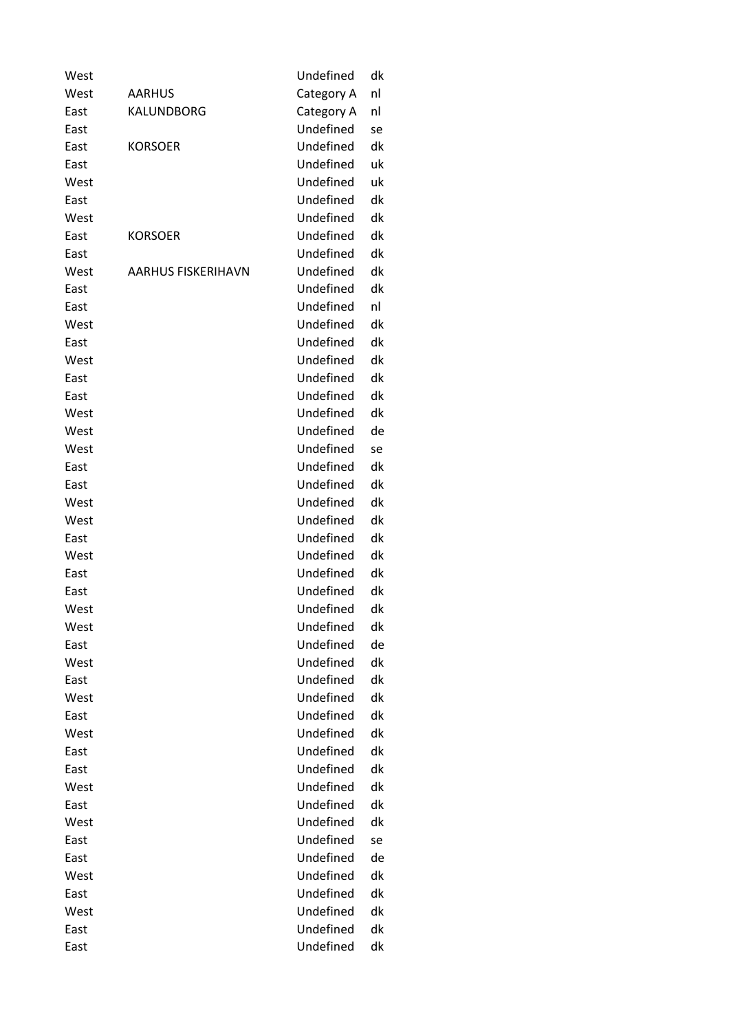| West<br>Category A<br>nl<br>AARHUS<br>East<br>KALUNDBORG<br>Category A<br>nl<br>Undefined<br>East<br>se<br>Undefined<br>dk<br>East<br><b>KORSOER</b><br>Undefined<br>East<br>uk<br>Undefined<br>uk<br>West<br>Undefined<br>dk<br>East<br>Undefined<br>dk<br>West<br>Undefined<br>dk<br>East<br><b>KORSOER</b><br>Undefined<br>dk<br>East<br>Undefined<br>dk<br>West<br><b>AARHUS FISKERIHAVN</b><br>Undefined<br>dk<br>East<br>Undefined<br>East<br>nl<br>Undefined<br>dk<br>West<br>Undefined<br>dk<br>East<br>Undefined<br>dk<br>West<br>Undefined<br>dk<br>East<br>Undefined<br>dk<br>East<br>Undefined<br>dk<br>West<br>Undefined<br>West<br>de<br>Undefined<br>West<br>se<br>Undefined<br>dk<br>East<br>Undefined<br>dk<br>East<br>Undefined<br>dk<br>West<br>Undefined<br>dk<br>West<br>Undefined<br>dk<br>East<br>Undefined<br>dk<br>West<br>Undefined<br>dk<br>East<br>Undefined<br>dk<br>East<br>Undefined<br>West<br>dk<br>Undefined<br>dk<br>West<br>Undefined<br>de<br>East<br>Undefined<br>dk<br>West<br>Undefined<br>dk<br>East<br>Undefined<br>dk<br>West<br>Undefined<br>dk<br>East<br>Undefined<br>dk<br>West<br>Undefined<br>dk<br>East<br>Undefined<br>dk<br>East<br>Undefined<br>dk<br>West<br>Undefined<br>dk<br>East<br>Undefined<br>West<br>dk<br>Undefined<br>East<br>se<br>Undefined<br>de<br>East<br>Undefined<br>dk<br>West<br>Undefined<br>dk<br>East<br>Undefined<br>West<br>dk<br>Undefined<br>dk<br>East<br>Undefined<br>East<br>dk | West | Undefined | dk |
|--------------------------------------------------------------------------------------------------------------------------------------------------------------------------------------------------------------------------------------------------------------------------------------------------------------------------------------------------------------------------------------------------------------------------------------------------------------------------------------------------------------------------------------------------------------------------------------------------------------------------------------------------------------------------------------------------------------------------------------------------------------------------------------------------------------------------------------------------------------------------------------------------------------------------------------------------------------------------------------------------------------------------------------------------------------------------------------------------------------------------------------------------------------------------------------------------------------------------------------------------------------------------------------------------------------------------------------------------------------------------------------------------------------------------------------------------------------------|------|-----------|----|
|                                                                                                                                                                                                                                                                                                                                                                                                                                                                                                                                                                                                                                                                                                                                                                                                                                                                                                                                                                                                                                                                                                                                                                                                                                                                                                                                                                                                                                                                    |      |           |    |
|                                                                                                                                                                                                                                                                                                                                                                                                                                                                                                                                                                                                                                                                                                                                                                                                                                                                                                                                                                                                                                                                                                                                                                                                                                                                                                                                                                                                                                                                    |      |           |    |
|                                                                                                                                                                                                                                                                                                                                                                                                                                                                                                                                                                                                                                                                                                                                                                                                                                                                                                                                                                                                                                                                                                                                                                                                                                                                                                                                                                                                                                                                    |      |           |    |
|                                                                                                                                                                                                                                                                                                                                                                                                                                                                                                                                                                                                                                                                                                                                                                                                                                                                                                                                                                                                                                                                                                                                                                                                                                                                                                                                                                                                                                                                    |      |           |    |
|                                                                                                                                                                                                                                                                                                                                                                                                                                                                                                                                                                                                                                                                                                                                                                                                                                                                                                                                                                                                                                                                                                                                                                                                                                                                                                                                                                                                                                                                    |      |           |    |
|                                                                                                                                                                                                                                                                                                                                                                                                                                                                                                                                                                                                                                                                                                                                                                                                                                                                                                                                                                                                                                                                                                                                                                                                                                                                                                                                                                                                                                                                    |      |           |    |
|                                                                                                                                                                                                                                                                                                                                                                                                                                                                                                                                                                                                                                                                                                                                                                                                                                                                                                                                                                                                                                                                                                                                                                                                                                                                                                                                                                                                                                                                    |      |           |    |
|                                                                                                                                                                                                                                                                                                                                                                                                                                                                                                                                                                                                                                                                                                                                                                                                                                                                                                                                                                                                                                                                                                                                                                                                                                                                                                                                                                                                                                                                    |      |           |    |
|                                                                                                                                                                                                                                                                                                                                                                                                                                                                                                                                                                                                                                                                                                                                                                                                                                                                                                                                                                                                                                                                                                                                                                                                                                                                                                                                                                                                                                                                    |      |           |    |
|                                                                                                                                                                                                                                                                                                                                                                                                                                                                                                                                                                                                                                                                                                                                                                                                                                                                                                                                                                                                                                                                                                                                                                                                                                                                                                                                                                                                                                                                    |      |           |    |
|                                                                                                                                                                                                                                                                                                                                                                                                                                                                                                                                                                                                                                                                                                                                                                                                                                                                                                                                                                                                                                                                                                                                                                                                                                                                                                                                                                                                                                                                    |      |           |    |
|                                                                                                                                                                                                                                                                                                                                                                                                                                                                                                                                                                                                                                                                                                                                                                                                                                                                                                                                                                                                                                                                                                                                                                                                                                                                                                                                                                                                                                                                    |      |           |    |
|                                                                                                                                                                                                                                                                                                                                                                                                                                                                                                                                                                                                                                                                                                                                                                                                                                                                                                                                                                                                                                                                                                                                                                                                                                                                                                                                                                                                                                                                    |      |           |    |
|                                                                                                                                                                                                                                                                                                                                                                                                                                                                                                                                                                                                                                                                                                                                                                                                                                                                                                                                                                                                                                                                                                                                                                                                                                                                                                                                                                                                                                                                    |      |           |    |
|                                                                                                                                                                                                                                                                                                                                                                                                                                                                                                                                                                                                                                                                                                                                                                                                                                                                                                                                                                                                                                                                                                                                                                                                                                                                                                                                                                                                                                                                    |      |           |    |
|                                                                                                                                                                                                                                                                                                                                                                                                                                                                                                                                                                                                                                                                                                                                                                                                                                                                                                                                                                                                                                                                                                                                                                                                                                                                                                                                                                                                                                                                    |      |           |    |
|                                                                                                                                                                                                                                                                                                                                                                                                                                                                                                                                                                                                                                                                                                                                                                                                                                                                                                                                                                                                                                                                                                                                                                                                                                                                                                                                                                                                                                                                    |      |           |    |
|                                                                                                                                                                                                                                                                                                                                                                                                                                                                                                                                                                                                                                                                                                                                                                                                                                                                                                                                                                                                                                                                                                                                                                                                                                                                                                                                                                                                                                                                    |      |           |    |
|                                                                                                                                                                                                                                                                                                                                                                                                                                                                                                                                                                                                                                                                                                                                                                                                                                                                                                                                                                                                                                                                                                                                                                                                                                                                                                                                                                                                                                                                    |      |           |    |
|                                                                                                                                                                                                                                                                                                                                                                                                                                                                                                                                                                                                                                                                                                                                                                                                                                                                                                                                                                                                                                                                                                                                                                                                                                                                                                                                                                                                                                                                    |      |           |    |
|                                                                                                                                                                                                                                                                                                                                                                                                                                                                                                                                                                                                                                                                                                                                                                                                                                                                                                                                                                                                                                                                                                                                                                                                                                                                                                                                                                                                                                                                    |      |           |    |
|                                                                                                                                                                                                                                                                                                                                                                                                                                                                                                                                                                                                                                                                                                                                                                                                                                                                                                                                                                                                                                                                                                                                                                                                                                                                                                                                                                                                                                                                    |      |           |    |
|                                                                                                                                                                                                                                                                                                                                                                                                                                                                                                                                                                                                                                                                                                                                                                                                                                                                                                                                                                                                                                                                                                                                                                                                                                                                                                                                                                                                                                                                    |      |           |    |
|                                                                                                                                                                                                                                                                                                                                                                                                                                                                                                                                                                                                                                                                                                                                                                                                                                                                                                                                                                                                                                                                                                                                                                                                                                                                                                                                                                                                                                                                    |      |           |    |
|                                                                                                                                                                                                                                                                                                                                                                                                                                                                                                                                                                                                                                                                                                                                                                                                                                                                                                                                                                                                                                                                                                                                                                                                                                                                                                                                                                                                                                                                    |      |           |    |
|                                                                                                                                                                                                                                                                                                                                                                                                                                                                                                                                                                                                                                                                                                                                                                                                                                                                                                                                                                                                                                                                                                                                                                                                                                                                                                                                                                                                                                                                    |      |           |    |
|                                                                                                                                                                                                                                                                                                                                                                                                                                                                                                                                                                                                                                                                                                                                                                                                                                                                                                                                                                                                                                                                                                                                                                                                                                                                                                                                                                                                                                                                    |      |           |    |
|                                                                                                                                                                                                                                                                                                                                                                                                                                                                                                                                                                                                                                                                                                                                                                                                                                                                                                                                                                                                                                                                                                                                                                                                                                                                                                                                                                                                                                                                    |      |           |    |
|                                                                                                                                                                                                                                                                                                                                                                                                                                                                                                                                                                                                                                                                                                                                                                                                                                                                                                                                                                                                                                                                                                                                                                                                                                                                                                                                                                                                                                                                    |      |           |    |
|                                                                                                                                                                                                                                                                                                                                                                                                                                                                                                                                                                                                                                                                                                                                                                                                                                                                                                                                                                                                                                                                                                                                                                                                                                                                                                                                                                                                                                                                    |      |           |    |
|                                                                                                                                                                                                                                                                                                                                                                                                                                                                                                                                                                                                                                                                                                                                                                                                                                                                                                                                                                                                                                                                                                                                                                                                                                                                                                                                                                                                                                                                    |      |           |    |
|                                                                                                                                                                                                                                                                                                                                                                                                                                                                                                                                                                                                                                                                                                                                                                                                                                                                                                                                                                                                                                                                                                                                                                                                                                                                                                                                                                                                                                                                    |      |           |    |
|                                                                                                                                                                                                                                                                                                                                                                                                                                                                                                                                                                                                                                                                                                                                                                                                                                                                                                                                                                                                                                                                                                                                                                                                                                                                                                                                                                                                                                                                    |      |           |    |
|                                                                                                                                                                                                                                                                                                                                                                                                                                                                                                                                                                                                                                                                                                                                                                                                                                                                                                                                                                                                                                                                                                                                                                                                                                                                                                                                                                                                                                                                    |      |           |    |
|                                                                                                                                                                                                                                                                                                                                                                                                                                                                                                                                                                                                                                                                                                                                                                                                                                                                                                                                                                                                                                                                                                                                                                                                                                                                                                                                                                                                                                                                    |      |           |    |
|                                                                                                                                                                                                                                                                                                                                                                                                                                                                                                                                                                                                                                                                                                                                                                                                                                                                                                                                                                                                                                                                                                                                                                                                                                                                                                                                                                                                                                                                    |      |           |    |
|                                                                                                                                                                                                                                                                                                                                                                                                                                                                                                                                                                                                                                                                                                                                                                                                                                                                                                                                                                                                                                                                                                                                                                                                                                                                                                                                                                                                                                                                    |      |           |    |
|                                                                                                                                                                                                                                                                                                                                                                                                                                                                                                                                                                                                                                                                                                                                                                                                                                                                                                                                                                                                                                                                                                                                                                                                                                                                                                                                                                                                                                                                    |      |           |    |
|                                                                                                                                                                                                                                                                                                                                                                                                                                                                                                                                                                                                                                                                                                                                                                                                                                                                                                                                                                                                                                                                                                                                                                                                                                                                                                                                                                                                                                                                    |      |           |    |
|                                                                                                                                                                                                                                                                                                                                                                                                                                                                                                                                                                                                                                                                                                                                                                                                                                                                                                                                                                                                                                                                                                                                                                                                                                                                                                                                                                                                                                                                    |      |           |    |
|                                                                                                                                                                                                                                                                                                                                                                                                                                                                                                                                                                                                                                                                                                                                                                                                                                                                                                                                                                                                                                                                                                                                                                                                                                                                                                                                                                                                                                                                    |      |           |    |
|                                                                                                                                                                                                                                                                                                                                                                                                                                                                                                                                                                                                                                                                                                                                                                                                                                                                                                                                                                                                                                                                                                                                                                                                                                                                                                                                                                                                                                                                    |      |           |    |
|                                                                                                                                                                                                                                                                                                                                                                                                                                                                                                                                                                                                                                                                                                                                                                                                                                                                                                                                                                                                                                                                                                                                                                                                                                                                                                                                                                                                                                                                    |      |           |    |
|                                                                                                                                                                                                                                                                                                                                                                                                                                                                                                                                                                                                                                                                                                                                                                                                                                                                                                                                                                                                                                                                                                                                                                                                                                                                                                                                                                                                                                                                    |      |           |    |
|                                                                                                                                                                                                                                                                                                                                                                                                                                                                                                                                                                                                                                                                                                                                                                                                                                                                                                                                                                                                                                                                                                                                                                                                                                                                                                                                                                                                                                                                    |      |           |    |
|                                                                                                                                                                                                                                                                                                                                                                                                                                                                                                                                                                                                                                                                                                                                                                                                                                                                                                                                                                                                                                                                                                                                                                                                                                                                                                                                                                                                                                                                    |      |           |    |
|                                                                                                                                                                                                                                                                                                                                                                                                                                                                                                                                                                                                                                                                                                                                                                                                                                                                                                                                                                                                                                                                                                                                                                                                                                                                                                                                                                                                                                                                    |      |           |    |
|                                                                                                                                                                                                                                                                                                                                                                                                                                                                                                                                                                                                                                                                                                                                                                                                                                                                                                                                                                                                                                                                                                                                                                                                                                                                                                                                                                                                                                                                    |      |           |    |
|                                                                                                                                                                                                                                                                                                                                                                                                                                                                                                                                                                                                                                                                                                                                                                                                                                                                                                                                                                                                                                                                                                                                                                                                                                                                                                                                                                                                                                                                    |      |           |    |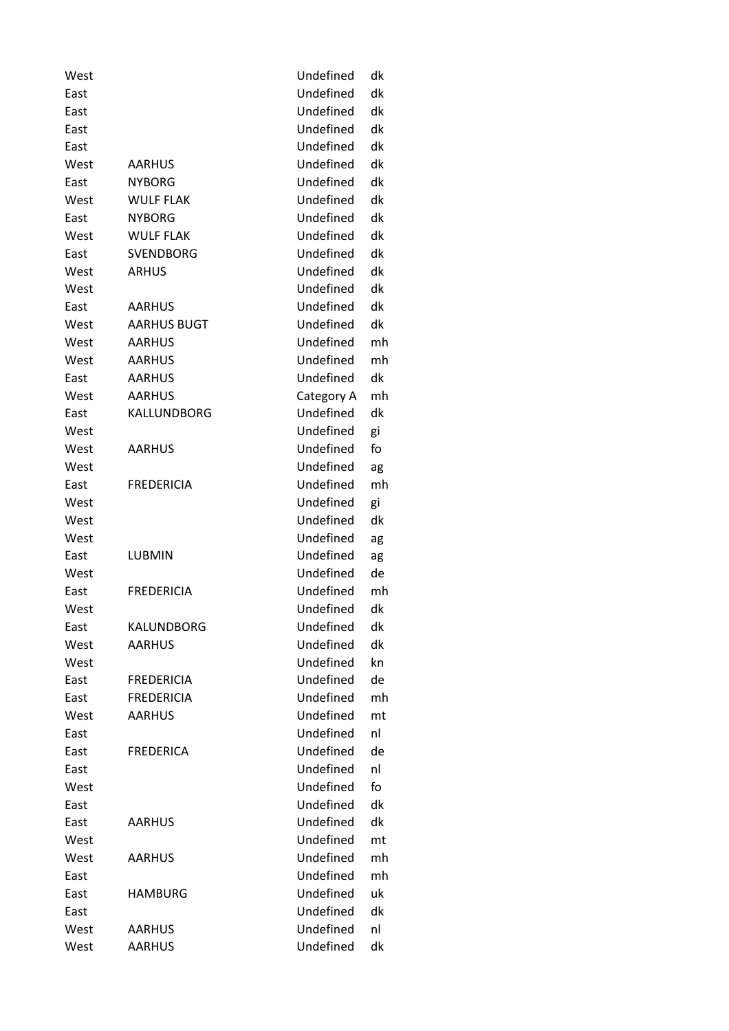| West |                    | Undefined  | dk |
|------|--------------------|------------|----|
| East |                    | Undefined  | dk |
| East |                    | Undefined  | dk |
| East |                    | Undefined  | dk |
| East |                    | Undefined  | dk |
| West | <b>AARHUS</b>      | Undefined  | dk |
| East | <b>NYBORG</b>      | Undefined  | dk |
| West | <b>WULF FLAK</b>   | Undefined  | dk |
| East | <b>NYBORG</b>      | Undefined  | dk |
| West | <b>WULF FLAK</b>   | Undefined  | dk |
| East | <b>SVENDBORG</b>   | Undefined  | dk |
| West | <b>ARHUS</b>       | Undefined  | dk |
| West |                    | Undefined  | dk |
| East | <b>AARHUS</b>      | Undefined  | dk |
| West | <b>AARHUS BUGT</b> | Undefined  | dk |
| West | <b>AARHUS</b>      | Undefined  | mh |
| West | <b>AARHUS</b>      | Undefined  | mh |
| East | <b>AARHUS</b>      | Undefined  | dk |
| West | <b>AARHUS</b>      | Category A | mh |
| East | KALLUNDBORG        | Undefined  | dk |
| West |                    | Undefined  | gi |
| West | <b>AARHUS</b>      | Undefined  | fo |
| West |                    | Undefined  | ag |
| East | <b>FREDERICIA</b>  | Undefined  | mh |
| West |                    | Undefined  | gi |
| West |                    | Undefined  | dk |
| West |                    | Undefined  | ag |
| East | <b>LUBMIN</b>      | Undefined  | ag |
| West |                    | Undefined  | de |
| East | <b>FREDERICIA</b>  | Undefined  | mh |
| West |                    | Undefined  | dk |
| East | KALUNDBORG         | Undefined  | dk |
| West | AARHUS             | Undefined  | dk |
| West |                    | Undefined  | kn |
| East | <b>FREDERICIA</b>  | Undefined  | de |
| East | <b>FREDERICIA</b>  | Undefined  | mh |
| West | <b>AARHUS</b>      | Undefined  | mt |
| East |                    | Undefined  | nl |
| East | <b>FREDERICA</b>   | Undefined  | de |
| East |                    | Undefined  | nl |
| West |                    | Undefined  | fo |
| East |                    | Undefined  | dk |
| East | <b>AARHUS</b>      | Undefined  | dk |
| West |                    | Undefined  | mt |
| West | <b>AARHUS</b>      | Undefined  | mh |
| East |                    | Undefined  | mh |
| East | <b>HAMBURG</b>     | Undefined  | uk |
| East |                    | Undefined  | dk |
| West | <b>AARHUS</b>      | Undefined  | nl |
| West | <b>AARHUS</b>      | Undefined  | dk |
|      |                    |            |    |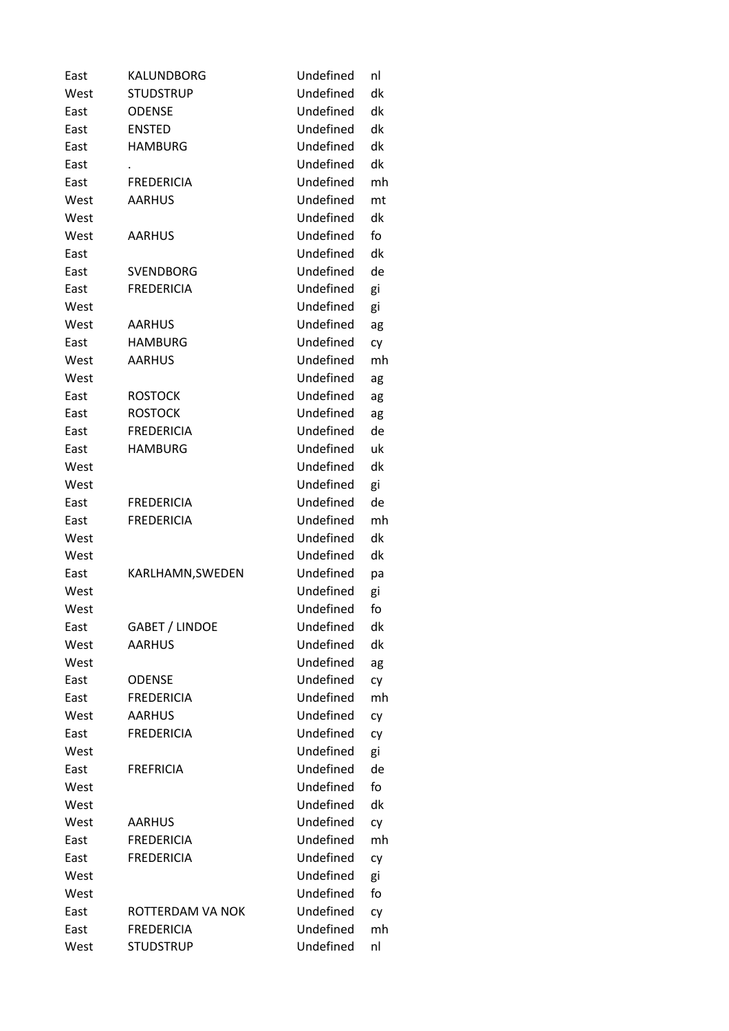| East | KALUNDBORG        | Undefined | nl |
|------|-------------------|-----------|----|
| West | <b>STUDSTRUP</b>  | Undefined | dk |
| East | <b>ODENSE</b>     | Undefined | dk |
| East | <b>ENSTED</b>     | Undefined | dk |
| East | <b>HAMBURG</b>    | Undefined | dk |
| East |                   | Undefined | dk |
| East | <b>FREDERICIA</b> | Undefined | mh |
| West | <b>AARHUS</b>     | Undefined | mt |
| West |                   | Undefined | dk |
| West | <b>AARHUS</b>     | Undefined | fo |
| East |                   | Undefined | dk |
| East | <b>SVENDBORG</b>  | Undefined | de |
| East | <b>FREDERICIA</b> | Undefined | gi |
| West |                   | Undefined | gi |
| West | <b>AARHUS</b>     | Undefined | ag |
| East | <b>HAMBURG</b>    | Undefined | cy |
| West | <b>AARHUS</b>     | Undefined | mh |
| West |                   | Undefined | ag |
| East | <b>ROSTOCK</b>    | Undefined | ag |
| East | <b>ROSTOCK</b>    | Undefined | ag |
| East | <b>FREDERICIA</b> | Undefined | de |
| East | <b>HAMBURG</b>    | Undefined | uk |
| West |                   | Undefined | dk |
| West |                   | Undefined | gi |
| East | <b>FREDERICIA</b> | Undefined | de |
| East | <b>FREDERICIA</b> | Undefined | mh |
| West |                   | Undefined | dk |
| West |                   | Undefined | dk |
|      |                   | Undefined |    |
| East | KARLHAMN, SWEDEN  | Undefined | pa |
| West |                   |           | gi |
| West |                   | Undefined | fo |
| East | GABET / LINDOE    | Undefined | dk |
| West | <b>AARHUS</b>     | Undefined | dk |
| West |                   | Undefined | ag |
| East | <b>ODENSE</b>     | Undefined | cy |
| East | <b>FREDERICIA</b> | Undefined | mh |
| West | <b>AARHUS</b>     | Undefined | cy |
| East | <b>FREDERICIA</b> | Undefined | cy |
| West |                   | Undefined | gi |
| East | <b>FREFRICIA</b>  | Undefined | de |
| West |                   | Undefined | fo |
| West |                   | Undefined | dk |
| West | <b>AARHUS</b>     | Undefined | cy |
| East | <b>FREDERICIA</b> | Undefined | mh |
| East | <b>FREDERICIA</b> | Undefined | cy |
| West |                   | Undefined | gi |
| West |                   | Undefined | fo |
| East | ROTTERDAM VA NOK  | Undefined | cy |
| East | <b>FREDERICIA</b> | Undefined | mh |
| West | <b>STUDSTRUP</b>  | Undefined | nl |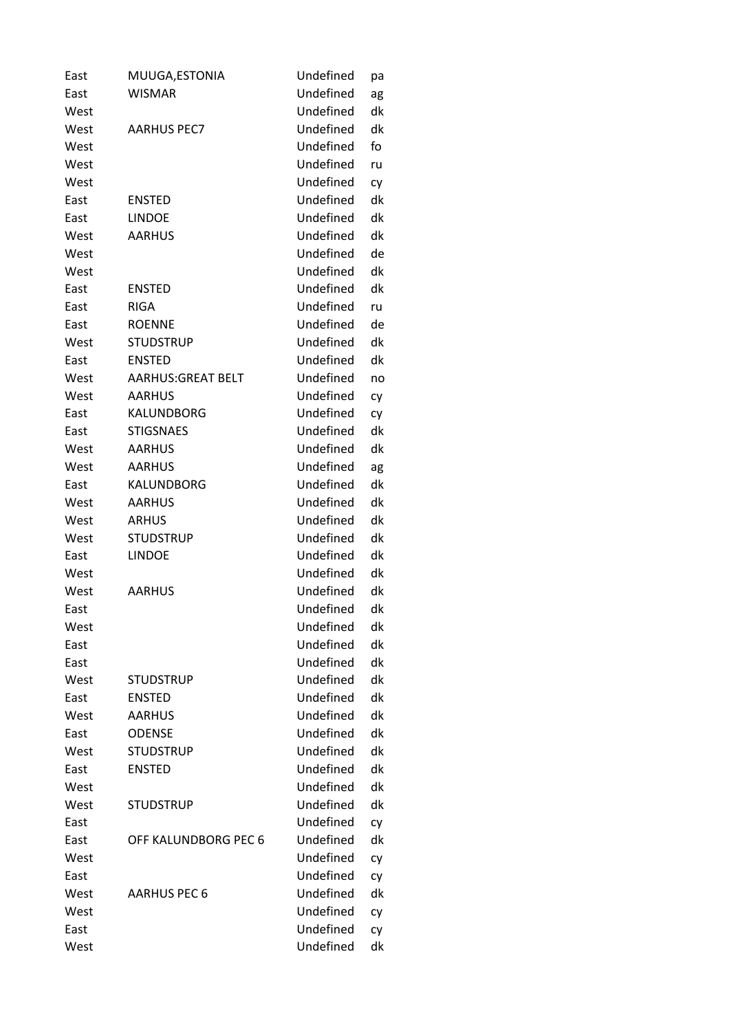| East | MUUGA, ESTONIA            | Undefined | рa |
|------|---------------------------|-----------|----|
| East | <b>WISMAR</b>             | Undefined | ag |
| West |                           | Undefined | dk |
| West | <b>AARHUS PEC7</b>        | Undefined | dk |
| West |                           | Undefined | fo |
| West |                           | Undefined | ru |
| West |                           | Undefined | cy |
| East | <b>ENSTED</b>             | Undefined | dk |
| East | <b>LINDOE</b>             | Undefined | dk |
| West | <b>AARHUS</b>             | Undefined | dk |
| West |                           | Undefined | de |
| West |                           | Undefined | dk |
| East | <b>ENSTED</b>             | Undefined | dk |
| East | <b>RIGA</b>               | Undefined | ru |
| East | <b>ROENNE</b>             | Undefined | de |
| West | <b>STUDSTRUP</b>          | Undefined | dk |
| East | <b>ENSTED</b>             | Undefined | dk |
| West | <b>AARHUS: GREAT BELT</b> | Undefined | no |
| West | <b>AARHUS</b>             | Undefined | cy |
| East | KALUNDBORG                | Undefined | cy |
| East | <b>STIGSNAES</b>          | Undefined | dk |
| West | <b>AARHUS</b>             | Undefined | dk |
| West | <b>AARHUS</b>             | Undefined | ag |
| East | KALUNDBORG                | Undefined | dk |
| West | <b>AARHUS</b>             | Undefined | dk |
| West | <b>ARHUS</b>              | Undefined | dk |
| West | <b>STUDSTRUP</b>          | Undefined | dk |
| East | <b>LINDOE</b>             | Undefined | dk |
| West |                           | Undefined | dk |
| West | <b>AARHUS</b>             | Undefined | dk |
| East |                           | Undefined | dk |
| West |                           | Undefined | dk |
| East |                           | Undefined | dk |
| East |                           | Undefined | dk |
| West | <b>STUDSTRUP</b>          | Undefined | dk |
| East | <b>ENSTED</b>             | Undefined | dk |
| West | <b>AARHUS</b>             | Undefined | dk |
| East | <b>ODENSE</b>             | Undefined | dk |
| West | <b>STUDSTRUP</b>          | Undefined | dk |
| East | <b>ENSTED</b>             | Undefined | dk |
| West |                           | Undefined | dk |
| West | <b>STUDSTRUP</b>          | Undefined | dk |
| East |                           | Undefined | cy |
| East | OFF KALUNDBORG PEC 6      | Undefined | dk |
| West |                           | Undefined | cy |
| East |                           | Undefined | cy |
| West | <b>AARHUS PEC 6</b>       | Undefined | dk |
| West |                           | Undefined | cy |
| East |                           | Undefined | cy |
| West |                           | Undefined | dk |
|      |                           |           |    |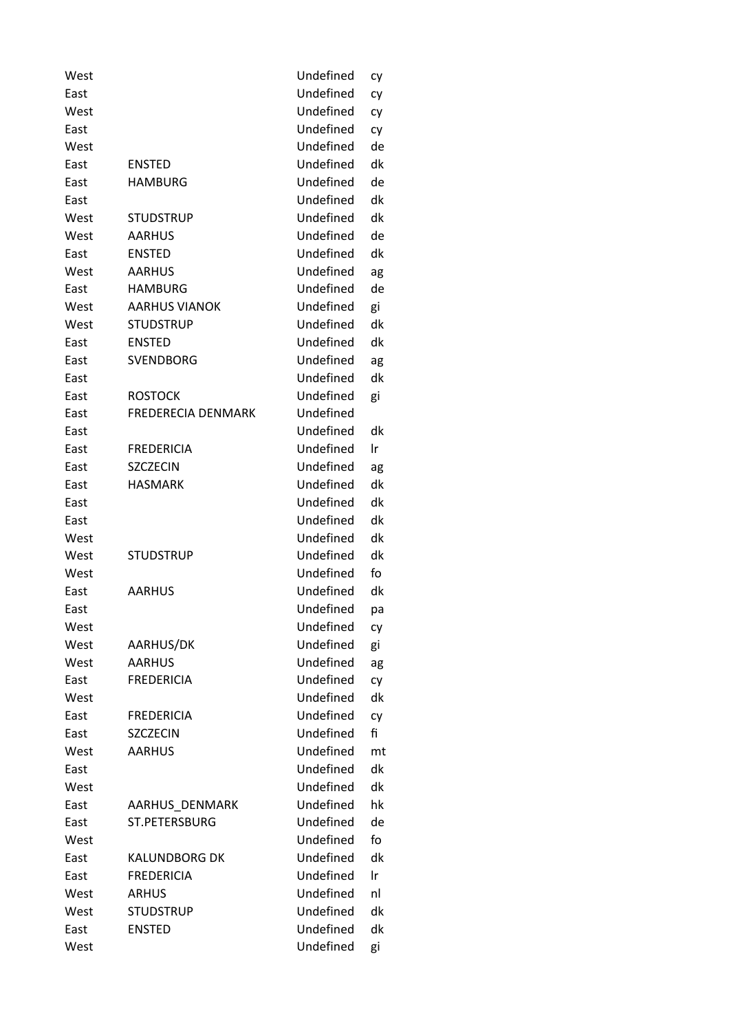| West |                           | Undefined | cy |
|------|---------------------------|-----------|----|
| East |                           | Undefined | cy |
| West |                           | Undefined | cy |
| East |                           | Undefined | cy |
| West |                           | Undefined | de |
| East | <b>ENSTED</b>             | Undefined | dk |
| East | <b>HAMBURG</b>            | Undefined | de |
| East |                           | Undefined | dk |
| West | <b>STUDSTRUP</b>          | Undefined | dk |
| West | <b>AARHUS</b>             | Undefined | de |
| East | <b>ENSTED</b>             | Undefined | dk |
| West | <b>AARHUS</b>             | Undefined | ag |
| East | <b>HAMBURG</b>            | Undefined | de |
| West | <b>AARHUS VIANOK</b>      | Undefined | gi |
| West | <b>STUDSTRUP</b>          | Undefined | dk |
| East | <b>ENSTED</b>             | Undefined | dk |
| East | <b>SVENDBORG</b>          | Undefined | ag |
| East |                           | Undefined | dk |
| East | <b>ROSTOCK</b>            | Undefined | gi |
| East | <b>FREDERECIA DENMARK</b> | Undefined |    |
| East |                           | Undefined | dk |
| East | <b>FREDERICIA</b>         | Undefined | Ir |
| East | <b>SZCZECIN</b>           | Undefined | ag |
| East | <b>HASMARK</b>            | Undefined | dk |
| East |                           | Undefined | dk |
| East |                           | Undefined | dk |
| West |                           | Undefined | dk |
| West | <b>STUDSTRUP</b>          | Undefined | dk |
| West |                           | Undefined | fo |
| East | <b>AARHUS</b>             | Undefined | dk |
| East |                           | Undefined | рa |
| West |                           | Undefined | cy |
| West | AARHUS/DK                 | Undefined | gi |
| West | <b>AARHUS</b>             | Undefined | ag |
| East | <b>FREDERICIA</b>         | Undefined | сy |
| West |                           | Undefined | dk |
| East | <b>FREDERICIA</b>         | Undefined | cy |
| East | <b>SZCZECIN</b>           | Undefined | fi |
| West | <b>AARHUS</b>             | Undefined | mt |
| East |                           | Undefined | dk |
| West |                           | Undefined | dk |
| East | AARHUS DENMARK            | Undefined | hk |
| East | ST.PETERSBURG             | Undefined | de |
| West |                           | Undefined | fo |
|      |                           | Undefined | dk |
| East | <b>KALUNDBORG DK</b>      |           |    |
| East | <b>FREDERICIA</b>         | Undefined | Ir |
| West | <b>ARHUS</b>              | Undefined | nl |
| West | <b>STUDSTRUP</b>          | Undefined | dk |
| East | <b>ENSTED</b>             | Undefined | dk |
| West |                           | Undefined | gi |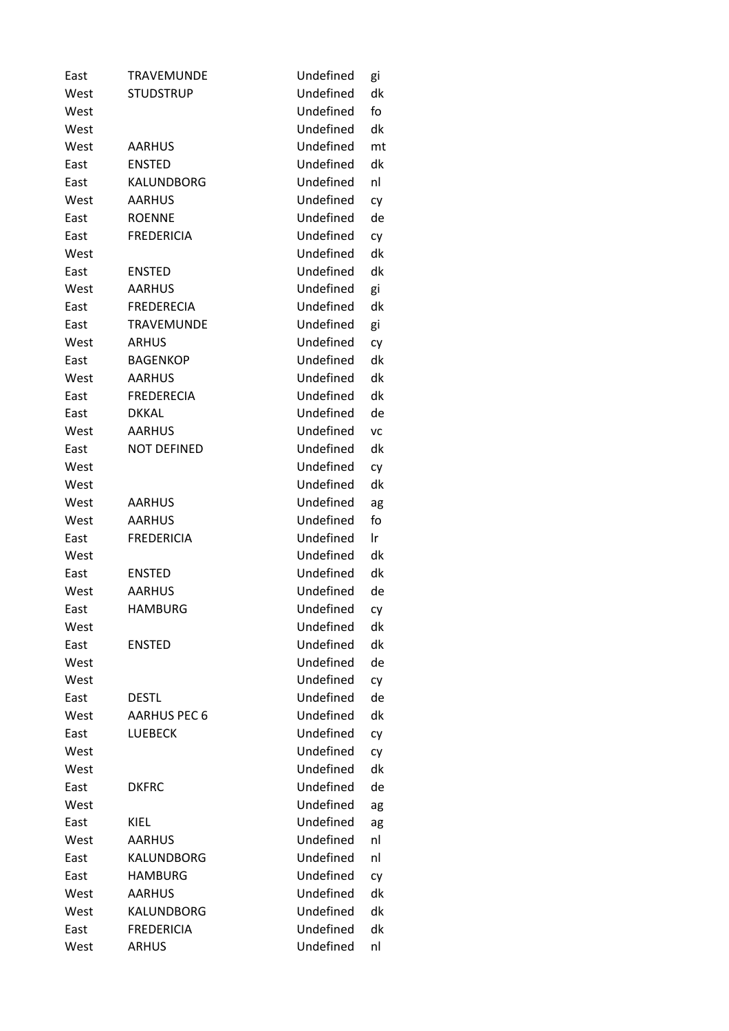| East | <b>TRAVEMUNDE</b>   | Undefined | gi  |
|------|---------------------|-----------|-----|
| West | <b>STUDSTRUP</b>    | Undefined | dk  |
| West |                     | Undefined | fo  |
| West |                     | Undefined | dk  |
| West | <b>AARHUS</b>       | Undefined | mt  |
| East | <b>ENSTED</b>       | Undefined | dk  |
| East | KALUNDBORG          | Undefined | nl  |
| West | <b>AARHUS</b>       | Undefined | cy  |
| East | <b>ROENNE</b>       | Undefined | de  |
| East | <b>FREDERICIA</b>   | Undefined | cy  |
| West |                     | Undefined | dk  |
| East | <b>ENSTED</b>       | Undefined | dk  |
| West | <b>AARHUS</b>       | Undefined | gi  |
| East | <b>FREDERECIA</b>   | Undefined | dk  |
| East | <b>TRAVEMUNDE</b>   | Undefined | gi  |
| West | <b>ARHUS</b>        | Undefined | cy  |
| East | <b>BAGENKOP</b>     | Undefined | dk  |
| West | <b>AARHUS</b>       | Undefined | dk  |
| East | <b>FREDERECIA</b>   | Undefined | dk  |
| East | <b>DKKAL</b>        | Undefined | de  |
| West | <b>AARHUS</b>       | Undefined | VC  |
| East | <b>NOT DEFINED</b>  | Undefined | dk  |
| West |                     | Undefined | cy  |
| West |                     | Undefined | dk  |
| West | <b>AARHUS</b>       | Undefined | ag  |
| West | <b>AARHUS</b>       | Undefined | fo  |
| East | <b>FREDERICIA</b>   | Undefined | Ir. |
| West |                     | Undefined | dk  |
| East | <b>ENSTED</b>       | Undefined | dk  |
| West | <b>AARHUS</b>       | Undefined | de  |
| East | <b>HAMBURG</b>      | Undefined | cy  |
| West |                     | Undefined | dk  |
| East | <b>ENSTED</b>       | Undefined | dk  |
| West |                     | Undefined | de  |
| West |                     | Undefined | cy  |
| East | <b>DESTL</b>        | Undefined | de  |
| West | <b>AARHUS PEC 6</b> | Undefined | dk  |
| East | <b>LUEBECK</b>      | Undefined | cy  |
| West |                     | Undefined | cy  |
| West |                     | Undefined | dk  |
| East | <b>DKFRC</b>        | Undefined | de  |
| West |                     | Undefined | ag  |
| East | KIEL                | Undefined | ag  |
| West | <b>AARHUS</b>       | Undefined | nl  |
| East | KALUNDBORG          | Undefined | nl  |
| East | <b>HAMBURG</b>      | Undefined | cy  |
| West | <b>AARHUS</b>       | Undefined | dk  |
| West | KALUNDBORG          | Undefined | dk  |
| East | <b>FREDERICIA</b>   | Undefined | dk  |
| West | <b>ARHUS</b>        | Undefined | nl  |
|      |                     |           |     |